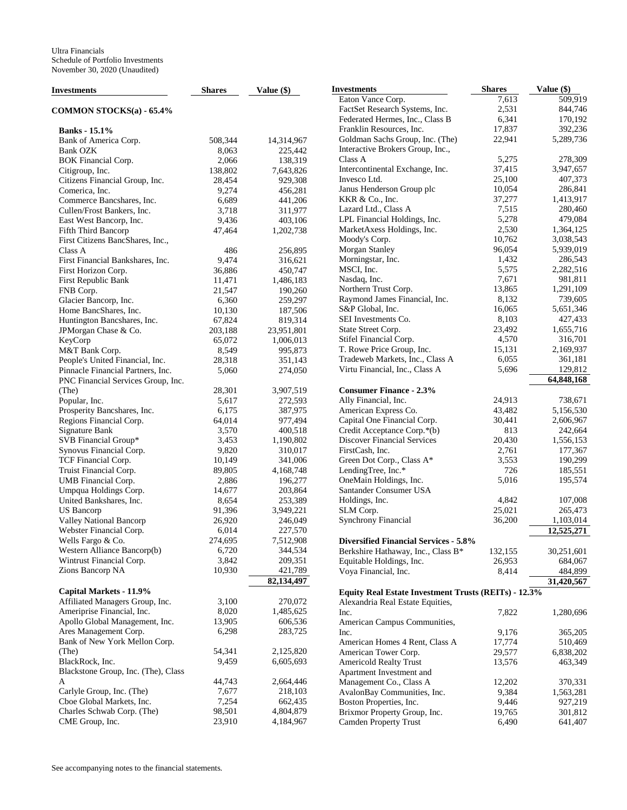| <b>Investments</b>                  | <b>Shares</b> | Value $(\$)$ | <b>Investments</b>                                   | <b>Shares</b> | Value (\$) |
|-------------------------------------|---------------|--------------|------------------------------------------------------|---------------|------------|
|                                     |               |              | Eaton Vance Corp.                                    | 7,613         | 509,919    |
| COMMON STOCKS(a) - 65.4%            |               |              | FactSet Research Systems, Inc.                       | 2,531         | 844,746    |
|                                     |               |              | Federated Hermes, Inc., Class B                      | 6,341         | 170,192    |
| <b>Banks</b> - 15.1%                |               |              | Franklin Resources, Inc.                             | 17,837        | 392,236    |
| Bank of America Corp.               | 508,344       | 14,314,967   | Goldman Sachs Group, Inc. (The)                      | 22,941        | 5,289,736  |
| <b>Bank OZK</b>                     | 8,063         | 225,442      | Interactive Brokers Group, Inc.,                     |               |            |
| BOK Financial Corp.                 | 2,066         | 138,319      | Class A                                              | 5,275         | 278,309    |
| Citigroup, Inc.                     | 138,802       | 7,643,826    | Intercontinental Exchange, Inc.                      | 37,415        | 3,947,657  |
| Citizens Financial Group, Inc.      | 28,454        | 929,308      | Invesco Ltd.                                         | 25,100        | 407,373    |
| Comerica, Inc.                      | 9,274         | 456,281      | Janus Henderson Group plc                            | 10,054        | 286,841    |
| Commerce Bancshares, Inc.           | 6,689         | 441,206      | KKR & Co., Inc.                                      | 37,277        | 1,413,917  |
| Cullen/Frost Bankers, Inc.          | 3,718         | 311,977      | Lazard Ltd., Class A                                 | 7,515         | 280,460    |
| East West Bancorp, Inc.             | 9,436         | 403,106      | LPL Financial Holdings, Inc.                         | 5,278         | 479,084    |
| <b>Fifth Third Bancorp</b>          | 47,464        | 1,202,738    | MarketAxess Holdings, Inc.                           | 2,530         | 1,364,125  |
| First Citizens BancShares, Inc.,    |               |              | Moody's Corp.                                        | 10,762        | 3,038,543  |
| Class A                             | 486           | 256,895      | Morgan Stanley                                       | 96,054        | 5,939,019  |
| First Financial Bankshares, Inc.    | 9,474         | 316,621      | Morningstar, Inc.                                    | 1,432         | 286,543    |
| First Horizon Corp.                 | 36,886        | 450,747      | MSCI, Inc.                                           | 5,575         | 2,282,516  |
| First Republic Bank                 | 11,471        | 1,486,183    | Nasdaq, Inc.                                         | 7,671         | 981,811    |
| FNB Corp.                           | 21,547        | 190,260      | Northern Trust Corp.                                 | 13,865        | 1,291,109  |
| Glacier Bancorp, Inc.               | 6,360         | 259,297      | Raymond James Financial, Inc.                        | 8,132         | 739,605    |
| Home BancShares, Inc.               | 10,130        | 187,506      | S&P Global, Inc.                                     | 16,065        | 5,651,346  |
| Huntington Bancshares, Inc.         | 67,824        | 819,314      | SEI Investments Co.                                  | 8,103         | 427,433    |
| JPMorgan Chase & Co.                | 203,188       | 23,951,801   | State Street Corp.                                   | 23,492        | 1,655,716  |
| KeyCorp                             | 65,072        | 1,006,013    | Stifel Financial Corp.                               | 4,570         | 316,701    |
| M&T Bank Corp.                      | 8,549         | 995,873      | T. Rowe Price Group, Inc.                            | 15,131        | 2,169,937  |
| People's United Financial, Inc.     | 28,318        | 351,143      | Tradeweb Markets, Inc., Class A                      | 6,055         | 361,181    |
| Pinnacle Financial Partners, Inc.   | 5,060         | 274,050      | Virtu Financial, Inc., Class A                       | 5,696         | 129,812    |
| PNC Financial Services Group, Inc.  |               |              |                                                      |               | 64,848,168 |
| (The)                               | 28,301        | 3,907,519    | <b>Consumer Finance - 2.3%</b>                       |               |            |
| Popular, Inc.                       | 5,617         | 272,593      | Ally Financial, Inc.                                 | 24,913        | 738,671    |
| Prosperity Bancshares, Inc.         | 6,175         | 387,975      | American Express Co.                                 | 43,482        | 5,156,530  |
| Regions Financial Corp.             | 64,014        | 977,494      | Capital One Financial Corp.                          | 30,441        | 2,606,967  |
| Signature Bank                      | 3,570         | 400,518      | Credit Acceptance Corp.*(b)                          | 813           | 242,664    |
| SVB Financial Group*                | 3,453         | 1,190,802    | <b>Discover Financial Services</b>                   | 20,430        | 1,556,153  |
| Synovus Financial Corp.             | 9,820         | 310,017      | FirstCash, Inc.                                      | 2,761         | 177,367    |
| TCF Financial Corp.                 | 10,149        | 341,006      | Green Dot Corp., Class A*                            | 3,553         | 190,299    |
| Truist Financial Corp.              | 89,805        | 4,168,748    | LendingTree, Inc.*                                   | 726           | 185,551    |
| UMB Financial Corp.                 | 2,886         | 196,277      | OneMain Holdings, Inc.                               | 5,016         | 195,574    |
| Umpqua Holdings Corp.               | 14,677        | 203,864      | Santander Consumer USA                               |               |            |
| United Bankshares, Inc.             | 8,654         | 253,389      | Holdings, Inc.                                       | 4,842         | 107,008    |
| <b>US</b> Bancorp                   | 91,396        | 3,949,221    | SLM Corp.                                            | 25,021        | 265,473    |
| <b>Valley National Bancorp</b>      | 26,920        | 246,049      | <b>Synchrony Financial</b>                           | 36,200        | 1,103,014  |
| Webster Financial Corp.             | 6,014         | 227,570      |                                                      |               | 12,525,271 |
| Wells Fargo & Co.                   | 274,695       | 7,512,908    | <b>Diversified Financial Services - 5.8%</b>         |               |            |
| Western Alliance Bancorp(b)         | 6,720         | 344,534      | Berkshire Hathaway, Inc., Class B*                   | 132,155       | 30,251,601 |
| Wintrust Financial Corp.            | 3,842         | 209,351      | Equitable Holdings, Inc.                             | 26,953        | 684,067    |
| Zions Bancorp NA                    | 10,930        | 421,789      | Voya Financial, Inc.                                 | 8,414         | 484,899    |
|                                     |               | 82,134,497   |                                                      |               | 31,420,567 |
| Capital Markets - 11.9%             |               |              | Equity Real Estate Investment Trusts (REITs) - 12.3% |               |            |
| Affiliated Managers Group, Inc.     | 3,100         | 270,072      | Alexandria Real Estate Equities,                     |               |            |
| Ameriprise Financial, Inc.          | 8,020         | 1,485,625    | Inc.                                                 | 7,822         | 1,280,696  |
| Apollo Global Management, Inc.      | 13,905        | 606,536      | American Campus Communities,                         |               |            |
| Ares Management Corp.               | 6,298         | 283,725      | Inc.                                                 | 9,176         | 365,205    |
| Bank of New York Mellon Corp.       |               |              | American Homes 4 Rent, Class A                       | 17,774        | 510,469    |
| (The)                               | 54,341        | 2,125,820    | American Tower Corp.                                 | 29,577        | 6,838,202  |
| BlackRock, Inc.                     | 9,459         | 6,605,693    | <b>Americold Realty Trust</b>                        | 13,576        | 463,349    |
| Blackstone Group, Inc. (The), Class |               |              | Apartment Investment and                             |               |            |
| A                                   | 44,743        | 2,664,446    | Management Co., Class A                              | 12,202        | 370,331    |
| Carlyle Group, Inc. (The)           | 7,677         | 218,103      | AvalonBay Communities, Inc.                          | 9,384         | 1,563,281  |
| Cboe Global Markets, Inc.           | 7,254         | 662,435      | Boston Properties, Inc.                              | 9,446         | 927,219    |
| Charles Schwab Corp. (The)          | 98,501        | 4,804,879    | Brixmor Property Group, Inc.                         | 19,765        | 301,812    |
| CME Group, Inc.                     | 23,910        | 4,184,967    | <b>Camden Property Trust</b>                         | 6,490         | 641,407    |
|                                     |               |              |                                                      |               |            |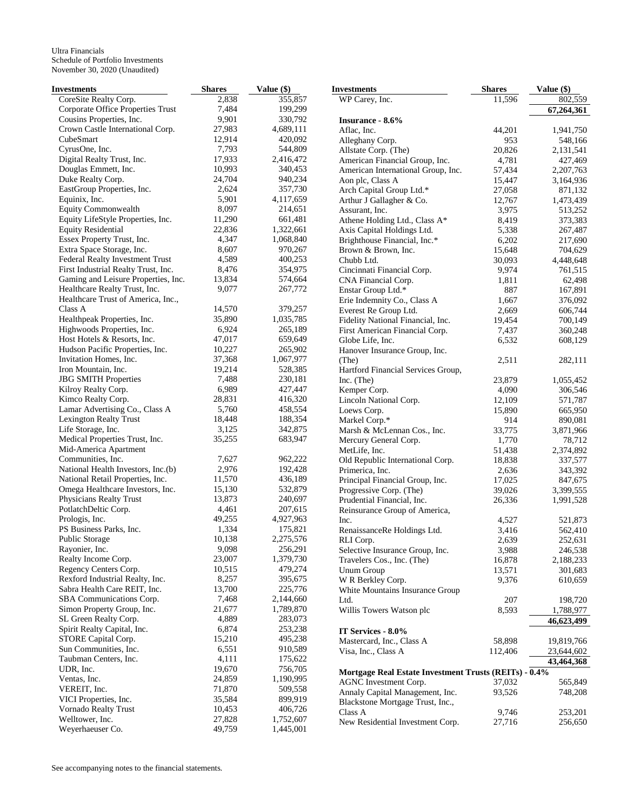| Investments                                     | <b>Shares</b>    | Value (\$)             | <b>Investments</b>                                          | <b>Shares</b>    | Value (\$)         |
|-------------------------------------------------|------------------|------------------------|-------------------------------------------------------------|------------------|--------------------|
| CoreSite Realty Corp.                           | 2,838            | 355,857                | WP Carey, Inc.                                              | 11,596           | 802,559            |
| Corporate Office Properties Trust               | 7,484            | 199,299                |                                                             |                  | 67,264,361         |
| Cousins Properties, Inc.                        | 9,901            | 330,792                | <b>Insurance - 8.6%</b>                                     |                  |                    |
| Crown Castle International Corp.                | 27,983           | 4,689,111              | Aflac, Inc.                                                 | 44,201           | 1,941,750          |
| CubeSmart                                       | 12,914           | 420,092                | Alleghany Corp.                                             | 953              | 548,166            |
| CyrusOne, Inc.                                  | 7,793            | 544,809                | Allstate Corp. (The)                                        | 20,826           | 2,131,541          |
| Digital Realty Trust, Inc.                      | 17,933           | 2,416,472              | American Financial Group, Inc.                              | 4,781            | 427,469            |
| Douglas Emmett, Inc.                            | 10,993           | 340,453                | American International Group, Inc.                          | 57,434           | 2,207,763          |
| Duke Realty Corp.<br>EastGroup Properties, Inc. | 24,704<br>2,624  | 940,234<br>357,730     | Aon plc, Class A                                            | 15,447           | 3,164,936          |
| Equinix, Inc.                                   | 5,901            | 4,117,659              | Arch Capital Group Ltd.*                                    | 27,058           | 871,132            |
| <b>Equity Commonwealth</b>                      | 8,097            | 214,651                | Arthur J Gallagher & Co.                                    | 12,767           | 1,473,439          |
| Equity LifeStyle Properties, Inc.               | 11,290           | 661,481                | Assurant, Inc.                                              | 3,975<br>8,419   | 513,252<br>373,383 |
| <b>Equity Residential</b>                       | 22,836           | 1,322,661              | Athene Holding Ltd., Class A*<br>Axis Capital Holdings Ltd. | 5,338            | 267,487            |
| Essex Property Trust, Inc.                      | 4,347            | 1,068,840              | Brighthouse Financial, Inc.*                                | 6,202            | 217,690            |
| Extra Space Storage, Inc.                       | 8,607            | 970,267                | Brown & Brown, Inc.                                         | 15,648           | 704,629            |
| Federal Realty Investment Trust                 | 4,589            | 400,253                | Chubb Ltd.                                                  | 30,093           | 4,448,648          |
| First Industrial Realty Trust, Inc.             | 8,476            | 354,975                | Cincinnati Financial Corp.                                  | 9,974            | 761,515            |
| Gaming and Leisure Properties, Inc.             | 13,834           | 574,664                | CNA Financial Corp.                                         | 1,811            | 62,498             |
| Healthcare Realty Trust, Inc.                   | 9,077            | 267,772                | Enstar Group Ltd.*                                          | 887              | 167,891            |
| Healthcare Trust of America, Inc.,              |                  |                        | Erie Indemnity Co., Class A                                 | 1,667            | 376,092            |
| Class A                                         | 14,570           | 379,257                | Everest Re Group Ltd.                                       | 2,669            | 606,744            |
| Healthpeak Properties, Inc.                     | 35,890           | 1,035,785              | Fidelity National Financial, Inc.                           | 19,454           | 700,149            |
| Highwoods Properties, Inc.                      | 6,924            | 265,189                | First American Financial Corp.                              | 7,437            | 360,248            |
| Host Hotels & Resorts, Inc.                     | 47,017           | 659,649                | Globe Life, Inc.                                            | 6,532            | 608,129            |
| Hudson Pacific Properties, Inc.                 | 10,227           | 265,902                | Hanover Insurance Group, Inc.                               |                  |                    |
| Invitation Homes, Inc.                          | 37,368           | 1,067,977              | (The)                                                       | 2,511            | 282,111            |
| Iron Mountain, Inc.                             | 19,214           | 528,385                | Hartford Financial Services Group,                          |                  |                    |
| <b>JBG SMITH Properties</b>                     | 7,488            | 230,181                | Inc. (The)                                                  | 23,879           | 1,055,452          |
| Kilroy Realty Corp.                             | 6,989            | 427,447                | Kemper Corp.                                                | 4,090            | 306,546            |
| Kimco Realty Corp.                              | 28,831           | 416,320                | Lincoln National Corp.                                      | 12,109           | 571,787            |
| Lamar Advertising Co., Class A                  | 5,760            | 458,554                | Loews Corp.                                                 | 15,890           | 665,950            |
| <b>Lexington Realty Trust</b>                   | 18,448           | 188,354                | Markel Corp.*                                               | 914              | 890,081            |
| Life Storage, Inc.                              | 3,125            | 342,875                | Marsh & McLennan Cos., Inc.                                 | 33,775           | 3,871,966          |
| Medical Properties Trust, Inc.                  | 35,255           | 683,947                | Mercury General Corp.                                       | 1,770            | 78,712             |
| Mid-America Apartment<br>Communities, Inc.      | 7,627            | 962,222                | MetLife, Inc.                                               | 51,438           | 2,374,892          |
| National Health Investors, Inc.(b)              | 2,976            | 192,428                | Old Republic International Corp.                            | 18,838           | 337,577            |
| National Retail Properties, Inc.                | 11,570           | 436,189                | Primerica, Inc.                                             | 2,636            | 343,392<br>847,675 |
| Omega Healthcare Investors, Inc.                | 15,130           | 532,879                | Principal Financial Group, Inc.<br>Progressive Corp. (The)  | 17,025<br>39,026 | 3,399,555          |
| Physicians Realty Trust                         | 13,873           | 240,697                | Prudential Financial, Inc.                                  | 26,336           | 1,991,528          |
| PotlatchDeltic Corp.                            | 4,461            | 207,615                | Reinsurance Group of America,                               |                  |                    |
| Prologis, Inc.                                  | 49,255           | 4,927,963              | Inc.                                                        | 4,527            | 521,873            |
| PS Business Parks, Inc.                         | 1,334            | 175,821                | RenaissanceRe Holdings Ltd.                                 | 3,416            | 562,410            |
| Public Storage                                  | 10,138           | 2,275,576              | RLI Corp.                                                   | 2,639            | 252,631            |
| Rayonier, Inc.                                  | 9,098            | 256,291                | Selective Insurance Group, Inc.                             | 3,988            | 246,538            |
| Realty Income Corp.                             | 23,007           | 1,379,730              | Travelers Cos., Inc. (The)                                  | 16,878           | 2,188,233          |
| Regency Centers Corp.                           | 10,515           | 479,274                | Unum Group                                                  | 13,571           | 301,683            |
| Rexford Industrial Realty, Inc.                 | 8,257            | 395,675                | W R Berkley Corp.                                           | 9,376            | 610,659            |
| Sabra Health Care REIT, Inc.                    | 13,700           | 225,776                | White Mountains Insurance Group                             |                  |                    |
| SBA Communications Corp.                        | 7,468            | 2,144,660              | Ltd.                                                        | 207              | 198,720            |
| Simon Property Group, Inc.                      | 21,677           | 1,789,870              | Willis Towers Watson plc                                    | 8,593            | 1,788,977          |
| SL Green Realty Corp.                           | 4,889            | 283,073                |                                                             |                  | 46,623,499         |
| Spirit Realty Capital, Inc.                     | 6,874            | 253,238                | IT Services - 8.0%                                          |                  |                    |
| STORE Capital Corp.                             | 15,210           | 495,238                | Mastercard, Inc., Class A                                   | 58,898           | 19,819,766         |
| Sun Communities, Inc.                           | 6,551            | 910,589                | Visa, Inc., Class A                                         | 112,406          | 23,644,602         |
| Taubman Centers, Inc.                           | 4,111            | 175,622                |                                                             |                  | 43,464,368         |
| UDR, Inc.                                       | 19,670           | 756,705                | Mortgage Real Estate Investment Trusts (REITs) - 0.4%       |                  |                    |
| Ventas, Inc.                                    | 24,859           | 1,190,995              | AGNC Investment Corp.                                       | 37,032           | 565,849            |
| VEREIT, Inc.                                    | 71,870           | 509,558                | Annaly Capital Management, Inc.                             | 93,526           | 748,208            |
| VICI Properties, Inc.                           | 35,584           | 899,919                | Blackstone Mortgage Trust, Inc.,                            |                  |                    |
| Vornado Realty Trust<br>Welltower, Inc.         | 10,453<br>27,828 | 406,726                | Class A                                                     | 9,746            | 253,201            |
| Weyerhaeuser Co.                                | 49,759           | 1,752,607<br>1,445,001 | New Residential Investment Corp.                            | 27,716           | 256,650            |
|                                                 |                  |                        |                                                             |                  |                    |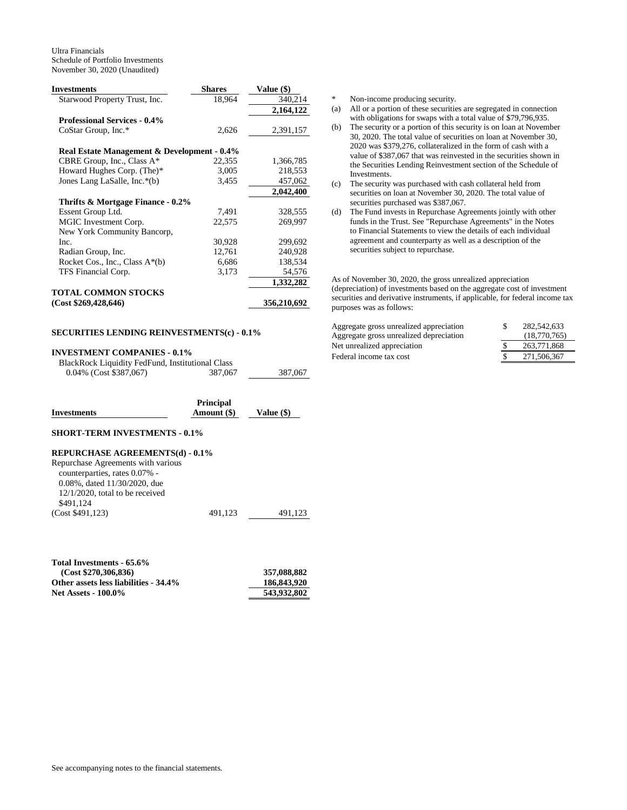| <b>Investments</b>                          | <b>Shares</b> | <b>Value</b> (\$) |
|---------------------------------------------|---------------|-------------------|
| Starwood Property Trust, Inc.               | 18,964        | 340,214           |
|                                             |               | 2,164,122         |
| <b>Professional Services - 0.4%</b>         |               |                   |
| CoStar Group, Inc.*                         | 2,626         | 2,391,157         |
| Real Estate Management & Development - 0.4% |               |                   |
| CBRE Group, Inc., Class A*                  | 22,355        | 1,366,785         |
| Howard Hughes Corp. (The)*                  | 3,005         | 218,553           |
| Jones Lang LaSalle, Inc.*(b)                | 3,455         | 457,062           |
|                                             |               | 2,042,400         |
| Thrifts & Mortgage Finance - 0.2%           |               |                   |
| Essent Group Ltd.                           | 7,491         | 328,555           |
| MGIC Investment Corp.                       | 22,575        | 269,997           |
| New York Community Bancorp,                 |               |                   |
| Inc.                                        | 30,928        | 299,692           |
| Radian Group, Inc.                          | 12,761        | 240,928           |
| Rocket Cos., Inc., Class $A^*(b)$           | 6,686         | 138,534           |
| TFS Financial Corp.                         | 3,173         | 54,576            |
|                                             |               | 1,332,282         |
| <b>TOTAL COMMON STOCKS</b>                  |               |                   |
| (Cost \$269,428,646)                        |               | 356,210,692       |

## **SECURITIES LENDING REINVESTMENTS(c) - 0.1%**

## **INVESTMENT COMPANIES - 0.1%**

BlackRock Liquidity FedFund, Institutional Class

|--|

|                    | <b>Principal</b> |              |
|--------------------|------------------|--------------|
| <b>Investments</b> | Amount (\$)      | Value $(\$)$ |

0.04% (Cost \$387,067) 387,067 387,067

## **SHORT-TERM INVESTMENTS - 0.1%**

#### **REPURCHASE AGREEMENTS(d) - 0.1%**

| Repurchase Agreements with various |         |         |
|------------------------------------|---------|---------|
| counterparties, rates 0.07% -      |         |         |
| 0.08%, dated 11/30/2020, due       |         |         |
| $12/1/2020$ , total to be received |         |         |
| \$491.124                          |         |         |
| (Cost \$491,123)                   | 491.123 | 491.123 |

| Total Investments - 65.6%             |             |
|---------------------------------------|-------------|
| (Cost \$270.306.836)                  | 357,088,882 |
| Other assets less liabilities - 34.4% | 186,843,920 |
| <b>Net Assets - 100.0%</b>            | 543,932,802 |

\* Non-income producing security.

- (a) All or a portion of these securities are segregated in connection with obligations for swaps with a total value of \$79,796,935.
- (b) The security or a portion of this security is on loan at November 30, 2020. The total value of securities on loan at November 30, 2020 was \$379,276, collateralized in the form of cash with a value of \$387,067 that was reinvested in the securities shown in the Securities Lending Reinvestment section of the Schedule of Investments.
- (c) The security was purchased with cash collateral held from securities on loan at November 30, 2020. The total value of securities purchased was \$387,067.
- (d) The Fund invests in Repurchase Agreements jointly with other funds in the Trust. See "Repurchase Agreements" in the Notes to Financial Statements to view the details of each individual agreement and counterparty as well as a description of the securities subject to repurchase.

As of November 30, 2020, the gross unrealized appreciation (depreciation) of investments based on the aggregate cost of investment securities and derivative instruments, if applicable, for federal income tax purposes was as follows:

| Aggregate gross unrealized appreciation | 282,542,633  |
|-----------------------------------------|--------------|
| Aggregate gross unrealized depreciation | (18.770.765) |
| Net unrealized appreciation             | 263,771,868  |
| Federal income tax cost                 | 271,506,367  |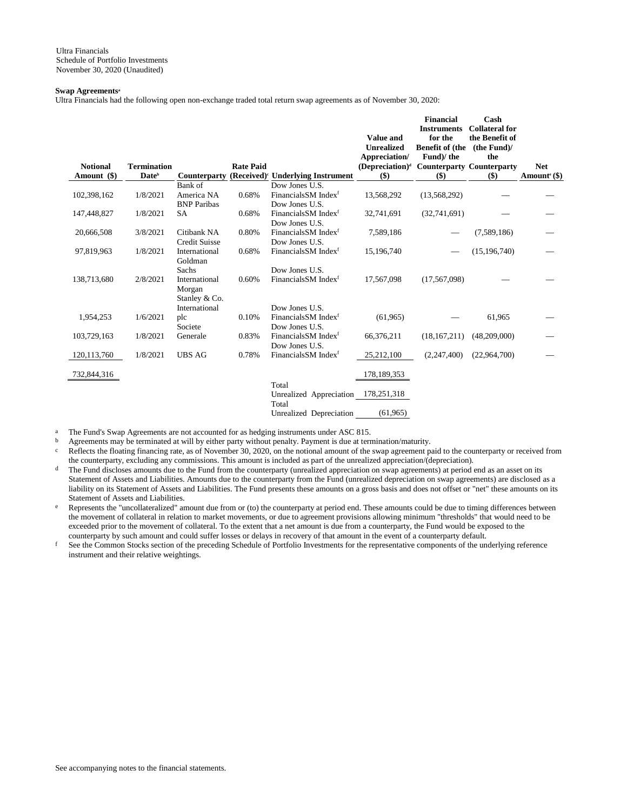### **Swap Agreements<sup>a</sup>**

Ultra Financials had the following open non-exchange traded total return swap agreements as of November 30, 2020:

|                 |                    |                      |                  |                                                    | Value and<br><b>Unrealized</b><br>Appreciation/ | <b>Financial</b><br><b>Instruments</b><br>for the<br><b>Benefit of (the</b><br>Fund)/the | Cash<br><b>Collateral for</b><br>the Benefit of<br>(the Fund)<br>the |                          |
|-----------------|--------------------|----------------------|------------------|----------------------------------------------------|-------------------------------------------------|------------------------------------------------------------------------------------------|----------------------------------------------------------------------|--------------------------|
| <b>Notional</b> | <b>Termination</b> |                      | <b>Rate Paid</b> |                                                    | $(Depreciation)^d$                              | <b>Counterparty Counterparty</b>                                                         |                                                                      | <b>Net</b>               |
| Amount (\$)     | Date <sup>b</sup>  | <b>Counterparty</b>  |                  | (Received) <sup>c</sup> Underlying Instrument      | \$)                                             | $($)$                                                                                    | \$)                                                                  | Amount <sup>e</sup> (\$) |
|                 |                    | Bank of              |                  | Dow Jones U.S.                                     |                                                 |                                                                                          |                                                                      |                          |
| 102,398,162     | 1/8/2021           | America NA           | 0.68%            | Financials SM Index <sup>f</sup>                   | 13,568,292                                      | (13,568,292)                                                                             |                                                                      |                          |
|                 |                    | <b>BNP</b> Paribas   |                  | Dow Jones U.S.                                     |                                                 |                                                                                          |                                                                      |                          |
| 147,448,827     | 1/8/2021           | <b>SA</b>            | 0.68%            | Financials SM Index <sup>f</sup>                   | 32,741,691                                      | (32,741,691)                                                                             |                                                                      |                          |
|                 |                    |                      |                  | Dow Jones U.S.                                     |                                                 |                                                                                          |                                                                      |                          |
| 20,666,508      | 3/8/2021           | Citibank NA          | 0.80%            | Financials SM Index <sup>f</sup>                   | 7,589,186                                       |                                                                                          | (7,589,186)                                                          |                          |
|                 |                    | <b>Credit Suisse</b> |                  | Dow Jones U.S.                                     |                                                 |                                                                                          |                                                                      |                          |
| 97,819,963      | 1/8/2021           | International        | 0.68%            | Financials SM Index <sup>f</sup>                   | 15,196,740                                      |                                                                                          | (15, 196, 740)                                                       |                          |
|                 |                    | Goldman              |                  |                                                    |                                                 |                                                                                          |                                                                      |                          |
|                 |                    | Sachs                |                  | Dow Jones U.S.                                     |                                                 |                                                                                          |                                                                      |                          |
| 138,713,680     | 2/8/2021           | International        | 0.60%            | FinancialsSM Index <sup>f</sup>                    | 17,567,098                                      | (17, 567, 098)                                                                           |                                                                      |                          |
|                 |                    | Morgan               |                  |                                                    |                                                 |                                                                                          |                                                                      |                          |
|                 |                    | Stanley & Co.        |                  |                                                    |                                                 |                                                                                          |                                                                      |                          |
|                 |                    | International        |                  | Dow Jones U.S.                                     |                                                 |                                                                                          |                                                                      |                          |
| 1,954,253       | 1/6/2021           | plc                  | 0.10%            | Financials SM Index <sup>f</sup>                   | (61,965)                                        |                                                                                          | 61,965                                                               |                          |
|                 | 1/8/2021           | Societe              | 0.83%            | Dow Jones U.S.<br>Financials SM Index <sup>f</sup> |                                                 |                                                                                          |                                                                      |                          |
| 103,729,163     |                    | Generale             |                  | Dow Jones U.S.                                     | 66,376,211                                      | (18, 167, 211)                                                                           | (48,209,000)                                                         |                          |
| 120, 113, 760   | 1/8/2021           | <b>UBS AG</b>        | 0.78%            | Financials SM Index <sup>f</sup>                   | 25,212,100                                      | (2,247,400)                                                                              | (22,964,700)                                                         |                          |
|                 |                    |                      |                  |                                                    |                                                 |                                                                                          |                                                                      |                          |
| 732,844,316     |                    |                      |                  |                                                    | 178,189,353                                     |                                                                                          |                                                                      |                          |
|                 |                    |                      |                  |                                                    |                                                 |                                                                                          |                                                                      |                          |
|                 |                    |                      |                  | Total                                              |                                                 |                                                                                          |                                                                      |                          |
|                 |                    |                      |                  | Unrealized Appreciation<br>Total                   | 178,251,318                                     |                                                                                          |                                                                      |                          |
|                 |                    |                      |                  | Unrealized Depreciation                            | (61, 965)                                       |                                                                                          |                                                                      |                          |
|                 |                    |                      |                  |                                                    |                                                 |                                                                                          |                                                                      |                          |

The Fund's Swap Agreements are not accounted for as hedging instruments under ASC 815.

b Agreements may be terminated at will by either party without penalty. Payment is due at termination/maturity.

c Reflects the floating financing rate, as of November 30, 2020, on the notional amount of the swap agreement paid to the counterparty or received from the counterparty, excluding any commissions. This amount is included as part of the unrealized appreciation/(depreciation).

- <sup>d</sup> The Fund discloses amounts due to the Fund from the counterparty (unrealized appreciation on swap agreements) at period end as an asset on its Statement of Assets and Liabilities. Amounts due to the counterparty from the Fund (unrealized depreciation on swap agreements) are disclosed as a liability on its Statement of Assets and Liabilities. The Fund presents these amounts on a gross basis and does not offset or "net" these amounts on its Statement of Assets and Liabilities.
- e Represents the "uncollateralized" amount due from or (to) the counterparty at period end. These amounts could be due to timing differences between the movement of collateral in relation to market movements, or due to agreement provisions allowing minimum "thresholds" that would need to be exceeded prior to the movement of collateral. To the extent that a net amount is due from a counterparty, the Fund would be exposed to the counterparty by such amount and could suffer losses or delays in recovery of that amount in the event of a counterparty default.

f See the Common Stocks section of the preceding Schedule of Portfolio Investments for the representative components of the underlying reference instrument and their relative weightings.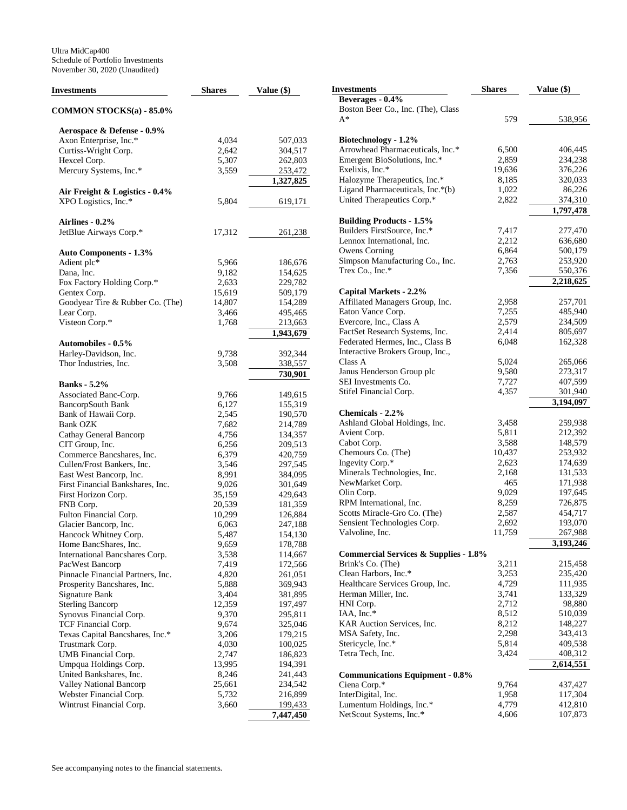| Investments                       | <b>Shares</b> | Value (\$) | <b>Investments</b>                                                | <b>Shares</b> | Value (\$) |
|-----------------------------------|---------------|------------|-------------------------------------------------------------------|---------------|------------|
|                                   |               |            | Beverages - 0.4%                                                  |               |            |
| COMMON STOCKS(a) - 85.0%          |               |            | Boston Beer Co., Inc. (The), Class                                |               |            |
|                                   |               |            | $A^*$                                                             | 579           | 538,956    |
| Aerospace & Defense - 0.9%        |               |            |                                                                   |               |            |
| Axon Enterprise, Inc.*            | 4,034         | 507,033    | Biotechnology - 1.2%                                              |               |            |
| Curtiss-Wright Corp.              | 2,642         | 304,517    | Arrowhead Pharmaceuticals, Inc.*                                  | 6,500         | 406,445    |
| Hexcel Corp.                      | 5,307         | 262,803    | Emergent BioSolutions, Inc.*                                      | 2,859         | 234,238    |
| Mercury Systems, Inc.*            | 3,559         | 253,472    | Exelixis, Inc.*                                                   | 19,636        | 376,226    |
|                                   |               | 1,327,825  | Halozyme Therapeutics, Inc.*                                      | 8,185         | 320,033    |
| Air Freight & Logistics - 0.4%    |               |            | Ligand Pharmaceuticals, Inc.*(b)                                  | 1,022         | 86,226     |
| XPO Logistics, Inc.*              | 5,804         | 619,171    | United Therapeutics Corp.*                                        | 2,822         | 374,310    |
|                                   |               |            |                                                                   |               | 1,797,478  |
| Airlines - 0.2%                   |               |            | <b>Building Products - 1.5%</b>                                   |               |            |
| JetBlue Airways Corp.*            | 17,312        | 261,238    | Builders FirstSource, Inc.*                                       | 7,417         | 277,470    |
|                                   |               |            | Lennox International, Inc.                                        | 2,212         | 636,680    |
| <b>Auto Components - 1.3%</b>     |               |            | Owens Corning                                                     | 6,864         | 500,179    |
| Adient plc*                       | 5,966         | 186,676    | Simpson Manufacturing Co., Inc.                                   | 2,763         | 253,920    |
| Dana, Inc.                        | 9,182         | 154,625    | Trex Co., Inc.*                                                   | 7,356         | 550,376    |
| Fox Factory Holding Corp.*        | 2,633         | 229,782    |                                                                   |               | 2,218,625  |
| Gentex Corp.                      | 15,619        | 509,179    | Capital Markets - 2.2%                                            |               |            |
| Goodyear Tire & Rubber Co. (The)  | 14,807        | 154,289    | Affiliated Managers Group, Inc.                                   | 2,958         | 257,701    |
| Lear Corp.                        | 3,466         | 495,465    | Eaton Vance Corp.                                                 | 7,255         | 485,940    |
|                                   |               |            |                                                                   | 2,579         | 234,509    |
| Visteon Corp.*                    | 1,768         | 213,663    | Evercore, Inc., Class A                                           | 2,414         | 805,697    |
|                                   |               | 1,943,679  | FactSet Research Systems, Inc.<br>Federated Hermes, Inc., Class B | 6,048         | 162,328    |
| <b>Automobiles - 0.5%</b>         |               |            |                                                                   |               |            |
| Harley-Davidson, Inc.             | 9,738         | 392,344    | Interactive Brokers Group, Inc.,                                  |               |            |
| Thor Industries, Inc.             | 3,508         | 338,557    | Class A                                                           | 5,024         | 265,066    |
|                                   |               | 730,901    | Janus Henderson Group plc                                         | 9,580         | 273,317    |
| <b>Banks</b> - 5.2%               |               |            | SEI Investments Co.                                               | 7,727         | 407,599    |
| Associated Banc-Corp.             | 9,766         | 149,615    | Stifel Financial Corp.                                            | 4,357         | 301,940    |
| <b>BancorpSouth Bank</b>          | 6,127         | 155,319    |                                                                   |               | 3,194,097  |
| Bank of Hawaii Corp.              | 2,545         | 190,570    | Chemicals - 2.2%                                                  |               |            |
| <b>Bank OZK</b>                   | 7,682         | 214,789    | Ashland Global Holdings, Inc.                                     | 3,458         | 259,938    |
| Cathay General Bancorp            | 4,756         | 134,357    | Avient Corp.                                                      | 5,811         | 212,392    |
| CIT Group, Inc.                   | 6,256         | 209,513    | Cabot Corp.                                                       | 3,588         | 148,579    |
| Commerce Bancshares, Inc.         | 6,379         | 420,759    | Chemours Co. (The)                                                | 10,437        | 253,932    |
| Cullen/Frost Bankers, Inc.        | 3,546         | 297,545    | Ingevity Corp.*                                                   | 2,623         | 174,639    |
| East West Bancorp, Inc.           | 8,991         | 384,095    | Minerals Technologies, Inc.                                       | 2,168         | 131,533    |
| First Financial Bankshares, Inc.  | 9,026         | 301,649    | NewMarket Corp.                                                   | 465           | 171,938    |
| First Horizon Corp.               | 35,159        | 429,643    | Olin Corp.                                                        | 9,029         | 197,645    |
| FNB Corp.                         | 20,539        | 181,359    | RPM International, Inc.                                           | 8,259         | 726,875    |
| Fulton Financial Corp.            | 10,299        | 126,884    | Scotts Miracle-Gro Co. (The)                                      | 2,587         | 454,717    |
| Glacier Bancorp, Inc.             | 6,063         | 247,188    | Sensient Technologies Corp.                                       | 2,692         | 193,070    |
| Hancock Whitney Corp.             | 5,487         | 154,130    | Valvoline, Inc.                                                   | 11,759        | 267,988    |
| Home BancShares, Inc.             | 9,659         | 178,788    |                                                                   |               | 3,193,246  |
| International Bancshares Corp.    | 3,538         | 114,667    | <b>Commercial Services &amp; Supplies - 1.8%</b>                  |               |            |
| PacWest Bancorp                   | 7,419         | 172,566    | Brink's Co. (The)                                                 | 3,211         | 215,458    |
| Pinnacle Financial Partners, Inc. | 4,820         | 261,051    | Clean Harbors, Inc.*                                              | 3,253         | 235,420    |
| Prosperity Bancshares, Inc.       | 5,888         | 369,943    | Healthcare Services Group, Inc.                                   | 4,729         | 111,935    |
| Signature Bank                    | 3,404         | 381,895    | Herman Miller, Inc.                                               | 3,741         | 133,329    |
| <b>Sterling Bancorp</b>           | 12,359        | 197,497    | HNI Corp.                                                         | 2,712         | 98,880     |
| Synovus Financial Corp.           | 9,370         | 295,811    | IAA, Inc.*                                                        | 8,512         | 510,039    |
| TCF Financial Corp.               | 9,674         | 325,046    | KAR Auction Services, Inc.                                        | 8,212         | 148,227    |
| Texas Capital Bancshares, Inc.*   | 3,206         | 179,215    | MSA Safety, Inc.                                                  | 2,298         | 343,413    |
| Trustmark Corp.                   | 4,030         | 100,025    | Stericycle, Inc.*                                                 | 5,814         | 409,538    |
| UMB Financial Corp.               | 2,747         | 186,823    | Tetra Tech, Inc.                                                  | 3,424         | 408,312    |
| Umpqua Holdings Corp.             | 13,995        | 194,391    |                                                                   |               | 2,614,551  |
| United Bankshares, Inc.           | 8,246         | 241,443    | <b>Communications Equipment - 0.8%</b>                            |               |            |
| Valley National Bancorp           | 25,661        | 234,542    | Ciena Corp.*                                                      | 9,764         | 437,427    |
| Webster Financial Corp.           | 5,732         | 216,899    | InterDigital, Inc.                                                | 1,958         | 117,304    |
| Wintrust Financial Corp.          | 3,660         | 199,433    | Lumentum Holdings, Inc.*                                          | 4,779         | 412,810    |
|                                   |               | 7,447,450  | NetScout Systems, Inc.*                                           | 4,606         | 107,873    |
|                                   |               |            |                                                                   |               |            |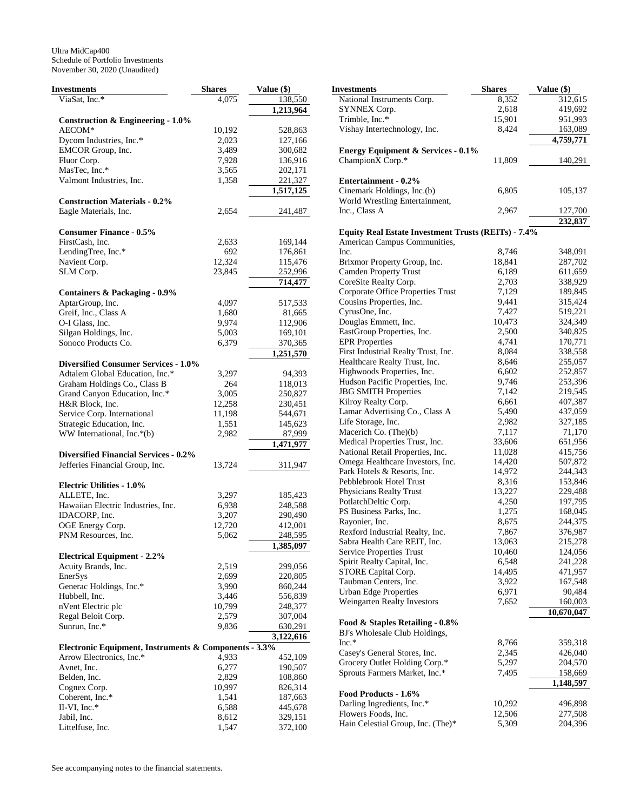| Investments                                           | <b>Shares</b> | Value (\$) |
|-------------------------------------------------------|---------------|------------|
| ViaSat, Inc.*                                         | 4,075         | 138,550    |
|                                                       |               | 1,213,964  |
| <b>Construction &amp; Engineering - 1.0%</b>          |               |            |
| AECOM*                                                | 10,192        | 528,863    |
| Dycom Industries, Inc.*                               | 2,023         | 127,166    |
| EMCOR Group, Inc.                                     | 3,489         | 300,682    |
| Fluor Corp.                                           | 7,928         | 136,916    |
| MasTec, Inc.*                                         | 3,565         | 202,171    |
| Valmont Industries, Inc.                              | 1,358         | 221,327    |
|                                                       |               |            |
|                                                       |               | 1,517,125  |
| <b>Construction Materials - 0.2%</b>                  |               |            |
| Eagle Materials, Inc.                                 | 2,654         | 241,487    |
|                                                       |               |            |
| <b>Consumer Finance - 0.5%</b>                        |               |            |
| FirstCash, Inc.                                       | 2,633         | 169,144    |
| LendingTree, Inc.*                                    | 692           | 176,861    |
| Navient Corp.                                         | 12,324        | 115,476    |
| SLM Corp.                                             | 23,845        | 252,996    |
|                                                       |               | 714,477    |
| Containers & Packaging - 0.9%                         |               |            |
| AptarGroup, Inc.                                      | 4,097         | 517,533    |
| Greif, Inc., Class A                                  | 1,680         | 81,665     |
| O-I Glass, Inc.                                       | 9,974         | 112,906    |
| Silgan Holdings, Inc.                                 | 5,003         | 169,101    |
| Sonoco Products Co.                                   | 6,379         | 370,365    |
|                                                       |               | 1,251,570  |
|                                                       |               |            |
| <b>Diversified Consumer Services - 1.0%</b>           |               |            |
| Adtalem Global Education, Inc.*                       | 3,297         | 94,393     |
| Graham Holdings Co., Class B                          | 264           | 118,013    |
| Grand Canyon Education, Inc.*                         | 3,005         | 250,827    |
| H&R Block, Inc.                                       | 12,258        | 230,451    |
| Service Corp. International                           | 11,198        | 544,671    |
| Strategic Education, Inc.                             | 1,551         | 145,623    |
| WW International, Inc.*(b)                            | 2,982         | 87,999     |
|                                                       |               | 1,471,977  |
| <b>Diversified Financial Services - 0.2%</b>          |               |            |
| Jefferies Financial Group, Inc.                       | 13,724        | 311,947    |
|                                                       |               |            |
| <b>Electric Utilities - 1.0%</b>                      |               |            |
| ALLETE, Inc.                                          | 3,297         | 185,423    |
| Hawaiian Electric Industries, Inc.                    | 6,938         | 248,588    |
| IDACORP, Inc.                                         | 3,207         | 290,490    |
|                                                       |               |            |
| OGE Energy Corp.                                      | 12,720        | 412,001    |
| PNM Resources, Inc.                                   | 5,062         | 248,595    |
|                                                       |               | 1,385,097  |
| <b>Electrical Equipment - 2.2%</b>                    |               |            |
| Acuity Brands, Inc.                                   | 2,519         | 299,056    |
| EnerSys                                               | 2,699         | 220,805    |
| Generac Holdings, Inc.*                               | 3,990         | 860,244    |
| Hubbell, Inc.                                         | 3,446         | 556,839    |
| nVent Electric plc                                    | 10,799        | 248,377    |
| Regal Beloit Corp.                                    | 2,579         | 307,004    |
| Sunrun, Inc.*                                         | 9,836         | 630,291    |
|                                                       |               | 3,122,616  |
| Electronic Equipment, Instruments & Components - 3.3% |               |            |
| Arrow Electronics, Inc.*                              | 4,933         | 452,109    |
|                                                       | 6,277         | 190,507    |
| Avnet, Inc.                                           |               |            |
| Belden, Inc.                                          | 2,829         | 108,860    |
| Cognex Corp.                                          | 10,997        | 826,314    |
| Coherent, Inc.*                                       | 1,541         | 187,663    |
| II-VI, Inc.*                                          | 6,588         | 445,678    |
| Jabil, Inc.                                           | 8,612         | 329,151    |
| Littelfuse, Inc.                                      | 1,547         | 372,100    |

| Investments                                                 | <b>Shares</b>   | Value (\$)         |
|-------------------------------------------------------------|-----------------|--------------------|
| National Instruments Corp.                                  | 8,352           | 312,615            |
| SYNNEX Corp.                                                | 2,618           | 419,692            |
| Trimble, Inc.*                                              | 15,901          | 951,993            |
| Vishay Intertechnology, Inc.                                | 8,424           | 163,089            |
|                                                             |                 | 4,759,771          |
| <b>Energy Equipment &amp; Services - 0.1%</b>               |                 |                    |
| ChampionX Corp.*                                            | 11,809          | 140,291            |
| Entertainment - 0.2%                                        |                 |                    |
| Cinemark Holdings, Inc.(b)                                  | 6,805           | 105,137            |
| World Wrestling Entertainment,                              |                 |                    |
| Inc., Class A                                               | 2,967           | 127,700            |
|                                                             |                 | 232,837            |
| <b>Equity Real Estate Investment Trusts (REITs) - 7.4%</b>  |                 |                    |
| American Campus Communities,                                |                 |                    |
| Inc.                                                        | 8,746           | 348,091            |
| Brixmor Property Group, Inc.                                | 18,841          | 287,702            |
| Camden Property Trust                                       | 6,189           | 611,659            |
| CoreSite Realty Corp.                                       | 2,703           | 338,929            |
| Corporate Office Properties Trust                           | 7,129           | 189,845            |
| Cousins Properties, Inc.                                    | 9,441           | 315,424            |
| CyrusOne, Inc.                                              | 7,427           | 519,221            |
| Douglas Emmett, Inc.                                        | 10,473          | 324,349            |
| EastGroup Properties, Inc.                                  | 2,500           | 340,825            |
| <b>EPR</b> Properties                                       | 4,741           | 170,771            |
| First Industrial Realty Trust, Inc.                         | 8,084           | 338,558<br>255,057 |
| Healthcare Realty Trust, Inc.<br>Highwoods Properties, Inc. | 8,646<br>6,602  | 252,857            |
| Hudson Pacific Properties, Inc.                             | 9,746           | 253,396            |
| <b>JBG SMITH Properties</b>                                 | 7,142           | 219,545            |
| Kilroy Realty Corp.                                         | 6,661           | 407,387            |
| Lamar Advertising Co., Class A                              | 5,490           | 437,059            |
| Life Storage, Inc.                                          | 2,982           | 327,185            |
| Macerich Co. (The)(b)                                       | 7,117           | 71,170             |
| Medical Properties Trust, Inc.                              | 33,606          | 651,956            |
| National Retail Properties, Inc.                            | 11,028          | 415,756            |
| Omega Healthcare Investors, Inc.                            | 14,420          | 507,872            |
| Park Hotels & Resorts, Inc.                                 | 14,972          | 244,343            |
| Pebblebrook Hotel Trust                                     | 8,316           | 153,846            |
| Physicians Realty Trust                                     | 13,227          | 229,488            |
| PotlatchDeltic Corp.                                        | 4,250           | 197,795            |
| PS Business Parks, Inc.                                     | 1,275           | 168,045            |
| Rayonier, Inc.                                              | 8,675           | 244,375            |
| Rexford Industrial Realty, Inc.                             | 7,867           | 376,987            |
| Sabra Health Care REIT, Inc.                                | 13,063          | 215,278            |
| Service Properties Trust                                    | 10,460<br>6,548 | 124,056            |
| Spirit Realty Capital, Inc.<br>STORE Capital Corp.          | 14,495          | 241,228<br>471,957 |
| Taubman Centers, Inc.                                       | 3,922           | 167,548            |
| <b>Urban Edge Properties</b>                                | 6,971           | 90,484             |
| Weingarten Realty Investors                                 | 7,652           | 160,003            |
|                                                             |                 | 10,670,047         |
| Food & Staples Retailing - 0.8%                             |                 |                    |
| BJ's Wholesale Club Holdings,                               |                 |                    |
| $Inc.*$                                                     | 8,766           | 359,318            |
| Casey's General Stores, Inc.                                | 2,345           | 426,040            |
| Grocery Outlet Holding Corp.*                               | 5,297           | 204,570            |
| Sprouts Farmers Market, Inc.*                               | 7,495           | 158,669            |
|                                                             |                 | 1,148,597          |
| Food Products - 1.6%                                        |                 |                    |
| Darling Ingredients, Inc.*                                  | 10,292          | 496,898            |
| Flowers Foods, Inc.                                         | 12,506          | 277,508            |
| Hain Celestial Group, Inc. (The)*                           | 5,309           | 204,396            |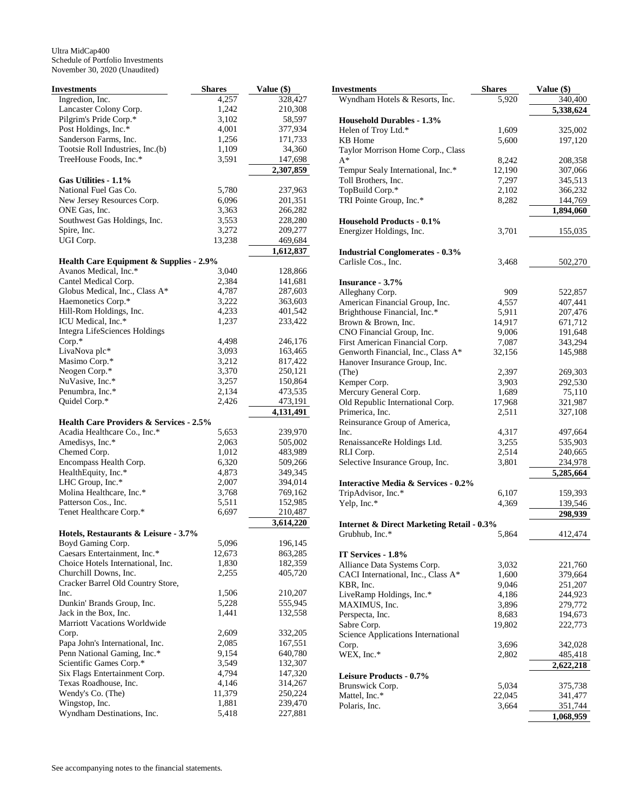| Investments                                        | <b>Shares</b> | Value (\$)           |
|----------------------------------------------------|---------------|----------------------|
| Ingredion, Inc.                                    | 4,257         | 328,427              |
| Lancaster Colony Corp.                             | 1,242         | 210,308              |
| Pilgrim's Pride Corp.*                             | 3,102         | 58,597               |
| Post Holdings, Inc.*                               | 4,001         | 377,934              |
| Sanderson Farms, Inc.                              | 1,256         | 171,733              |
| Tootsie Roll Industries, Inc.(b)                   | 1,109         | 34,360               |
| TreeHouse Foods, Inc.*                             | 3,591         | 147,698              |
|                                                    |               | 2,307,859            |
| Gas Utilities - 1.1%                               |               |                      |
| National Fuel Gas Co.                              | 5,780         | 237,963              |
| New Jersey Resources Corp.                         | 6,096         | 201,351              |
| ONE Gas, Inc.                                      | 3,363         | 266,282              |
| Southwest Gas Holdings, Inc.                       | 3,553         | 228,280              |
| Spire, Inc.                                        | 3,272         | 209,277              |
| UGI Corp.                                          | 13,238        | 469,684              |
|                                                    |               | 1,612,837            |
| <b>Health Care Equipment &amp; Supplies - 2.9%</b> |               |                      |
| Avanos Medical, Inc.*                              | 3,040         | 128,866              |
| Cantel Medical Corp.                               | 2,384         | 141,681              |
| Globus Medical, Inc., Class A*                     | 4,787         | 287,603              |
| Haemonetics Corp.*                                 | 3,222         | 363,603              |
| Hill-Rom Holdings, Inc.                            | 4,233         | 401,542              |
| ICU Medical, Inc.*                                 | 1,237         | 233,422              |
| <b>Integra LifeSciences Holdings</b>               |               |                      |
| Corp.*                                             | 4,498         | 246,176              |
| LivaNova plc*                                      | 3,093         | 163,465              |
| Masimo Corp.*                                      | 3,212         | 817,422              |
| Neogen Corp.*                                      | 3,370         | 250,121              |
| NuVasive, Inc.*                                    | 3,257         | 150,864              |
| Penumbra, Inc.*                                    | 2,134         | 473,535              |
| Quidel Corp.*                                      | 2,426         | 473,191<br>4,131,491 |
| <b>Health Care Providers &amp; Services - 2.5%</b> |               |                      |
| Acadia Healthcare Co., Inc.*                       | 5,653         | 239,970              |
| Amedisys, Inc.*                                    | 2,063         | 505,002              |
| Chemed Corp.                                       | 1,012         | 483,989              |
| Encompass Health Corp.                             | 6,320         | 509,266              |
| HealthEquity, Inc.*                                | 4,873         | 349,345              |
| LHC Group, Inc.*                                   | 2,007         | 394,014              |
| Molina Healthcare, Inc.*                           | 3,768         | 769,162              |
| Patterson Cos., Inc.                               | 5,511         | 152,985              |
| Tenet Healthcare Corp.*                            | 6,697         | 210,487              |
|                                                    |               | 3,614,220            |
| Hotels, Restaurants & Leisure - 3.7%               |               |                      |
| Boyd Gaming Corp.                                  | 5,096         | 196,145              |
| Caesars Entertainment, Inc.*                       | 12,673        | 863,285              |
| Choice Hotels International, Inc.                  | 1,830         | 182,359              |
| Churchill Downs, Inc.                              | 2,255         | 405,720              |
| Cracker Barrel Old Country Store,                  |               |                      |
| Inc.                                               | 1,506         | 210,207              |
| Dunkin' Brands Group, Inc.                         | 5,228         | 555,945              |
| Jack in the Box, Inc.                              | 1,441         | 132,558              |
| <b>Marriott Vacations Worldwide</b>                |               |                      |
| Corp.                                              | 2,609         | 332,205              |
| Papa John's International, Inc.                    | 2,085         | 167,551              |
| Penn National Gaming, Inc.*                        | 9,154         | 640,780              |
| Scientific Games Corp.*                            | 3,549         | 132,307              |
| Six Flags Entertainment Corp.                      | 4,794         | 147,320              |
| Texas Roadhouse, Inc.                              | 4,146         | 314,267              |
| Wendy's Co. (The)                                  | 11,379        | 250,224              |
| Wingstop, Inc.                                     | 1,881         | 239,470              |
| Wyndham Destinations, Inc.                         | 5,418         | 227,881              |

| <b>Investments</b>                                       | <b>Shares</b>   | Value (\$)           |
|----------------------------------------------------------|-----------------|----------------------|
| Wyndham Hotels & Resorts, Inc.                           | 5,920           | 340,400              |
|                                                          |                 | 5,338,624            |
| <b>Household Durables - 1.3%</b>                         |                 |                      |
| Helen of Troy Ltd.*                                      | 1,609           | 325,002              |
| KB Home                                                  | 5,600           | 197,120              |
| Taylor Morrison Home Corp., Class<br>$A^*$               |                 |                      |
|                                                          | 8,242           | 208,358              |
| Tempur Sealy International, Inc.*<br>Toll Brothers, Inc. | 12,190<br>7,297 | 307,066<br>345,513   |
| TopBuild Corp.*                                          | 2,102           | 366,232              |
| TRI Pointe Group, Inc.*                                  | 8,282           | 144,769              |
|                                                          |                 | 1,894,060            |
| <b>Household Products - 0.1%</b>                         |                 |                      |
| Energizer Holdings, Inc.                                 | 3,701           | 155,035              |
| <b>Industrial Conglomerates - 0.3%</b>                   |                 |                      |
| Carlisle Cos., Inc.                                      | 3,468           | 502,270              |
|                                                          |                 |                      |
| Insurance - 3.7%                                         |                 |                      |
| Alleghany Corp.                                          | 909             | 522,857              |
| American Financial Group, Inc.                           | 4,557           | 407,441              |
| Brighthouse Financial, Inc.*                             | 5,911           | 207,476              |
| Brown & Brown, Inc.                                      | 14,917          | 671,712              |
| CNO Financial Group, Inc.                                | 9,006           | 191,648              |
| First American Financial Corp.                           | 7,087           | 343,294              |
| Genworth Financial, Inc., Class A*                       | 32,156          | 145,988              |
| Hanover Insurance Group, Inc.                            |                 |                      |
| (The)                                                    | 2,397           | 269,303              |
| Kemper Corp.                                             | 3,903           | 292,530              |
| Mercury General Corp.                                    | 1,689           | 75,110               |
| Old Republic International Corp.                         | 17,968          | 321,987              |
| Primerica, Inc.                                          | 2,511           | 327,108              |
| Reinsurance Group of America,                            |                 |                      |
| Inc.                                                     | 4,317           | 497,664              |
| RenaissanceRe Holdings Ltd.                              | 3,255           | 535,903              |
| RLI Corp.                                                | 2,514           | 240,665              |
| Selective Insurance Group, Inc.                          | 3,801           | 234,978              |
|                                                          |                 | 5,285,664            |
| <b>Interactive Media &amp; Services - 0.2%</b>           |                 |                      |
| TripAdvisor, Inc.*                                       | 6,107           | 159,393              |
| Yelp, Inc.*                                              | 4,369           | 139,546<br>298,939   |
| <b>Internet &amp; Direct Marketing Retail - 0.3%</b>     |                 |                      |
| Grubhub, Inc.*                                           | 5,864           | 412,474              |
|                                                          |                 |                      |
| IT Services - 1.8%                                       |                 |                      |
| Alliance Data Systems Corp.                              | 3,032           | 221,760              |
| CACI International, Inc., Class A*                       | 1,600           | 379,664              |
| KBR, Inc.<br>LiveRamp Holdings, Inc.*                    | 9,046           | 251,207<br>244,923   |
|                                                          | 4,186           |                      |
| MAXIMUS, Inc.                                            | 3,896           | 279,772              |
| Perspecta, Inc.                                          | 8,683           | 194,673              |
| Sabre Corp.                                              | 19,802          | 222,773              |
| Science Applications International                       |                 |                      |
| Corp.                                                    | 3,696           | 342,028              |
| WEX, Inc.*                                               | 2,802           | 485,418<br>2,622,218 |
| Leisure Products - 0.7%                                  |                 |                      |
| Brunswick Corp.                                          |                 |                      |
| Mattel, Inc.*                                            | 5,034<br>22,045 | 375,738              |
| Polaris, Inc.                                            | 3,664           | 341,477<br>351,744   |
|                                                          |                 |                      |
|                                                          |                 | 1,068,959            |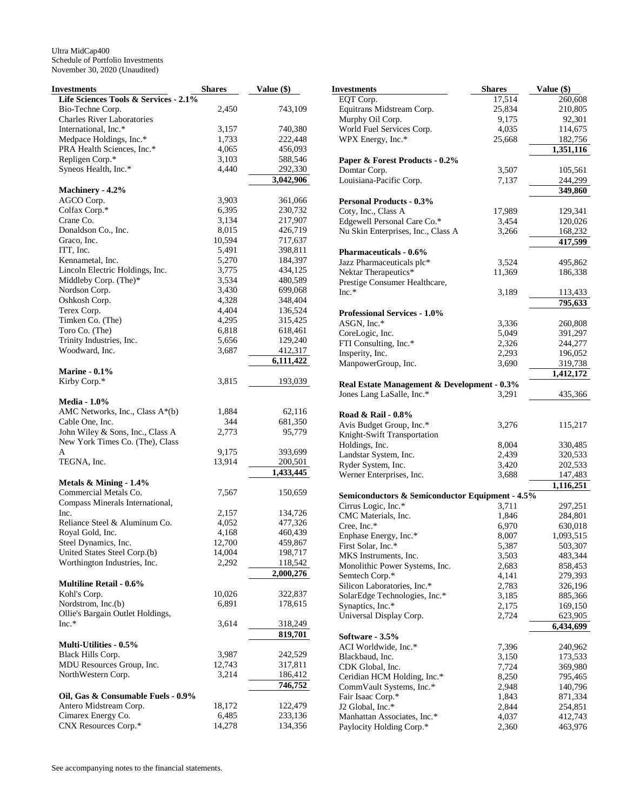| Investments                           | <b>Shares</b> | Value (\$) |
|---------------------------------------|---------------|------------|
| Life Sciences Tools & Services - 2.1% |               |            |
| Bio-Techne Corp.                      | 2,450         | 743,109    |
| <b>Charles River Laboratories</b>     |               |            |
| International, Inc.*                  | 3,157         | 740,380    |
| Medpace Holdings, Inc.*               | 1,733         | 222,448    |
| PRA Health Sciences, Inc.*            | 4,065         | 456,093    |
| Repligen Corp.*                       | 3,103         | 588,546    |
| Syneos Health, Inc.*                  | 4,440         | 292,330    |
|                                       |               | 3,042,906  |
| Machinery - 4.2%                      |               |            |
| AGCO Corp.                            | 3,903         | 361,066    |
| Colfax Corp.*                         | 6,395         | 230,732    |
| Crane Co.                             | 3,134         | 217,907    |
| Donaldson Co., Inc.                   | 8,015         | 426,719    |
| Graco, Inc.                           | 10,594        | 717,637    |
| ITT, Inc.                             | 5,491         | 398,811    |
| Kennametal, Inc.                      | 5,270         | 184,397    |
| Lincoln Electric Holdings, Inc.       | 3,775         | 434,125    |
| Middleby Corp. (The)*                 | 3,534         | 480,589    |
| Nordson Corp.                         | 3,430         | 699,068    |
| Oshkosh Corp.                         | 4,328         | 348,404    |
| Terex Corp.                           |               |            |
|                                       | 4,404         | 136,524    |
| Timken Co. (The)                      | 4,295         | 315,425    |
| Toro Co. (The)                        | 6,818         | 618,461    |
| Trinity Industries, Inc.              | 5,656         | 129,240    |
| Woodward, Inc.                        | 3,687         | 412,317    |
|                                       |               | 6,111,422  |
| <b>Marine - 0.1%</b>                  |               |            |
| Kirby Corp.*                          | 3,815         | 193,039    |
|                                       |               |            |
| <b>Media - 1.0%</b>                   |               |            |
| AMC Networks, Inc., Class A*(b)       | 1,884         | 62,116     |
| Cable One, Inc.                       | 344           | 681,350    |
| John Wiley & Sons, Inc., Class A      | 2,773         | 95,779     |
| New York Times Co. (The), Class       |               |            |
| A                                     | 9,175         | 393,699    |
| TEGNA, Inc.                           | 13,914        | 200,501    |
|                                       |               | 1,433,445  |
| Metals & Mining - 1.4%                |               |            |
| Commercial Metals Co.                 | 7,567         | 150,659    |
| Compass Minerals International,       |               |            |
| Inc.                                  | 2,157         | 134,726    |
| Reliance Steel & Aluminum Co.         | 4,052         | 477,326    |
| Royal Gold, Inc.                      | 4,168         | 460,439    |
| Steel Dynamics, Inc.                  | 12,700        | 459,867    |
| United States Steel Corp.(b)          | 14,004        | 198,717    |
| Worthington Industries, Inc.          | 2,292         | 118,542    |
|                                       |               | 2,000,276  |
| <b>Multiline Retail - 0.6%</b>        |               |            |
| Kohl's Corp.                          | 10,026        | 322,837    |
| Nordstrom, Inc.(b)                    | 6,891         | 178,615    |
| Ollie's Bargain Outlet Holdings,      |               |            |
| $Inc.*$                               | 3,614         |            |
|                                       |               | 318,249    |
|                                       |               | 819,701    |
| <b>Multi-Utilities - 0.5%</b>         |               |            |
| Black Hills Corp.                     | 3,987         | 242,529    |
| MDU Resources Group, Inc.             | 12,743        | 317,811    |
| NorthWestern Corp.                    | 3,214         | 186,412    |
|                                       |               | 746,752    |
| Oil, Gas & Consumable Fuels - 0.9%    |               |            |
| Antero Midstream Corp.                | 18,172        | 122,479    |
| Cimarex Energy Co.                    | 6,485         | 233,136    |
| CNX Resources Corp.*                  | 14,278        | 134,356    |

| Investments                                     | <b>Shares</b>  | Value (\$)         |
|-------------------------------------------------|----------------|--------------------|
| EQT Corp.                                       | 17,514         | 260,608            |
| Equitrans Midstream Corp.                       | 25,834         | 210,805            |
| Murphy Oil Corp.                                | 9,175          | 92,301             |
| World Fuel Services Corp.                       | 4,035          | 114,675            |
| WPX Energy, Inc.*                               | 25,668         | 182,756            |
|                                                 |                | 1,351,116          |
| Paper & Forest Products - 0.2%                  |                |                    |
| Domtar Corp.                                    | 3,507          | 105,561            |
| Louisiana-Pacific Corp.                         | 7,137          | 244,299            |
|                                                 |                | 349,860            |
| <b>Personal Products - 0.3%</b>                 |                |                    |
| Coty, Inc., Class A                             | 17,989         | 129,341            |
| Edgewell Personal Care Co.*                     | 3,454          | 120,026            |
| Nu Skin Enterprises, Inc., Class A              | 3,266          | 168,232            |
|                                                 |                | 417,599            |
| <b>Pharmaceuticals - 0.6%</b>                   |                |                    |
| Jazz Pharmaceuticals plc*                       | 3,524          | 495,862            |
| Nektar Therapeutics*                            | 11,369         | 186,338            |
| Prestige Consumer Healthcare,                   |                |                    |
| $Inc.*$                                         | 3,189          | 113,433            |
|                                                 |                | 795,633            |
| <b>Professional Services - 1.0%</b>             |                |                    |
| ASGN, Inc.*                                     | 3,336          | 260,808            |
| CoreLogic, Inc.                                 | 5,049          | 391,297            |
| FTI Consulting, Inc.*                           | 2,326          | 244,277            |
| Insperity, Inc.                                 | 2,293          | 196,052            |
| ManpowerGroup, Inc.                             | 3,690          | 319,738            |
|                                                 |                | 1,412,172          |
| Real Estate Management & Development - 0.3%     |                |                    |
| Jones Lang LaSalle, Inc.*                       | 3,291          | 435,366            |
|                                                 |                |                    |
| Road & Rail - 0.8%                              |                |                    |
| Avis Budget Group, Inc.*                        | 3,276          | 115,217            |
| Knight-Swift Transportation                     |                |                    |
| Holdings, Inc.                                  | 8,004          | 330,485            |
| Landstar System, Inc.                           | 2,439          | 320,533            |
| Ryder System, Inc.                              | 3,420          | 202,533            |
| Werner Enterprises, Inc.                        | 3,688          | 147,483            |
|                                                 |                | 1,116,251          |
| Semiconductors & Semiconductor Equipment - 4.5% |                |                    |
| Cirrus Logic, Inc.*                             | 3,711          | 297,251            |
| CMC Materials, Inc.                             | 1,846          | 284,801            |
| Cree, Inc.*                                     | 6,970          | 630,018            |
| Enphase Energy, Inc.*                           | 8,007          | 1,093,515          |
| First Solar, Inc.*                              | 5,387          | 503,307            |
| MKS Instruments, Inc.                           | 3,503          | 483,344            |
| Monolithic Power Systems, Inc.                  | 2,683          | 858,453            |
| Semtech Corp.*                                  | 4,141          | 279,393            |
| Silicon Laboratories, Inc.*                     | 2,783          | 326,196            |
| SolarEdge Technologies, Inc.*                   | 3,185          | 885,366            |
| Synaptics, Inc.*                                | 2,175          | 169,150            |
| Universal Display Corp.                         | 2,724          | 623,905            |
|                                                 |                | 6,434,699          |
| Software - 3.5%                                 |                |                    |
| ACI Worldwide, Inc.*                            | 7,396          | 240,962            |
| Blackbaud, Inc.                                 | 3,150          | 173,533            |
| CDK Global, Inc.                                | 7,724          | 369,980            |
| Ceridian HCM Holding, Inc.*                     | 8,250          | 795,465            |
| CommVault Systems, Inc.*<br>Fair Isaac Corp.*   | 2,948<br>1,843 | 140,796<br>871,334 |
| J2 Global, Inc.*                                |                |                    |
| Manhattan Associates, Inc.*                     | 2,844<br>4,037 | 254,851<br>412,743 |
| Paylocity Holding Corp.*                        | 2,360          | 463,976            |
|                                                 |                |                    |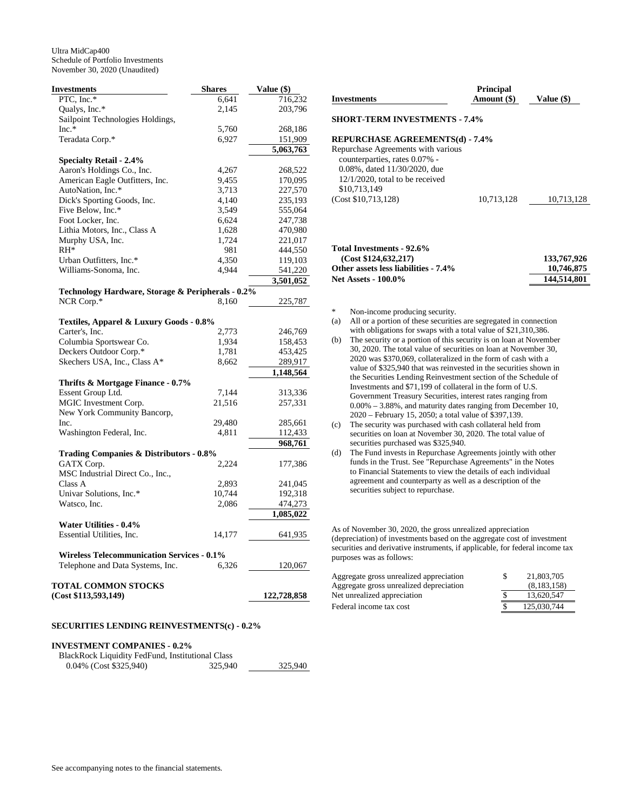| Investments                                           | <b>Shares</b> | Value (\$)           |
|-------------------------------------------------------|---------------|----------------------|
| PTC, Inc.*                                            | 6,641         | 716,232              |
| Qualys, Inc.*                                         | 2,145         | 203,796              |
| Sailpoint Technologies Holdings,                      |               |                      |
| $Inc.*$                                               | 5,760         | 268,186              |
| Teradata Corp.*                                       | 6,927         | 151,909              |
|                                                       |               | 5,063,763            |
| <b>Specialty Retail - 2.4%</b>                        |               |                      |
| Aaron's Holdings Co., Inc.                            | 4,267         | 268,522              |
| American Eagle Outfitters, Inc.                       | 9,455         | 170,095              |
| AutoNation, Inc.*                                     | 3,713         | 227,570              |
| Dick's Sporting Goods, Inc.                           | 4,140         | 235,193              |
| Five Below, Inc.*                                     | 3,549         | 555,064              |
| Foot Locker, Inc.                                     | 6,624         | 247,738              |
| Lithia Motors, Inc., Class A                          | 1,628         | 470,980              |
| Murphy USA, Inc.                                      | 1,724         | 221,017              |
| $RH^*$                                                | 981           | 444,550              |
| Urban Outfitters, Inc.*                               | 4,350         | 119,103              |
| Williams-Sonoma, Inc.                                 | 4,944         | 541,220              |
|                                                       |               | 3,501,052            |
| Technology Hardware, Storage & Peripherals - 0.2%     |               |                      |
| NCR Corp.*                                            | 8,160         | 225,787              |
|                                                       |               |                      |
| Textiles, Apparel & Luxury Goods - 0.8%               |               |                      |
| Carter's, Inc.                                        | 2,773         | 246,769              |
| Columbia Sportswear Co.                               | 1,934         | 158,453              |
| Deckers Outdoor Corp.*                                | 1,781         | 453,425              |
| Skechers USA, Inc., Class A*                          | 8,662         | 289,917              |
|                                                       |               | 1,148,564            |
| Thrifts & Mortgage Finance - 0.7%                     |               |                      |
| Essent Group Ltd.                                     | 7,144         | 313,336              |
| MGIC Investment Corp.                                 | 21,516        | 257,331              |
| New York Community Bancorp,                           |               |                      |
| Inc.                                                  | 29,480        | 285,661              |
| Washington Federal, Inc.                              | 4,811         | 112,433              |
|                                                       |               | 968,761              |
| Trading Companies & Distributors - 0.8%<br>GATX Corp. |               |                      |
|                                                       | 2,224         | 177,386              |
| MSC Industrial Direct Co., Inc.,                      |               |                      |
| Class A                                               | 2,893         | 241,045              |
| Univar Solutions, Inc.*                               | 10,744        | 192,318              |
| Watsco, Inc.                                          | 2,086         | 474,273<br>1,085,022 |
| <b>Water Utilities - 0.4%</b>                         |               |                      |
| Essential Utilities, Inc.                             | 14,177        | 641,935              |
|                                                       |               |                      |
| <b>Wireless Telecommunication Services - 0.1%</b>     |               |                      |
| Telephone and Data Systems, Inc.                      | 6,326         | 120,067              |
|                                                       |               |                      |
| TOTAL COMMON STOCKS                                   |               |                      |
| (Cost \$113,593,149)                                  |               | 122,728,858          |

#### **SECURITIES LENDING REINVESTMENTS(c) - 0.2%**

## **INVESTMENT COMPANIES - 0.2%**

BlackRock Liquidity FedFund, Institutional Class 0.04% (Cost \$325,940) 325,940 325,940 **Investments Principal Amount (\$) Value (\$) SHORT-TERM INVESTMENTS - 7.4%** 

## **REPURCHASE AGREEMENTS(d) - 7.4%**

| Repurchase Agreements with various |            |            |
|------------------------------------|------------|------------|
| counterparties, rates 0.07% -      |            |            |
| 0.08%, dated 11/30/2020, due       |            |            |
| $12/1/2020$ , total to be received |            |            |
| \$10,713,149                       |            |            |
| (Cost \$10,713,128)                | 10.713.128 | 10.713.128 |
|                                    |            |            |

## **Total Investments - 92.6% (Cost \$124,632,217)** 133,767,926<br>ther assets less liabilities - 7.4% 10,746,875 **Other assets less liabilities - 7.4%** Net Assets - 100.0% 144,514,801

\* Non-income producing security.

- (a) All or a portion of these securities are segregated in connection with obligations for swaps with a total value of \$21,310,386.
- (b) The security or a portion of this security is on loan at November 30, 2020. The total value of securities on loan at November 30, 2020 was \$370,069, collateralized in the form of cash with a value of \$325,940 that was reinvested in the securities shown in the Securities Lending Reinvestment section of the Schedule of Investments and \$71,199 of collateral in the form of U.S. Government Treasury Securities, interest rates ranging from 0.00% – 3.88%, and maturity dates ranging from December 10, 2020 – February 15, 2050; a total value of \$397,139.
- (c) The security was purchased with cash collateral held from securities on loan at November 30, 2020. The total value of securities purchased was \$325,940.
- (d) The Fund invests in Repurchase Agreements jointly with other funds in the Trust. See "Repurchase Agreements" in the Notes to Financial Statements to view the details of each individual agreement and counterparty as well as a description of the securities subject to repurchase.

As of November 30, 2020, the gross unrealized appreciation (depreciation) of investments based on the aggregate cost of investment securities and derivative instruments, if applicable, for federal income tax purposes was as follows:

| Aggregate gross unrealized appreciation | S | 21,803,705  |
|-----------------------------------------|---|-------------|
| Aggregate gross unrealized depreciation |   | (8,183,158) |
| Net unrealized appreciation             |   | 13.620.547  |
| Federal income tax cost                 |   | 125,030,744 |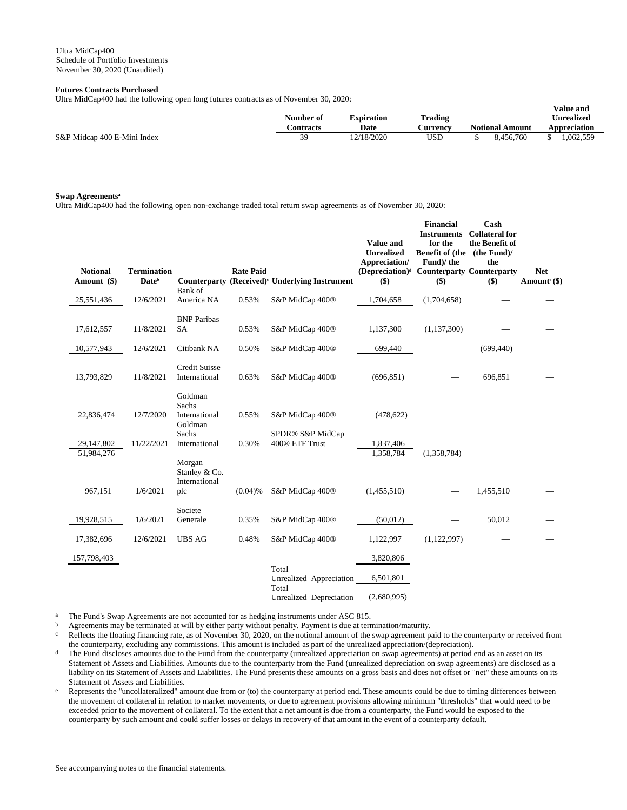## **Futures Contracts Purchased**

Ultra MidCap400 had the following open long futures contracts as of November 30, 2020:

|                             | Number of | Expiration | Trading  | v alut allu<br><b>Unrealized</b> |                        |  |              |
|-----------------------------|-----------|------------|----------|----------------------------------|------------------------|--|--------------|
|                             | Contracts | Date       | Aurrency |                                  | <b>Notional Amount</b> |  | Appreciation |
| S&P Midcap 400 E-Mini Index | 39        | 12/18/2020 | USD      |                                  | 8.456.760              |  | 1.062.559    |

**Value and** 

#### **Swap Agreements<sup>a</sup>**

Ultra MidCap400 had the following open non-exchange traded total return swap agreements as of November 30, 2020:

| <b>Notional</b><br>Amount (\$) | <b>Termination</b><br><b>Date</b> <sup>b</sup> | Counterparty                                 | <b>Rate Paid</b> | (Received) <sup>c</sup> Underlying Instrument | Value and<br><b>Unrealized</b><br>Appreciation/<br>(Depreciation) <sup>d</sup> Counterparty Counterparty<br>$($)$ | <b>Financial</b><br><b>Instruments</b><br>for the<br>Benefit of (the (the Fund)/<br>Fund)/the<br>$($)$ | Cash<br><b>Collateral for</b><br>the Benefit of<br>the<br>$($)$ | <b>Net</b><br>Amount <sup>e</sup> $(\$)$ |
|--------------------------------|------------------------------------------------|----------------------------------------------|------------------|-----------------------------------------------|-------------------------------------------------------------------------------------------------------------------|--------------------------------------------------------------------------------------------------------|-----------------------------------------------------------------|------------------------------------------|
| 25,551,436                     | 12/6/2021                                      | Bank of<br>America NA                        | 0.53%            | S&P MidCap 400 <sup>®</sup>                   | 1,704,658                                                                                                         | (1,704,658)                                                                                            |                                                                 |                                          |
| 17,612,557                     | 11/8/2021                                      | <b>BNP</b> Paribas<br><b>SA</b>              | 0.53%            | S&P MidCap 400 <sup>®</sup>                   | 1,137,300                                                                                                         | (1, 137, 300)                                                                                          |                                                                 |                                          |
| 10,577,943                     | 12/6/2021                                      | Citibank NA                                  | 0.50%            | S&P MidCap 400 <sup>®</sup>                   | 699,440                                                                                                           |                                                                                                        | (699, 440)                                                      |                                          |
| 13,793,829                     | 11/8/2021                                      | <b>Credit Suisse</b><br>International        | 0.63%            | S&P MidCap 400 <sup>®</sup>                   | (696, 851)                                                                                                        |                                                                                                        | 696,851                                                         |                                          |
| 22,836,474                     | 12/7/2020                                      | Goldman<br>Sachs<br>International<br>Goldman | 0.55%            | S&P MidCap 400 <sup>®</sup>                   | (478, 622)                                                                                                        |                                                                                                        |                                                                 |                                          |
| 29,147,802<br>51,984,276       | 11/22/2021                                     | Sachs<br>International                       | 0.30%            | SPDR® S&P MidCap<br>400® ETF Trust            | 1,837,406<br>1,358,784                                                                                            | (1,358,784)                                                                                            |                                                                 |                                          |
|                                |                                                | Morgan<br>Stanley & Co.<br>International     |                  |                                               |                                                                                                                   |                                                                                                        |                                                                 |                                          |
| 967,151                        | 1/6/2021                                       | plc                                          | $(0.04)$ %       | S&P MidCap 400 <sup>®</sup>                   | (1,455,510)                                                                                                       |                                                                                                        | 1,455,510                                                       |                                          |
| 19,928,515                     | 1/6/2021                                       | Societe<br>Generale                          | 0.35%            | S&P MidCap 400 <sup>®</sup>                   | (50,012)                                                                                                          |                                                                                                        | 50,012                                                          |                                          |
| 17,382,696                     | 12/6/2021                                      | <b>UBS AG</b>                                | 0.48%            | S&P MidCap 400 <sup>®</sup>                   | 1,122,997                                                                                                         | (1,122,997)                                                                                            |                                                                 |                                          |
| 157,798,403                    |                                                |                                              |                  |                                               | 3,820,806                                                                                                         |                                                                                                        |                                                                 |                                          |
|                                |                                                |                                              |                  | Total<br>Unrealized Appreciation<br>Total     | 6,501,801                                                                                                         |                                                                                                        |                                                                 |                                          |
|                                |                                                |                                              |                  | Unrealized Depreciation                       | (2,680,995)                                                                                                       |                                                                                                        |                                                                 |                                          |

<sup>a</sup> The Fund's Swap Agreements are not accounted for as hedging instruments under ASC 815.

b Agreements may be terminated at will by either party without penalty. Payment is due at termination/maturity.

Reflects the floating financing rate, as of November 30, 2020, on the notional amount of the swap agreement paid to the counterparty or received from the counterparty, excluding any commissions. This amount is included as part of the unrealized appreciation/(depreciation).

- <sup>d</sup> The Fund discloses amounts due to the Fund from the counterparty (unrealized appreciation on swap agreements) at period end as an asset on its Statement of Assets and Liabilities. Amounts due to the counterparty from the Fund (unrealized depreciation on swap agreements) are disclosed as a liability on its Statement of Assets and Liabilities. The Fund presents these amounts on a gross basis and does not offset or "net" these amounts on its Statement of Assets and Liabilities.
- e Represents the "uncollateralized" amount due from or (to) the counterparty at period end. These amounts could be due to timing differences between the movement of collateral in relation to market movements, or due to agreement provisions allowing minimum "thresholds" that would need to be exceeded prior to the movement of collateral. To the extent that a net amount is due from a counterparty, the Fund would be exposed to the counterparty by such amount and could suffer losses or delays in recovery of that amount in the event of a counterparty default.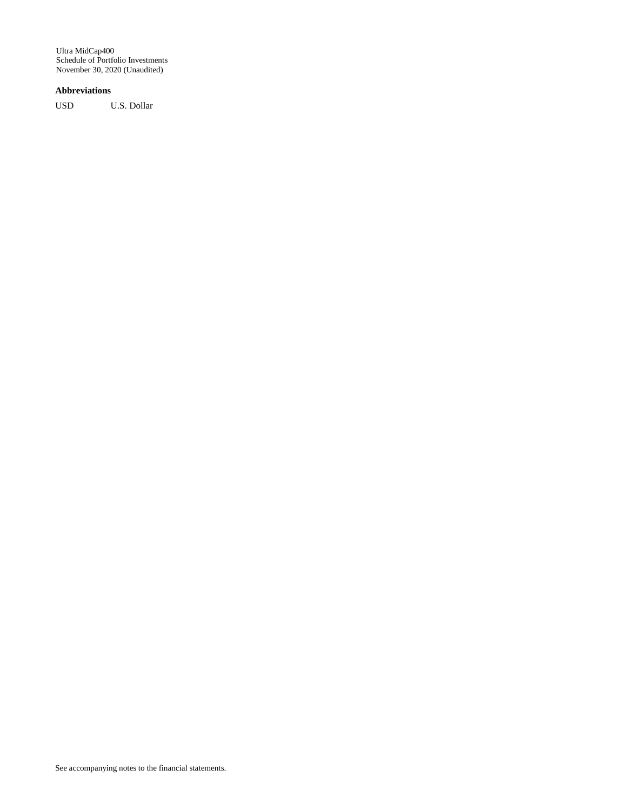## **Abbreviations**

USD U.S. Dollar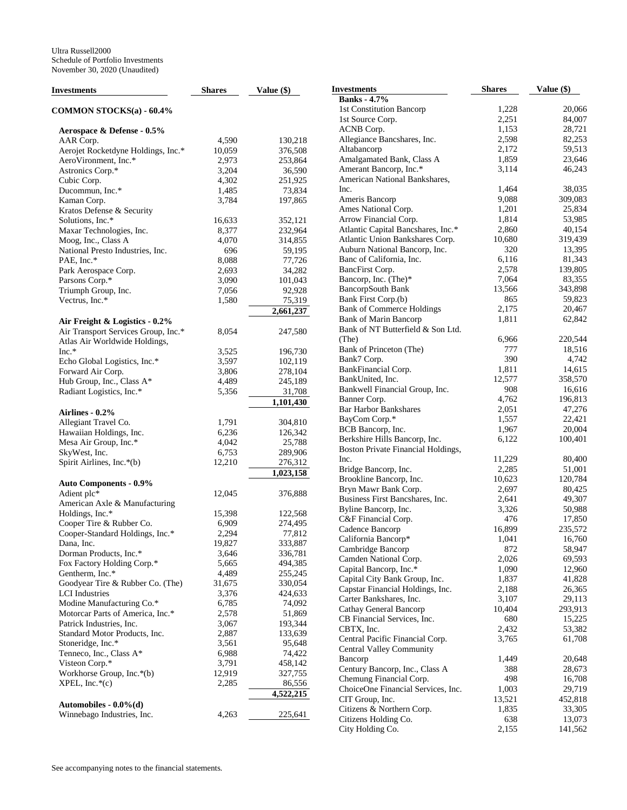| Investments                              | <b>Shares</b> | Value (\$) | <b>Investments</b>                 | <b>Shares</b> | Value (\$) |
|------------------------------------------|---------------|------------|------------------------------------|---------------|------------|
|                                          |               |            | <b>Banks</b> - 4.7%                |               |            |
| COMMON STOCKS(a) - 60.4%                 |               |            | 1st Constitution Bancorp           | 1,228         | 20,066     |
|                                          |               |            | 1st Source Corp.                   | 2,251         | 84,007     |
| Aerospace & Defense - 0.5%               |               |            | ACNB Corp.                         | 1,153         | 28,721     |
| AAR Corp.                                | 4,590         | 130,218    | Allegiance Bancshares, Inc.        | 2,598         | 82,253     |
| Aerojet Rocketdyne Holdings, Inc.*       | 10,059        | 376,508    | Altabancorp                        | 2,172         | 59,513     |
| AeroVironment, Inc.*                     | 2,973         | 253,864    | Amalgamated Bank, Class A          | 1,859         | 23,646     |
| Astronics Corp.*                         | 3,204         | 36,590     | Amerant Bancorp, Inc.*             | 3,114         | 46,243     |
|                                          |               |            | American National Bankshares,      |               |            |
| Cubic Corp.                              | 4,302         | 251,925    | Inc.                               | 1,464         | 38,035     |
| Ducommun, Inc.*                          | 1,485         | 73,834     |                                    | 9,088         | 309,083    |
| Kaman Corp.                              | 3,784         | 197,865    | Ameris Bancorp                     |               |            |
| Kratos Defense & Security                |               |            | Ames National Corp.                | 1,201         | 25,834     |
| Solutions, Inc.*                         | 16,633        | 352,121    | Arrow Financial Corp.              | 1,814         | 53,985     |
| Maxar Technologies, Inc.                 | 8,377         | 232,964    | Atlantic Capital Bancshares, Inc.* | 2,860         | 40,154     |
| Moog, Inc., Class A                      | 4,070         | 314,855    | Atlantic Union Bankshares Corp.    | 10,680        | 319,439    |
| National Presto Industries, Inc.         | 696           | 59,195     | Auburn National Bancorp, Inc.      | 320           | 13,395     |
| PAE, Inc.*                               | 8,088         | 77,726     | Banc of California, Inc.           | 6,116         | 81,343     |
| Park Aerospace Corp.                     | 2,693         | 34,282     | BancFirst Corp.                    | 2,578         | 139,805    |
| Parsons Corp.*                           | 3,090         | 101,043    | Bancorp, Inc. (The)*               | 7,064         | 83,355     |
| Triumph Group, Inc.                      | 7,056         | 92,928     | BancorpSouth Bank                  | 13,566        | 343,898    |
| Vectrus, Inc.*                           | 1,580         | 75,319     | Bank First Corp.(b)                | 865           | 59,823     |
|                                          |               | 2,661,237  | <b>Bank of Commerce Holdings</b>   | 2,175         | 20,467     |
| Air Freight & Logistics - 0.2%           |               |            | <b>Bank of Marin Bancorp</b>       | 1,811         | 62,842     |
| Air Transport Services Group, Inc.*      | 8,054         | 247,580    | Bank of NT Butterfield & Son Ltd.  |               |            |
|                                          |               |            | (The)                              | 6,966         | 220,544    |
| Atlas Air Worldwide Holdings,<br>$Inc.*$ |               |            | Bank of Princeton (The)            | 777           | 18,516     |
|                                          | 3,525         | 196,730    | Bank7 Corp.                        | 390           | 4,742      |
| Echo Global Logistics, Inc.*             | 3,597         | 102,119    | BankFinancial Corp.                | 1,811         | 14,615     |
| Forward Air Corp.                        | 3,806         | 278,104    | BankUnited, Inc.                   | 12,577        | 358,570    |
| Hub Group, Inc., Class A*                | 4,489         | 245,189    |                                    | 908           | 16,616     |
| Radiant Logistics, Inc.*                 | 5,356         | 31,708     | Bankwell Financial Group, Inc.     |               |            |
|                                          |               | 1,101,430  | Banner Corp.                       | 4,762         | 196,813    |
| Airlines - 0.2%                          |               |            | <b>Bar Harbor Bankshares</b>       | 2,051         | 47,276     |
| Allegiant Travel Co.                     | 1,791         | 304,810    | BayCom Corp.*                      | 1,557         | 22,421     |
| Hawaiian Holdings, Inc.                  | 6,236         | 126,342    | BCB Bancorp, Inc.                  | 1,967         | 20,004     |
| Mesa Air Group, Inc.*                    | 4,042         | 25,788     | Berkshire Hills Bancorp, Inc.      | 6,122         | 100,401    |
| SkyWest, Inc.                            | 6,753         | 289,906    | Boston Private Financial Holdings, |               |            |
| Spirit Airlines, Inc.*(b)                | 12,210        | 276,312    | Inc.                               | 11,229        | 80,400     |
|                                          |               | 1,023,158  | Bridge Bancorp, Inc.               | 2,285         | 51,001     |
| <b>Auto Components - 0.9%</b>            |               |            | Brookline Bancorp, Inc.            | 10,623        | 120,784    |
| Adient plc*                              | 12,045        | 376,888    | Bryn Mawr Bank Corp.               | 2,697         | 80,425     |
| American Axle & Manufacturing            |               |            | Business First Bancshares, Inc.    | 2,641         | 49,307     |
|                                          |               |            | Byline Bancorp, Inc.               | 3,326         | 50,988     |
| Holdings, Inc.*                          | 15,398        | 122,568    | C&F Financial Corp.                | 476           | 17,850     |
| Cooper Tire & Rubber Co.                 | 6,909         | 274,495    | Cadence Bancorp                    | 16,899        | 235,572    |
| Cooper-Standard Holdings, Inc.*          | 2,294         | 77,812     | California Bancorp*                | 1,041         | 16,760     |
| Dana, Inc.                               | 19,827        | 333,887    | Cambridge Bancorp                  | 872           | 58,947     |
| Dorman Products, Inc.*                   | 3,646         | 336,781    | Camden National Corp.              | 2,026         | 69,593     |
| Fox Factory Holding Corp.*               | 5,665         | 494,385    | Capital Bancorp, Inc.*             | 1,090         | 12,960     |
| Gentherm, Inc.*                          | 4,489         | 255,245    | Capital City Bank Group, Inc.      | 1,837         | 41,828     |
| Goodyear Tire & Rubber Co. (The)         | 31,675        | 330,054    | Capstar Financial Holdings, Inc.   | 2,188         | 26,365     |
| <b>LCI</b> Industries                    | 3,376         | 424,633    | Carter Bankshares, Inc.            |               |            |
| Modine Manufacturing Co.*                | 6,785         | 74,092     |                                    | 3,107         | 29,113     |
| Motorcar Parts of America, Inc.*         | 2,578         | 51,869     | Cathay General Bancorp             | 10,404        | 293,913    |
| Patrick Industries, Inc.                 | 3,067         | 193,344    | CB Financial Services, Inc.        | 680           | 15,225     |
| Standard Motor Products, Inc.            | 2,887         | 133,639    | CBTX, Inc.                         | 2,432         | 53,382     |
| Stoneridge, Inc.*                        | 3,561         | 95,648     | Central Pacific Financial Corp.    | 3,765         | 61,708     |
| Tenneco, Inc., Class A*                  | 6,988         | 74,422     | <b>Central Valley Community</b>    |               |            |
| Visteon Corp.*                           | 3,791         | 458,142    | Bancorp                            | 1,449         | 20,648     |
| Workhorse Group, Inc.*(b)                | 12,919        | 327,755    | Century Bancorp, Inc., Class A     | 388           | 28,673     |
| $XPEL, Inc.*(c)$                         | 2,285         | 86,556     | Chemung Financial Corp.            | 498           | 16,708     |
|                                          |               |            | ChoiceOne Financial Services, Inc. | 1,003         | 29,719     |
|                                          |               | 4,522,215  | CIT Group, Inc.                    | 13,521        | 452,818    |
| Automobiles - $0.0\%$ (d)                |               |            | Citizens & Northern Corp.          | 1,835         | 33,305     |
| Winnebago Industries, Inc.               | 4,263         | 225,641    | Citizens Holding Co.               | 638           | 13,073     |
|                                          |               |            | City Holding Co.                   | 2,155         | 141,562    |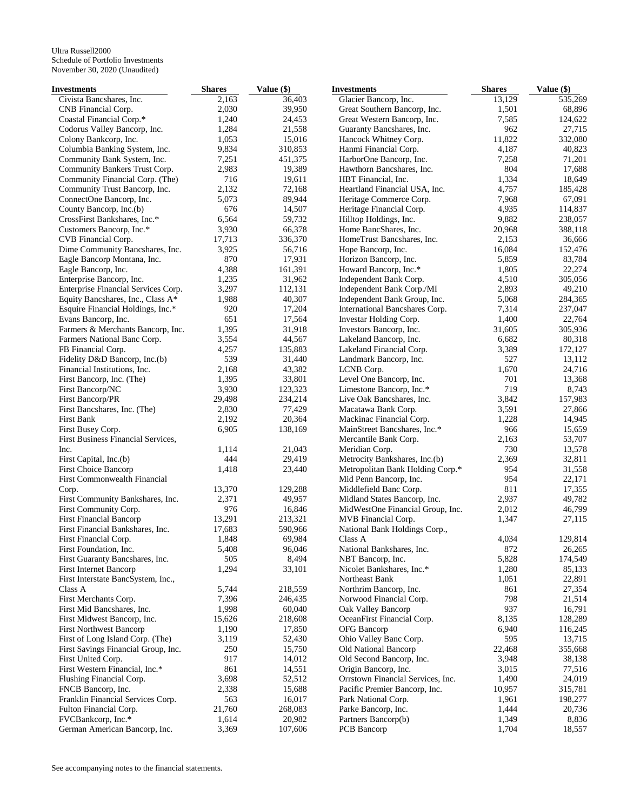| Investments                         | <b>Shares</b> | Value (\$) | <b>Investments</b>                | <b>Shares</b> | Value (\$) |
|-------------------------------------|---------------|------------|-----------------------------------|---------------|------------|
| Civista Bancshares, Inc.            | 2,163         | 36.403     | Glacier Bancorp, Inc.             | 13,129        | 535,269    |
| CNB Financial Corp.                 | 2,030         | 39,950     | Great Southern Bancorp, Inc.      | 1,501         | 68,896     |
| Coastal Financial Corp.*            | 1,240         | 24,453     | Great Western Bancorp, Inc.       | 7,585         | 124,622    |
| Codorus Valley Bancorp, Inc.        | 1,284         | 21,558     | Guaranty Bancshares, Inc.         | 962           | 27,715     |
| Colony Bankcorp, Inc.               | 1,053         | 15,016     | Hancock Whitney Corp.             | 11,822        | 332,080    |
| Columbia Banking System, Inc.       | 9,834         | 310,853    | Hanmi Financial Corp.             | 4,187         | 40,823     |
| Community Bank System, Inc.         | 7,251         | 451,375    | HarborOne Bancorp, Inc.           | 7,258         | 71,201     |
| Community Bankers Trust Corp.       | 2,983         | 19,389     | Hawthorn Bancshares, Inc.         | 804           | 17,688     |
| Community Financial Corp. (The)     | 716           | 19,611     | HBT Financial, Inc.               | 1,334         | 18,649     |
| Community Trust Bancorp, Inc.       | 2,132         | 72,168     | Heartland Financial USA, Inc.     | 4,757         | 185,428    |
| ConnectOne Bancorp, Inc.            | 5,073         | 89,944     | Heritage Commerce Corp.           | 7,968         | 67,091     |
| County Bancorp, Inc.(b)             | 676           | 14,507     | Heritage Financial Corp.          | 4,935         | 114,837    |
| CrossFirst Bankshares, Inc.*        | 6,564         | 59,732     | Hilltop Holdings, Inc.            | 9,882         | 238,057    |
| Customers Bancorp, Inc.*            | 3,930         | 66,378     | Home BancShares, Inc.             | 20,968        | 388,118    |
| CVB Financial Corp.                 | 17,713        | 336,370    | HomeTrust Bancshares, Inc.        | 2,153         | 36,666     |
| Dime Community Bancshares, Inc.     | 3,925         | 56,716     | Hope Bancorp, Inc.                | 16,084        | 152,476    |
| Eagle Bancorp Montana, Inc.         | 870           | 17,931     | Horizon Bancorp, Inc.             | 5,859         | 83,784     |
| Eagle Bancorp, Inc.                 | 4,388         | 161,391    | Howard Bancorp, Inc.*             | 1,805         | 22,274     |
| Enterprise Bancorp, Inc.            | 1,235         | 31,962     | Independent Bank Corp.            | 4,510         | 305,056    |
| Enterprise Financial Services Corp. | 3,297         | 112,131    | Independent Bank Corp./MI         | 2,893         | 49,210     |
| Equity Bancshares, Inc., Class A*   | 1,988         | 40,307     | Independent Bank Group, Inc.      | 5,068         | 284,365    |
| Esquire Financial Holdings, Inc.*   | 920           | 17,204     | International Bancshares Corp.    | 7,314         | 237,047    |
| Evans Bancorp, Inc.                 | 651           | 17,564     | Investar Holding Corp.            | 1,400         | 22,764     |
| Farmers & Merchants Bancorp, Inc.   | 1,395         | 31,918     |                                   | 31,605        | 305,936    |
|                                     |               |            | Investors Bancorp, Inc.           |               |            |
| Farmers National Banc Corp.         | 3,554         | 44,567     | Lakeland Bancorp, Inc.            | 6,682         | 80,318     |
| FB Financial Corp.                  | 4,257         | 135,883    | Lakeland Financial Corp.          | 3,389         | 172,127    |
| Fidelity D&D Bancorp, Inc.(b)       | 539           | 31,440     | Landmark Bancorp, Inc.            | 527           | 13,112     |
| Financial Institutions, Inc.        | 2,168         | 43,382     | LCNB Corp.                        | 1,670         | 24,716     |
| First Bancorp, Inc. (The)           | 1,395         | 33,801     | Level One Bancorp, Inc.           | 701           | 13,368     |
| First Bancorp/NC                    | 3,930         | 123,323    | Limestone Bancorp, Inc.*          | 719           | 8,743      |
| First Bancorp/PR                    | 29,498        | 234,214    | Live Oak Bancshares, Inc.         | 3,842         | 157,983    |
| First Bancshares, Inc. (The)        | 2,830         | 77,429     | Macatawa Bank Corp.               | 3,591         | 27,866     |
| First Bank                          | 2,192         | 20,364     | Mackinac Financial Corp.          | 1,228         | 14,945     |
| First Busey Corp.                   | 6,905         | 138,169    | MainStreet Bancshares, Inc.*      | 966           | 15,659     |
| First Business Financial Services,  |               |            | Mercantile Bank Corp.             | 2,163         | 53,707     |
| Inc.                                | 1,114         | 21,043     | Meridian Corp.                    | 730           | 13,578     |
| First Capital, Inc.(b)              | 444           | 29,419     | Metrocity Bankshares, Inc.(b)     | 2,369         | 32,811     |
| <b>First Choice Bancorp</b>         | 1,418         | 23,440     | Metropolitan Bank Holding Corp.*  | 954           | 31,558     |
| First Commonwealth Financial        |               |            | Mid Penn Bancorp, Inc.            | 954           | 22,171     |
| Corp.                               | 13,370        | 129,288    | Middlefield Banc Corp.            | 811           | 17,355     |
| First Community Bankshares, Inc.    | 2,371         | 49,957     | Midland States Bancorp, Inc.      | 2,937         | 49,782     |
| First Community Corp.               | 976           | 16,846     | MidWestOne Financial Group, Inc.  | 2,012         | 46,799     |
| <b>First Financial Bancorp</b>      | 13,291        | 213,321    | MVB Financial Corp.               | 1,347         | 27,115     |
| First Financial Bankshares, Inc.    | 17,683        | 590,966    | National Bank Holdings Corp.,     |               |            |
| First Financial Corp.               | 1,848         | 69,984     | Class A                           | 4,034         | 129,814    |
| First Foundation, Inc.              | 5,408         | 96,046     | National Bankshares, Inc.         | 872           | 26,265     |
| First Guaranty Bancshares, Inc.     | 505           | 8,494      | NBT Bancorp, Inc.                 | 5,828         | 174,549    |
| First Internet Bancorp              | 1,294         | 33,101     | Nicolet Bankshares, Inc.*         | 1,280         | 85,133     |
| First Interstate BancSystem, Inc.,  |               |            | Northeast Bank                    | 1,051         | 22,891     |
| Class A                             | 5,744         | 218,559    | Northrim Bancorp, Inc.            | 861           | 27,354     |
| First Merchants Corp.               | 7,396         | 246,435    | Norwood Financial Corp.           | 798           | 21,514     |
| First Mid Bancshares, Inc.          | 1,998         | 60,040     | Oak Valley Bancorp                | 937           | 16,791     |
| First Midwest Bancorp, Inc.         | 15,626        | 218,608    | OceanFirst Financial Corp.        | 8,135         | 128,289    |
| <b>First Northwest Bancorp</b>      | 1,190         | 17,850     | OFG Bancorp                       | 6,940         | 116,245    |
| First of Long Island Corp. (The)    | 3,119         | 52,430     | Ohio Valley Banc Corp.            | 595           | 13,715     |
| First Savings Financial Group, Inc. | 250           | 15,750     | Old National Bancorp              | 22,468        | 355,668    |
| First United Corp.                  | 917           | 14,012     | Old Second Bancorp, Inc.          | 3,948         | 38,138     |
| First Western Financial, Inc.*      | 861           | 14,551     | Origin Bancorp, Inc.              | 3,015         | 77,516     |
| Flushing Financial Corp.            | 3,698         | 52,512     | Orrstown Financial Services, Inc. | 1,490         | 24,019     |
| FNCB Bancorp, Inc.                  | 2,338         | 15,688     | Pacific Premier Bancorp, Inc.     | 10,957        | 315,781    |
| Franklin Financial Services Corp.   | 563           | 16,017     | Park National Corp.               | 1,961         | 198,277    |
| Fulton Financial Corp.              | 21,760        | 268,083    | Parke Bancorp, Inc.               | 1,444         | 20,736     |
| FVCBankcorp, Inc.*                  | 1,614         | 20,982     | Partners Bancorp(b)               | 1,349         | 8,836      |
| German American Bancorp, Inc.       | 3,369         | 107,606    | PCB Bancorp                       | 1,704         | 18,557     |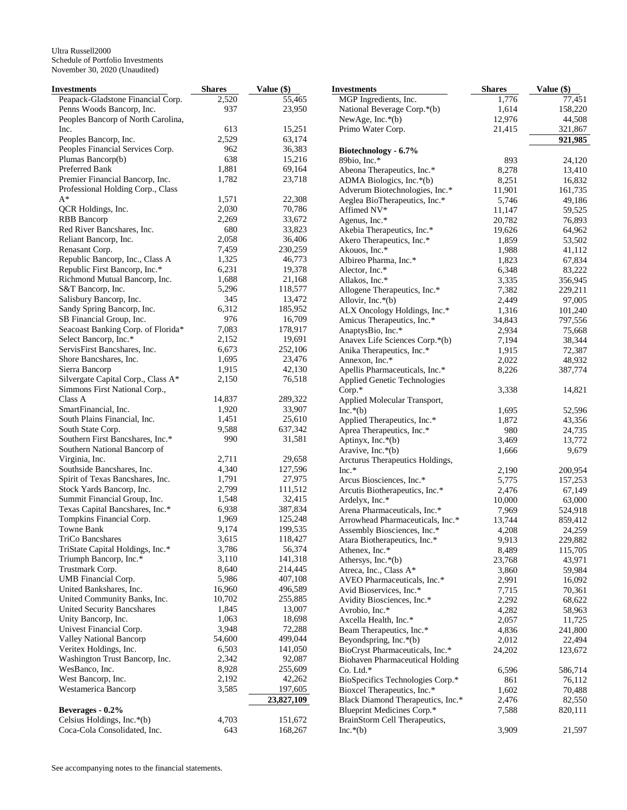| Investments                                           | <b>Shares</b>  | Value (\$)       | <b>Investments</b>                         | <b>Shares</b>  | Value (\$)      |
|-------------------------------------------------------|----------------|------------------|--------------------------------------------|----------------|-----------------|
| Peapack-Gladstone Financial Corp.                     | 2,520          | 55,465           | MGP Ingredients, Inc.                      | 1,776          | 77,451          |
| Penns Woods Bancorp, Inc.                             | 937            | 23,950           | National Beverage Corp.*(b)                | 1,614          | 158,220         |
| Peoples Bancorp of North Carolina,                    |                |                  | NewAge, Inc.*(b)                           | 12,976         | 44,508          |
| Inc.                                                  | 613            | 15,251           | Primo Water Corp.                          | 21,415         | 321,867         |
| Peoples Bancorp, Inc.                                 | 2,529          | 63,174           |                                            |                | 921,985         |
| Peoples Financial Services Corp.                      | 962            | 36,383           | Biotechnology - 6.7%                       |                |                 |
| Plumas Bancorp(b)                                     | 638            | 15,216           | 89bio, Inc.*                               | 893            | 24,120          |
| Preferred Bank                                        | 1,881          | 69,164           | Abeona Therapeutics, Inc.*                 | 8,278          | 13,410          |
| Premier Financial Bancorp, Inc.                       | 1,782          | 23,718           | ADMA Biologics, Inc.*(b)                   | 8,251          | 16,832          |
| Professional Holding Corp., Class                     |                |                  | Adverum Biotechnologies, Inc.*             | 11,901         | 161,735         |
| $A^*$                                                 | 1,571          | 22,308           | Aeglea BioTherapeutics, Inc.*              | 5,746          | 49,186          |
| QCR Holdings, Inc.                                    | 2,030          | 70,786           | Affimed NV*                                | 11,147         | 59,525          |
| <b>RBB</b> Bancorp                                    | 2,269          | 33,672           | Agenus, Inc.*                              | 20,782         | 76,893          |
| Red River Bancshares, Inc.                            | 680            | 33,823           | Akebia Therapeutics, Inc.*                 | 19,626         | 64,962          |
| Reliant Bancorp, Inc.                                 | 2,058          | 36,406           | Akero Therapeutics, Inc.*                  | 1,859          | 53,502          |
| Renasant Corp.                                        | 7,459          | 230,259          | Akouos, Inc.*                              | 1,988          | 41,112          |
| Republic Bancorp, Inc., Class A                       | 1,325          | 46,773           | Albireo Pharma, Inc.*                      | 1,823          | 67,834          |
| Republic First Bancorp, Inc.*                         | 6,231          | 19,378           | Alector, Inc.*                             | 6,348          | 83,222          |
| Richmond Mutual Bancorp, Inc.                         | 1,688          | 21,168           | Allakos, Inc.*                             | 3,335          | 356,945         |
| S&T Bancorp, Inc.                                     | 5,296          | 118,577          | Allogene Therapeutics, Inc.*               | 7,382          | 229,211         |
| Salisbury Bancorp, Inc.                               | 345            | 13,472           | Allovir, Inc. $*(b)$                       | 2,449          | 97,005          |
| Sandy Spring Bancorp, Inc.                            | 6,312          | 185,952          | ALX Oncology Holdings, Inc.*               | 1,316          | 101,240         |
| SB Financial Group, Inc.                              | 976            | 16,709           | Amicus Therapeutics, Inc.*                 | 34,843         | 797,556         |
| Seacoast Banking Corp. of Florida*                    | 7,083          | 178,917          | AnaptysBio, Inc.*                          | 2,934          | 75,668          |
| Select Bancorp, Inc.*                                 | 2,152          | 19,691           | Anavex Life Sciences Corp.*(b)             | 7,194          | 38,344          |
| ServisFirst Bancshares, Inc.                          | 6,673          | 252,106          | Anika Therapeutics, Inc.*                  | 1,915          | 72,387          |
| Shore Bancshares, Inc.                                | 1,695          | 23,476           | Annexon, Inc.*                             | 2,022          | 48,932          |
| Sierra Bancorp                                        | 1,915          | 42,130           | Apellis Pharmaceuticals, Inc.*             | 8,226          | 387,774         |
| Silvergate Capital Corp., Class A*                    | 2,150          | 76,518           | Applied Genetic Technologies               |                |                 |
| Simmons First National Corp.,                         |                |                  | $Corp.*$                                   | 3,338          | 14,821          |
| Class A                                               | 14,837         | 289,322          | Applied Molecular Transport,               |                |                 |
| SmartFinancial, Inc.<br>South Plains Financial, Inc.  | 1,920<br>1,451 | 33,907<br>25,610 | $Inc.*(b)$                                 | 1,695          | 52,596          |
|                                                       | 9,588          | 637,342          | Applied Therapeutics, Inc.*                | 1,872          | 43,356          |
| South State Corp.<br>Southern First Bancshares, Inc.* | 990            | 31,581           | Aprea Therapeutics, Inc.*                  | 980            | 24,735          |
| Southern National Bancorp of                          |                |                  | Aptinyx, Inc.*(b)                          | 3,469<br>1,666 | 13,772<br>9,679 |
| Virginia, Inc.                                        | 2,711          | 29,658           | Aravive, Inc.*(b)                          |                |                 |
| Southside Bancshares, Inc.                            | 4,340          | 127,596          | Arcturus Therapeutics Holdings,<br>$Inc.*$ |                | 200,954         |
| Spirit of Texas Bancshares, Inc.                      | 1,791          | 27,975           | Arcus Biosciences, Inc.*                   | 2,190<br>5,775 | 157,253         |
| Stock Yards Bancorp, Inc.                             | 2,799          | 111,512          | Arcutis Biotherapeutics, Inc.*             | 2,476          | 67,149          |
| Summit Financial Group, Inc.                          | 1,548          | 32,415           | Ardelyx, Inc.*                             | 10,000         | 63,000          |
| Texas Capital Bancshares, Inc.*                       | 6,938          | 387,834          | Arena Pharmaceuticals, Inc.*               | 7,969          | 524,918         |
| Tompkins Financial Corp.                              | 1,969          | 125,248          | Arrowhead Pharmaceuticals, Inc.*           | 13,744         | 859,412         |
| Towne Bank                                            | 9,174          | 199,535          | Assembly Biosciences, Inc.*                | 4,208          | 24,259          |
| <b>TriCo Bancshares</b>                               | 3,615          | 118,427          | Atara Biotherapeutics, Inc.*               | 9,913          | 229,882         |
| TriState Capital Holdings, Inc.*                      | 3,786          | 56,374           | Athenex, Inc.*                             | 8,489          | 115,705         |
| Triumph Bancorp, Inc.*                                | 3,110          | 141,318          | Athersys, Inc.*(b)                         | 23,768         | 43,971          |
| Trustmark Corp.                                       | 8,640          | 214,445          | Atreca, Inc., Class A*                     | 3,860          | 59,984          |
| UMB Financial Corp.                                   | 5,986          | 407,108          | AVEO Pharmaceuticals, Inc.*                | 2,991          | 16,092          |
| United Bankshares, Inc.                               | 16,960         | 496,589          | Avid Bioservices, Inc.*                    | 7,715          | 70,361          |
| United Community Banks, Inc.                          | 10,702         | 255,885          | Avidity Biosciences, Inc.*                 | 2,292          | 68,622          |
| United Security Bancshares                            | 1,845          | 13,007           | Avrobio, Inc.*                             | 4,282          | 58,963          |
| Unity Bancorp, Inc.                                   | 1,063          | 18,698           | Axcella Health, Inc.*                      | 2,057          | 11,725          |
| Univest Financial Corp.                               | 3,948          | 72,288           | Beam Therapeutics, Inc.*                   | 4,836          | 241,800         |
| <b>Valley National Bancorp</b>                        | 54,600         | 499,044          | Beyondspring, Inc.*(b)                     | 2,012          | 22,494          |
| Veritex Holdings, Inc.                                | 6,503          | 141,050          | BioCryst Pharmaceuticals, Inc.*            | 24,202         | 123,672         |
| Washington Trust Bancorp, Inc.                        | 2,342          | 92,087           | <b>Biohaven Pharmaceutical Holding</b>     |                |                 |
| WesBanco, Inc.                                        | 8,928          | 255,609          | Co. Ltd.*                                  | 6,596          | 586,714         |
| West Bancorp, Inc.                                    | 2,192          | 42,262           | BioSpecifics Technologies Corp.*           | 861            | 76,112          |
| Westamerica Bancorp                                   | 3,585          | 197,605          | Bioxcel Therapeutics, Inc.*                | 1,602          | 70,488          |
|                                                       |                | 23,827,109       | Black Diamond Therapeutics, Inc.*          | 2,476          | 82,550          |
| Beverages - 0.2%                                      |                |                  | Blueprint Medicines Corp.*                 | 7,588          | 820,111         |
| Celsius Holdings, Inc.*(b)                            | 4,703          | 151,672          | BrainStorm Cell Therapeutics,              |                |                 |
| Coca-Cola Consolidated, Inc.                          | 643            | 168,267          | $Inc.*(b)$                                 | 3,909          | 21,597          |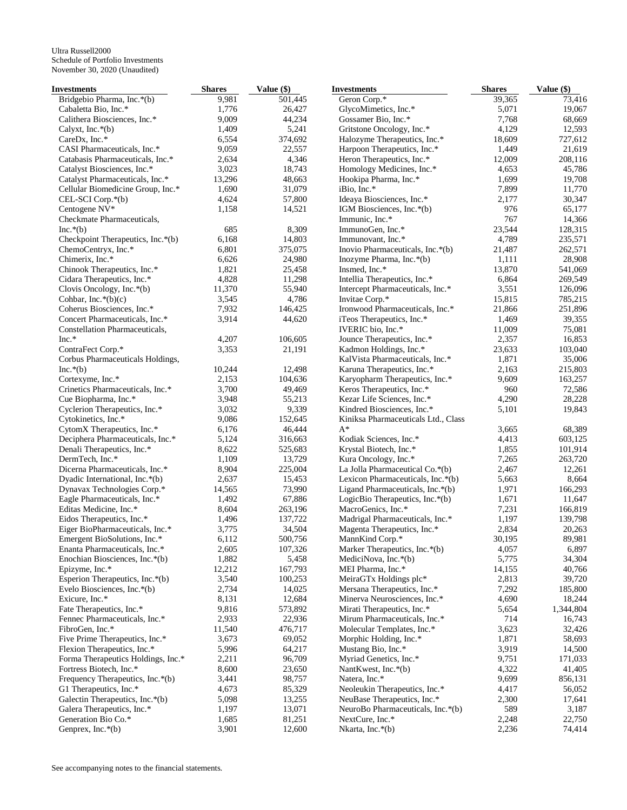| Investments                        | <b>Shares</b> | Value (\$) | <b>Investments</b>                  | <b>Shares</b> | Value (\$) |
|------------------------------------|---------------|------------|-------------------------------------|---------------|------------|
| Bridgebio Pharma, Inc.*(b)         | 9,981         | 501,445    | Geron Corp.*                        | 39,365        | 73,416     |
| Cabaletta Bio, Inc.*               | 1,776         | 26,427     | GlycoMimetics, Inc.*                | 5,071         | 19,067     |
| Calithera Biosciences, Inc.*       | 9,009         | 44,234     | Gossamer Bio, Inc.*                 | 7,768         | 68,669     |
| Calyxt, Inc. $*(b)$                | 1,409         | 5,241      | Gritstone Oncology, Inc.*           | 4,129         | 12,593     |
| CareDx, Inc.*                      | 6,554         | 374,692    | Halozyme Therapeutics, Inc.*        | 18,609        | 727,612    |
| CASI Pharmaceuticals, Inc.*        | 9,059         | 22,557     | Harpoon Therapeutics, Inc.*         | 1,449         | 21,619     |
| Catabasis Pharmaceuticals, Inc.*   | 2,634         | 4,346      | Heron Therapeutics, Inc.*           | 12,009        | 208,116    |
| Catalyst Biosciences, Inc.*        | 3,023         | 18,743     | Homology Medicines, Inc.*           | 4,653         | 45,786     |
| Catalyst Pharmaceuticals, Inc.*    | 13,296        | 48,663     | Hookipa Pharma, Inc.*               | 1,699         | 19,708     |
| Cellular Biomedicine Group, Inc.*  | 1,690         | 31,079     | iBio, Inc.*                         | 7,899         | 11,770     |
| CEL-SCI Corp.*(b)                  | 4,624         | 57,800     | Ideaya Biosciences, Inc.*           | 2,177         | 30,347     |
| Centogene NV*                      | 1,158         | 14,521     | IGM Biosciences, Inc.*(b)           | 976           | 65,177     |
| Checkmate Pharmaceuticals,         |               |            | Immunic, Inc.*                      | 767           | 14,366     |
| $Inc.*(b)$                         | 685           | 8,309      | ImmunoGen, Inc.*                    | 23,544        | 128,315    |
| Checkpoint Therapeutics, Inc.*(b)  | 6,168         | 14,803     | Immunovant, Inc.*                   | 4,789         | 235,571    |
| ChemoCentryx, Inc.*                | 6,801         | 375,075    | Inovio Pharmaceuticals, Inc.*(b)    | 21,487        | 262,571    |
| Chimerix, Inc.*                    | 6,626         | 24,980     | Inozyme Pharma, Inc.*(b)            | 1,111         | 28,908     |
| Chinook Therapeutics, Inc.*        | 1,821         | 25,458     | Insmed, Inc.*                       | 13,870        | 541,069    |
| Cidara Therapeutics, Inc.*         | 4,828         | 11,298     | Intellia Therapeutics, Inc.*        | 6,864         | 269,549    |
| Clovis Oncology, Inc. $*(b)$       | 11,370        | 55,940     | Intercept Pharmaceuticals, Inc.*    | 3,551         | 126,096    |
| Cohbar, Inc. $*(b)(c)$             | 3,545         | 4,786      | Invitae Corp.*                      | 15,815        | 785,215    |
| Coherus Biosciences, Inc.*         | 7,932         | 146,425    | Ironwood Pharmaceuticals, Inc.*     | 21,866        | 251,896    |
| Concert Pharmaceuticals, Inc.*     | 3,914         | 44,620     | iTeos Therapeutics, Inc.*           | 1,469         | 39,355     |
| Constellation Pharmaceuticals,     |               |            | IVERIC bio, Inc.*                   | 11,009        | 75,081     |
| Inc.*                              | 4,207         | 106,605    | Jounce Therapeutics, Inc.*          | 2,357         | 16,853     |
| ContraFect Corp.*                  | 3,353         | 21,191     | Kadmon Holdings, Inc.*              | 23,633        | 103,040    |
| Corbus Pharmaceuticals Holdings,   |               |            | KalVista Pharmaceuticals, Inc.*     | 1,871         | 35,006     |
| $Inc.*(b)$                         | 10,244        | 12,498     | Karuna Therapeutics, Inc.*          | 2,163         | 215,803    |
| Cortexyme, Inc.*                   | 2,153         | 104,636    | Karyopharm Therapeutics, Inc.*      | 9,609         | 163,257    |
| Crinetics Pharmaceuticals, Inc.*   | 3,700         | 49,469     | Keros Therapeutics, Inc.*           | 960           | 72,586     |
| Cue Biopharma, Inc.*               | 3,948         | 55,213     | Kezar Life Sciences, Inc.*          | 4,290         | 28,228     |
| Cyclerion Therapeutics, Inc.*      | 3,032         | 9,339      | Kindred Biosciences, Inc.*          | 5,101         | 19,843     |
| Cytokinetics, Inc.*                | 9,086         | 152,645    | Kiniksa Pharmaceuticals Ltd., Class |               |            |
|                                    |               |            | $A^*$                               |               |            |
| CytomX Therapeutics, Inc.*         | 6,176         | 46,444     |                                     | 3,665         | 68,389     |
| Deciphera Pharmaceuticals, Inc.*   | 5,124         | 316,663    | Kodiak Sciences, Inc.*              | 4,413         | 603,125    |
| Denali Therapeutics, Inc.*         | 8,622         | 525,683    | Krystal Biotech, Inc.*              | 1,855         | 101,914    |
| DermTech, Inc.*                    | 1,109         | 13,729     | Kura Oncology, Inc.*                | 7,265         | 263,720    |
| Dicerna Pharmaceuticals, Inc.*     | 8,904         | 225,004    | La Jolla Pharmaceutical Co.*(b)     | 2,467         | 12,261     |
| Dyadic International, Inc.*(b)     | 2,637         | 15,453     | Lexicon Pharmaceuticals, Inc.*(b)   | 5,663         | 8,664      |
| Dynavax Technologies Corp.*        | 14,565        | 73,990     | Ligand Pharmaceuticals, Inc.*(b)    | 1,971         | 166,293    |
| Eagle Pharmaceuticals, Inc.*       | 1,492         | 67,886     | LogicBio Therapeutics, Inc.*(b)     | 1,671         | 11,647     |
| Editas Medicine, Inc.*             | 8,604         | 263,196    | MacroGenics, Inc.*                  | 7,231         | 166,819    |
| Eidos Therapeutics, Inc.*          | 1,496         | 137,722    | Madrigal Pharmaceuticals, Inc.*     | 1,197         | 139,798    |
| Eiger BioPharmaceuticals, Inc.*    | 3,775         | 34,504     | Magenta Therapeutics, Inc.*         | 2,834         | 20,263     |
| Emergent BioSolutions, Inc.*       | 6,112         | 500,756    | MannKind Corp.*                     | 30,195        | 89,981     |
| Enanta Pharmaceuticals, Inc.*      | 2,605         | 107,326    | Marker Therapeutics, Inc.*(b)       | 4,057         | 6,897      |
| Enochian Biosciences, Inc.*(b)     | 1,882         | 5,458      | MediciNova, Inc.*(b)                | 5,775         | 34,304     |
| Epizyme, Inc.*                     | 12,212        | 167,793    | MEI Pharma, Inc.*                   | 14,155        | 40,766     |
| Esperion Therapeutics, Inc.*(b)    | 3,540         | 100,253    | MeiraGTx Holdings plc*              | 2,813         | 39,720     |
| Evelo Biosciences, Inc. $*(b)$     | 2,734         | 14,025     | Mersana Therapeutics, Inc.*         | 7,292         | 185,800    |
| Exicure, Inc.*                     | 8,131         | 12,684     | Minerva Neurosciences, Inc.*        | 4,690         | 18,244     |
| Fate Therapeutics, Inc.*           | 9,816         | 573,892    | Mirati Therapeutics, Inc.*          | 5,654         | 1,344,804  |
| Fennec Pharmaceuticals, Inc.*      | 2,933         | 22,936     | Mirum Pharmaceuticals, Inc.*        | 714           | 16,743     |
| FibroGen, Inc.*                    | 11,540        | 476,717    | Molecular Templates, Inc.*          | 3,623         | 32,426     |
| Five Prime Therapeutics, Inc.*     | 3,673         | 69,052     | Morphic Holding, Inc.*              | 1,871         | 58,693     |
| Flexion Therapeutics, Inc.*        | 5,996         | 64,217     | Mustang Bio, Inc.*                  | 3,919         | 14,500     |
| Forma Therapeutics Holdings, Inc.* | 2,211         | 96,709     | Myriad Genetics, Inc.*              | 9,751         | 171,033    |
| Fortress Biotech, Inc.*            | 8,600         | 23,650     | NantKwest, Inc.*(b)                 | 4,322         | 41,405     |
| Frequency Therapeutics, Inc.*(b)   | 3,441         | 98,757     | Natera, Inc.*                       | 9,699         | 856,131    |
| G1 Therapeutics, Inc.*             | 4,673         | 85,329     | Neoleukin Therapeutics, Inc.*       | 4,417         | 56,052     |
| Galectin Therapeutics, Inc.*(b)    | 5,098         | 13,255     | NeuBase Therapeutics, Inc.*         | 2,300         | 17,641     |
| Galera Therapeutics, Inc.*         | 1,197         | 13,071     | NeuroBo Pharmaceuticals, Inc.*(b)   | 589           | 3,187      |
| Generation Bio Co.*                | 1,685         | 81,251     | NextCure, Inc.*                     | 2,248         | 22,750     |
| Genprex, Inc.*(b)                  | 3,901         | 12,600     | Nkarta, Inc.*(b)                    | 2,236         | 74,414     |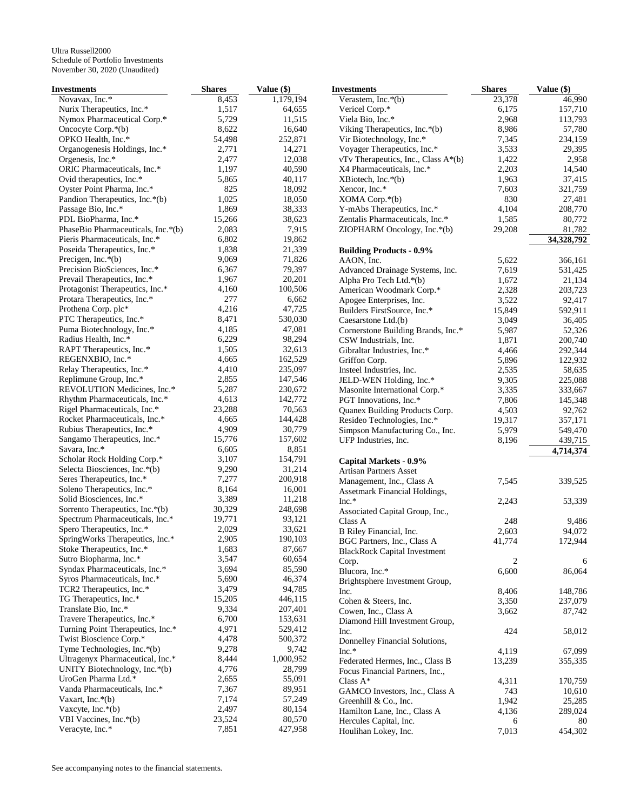| <b>Investments</b>                 | <b>Shares</b> | Value (\$) | <b>Investments</b>                  | <b>Shares</b>  | Value (\$) |
|------------------------------------|---------------|------------|-------------------------------------|----------------|------------|
| Novavax, Inc.*                     | 8,453         | 1,179,194  | Verastem, Inc. $*(b)$               | 23,378         | 46,990     |
| Nurix Therapeutics, Inc.*          | 1,517         | 64,655     | Vericel Corp.*                      | 6,175          | 157,710    |
| Nymox Pharmaceutical Corp.*        | 5,729         | 11,515     | Viela Bio, Inc.*                    | 2,968          | 113,793    |
| Oncocyte Corp.*(b)                 | 8,622         | 16,640     | Viking Therapeutics, Inc.*(b)       | 8,986          | 57,780     |
| OPKO Health, Inc.*                 | 54,498        | 252,871    | Vir Biotechnology, Inc.*            | 7,345          | 234,159    |
| Organogenesis Holdings, Inc.*      | 2,771         | 14,271     | Voyager Therapeutics, Inc.*         | 3,533          | 29,395     |
| Orgenesis, Inc.*                   | 2,477         | 12,038     | vTv Therapeutics, Inc., Class A*(b) | 1,422          | 2,958      |
| ORIC Pharmaceuticals, Inc.*        | 1,197         | 40,590     | X4 Pharmaceuticals, Inc.*           | 2,203          | 14,540     |
| Ovid therapeutics, Inc.*           | 5,865         | 40,117     | $XBiotech, Inc.*(b)$                | 1,963          | 37,415     |
| Oyster Point Pharma, Inc.*         | 825           | 18,092     | Xencor, Inc.*                       | 7,603          | 321,759    |
| Pandion Therapeutics, Inc.*(b)     | 1,025         | 18,050     | XOMA Corp.*(b)                      | 830            | 27,481     |
| Passage Bio, Inc.*                 | 1,869         | 38,333     | Y-mAbs Therapeutics, Inc.*          | 4,104          | 208,770    |
| PDL BioPharma, Inc.*               | 15,266        | 38,623     | Zentalis Pharmaceuticals, Inc.*     | 1,585          | 80,772     |
| PhaseBio Pharmaceuticals, Inc.*(b) | 2,083         | 7,915      | ZIOPHARM Oncology, Inc.*(b)         | 29,208         | 81,782     |
| Pieris Pharmaceuticals, Inc.*      | 6,802         | 19,862     |                                     |                |            |
|                                    |               |            |                                     |                | 34,328,792 |
| Poseida Therapeutics, Inc.*        | 1,838         | 21,339     | <b>Building Products - 0.9%</b>     |                |            |
| Precigen, Inc. $*(b)$              | 9,069         | 71,826     | AAON, Inc.                          | 5,622          | 366,161    |
| Precision BioSciences, Inc.*       | 6,367         | 79,397     | Advanced Drainage Systems, Inc.     | 7,619          | 531,425    |
| Prevail Therapeutics, Inc.*        | 1,967         | 20,201     | Alpha Pro Tech Ltd.*(b)             | 1,672          | 21,134     |
| Protagonist Therapeutics, Inc.*    | 4,160         | 100,506    | American Woodmark Corp.*            | 2,328          | 203,723    |
| Protara Therapeutics, Inc.*        | 277           | 6,662      | Apogee Enterprises, Inc.            | 3,522          | 92,417     |
| Prothena Corp. plc*                | 4,216         | 47,725     | Builders FirstSource, Inc.*         | 15,849         | 592,911    |
| PTC Therapeutics, Inc.*            | 8,471         | 530,030    | Caesarstone Ltd.(b)                 | 3,049          | 36,405     |
| Puma Biotechnology, Inc.*          | 4,185         | 47,081     | Cornerstone Building Brands, Inc.*  | 5,987          | 52,326     |
| Radius Health, Inc.*               | 6,229         | 98,294     | CSW Industrials, Inc.               | 1,871          | 200,740    |
| RAPT Therapeutics, Inc.*           | 1,505         | 32,613     | Gibraltar Industries, Inc.*         | 4,466          | 292,344    |
| REGENXBIO, Inc.*                   | 4,665         | 162,529    | Griffon Corp.                       | 5,896          | 122,932    |
| Relay Therapeutics, Inc.*          | 4,410         | 235,097    | Insteel Industries, Inc.            | 2,535          | 58,635     |
| Replimune Group, Inc.*             | 2,855         | 147,546    | JELD-WEN Holding, Inc.*             | 9,305          | 225,088    |
| REVOLUTION Medicines, Inc.*        | 5,287         | 230,672    | Masonite International Corp.*       | 3,335          | 333,667    |
| Rhythm Pharmaceuticals, Inc.*      | 4,613         | 142,772    | PGT Innovations, Inc.*              | 7,806          | 145,348    |
| Rigel Pharmaceuticals, Inc.*       | 23,288        | 70,563     | Quanex Building Products Corp.      | 4,503          | 92,762     |
| Rocket Pharmaceuticals, Inc.*      | 4,665         | 144,428    | Resideo Technologies, Inc.*         | 19,317         | 357,171    |
| Rubius Therapeutics, Inc.*         | 4,909         | 30,779     | Simpson Manufacturing Co., Inc.     | 5,979          | 549,470    |
| Sangamo Therapeutics, Inc.*        | 15,776        | 157,602    | UFP Industries, Inc.                | 8,196          | 439,715    |
| Savara, Inc.*                      | 6,605         | 8,851      |                                     |                | 4,714,374  |
| Scholar Rock Holding Corp.*        | 3,107         | 154,791    |                                     |                |            |
| Selecta Biosciences, Inc.*(b)      | 9,290         | 31,214     | Capital Markets - 0.9%              |                |            |
| Seres Therapeutics, Inc.*          | 7,277         | 200,918    | <b>Artisan Partners Asset</b>       |                |            |
| Soleno Therapeutics, Inc.*         | 8,164         | 16,001     | Management, Inc., Class A           | 7,545          | 339,525    |
| Solid Biosciences, Inc.*           | 3,389         | 11,218     | Assetmark Financial Holdings,       |                |            |
|                                    |               |            | $Inc.*$                             | 2,243          | 53,339     |
| Sorrento Therapeutics, Inc.*(b)    | 30,329        | 248,698    | Associated Capital Group, Inc.,     |                |            |
| Spectrum Pharmaceuticals, Inc.*    | 19,771        | 93,121     | Class A                             | 248            | 9,486      |
| Spero Therapeutics, Inc.*          | 2,029         | 33,621     | B Riley Financial, Inc.             | 2,603          | 94,072     |
| SpringWorks Therapeutics, Inc.*    | 2,905         | 190,103    | BGC Partners, Inc., Class A         | 41,774         | 172,944    |
| Stoke Therapeutics, Inc.*          | 1,683         | 87,667     | <b>BlackRock Capital Investment</b> |                |            |
| Sutro Biopharma, Inc.*             | 3,547         | 60,654     | Corp.                               | $\overline{c}$ | 6          |
| Syndax Pharmaceuticals, Inc.*      | 3,694         | 85,590     | Blucora, Inc.*                      | 6,600          | 86,064     |
| Syros Pharmaceuticals, Inc.*       | 5,690         | 46,374     | Brightsphere Investment Group,      |                |            |
| TCR2 Therapeutics, Inc.*           | 3,479         | 94,785     | Inc.                                | 8,406          | 148,786    |
| TG Therapeutics, Inc.*             | 15,205        | 446,115    | Cohen & Steers, Inc.                | 3,350          | 237,079    |
| Translate Bio, Inc.*               | 9,334         | 207,401    | Cowen, Inc., Class A                | 3,662          | 87,742     |
| Travere Therapeutics, Inc.*        | 6,700         | 153,631    | Diamond Hill Investment Group,      |                |            |
| Turning Point Therapeutics, Inc.*  | 4,971         | 529,412    | Inc.                                | 424            | 58,012     |
| Twist Bioscience Corp.*            | 4,478         | 500,372    | Donnelley Financial Solutions,      |                |            |
| Tyme Technologies, Inc.*(b)        | 9,278         | 9,742      | $Inc.*$                             | 4,119          | 67,099     |
| Ultragenyx Pharmaceutical, Inc.*   | 8,444         | 1,000,952  | Federated Hermes, Inc., Class B     | 13,239         | 355,335    |
| UNITY Biotechnology, Inc.*(b)      | 4,776         | 28,799     | Focus Financial Partners, Inc.,     |                |            |
| UroGen Pharma Ltd.*                | 2,655         | 55,091     | Class $A^*$                         | 4,311          | 170,759    |
| Vanda Pharmaceuticals, Inc.*       | 7,367         | 89,951     | GAMCO Investors, Inc., Class A      | 743            | 10,610     |
| Vaxart, Inc. $*(b)$                | 7,174         | 57,249     | Greenhill & Co., Inc.               | 1,942          | 25,285     |
| Vaxcyte, $Inc.*(b)$                | 2,497         | 80,154     |                                     |                |            |
| VBI Vaccines, Inc.*(b)             | 23,524        | 80,570     | Hamilton Lane, Inc., Class A        | 4,136          | 289,024    |
| Veracyte, Inc.*                    | 7,851         | 427,958    | Hercules Capital, Inc.              | 6              | 80         |
|                                    |               |            | Houlihan Lokey, Inc.                | 7,013          | 454,302    |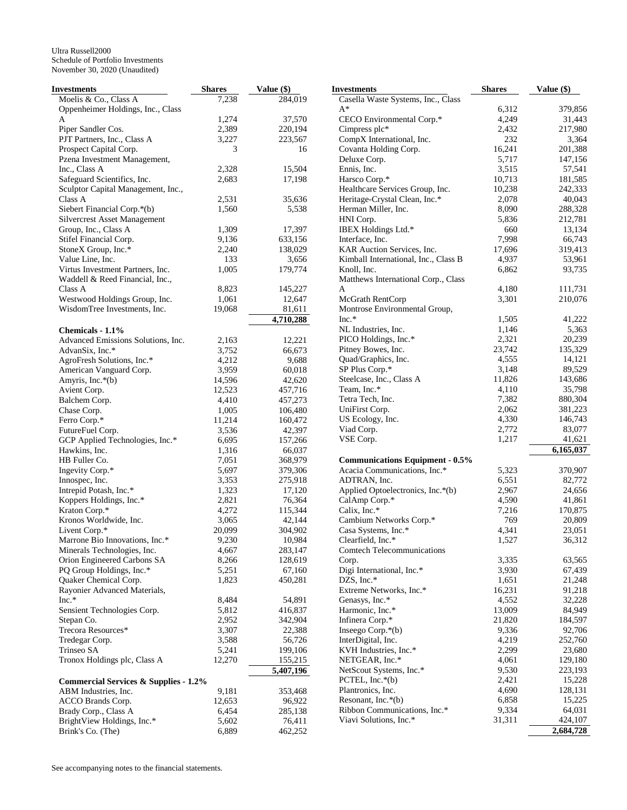| Investments                                      | <b>Shares</b> | Value (\$)        | <b>Investments</b>                     | <b>Shares</b> | Value (\$) |
|--------------------------------------------------|---------------|-------------------|----------------------------------------|---------------|------------|
| Moelis & Co., Class A                            | 7,238         | 284,019           | Casella Waste Systems, Inc., Class     |               |            |
| Oppenheimer Holdings, Inc., Class                |               |                   | $A^*$                                  | 6,312         | 379,856    |
| A                                                | 1,274         | 37,570            | CECO Environmental Corp.*              | 4,249         | 31,443     |
| Piper Sandler Cos.                               | 2,389         | 220,194           | Cimpress plc*                          | 2,432         | 217,980    |
| PJT Partners, Inc., Class A                      | 3,227         | 223,567           | CompX International, Inc.              | 232           | 3,364      |
| Prospect Capital Corp.                           | 3             | 16                | Covanta Holding Corp.                  | 16,241        | 201,388    |
| Pzena Investment Management,                     |               |                   | Deluxe Corp.                           | 5,717         | 147,156    |
| Inc., Class A                                    | 2,328         | 15,504            | Ennis, Inc.                            | 3,515         | 57,541     |
| Safeguard Scientifics, Inc.                      | 2,683         | 17,198            | Harsco Corp.*                          | 10,713        | 181,585    |
| Sculptor Capital Management, Inc.,               |               |                   | Healthcare Services Group, Inc.        | 10,238        | 242,333    |
| Class A                                          | 2,531         | 35,636            | Heritage-Crystal Clean, Inc.*          | 2,078         | 40,043     |
| Siebert Financial Corp.*(b)                      | 1,560         | 5,538             | Herman Miller, Inc.                    | 8,090         | 288,328    |
| <b>Silvercrest Asset Management</b>              |               |                   | HNI Corp.                              | 5,836         | 212,781    |
| Group, Inc., Class A                             | 1,309         | 17,397            | IBEX Holdings Ltd.*                    | 660           | 13,134     |
| Stifel Financial Corp.                           | 9,136         | 633,156           | Interface, Inc.                        | 7,998         | 66,743     |
|                                                  |               |                   |                                        |               |            |
| StoneX Group, Inc.*                              | 2,240         | 138,029           | KAR Auction Services, Inc.             | 17,696        | 319,413    |
| Value Line, Inc.                                 | 133           | 3,656             | Kimball International, Inc., Class B   | 4,937         | 53,961     |
| Virtus Investment Partners, Inc.                 | 1,005         | 179,774           | Knoll, Inc.                            | 6,862         | 93,735     |
| Waddell & Reed Financial, Inc.,                  |               |                   | Matthews International Corp., Class    |               |            |
| Class A                                          | 8,823         | 145,227           | A                                      | 4,180         | 111,731    |
| Westwood Holdings Group, Inc.                    | 1,061         | 12,647            | McGrath RentCorp                       | 3,301         | 210,076    |
| WisdomTree Investments, Inc.                     | 19,068        | 81,611            | Montrose Environmental Group,          |               |            |
|                                                  |               | 4,710,288         | Inc.*                                  | 1,505         | 41,222     |
| Chemicals - 1.1%                                 |               |                   | NL Industries, Inc.                    | 1,146         | 5,363      |
| Advanced Emissions Solutions, Inc.               | 2,163         | 12,221            | PICO Holdings, Inc.*                   | 2,321         | 20,239     |
| AdvanSix, Inc.*                                  | 3,752         | 66,673            | Pitney Bowes, Inc.                     | 23,742        | 135,329    |
| AgroFresh Solutions, Inc.*                       | 4,212         | 9,688             | Quad/Graphics, Inc.                    | 4,555         | 14,121     |
| American Vanguard Corp.                          | 3,959         | 60,018            | SP Plus Corp.*                         | 3,148         | 89,529     |
| Amyris, Inc.*(b)                                 | 14,596        | 42,620            | Steelcase, Inc., Class A               | 11,826        | 143,686    |
| Avient Corp.                                     | 12,523        | 457,716           | Team, Inc.*                            | 4,110         | 35,798     |
| Balchem Corp.                                    | 4,410         | 457,273           | Tetra Tech, Inc.                       | 7,382         | 880,304    |
| Chase Corp.                                      | 1,005         | 106,480           | UniFirst Corp.                         | 2,062         | 381,223    |
| Ferro Corp.*                                     | 11,214        | 160,472           | US Ecology, Inc.                       | 4,330         | 146,743    |
| FutureFuel Corp.                                 | 3,536         | 42,397            | Viad Corp.                             | 2,772         | 83,077     |
|                                                  | 6,695         |                   | VSE Corp.                              | 1,217         | 41,621     |
| GCP Applied Technologies, Inc.*                  | 1,316         | 157,266<br>66,037 |                                        |               | 6,165,037  |
| Hawkins, Inc.                                    |               |                   |                                        |               |            |
| HB Fuller Co.                                    | 7,051         | 368,979           | <b>Communications Equipment - 0.5%</b> |               |            |
| Ingevity Corp.*                                  | 5,697         | 379,306           | Acacia Communications, Inc.*           | 5,323         | 370,907    |
| Innospec, Inc.                                   | 3,353         | 275,918           | ADTRAN, Inc.                           | 6,551         | 82,772     |
| Intrepid Potash, Inc.*                           | 1,323         | 17,120            | Applied Optoelectronics, Inc.*(b)      | 2,967         | 24,656     |
| Koppers Holdings, Inc.*                          | 2,821         | 76,364            | CalAmp Corp.*                          | 4,590         | 41,861     |
| Kraton Corp.*                                    | 4,272         | 115,344           | Calix, Inc.*                           | 7,216         | 170,875    |
| Kronos Worldwide, Inc.                           | 3,065         | 42,144            | Cambium Networks Corp.*                | 769           | 20,809     |
| Livent Corp.*                                    | 20,099        | 304,902           | Casa Systems, Inc.*                    | 4,341         | 23,051     |
| Marrone Bio Innovations, Inc.*                   | 9,230         | 10,984            | Clearfield, Inc.*                      | 1,527         | 36,312     |
| Minerals Technologies, Inc.                      | 4,667         | 283,147           | <b>Comtech Telecommunications</b>      |               |            |
| Orion Engineered Carbons SA                      | 8,266         | 128,619           | Corp.                                  | 3,335         | 63,565     |
| PQ Group Holdings, Inc.*                         | 5,251         | 67,160            | Digi International, Inc.*              | 3,930         | 67,439     |
| Quaker Chemical Corp.                            | 1,823         | 450,281           | DZS, Inc.*                             | 1,651         | 21,248     |
| Rayonier Advanced Materials,                     |               |                   | Extreme Networks, Inc.*                | 16,231        | 91,218     |
| $Inc.*$                                          | 8,484         | 54,891            | Genasys, Inc.*                         | 4,552         | 32,228     |
| Sensient Technologies Corp.                      | 5,812         | 416,837           | Harmonic, Inc.*                        | 13,009        | 84,949     |
| Stepan Co.                                       | 2,952         | 342,904           | Infinera Corp.*                        | 21,820        | 184,597    |
| Trecora Resources*                               | 3,307         | 22,388            | Inseego Corp.*(b)                      | 9,336         | 92,706     |
| Tredegar Corp.                                   | 3,588         | 56,726            | InterDigital, Inc.                     | 4,219         | 252,760    |
| Trinseo SA                                       | 5,241         | 199,106           | KVH Industries, Inc.*                  | 2,299         | 23,680     |
| Tronox Holdings plc, Class A                     | 12,270        | 155,215           | NETGEAR, Inc.*                         | 4,061         | 129,180    |
|                                                  |               |                   |                                        |               | 223,193    |
|                                                  |               | 5,407,196         | NetScout Systems, Inc.*                | 9,530         |            |
| <b>Commercial Services &amp; Supplies - 1.2%</b> |               |                   | PCTEL, $Inc.*(b)$                      | 2,421         | 15,228     |
| ABM Industries, Inc.                             | 9,181         | 353,468           | Plantronics, Inc.                      | 4,690         | 128,131    |
| ACCO Brands Corp.                                | 12,653        | 96,922            | Resonant, Inc. $*(b)$                  | 6,858         | 15,225     |
| Brady Corp., Class A                             | 6,454         | 285,138           | Ribbon Communications, Inc.*           | 9,334         | 64,031     |
| BrightView Holdings, Inc.*                       | 5,602         | 76,411            | Viavi Solutions, Inc.*                 | 31,311        | 424,107    |
| Brink's Co. (The)                                | 6,889         | 462,252           |                                        |               | 2,684,728  |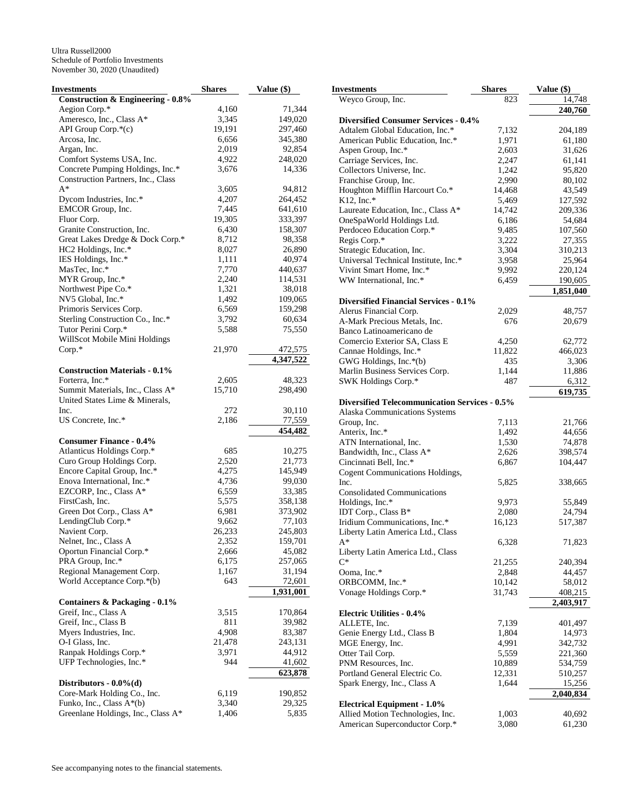| Investments                                  | <b>Shares</b> | Value (\$) |
|----------------------------------------------|---------------|------------|
| <b>Construction &amp; Engineering - 0.8%</b> |               |            |
| Aegion Corp.*                                | 4,160         | 71,344     |
| Ameresco, Inc., Class A*                     | 3,345         | 149,020    |
| API Group Corp.*(c)                          | 19,191        | 297,460    |
| Arcosa, Inc.                                 | 6,656         | 345,380    |
| Argan, Inc.                                  | 2,019         | 92,854     |
| Comfort Systems USA, Inc.                    | 4,922         | 248,020    |
| Concrete Pumping Holdings, Inc.*             | 3,676         | 14,336     |
| Construction Partners, Inc., Class           |               |            |
| $A^*$                                        | 3,605         | 94,812     |
| Dycom Industries, Inc.*                      | 4,207         | 264,452    |
| EMCOR Group, Inc.                            | 7,445         | 641,610    |
| Fluor Corp.                                  | 19,305        | 333,397    |
| Granite Construction, Inc.                   | 6,430         | 158,307    |
|                                              |               |            |
| Great Lakes Dredge & Dock Corp.*             | 8,712         | 98,358     |
| HC2 Holdings, Inc.*                          | 8,027         | 26,890     |
| IES Holdings, Inc.*                          | 1,111         | 40,974     |
| MasTec, Inc.*                                | 7,770         | 440,637    |
| MYR Group, Inc.*                             | 2,240         | 114,531    |
| Northwest Pipe Co.*                          | 1,321         | 38,018     |
| NV5 Global, Inc.*                            | 1,492         | 109,065    |
| Primoris Services Corp.                      | 6,569         | 159,298    |
| Sterling Construction Co., Inc.*             | 3,792         | 60,634     |
| Tutor Perini Corp.*                          | 5,588         | 75,550     |
| WillScot Mobile Mini Holdings                |               |            |
| $Corp.*$                                     | 21,970        | 472,575    |
|                                              |               | 4,347,522  |
| <b>Construction Materials - 0.1%</b>         |               |            |
| Forterra, Inc.*                              | 2,605         | 48,323     |
| Summit Materials, Inc., Class A*             | 15,710        | 298,490    |
| United States Lime & Minerals,               |               |            |
| Inc.                                         | 272           | 30,110     |
| US Concrete, Inc.*                           | 2,186         | 77,559     |
|                                              |               | 454,482    |
| <b>Consumer Finance - 0.4%</b>               |               |            |
| Atlanticus Holdings Corp.*                   | 685           | 10,275     |
| Curo Group Holdings Corp.                    | 2,520         | 21,773     |
| Encore Capital Group, Inc.*                  | 4,275         | 145,949    |
| Enova International, Inc.*                   | 4,736         | 99,030     |
| EZCORP, Inc., Class A*                       | 6,559         | 33,385     |
| FirstCash, Inc.                              | 5,575         | 358,138    |
| Green Dot Corp., Class A*                    | 6,981         | 373,902    |
| LendingClub Corp.*                           | 9,662         | 77,103     |
| Navient Corp.                                | 26,233        | 245,803    |
| Nelnet, Inc., Class A                        | 2,352         | 159,701    |
| Oportun Financial Corp.*                     | 2,666         | 45,082     |
| PRA Group, Inc.*                             | 6,175         | 257,065    |
| Regional Management Corp.                    | 1,167         | 31,194     |
| World Acceptance Corp.*(b)                   | 643           | 72,601     |
|                                              |               |            |
|                                              |               | 1,931,001  |
| Containers & Packaging - 0.1%                |               |            |
| Greif, Inc., Class A                         | 3,515         | 170,864    |
| Greif, Inc., Class B                         | 811           | 39,982     |
| Myers Industries, Inc.                       | 4,908         | 83,387     |
| O-I Glass, Inc.                              | 21,478        | 243,131    |
| Ranpak Holdings Corp.*                       | 3,971         | 44,912     |
| UFP Technologies, Inc.*                      | 944           | 41,602     |
|                                              |               | 623,878    |
| Distributors - $0.0\%$ (d)                   |               |            |
| Core-Mark Holding Co., Inc.                  | 6,119         | 190,852    |
| Funko, Inc., Class A*(b)                     | 3,340         | 29,325     |
| Greenlane Holdings, Inc., Class A*           | 1,406         | 5,835      |

| Investments                                                            | <b>Shares</b>  | Value $(\$)$      |
|------------------------------------------------------------------------|----------------|-------------------|
| Weyco Group, Inc.                                                      | 823            | 14,748            |
|                                                                        |                | 240,760           |
| <b>Diversified Consumer Services - 0.4%</b>                            |                |                   |
| Adtalem Global Education, Inc.*<br>American Public Education, Inc.*    | 7,132<br>1,971 | 204,189<br>61,180 |
| Aspen Group, Inc.*                                                     | 2,603          | 31,626            |
| Carriage Services, Inc.                                                | 2,247          | 61,141            |
| Collectors Universe, Inc.                                              | 1,242          | 95,820            |
| Franchise Group, Inc.                                                  | 2,990          | 80,102            |
| Houghton Mifflin Harcourt Co.*                                         | 14,468         | 43,549            |
| $K12$ , Inc.*                                                          | 5,469          | 127,592           |
| Laureate Education, Inc., Class A*                                     | 14,742         | 209,336           |
| OneSpaWorld Holdings Ltd.                                              | 6,186          | 54,684            |
| Perdoceo Education Corp.*                                              | 9,485          | 107,560           |
| Regis Corp.*                                                           | 3,222<br>3,304 | 27,355            |
| Strategic Education, Inc.<br>Universal Technical Institute, Inc.*      | 3,958          | 310,213<br>25,964 |
| Vivint Smart Home, Inc.*                                               | 9,992          | 220,124           |
| WW International, Inc.*                                                | 6,459          | 190,605           |
|                                                                        |                | 1,851,040         |
| <b>Diversified Financial Services - 0.1%</b>                           |                |                   |
| Alerus Financial Corp.                                                 | 2,029          | 48,757            |
| A-Mark Precious Metals, Inc.                                           | 676            | 20,679            |
| Banco Latinoamericano de                                               |                |                   |
| Comercio Exterior SA, Class E                                          | 4,250          | 62,772            |
| Cannae Holdings, Inc.*                                                 | 11,822         | 466,023           |
| GWG Holdings, Inc.*(b)                                                 | 435            | 3,306             |
| Marlin Business Services Corp.                                         | 1,144          | 11,886            |
| SWK Holdings Corp.*                                                    | 487            | 6,312             |
|                                                                        |                | 619,735           |
| <b>Diversified Telecommunication Services - 0.5%</b>                   |                |                   |
| Alaska Communications Systems<br>Group, Inc.                           | 7,113          | 21,766            |
| Anterix, Inc.*                                                         | 1,492          | 44,656            |
| ATN International, Inc.                                                | 1,530          | 74,878            |
| Bandwidth, Inc., Class A*                                              | 2,626          | 398,574           |
| Cincinnati Bell, Inc.*                                                 | 6,867          | 104,447           |
| Cogent Communications Holdings,                                        |                |                   |
| Inc.                                                                   | 5,825          | 338,665           |
| <b>Consolidated Communications</b>                                     |                |                   |
| Holdings, Inc.*                                                        | 9,973          | 55,849            |
| IDT Corp., Class B*                                                    | 2,080          | 24,794            |
| Iridium Communications, Inc.*                                          | 16,123         | 517,387           |
| Liberty Latin America Ltd., Class                                      |                |                   |
| A*<br>Liberty Latin America Ltd., Class                                | 6,328          | 71,823            |
| $C^*$                                                                  | 21,255         | 240,394           |
| Ooma, Inc.*                                                            | 2,848          | 44,457            |
| ORBCOMM, Inc.*                                                         | 10,142         | 58,012            |
| Vonage Holdings Corp.*                                                 | 31,743         | 408,215           |
|                                                                        |                | 2,403,917         |
| <b>Electric Utilities - 0.4%</b>                                       |                |                   |
| ALLETE, Inc.                                                           | 7,139          | 401,497           |
| Genie Energy Ltd., Class B                                             | 1,804          | 14,973            |
| MGE Energy, Inc.                                                       | 4,991          | 342,732           |
| Otter Tail Corp.                                                       | 5,559          | 221,360           |
| PNM Resources, Inc.                                                    | 10,889         | 534,759           |
| Portland General Electric Co.                                          | 12,331         | 510,257           |
| Spark Energy, Inc., Class A                                            | 1,644          | <u>15,256</u>     |
|                                                                        |                | 2,040,834         |
| <b>Electrical Equipment - 1.0%</b><br>Allied Motion Technologies, Inc. | 1,003          | 40,692            |
| American Superconductor Corp.*                                         | 3,080          | 61,230            |
|                                                                        |                |                   |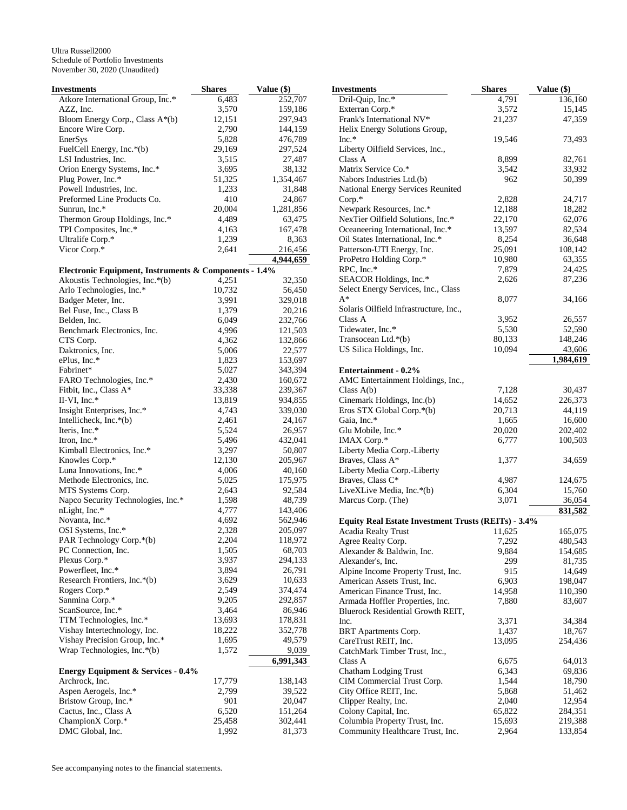| Investments                                           | <b>Shares</b>  | Value (\$)        |
|-------------------------------------------------------|----------------|-------------------|
| Atkore International Group, Inc.*                     | 6,483          | 252,707           |
| AZZ, Inc.                                             | 3,570          | 159,186           |
| Bloom Energy Corp., Class A*(b)                       | 12,151         | 297,943           |
| Encore Wire Corp.                                     | 2,790          | 144,159           |
| EnerSys                                               | 5,828          | 476,789           |
| FuelCell Energy, Inc.*(b)                             | 29,169         | 297,524           |
| LSI Industries, Inc.                                  | 3,515          | 27,487            |
| Orion Energy Systems, Inc.*                           | 3,695          | 38,132            |
| Plug Power, Inc.*                                     | 51,325         | 1,354,467         |
| Powell Industries, Inc.                               | 1,233          | 31,848            |
| Preformed Line Products Co.                           | 410            | 24,867            |
| Sunrun, Inc.*                                         | 20,004         | 1,281,856         |
| Thermon Group Holdings, Inc.*                         | 4,489          | 63,475            |
| TPI Composites, Inc.*                                 | 4,163          | 167,478           |
| Ultralife Corp.*                                      | 1,239          | 8,363             |
| Vicor Corp.*                                          | 2,641          | 216,456           |
|                                                       |                | 4,944,659         |
| Electronic Equipment, Instruments & Components - 1.4% |                |                   |
| Akoustis Technologies, Inc.*(b)                       | 4,251          | 32,350            |
| Arlo Technologies, Inc.*                              | 10,732         | 56,450            |
| Badger Meter, Inc.                                    | 3,991          | 329,018           |
| Bel Fuse, Inc., Class B                               | 1,379          | 20,216            |
| Belden, Inc.                                          | 6,049          | 232,766           |
| Benchmark Electronics, Inc.                           | 4,996          | 121,503           |
| CTS Corp.                                             | 4,362          | 132,866           |
| Daktronics, Inc.                                      | 5,006          | 22,577            |
| ePlus, Inc.*                                          | 1,823          | 153,697           |
| Fabrinet*                                             | 5,027          | 343,394           |
| FARO Technologies, Inc.*                              | 2,430          | 160,672           |
| Fitbit, Inc., Class A*                                | 33,338         | 239,367           |
| II-VI, Inc. $*$                                       | 13,819         | 934,855           |
| Insight Enterprises, Inc.*                            | 4,743          | 339,030           |
| Intellicheck, Inc.*(b)                                | 2,461          | 24,167            |
| Iteris, Inc.*                                         | 5,524          | 26,957            |
| Itron, Inc.*                                          | 5,496          | 432,041           |
| Kimball Electronics, Inc.*                            | 3,297          | 50,807            |
| Knowles Corp.*                                        | 12,130         | 205,967           |
| Luna Innovations, Inc.*                               | 4,006          | 40,160            |
| Methode Electronics, Inc.                             | 5,025          | 175,975           |
| MTS Systems Corp.                                     | 2,643          | 92,584            |
| Napco Security Technologies, Inc.*                    | 1,598          | 48,739            |
| nLight, Inc.*                                         | 4,777          | 143,406           |
| Novanta, Inc.*                                        | 4,692          | 562,946           |
| OSI Systems, Inc.*                                    | 2,328          | 205,097           |
| PAR Technology Corp.*(b)                              | 2,204          | 118,972           |
| PC Connection, Inc.<br>Plexus Corp.*                  | 1,505          | 68,703<br>294,133 |
| Powerfleet, Inc.*                                     | 3,937<br>3,894 | 26,791            |
| Research Frontiers, Inc.*(b)                          | 3,629          | 10,633            |
| Rogers Corp.*                                         | 2,549          | 374,474           |
| Sanmina Corp.*                                        | 9,205          | 292,857           |
| ScanSource, Inc.*                                     | 3,464          | 86,946            |
| TTM Technologies, Inc.*                               | 13,693         | 178,831           |
| Vishay Intertechnology, Inc.                          | 18,222         | 352,778           |
| Vishay Precision Group, Inc.*                         | 1,695          | 49,579            |
| Wrap Technologies, Inc.*(b)                           | 1,572          | 9,039             |
|                                                       |                | 6,991,343         |
| <b>Energy Equipment &amp; Services - 0.4%</b>         |                |                   |
| Archrock, Inc.                                        | 17,779         | 138,143           |
| Aspen Aerogels, Inc.*                                 | 2,799          | 39,522            |
| Bristow Group, Inc.*                                  | 901            | 20,047            |
| Cactus, Inc., Class A                                 | 6,520          | 151,264           |
| ChampionX Corp.*                                      | 25,458         | 302,441           |
| DMC Global, Inc.                                      | 1,992          | 81,373            |

| <b>Investments</b>                                  | <b>Shares</b> | Value (\$) |
|-----------------------------------------------------|---------------|------------|
| Dril-Quip, Inc.*                                    | 4,791         | 136,160    |
| Exterran Corp.*                                     | 3,572         | 15,145     |
| Frank's International NV*                           | 21,237        | 47,359     |
| Helix Energy Solutions Group,                       |               |            |
| $Inc.*$                                             | 19,546        | 73,493     |
| Liberty Oilfield Services, Inc.,                    |               |            |
| Class A                                             | 8,899         | 82,761     |
| Matrix Service Co.*                                 | 3,542         | 33,932     |
| Nabors Industries Ltd.(b)                           | 962           | 50,399     |
| National Energy Services Reunited                   |               |            |
| $Corp.*$                                            | 2,828         | 24,717     |
| Newpark Resources, Inc.*                            | 12,188        | 18,282     |
| NexTier Oilfield Solutions, Inc.*                   | 22,170        | 62,076     |
| Oceaneering International, Inc.*                    | 13,597        | 82,534     |
| Oil States International, Inc.*                     | 8,254         | 36,648     |
| Patterson-UTI Energy, Inc.                          | 25,091        | 108,142    |
| ProPetro Holding Corp.*                             | 10,980        | 63,355     |
| RPC, Inc.*                                          | 7,879         | 24,425     |
| SEACOR Holdings, Inc.*                              | 2,626         | 87,236     |
| Select Energy Services, Inc., Class                 |               |            |
| A*                                                  | 8,077         | 34,166     |
| Solaris Oilfield Infrastructure, Inc.,              |               |            |
| Class A                                             | 3,952         | 26,557     |
| Tidewater, Inc.*                                    | 5,530         | 52,590     |
| Transocean Ltd.*(b)                                 | 80,133        | 148,246    |
| US Silica Holdings, Inc.                            | 10,094        | 43,606     |
|                                                     |               | 1,984,619  |
| <b>Entertainment - 0.2%</b>                         |               |            |
| AMC Entertainment Holdings, Inc.,                   |               |            |
| Class $A(b)$                                        | 7,128         | 30,437     |
| Cinemark Holdings, Inc.(b)                          | 14,652        | 226,373    |
| Eros STX Global Corp.*(b)                           | 20,713        | 44,119     |
| Gaia, Inc.*                                         | 1,665         | 16,600     |
| Glu Mobile, Inc.*                                   | 20,020        | 202,402    |
| IMAX Corp.*                                         | 6,777         | 100,503    |
| Liberty Media Corp.-Liberty                         |               |            |
| Braves, Class A*                                    | 1,377         | 34,659     |
| Liberty Media Corp.-Liberty                         |               |            |
| Braves, Class C*                                    | 4,987         | 124,675    |
| LiveXLive Media, Inc.*(b)                           | 6,304         | 15,760     |
| Marcus Corp. (The)                                  | 3,071         | 36,054     |
|                                                     |               | 831,582    |
| Equity Real Estate Investment Trusts (REITs) - 3.4% |               |            |
| Acadia Realty Trust                                 | 11,625        | 165,075    |
| Agree Realty Corp.                                  | 7,292         | 480,543    |
| Alexander & Baldwin, Inc.                           | 9,884         | 154,685    |
| Alexander's, Inc.                                   | 299           | 81,735     |
| Alpine Income Property Trust, Inc.                  | 915           | 14,649     |
| American Assets Trust, Inc.                         | 6,903         | 198,047    |
| American Finance Trust, Inc.                        | 14,958        | 110,390    |
| Armada Hoffler Properties, Inc.                     | 7,880         | 83,607     |
| Bluerock Residential Growth REIT,                   |               |            |
| Inc.                                                | 3,371         | 34,384     |
| <b>BRT</b> Apartments Corp.                         | 1,437         | 18,767     |
| CareTrust REIT, Inc.                                | 13,095        | 254,436    |
| CatchMark Timber Trust, Inc.,                       |               |            |
| Class A                                             | 6,675         | 64,013     |
| Chatham Lodging Trust                               | 6,343         | 69,836     |
| CIM Commercial Trust Corp.                          | 1,544         | 18,790     |
| City Office REIT, Inc.                              | 5,868         | 51,462     |
| Clipper Realty, Inc.                                | 2,040         | 12,954     |
| Colony Capital, Inc.                                | 65,822        | 284,351    |
| Columbia Property Trust, Inc.                       | 15,693        | 219,388    |
| Community Healthcare Trust, Inc.                    | 2,964         | 133,854    |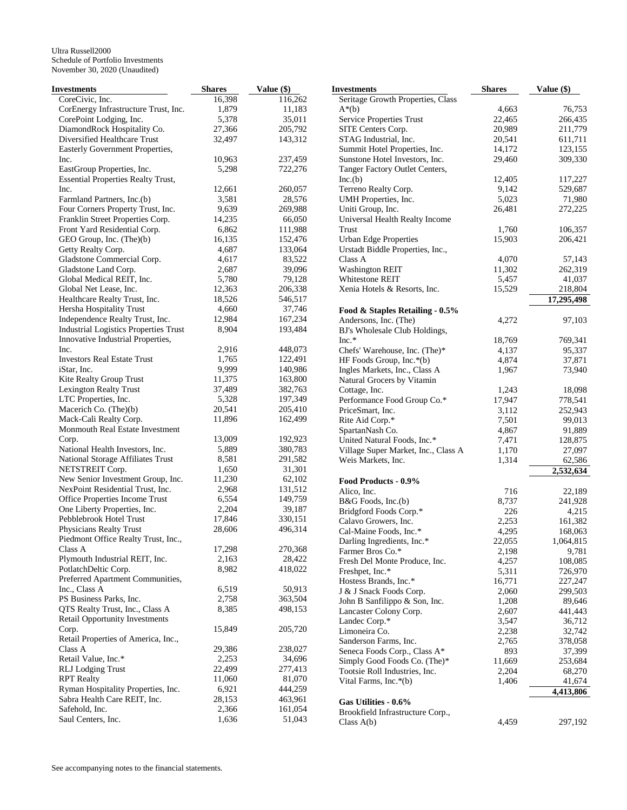| Investments                                  | <b>Shares</b> | Value (\$)        | <b>Investments</b>                  | <b>Shares</b> | Value $(\$)$ |
|----------------------------------------------|---------------|-------------------|-------------------------------------|---------------|--------------|
| CoreCivic, Inc.                              | 16,398        | 116,262           | Seritage Growth Properties, Class   |               |              |
| CorEnergy Infrastructure Trust, Inc.         | 1,879         | 11,183            | $A^*(b)$                            | 4,663         | 76,753       |
| CorePoint Lodging, Inc.                      | 5,378         | 35,011            | Service Properties Trust            | 22,465        | 266,435      |
| DiamondRock Hospitality Co.                  | 27,366        | 205,792           | SITE Centers Corp.                  | 20,989        | 211,779      |
| Diversified Healthcare Trust                 | 32,497        | 143,312           | STAG Industrial, Inc.               | 20,541        | 611,711      |
| Easterly Government Properties,              |               |                   | Summit Hotel Properties, Inc.       | 14,172        | 123,155      |
| Inc.                                         | 10,963        | 237,459           | Sunstone Hotel Investors, Inc.      | 29,460        | 309,330      |
| EastGroup Properties, Inc.                   | 5,298         | 722,276           | Tanger Factory Outlet Centers,      |               |              |
| <b>Essential Properties Realty Trust,</b>    |               |                   | Inc.(b)                             | 12,405        | 117,227      |
| Inc.                                         | 12,661        | 260,057           | Terreno Realty Corp.                | 9,142         | 529,687      |
| Farmland Partners, Inc.(b)                   | 3,581         | 28,576            | UMH Properties, Inc.                | 5,023         | 71,980       |
| Four Corners Property Trust, Inc.            | 9,639         | 269,988           | Uniti Group, Inc.                   | 26,481        | 272,225      |
| Franklin Street Properties Corp.             | 14,235        |                   |                                     |               |              |
|                                              |               | 66,050<br>111,988 | Universal Health Realty Income      |               |              |
| Front Yard Residential Corp.                 | 6,862         |                   | Trust                               | 1,760         | 106,357      |
| GEO Group, Inc. (The)(b)                     | 16,135        | 152,476           | <b>Urban Edge Properties</b>        | 15,903        | 206,421      |
| Getty Realty Corp.                           | 4,687         | 133,064           | Urstadt Biddle Properties, Inc.,    |               |              |
| Gladstone Commercial Corp.                   | 4,617         | 83,522            | Class A                             | 4,070         | 57,143       |
| Gladstone Land Corp.                         | 2,687         | 39,096            | <b>Washington REIT</b>              | 11,302        | 262,319      |
| Global Medical REIT, Inc.                    | 5,780         | 79,128            | Whitestone REIT                     | 5,457         | 41,037       |
| Global Net Lease, Inc.                       | 12,363        | 206,338           | Xenia Hotels & Resorts, Inc.        | 15,529        | 218,804      |
| Healthcare Realty Trust, Inc.                | 18,526        | 546,517           |                                     |               | 17,295,498   |
| Hersha Hospitality Trust                     | 4,660         | 37,746            | Food & Staples Retailing - 0.5%     |               |              |
| Independence Realty Trust, Inc.              | 12,984        | 167,234           | Andersons, Inc. (The)               | 4,272         | 97,103       |
| <b>Industrial Logistics Properties Trust</b> | 8,904         | 193,484           | BJ's Wholesale Club Holdings,       |               |              |
| Innovative Industrial Properties,            |               |                   | $Inc.*$                             | 18,769        | 769,341      |
| Inc.                                         | 2,916         | 448,073           | Chefs' Warehouse, Inc. (The)*       | 4,137         | 95,337       |
| <b>Investors Real Estate Trust</b>           | 1,765         | 122,491           | HF Foods Group, Inc.*(b)            | 4,874         | 37,871       |
| iStar, Inc.                                  | 9,999         | 140,986           | Ingles Markets, Inc., Class A       | 1,967         | 73,940       |
| Kite Realty Group Trust                      | 11,375        | 163,800           | Natural Grocers by Vitamin          |               |              |
| Lexington Realty Trust                       | 37,489        | 382,763           | Cottage, Inc.                       | 1,243         | 18,098       |
| LTC Properties, Inc.                         | 5,328         | 197,349           | Performance Food Group Co.*         | 17,947        | 778,541      |
| Macerich Co. (The)(b)                        | 20,541        | 205,410           | PriceSmart, Inc.                    | 3,112         | 252,943      |
| Mack-Cali Realty Corp.                       | 11,896        | 162,499           |                                     |               |              |
| Monmouth Real Estate Investment              |               |                   | Rite Aid Corp.*                     | 7,501         | 99,013       |
|                                              |               |                   | SpartanNash Co.                     | 4,867         | 91,889       |
| Corp.                                        | 13,009        | 192,923           | United Natural Foods, Inc.*         | 7,471         | 128,875      |
| National Health Investors, Inc.              | 5,889         | 380,783           | Village Super Market, Inc., Class A | 1,170         | 27,097       |
| National Storage Affiliates Trust            | 8,581         | 291,582           | Weis Markets, Inc.                  | 1,314         | 62,586       |
| NETSTREIT Corp.                              | 1,650         | 31,301            |                                     |               | 2,532,634    |
| New Senior Investment Group, Inc.            | 11,230        | 62,102            | Food Products - 0.9%                |               |              |
| NexPoint Residential Trust, Inc.             | 2,968         | 131,512           | Alico, Inc.                         | 716           | 22,189       |
| Office Properties Income Trust               | 6,554         | 149,759           | B&G Foods, Inc.(b)                  | 8,737         | 241,928      |
| One Liberty Properties, Inc.                 | 2,204         | 39,187            | Bridgford Foods Corp.*              | 226           | 4,215        |
| Pebblebrook Hotel Trust                      | 17,846        | 330,151           | Calavo Growers, Inc.                | 2,253         | 161,382      |
| Physicians Realty Trust                      | 28,606        | 496,314           | Cal-Maine Foods, Inc.*              | 4,295         | 168,063      |
| Piedmont Office Realty Trust, Inc.,          |               |                   | Darling Ingredients, Inc.*          | 22,055        | 1,064,815    |
| Class A                                      | 17,298        | 270,368           | Farmer Bros Co.*                    | 2,198         | 9,781        |
| Plymouth Industrial REIT, Inc.               | 2,163         | 28,422            | Fresh Del Monte Produce, Inc.       | 4,257         | 108,085      |
| PotlatchDeltic Corp.                         | 8,982         | 418,022           | Freshpet, Inc.*                     | 5,311         | 726,970      |
| Preferred Apartment Communities,             |               |                   | Hostess Brands, Inc.*               | 16,771        | 227,247      |
| Inc., Class A                                | 6,519         | 50,913            | J & J Snack Foods Corp.             | 2,060         | 299,503      |
| PS Business Parks, Inc.                      | 2,758         | 363,504           | John B Sanfilippo & Son, Inc.       | 1,208         | 89,646       |
| QTS Realty Trust, Inc., Class A              | 8,385         | 498,153           | Lancaster Colony Corp.              | 2,607         | 441,443      |
| <b>Retail Opportunity Investments</b>        |               |                   | Landec Corp.*                       | 3,547         | 36,712       |
| Corp.                                        | 15,849        | 205,720           | Limoneira Co.                       |               |              |
| Retail Properties of America, Inc.,          |               |                   |                                     | 2,238         | 32,742       |
| Class A                                      | 29,386        | 238,027           | Sanderson Farms, Inc.               | 2,765         | 378,058      |
| Retail Value, Inc.*                          | 2,253         | 34,696            | Seneca Foods Corp., Class A*        | 893           | 37,399       |
| <b>RLJ</b> Lodging Trust                     | 22,499        |                   | Simply Good Foods Co. (The)*        | 11,669        | 253,684      |
|                                              |               | 277,413           | Tootsie Roll Industries, Inc.       | 2,204         | 68,270       |
| <b>RPT</b> Realty                            | 11,060        | 81,070            | Vital Farms, Inc.*(b)               | 1,406         | 41,674       |
| Ryman Hospitality Properties, Inc.           | 6,921         | 444,259           |                                     |               | 4,413,806    |
| Sabra Health Care REIT, Inc.                 | 28,153        | 463,961           | Gas Utilities - 0.6%                |               |              |
| Safehold, Inc.                               | 2,366         | 161,054           | Brookfield Infrastructure Corp.,    |               |              |
| Saul Centers, Inc.                           | 1,636         | 51,043            | Class $A(b)$                        | 4,459         | 297,192      |
|                                              |               |                   |                                     |               |              |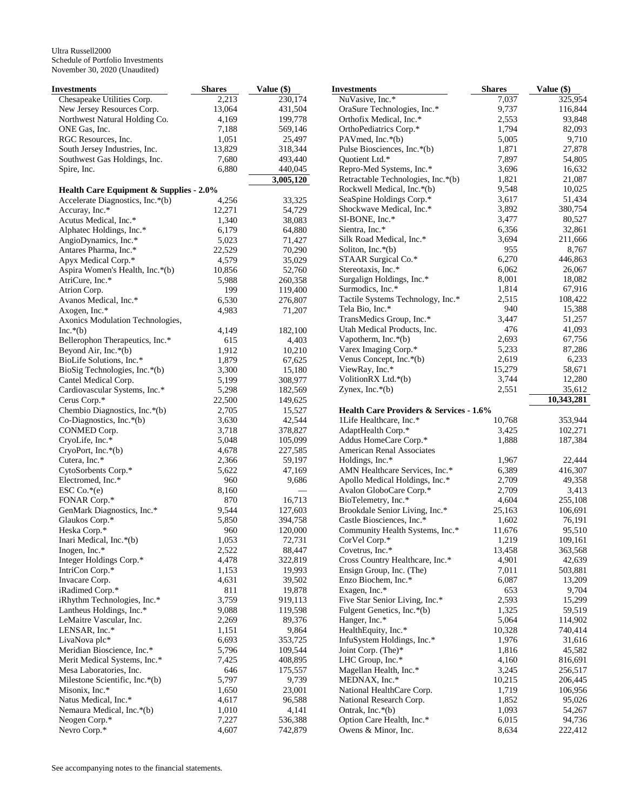| <b>Investments</b>                      | <b>Shares</b>  | Value (\$)         | <b>Investments</b>                                           | <b>Shares</b>   | Value (\$)        |
|-----------------------------------------|----------------|--------------------|--------------------------------------------------------------|-----------------|-------------------|
| Chesapeake Utilities Corp.              | 2,213          | 230,174            | NuVasive, Inc.*                                              | 7,037           | 325,954           |
| New Jersey Resources Corp.              | 13,064         | 431,504            | OraSure Technologies, Inc.*                                  | 9,737           | 116,844           |
| Northwest Natural Holding Co.           | 4,169          | 199,778            | Orthofix Medical, Inc.*                                      | 2,553           | 93,848            |
| ONE Gas, Inc.                           | 7,188          | 569,146            | OrthoPediatrics Corp.*                                       | 1,794           | 82,093            |
| RGC Resources, Inc.                     | 1,051          | 25,497             | PAVmed, Inc.*(b)                                             | 5,005           | 9,710             |
| South Jersey Industries, Inc.           | 13,829         | 318,344            | Pulse Biosciences, Inc.*(b)                                  | 1,871           | 27,878            |
| Southwest Gas Holdings, Inc.            | 7,680          | 493,440            | Quotient Ltd.*                                               | 7,897           | 54,805            |
| Spire, Inc.                             | 6,880          | 440,045            | Repro-Med Systems, Inc.*                                     | 3,696           | 16,632            |
|                                         |                | 3,005,120          | Retractable Technologies, Inc.*(b)                           | 1,821           | 21,087            |
| Health Care Equipment & Supplies - 2.0% |                |                    | Rockwell Medical, Inc.*(b)                                   | 9,548           | 10,025            |
| Accelerate Diagnostics, Inc.*(b)        | 4,256          | 33,325             | SeaSpine Holdings Corp.*                                     | 3,617           | 51,434            |
| Accuray, Inc.*                          | 12,271         | 54,729             | Shockwave Medical, Inc.*                                     | 3,892           | 380,754           |
| Acutus Medical, Inc.*                   | 1,340          | 38,083             | SI-BONE, Inc.*                                               | 3,477           | 80,527            |
| Alphatec Holdings, Inc.*                | 6,179          | 64,880             | Sientra, Inc.*                                               | 6,356           | 32,861            |
| AngioDynamics, Inc.*                    | 5,023          | 71,427             | Silk Road Medical, Inc.*                                     | 3,694           | 211,666           |
| Antares Pharma, Inc.*                   | 22,529         | 70,290             | Soliton, Inc. $*(b)$                                         | 955             | 8,767             |
| Apyx Medical Corp.*                     | 4,579          | 35,029             | STAAR Surgical Co.*                                          | 6,270           | 446,863           |
| Aspira Women's Health, Inc.*(b)         | 10,856         | 52,760             | Stereotaxis, Inc.*                                           | 6,062           | 26,067            |
| AtriCure, Inc.*                         | 5,988          | 260,358            | Surgalign Holdings, Inc.*                                    | 8,001           | 18,082            |
| Atrion Corp.                            | 199            | 119,400            | Surmodics, Inc.*                                             | 1,814           | 67,916            |
| Avanos Medical, Inc.*                   | 6,530          | 276,807            | Tactile Systems Technology, Inc.*                            | 2,515           | 108,422           |
| Axogen, Inc.*                           | 4,983          | 71,207             | Tela Bio, Inc.*                                              | 940             | 15,388            |
| Axonics Modulation Technologies,        |                |                    | TransMedics Group, Inc.*                                     | 3,447           | 51,257            |
| $Inc.*(b)$                              | 4,149          | 182,100            | Utah Medical Products, Inc.                                  | 476             | 41,093            |
| Bellerophon Therapeutics, Inc.*         | 615            | 4,403              | Vapotherm, Inc. $*(b)$                                       | 2,693           | 67,756            |
| Beyond Air, Inc.*(b)                    | 1,912          | 10,210             | Varex Imaging Corp.*                                         | 5,233           | 87,286            |
| BioLife Solutions, Inc.*                | 1,879          | 67,625             | Venus Concept, Inc.*(b)                                      | 2,619           | 6,233             |
| BioSig Technologies, Inc.*(b)           | 3,300          | 15,180             | ViewRay, Inc.*                                               | 15,279          | 58,671            |
| Cantel Medical Corp.                    | 5,199          | 308,977            | VolitionRX Ltd.*(b)                                          | 3,744           | 12,280            |
| Cardiovascular Systems, Inc.*           | 5,298          | 182,569            | Zynex, Inc. $*(b)$                                           | 2,551           | 35,612            |
| Cerus Corp.*                            | 22,500         | 149,625            |                                                              |                 | 10,343,281        |
| Chembio Diagnostics, Inc.*(b)           | 2,705          | 15,527             | <b>Health Care Providers &amp; Services - 1.6%</b>           |                 |                   |
| Co-Diagnostics, Inc.*(b)                | 3,630          | 42,544             | 1Life Healthcare, Inc.*                                      | 10,768          | 353,944           |
| CONMED Corp.                            | 3,718          | 378,827            | AdaptHealth Corp.*                                           | 3,425           | 102,271           |
| CryoLife, Inc.*                         | 5,048          | 105,099            | Addus HomeCare Corp.*                                        | 1,888           | 187,384           |
| $CryoPort, Inc.*(b)$                    | 4,678          | 227,585            | American Renal Associates                                    |                 |                   |
| Cutera, Inc.*                           | 2,366          | 59,197             | Holdings, Inc.*                                              | 1,967           | 22,444            |
| CytoSorbents Corp.*                     | 5,622          | 47,169             | AMN Healthcare Services, Inc.*                               | 6,389           | 416,307<br>49,358 |
| Electromed, Inc.*                       | 960            | 9,686              | Apollo Medical Holdings, Inc.*                               | 2,709           |                   |
| ESC Co.*(e)                             | 8,160          |                    | Avalon GloboCare Corp.*                                      | 2,709           | 3,413             |
| FONAR Corp.*                            | 870            | 16,713             | BioTelemetry, Inc.*                                          | 4,604<br>25,163 | 255,108           |
| GenMark Diagnostics, Inc.*              | 9,544<br>5,850 | 127,603<br>394,758 | Brookdale Senior Living, Inc.*                               |                 | 106,691<br>76,191 |
| Glaukos Corp.*<br>Heska Corp.*          | 960            | 120,000            | Castle Biosciences, Inc.*<br>Community Health Systems, Inc.* | 1,602<br>11,676 | 95,510            |
| Inari Medical, Inc.*(b)                 | 1,053          | 72,731             | CorVel Corp.*                                                | 1,219           | 109,161           |
| Inogen, Inc.*                           | 2,522          | 88,447             | Covetrus, Inc.*                                              | 13,458          | 363,568           |
| Integer Holdings Corp.*                 | 4,478          | 322,819            | Cross Country Healthcare, Inc.*                              | 4,901           | 42,639            |
| IntriCon Corp.*                         | 1,153          | 19,993             | Ensign Group, Inc. (The)                                     | 7,011           | 503,881           |
| Invacare Corp.                          | 4,631          | 39,502             | Enzo Biochem, Inc.*                                          | 6,087           | 13,209            |
| iRadimed Corp.*                         | 811            | 19,878             | Exagen, Inc.*                                                | 653             | 9,704             |
| iRhythm Technologies, Inc.*             | 3,759          | 919,113            | Five Star Senior Living, Inc.*                               | 2,593           | 15,299            |
| Lantheus Holdings, Inc.*                | 9,088          | 119,598            | Fulgent Genetics, Inc.*(b)                                   | 1,325           | 59,519            |
| LeMaitre Vascular, Inc.                 | 2,269          | 89,376             | Hanger, Inc.*                                                | 5,064           | 114,902           |
| LENSAR, Inc.*                           | 1,151          | 9,864              | HealthEquity, Inc.*                                          | 10,328          | 740,414           |
| LivaNova plc*                           | 6,693          | 353,725            | InfuSystem Holdings, Inc.*                                   | 1,976           | 31,616            |
| Meridian Bioscience, Inc.*              | 5,796          | 109,544            | Joint Corp. (The)*                                           | 1,816           | 45,582            |
| Merit Medical Systems, Inc.*            | 7,425          | 408,895            | LHC Group, Inc.*                                             | 4,160           | 816,691           |
| Mesa Laboratories, Inc.                 | 646            | 175,557            | Magellan Health, Inc.*                                       | 3,245           | 256,517           |
| Milestone Scientific, Inc.*(b)          | 5,797          | 9,739              | MEDNAX, Inc.*                                                | 10,215          | 206,445           |
| Misonix, Inc.*                          | 1,650          | 23,001             | National HealthCare Corp.                                    | 1,719           | 106,956           |
| Natus Medical, Inc.*                    | 4,617          | 96,588             | National Research Corp.                                      | 1,852           | 95,026            |
| Nemaura Medical, Inc.*(b)               | 1,010          | 4,141              | Ontrak, Inc. $*(b)$                                          | 1,093           | 54,267            |
| Neogen Corp.*                           | 7,227          | 536,388            | Option Care Health, Inc.*                                    | 6,015           | 94,736            |
| Nevro Corp.*                            | 4,607          | 742,879            | Owens & Minor, Inc.                                          | 8,634           | 222,412           |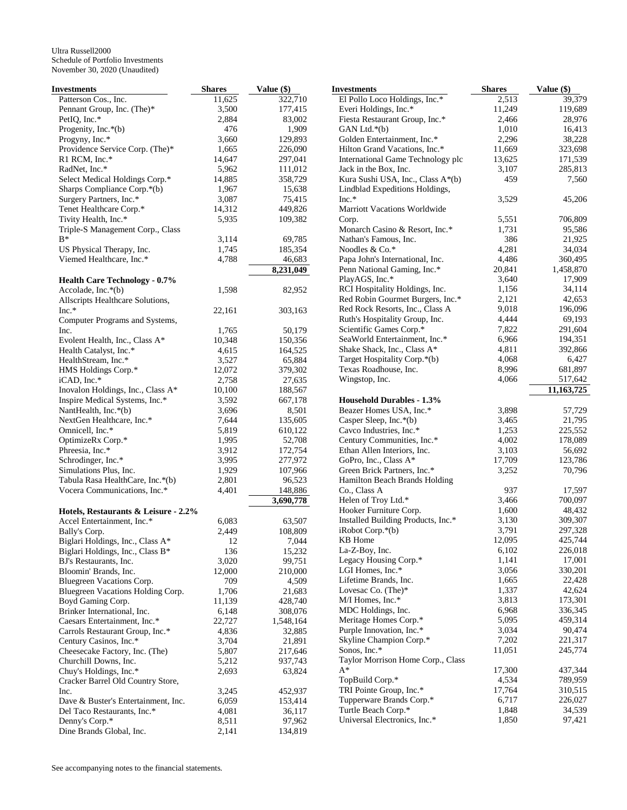| <b>Investments</b>                                       | <b>Shares</b>   | Value (\$)         |
|----------------------------------------------------------|-----------------|--------------------|
| Patterson Cos., Inc.                                     | 11,625          | 322,710            |
| Pennant Group, Inc. (The)*                               | 3,500           | 177,415            |
| PetIQ, Inc.*                                             | 2,884           | 83,002             |
| Progenity, Inc.*(b)                                      | 476             | 1,909              |
| Progyny, Inc.*                                           | 3,660           | 129,893            |
| Providence Service Corp. (The)*                          | 1,665           | 226,090            |
| R1 RCM, Inc.*<br>RadNet, Inc.*                           | 14,647          | 297,041            |
| Select Medical Holdings Corp.*                           | 5,962<br>14,885 | 111,012<br>358,729 |
| Sharps Compliance Corp.*(b)                              | 1,967           | 15,638             |
| Surgery Partners, Inc.*                                  | 3,087           | 75,415             |
| Tenet Healthcare Corp.*                                  | 14,312          | 449,826            |
| Tivity Health, Inc.*                                     | 5,935           | 109,382            |
| Triple-S Management Corp., Class                         |                 |                    |
| $B*$                                                     | 3,114           | 69,785             |
| US Physical Therapy, Inc.                                | 1,745           | 185,354            |
| Viemed Healthcare, Inc.*                                 | 4,788           | 46,683             |
|                                                          |                 | 8,231,049          |
| <b>Health Care Technology - 0.7%</b>                     |                 |                    |
| Accolade, Inc.*(b)                                       | 1,598           | 82,952             |
| Allscripts Healthcare Solutions,                         |                 |                    |
| $Inc.*$                                                  | 22,161          | 303,163            |
| Computer Programs and Systems,                           |                 |                    |
| Inc.                                                     | 1,765           | 50,179             |
| Evolent Health, Inc., Class A*                           | 10,348          | 150,356            |
| Health Catalyst, Inc.*                                   | 4,615           | 164,525            |
| HealthStream, Inc.*                                      | 3,527           | 65,884             |
| HMS Holdings Corp.*                                      | 12,072          | 379,302            |
| iCAD, Inc.*                                              | 2,758           | 27,635             |
| Inovalon Holdings, Inc., Class A*                        | 10,100          | 188,567            |
| Inspire Medical Systems, Inc.*                           | 3,592           | 667,178            |
| NantHealth, Inc.*(b)                                     | 3,696           | 8,501              |
| NextGen Healthcare, Inc.*<br>Omnicell, Inc.*             | 7,644<br>5,819  | 135,605<br>610,122 |
| OptimizeRx Corp.*                                        | 1,995           | 52,708             |
| Phreesia, Inc.*                                          | 3,912           | 172,754            |
| Schrodinger, Inc.*                                       | 3,995           | 277,972            |
| Simulations Plus, Inc.                                   | 1,929           | 107,966            |
| Tabula Rasa HealthCare, Inc.*(b)                         | 2,801           | 96,523             |
| Vocera Communications, Inc.*                             | 4,401           | 148,886            |
|                                                          |                 | 3,690,778          |
| Hotels, Restaurants & Leisure - 2.2%                     |                 |                    |
| Accel Entertainment, Inc.*                               | 6,083           | 63,507             |
| Bally's Corp.                                            | 2,449           | 108,809            |
| Biglari Holdings, Inc., Class A*                         | 12              | 7,044              |
| Biglari Holdings, Inc., Class B*                         | 136             | 15,232             |
| BJ's Restaurants, Inc.                                   | 3,020           | 99,751             |
| Bloomin' Brands, Inc.                                    | 12,000          | 210,000            |
| Bluegreen Vacations Corp.                                | 709             | 4,509              |
| Bluegreen Vacations Holding Corp.                        | 1,706           | 21,683             |
| Boyd Gaming Corp.                                        | 11,139          | 428,740            |
| Brinker International, Inc.                              | 6,148           | 308,076            |
| Caesars Entertainment, Inc.*                             | 22,727          | 1,548,164          |
| Carrols Restaurant Group, Inc.*                          | 4,836<br>3,704  | 32,885             |
| Century Casinos, Inc.*<br>Cheesecake Factory, Inc. (The) | 5,807           | 21,891<br>217,646  |
| Churchill Downs, Inc.                                    | 5,212           | 937,743            |
| Chuy's Holdings, Inc.*                                   | 2,693           | 63,824             |
| Cracker Barrel Old Country Store,                        |                 |                    |
| Inc.                                                     | 3,245           | 452,937            |
| Dave & Buster's Entertainment, Inc.                      | 6,059           | 153,414            |
| Del Taco Restaurants, Inc.*                              | 4,081           | 36,117             |
| Denny's Corp.*                                           | 8,511           | 97,962             |
| Dine Brands Global, Inc.                                 | 2,141           | 134,819            |

| Investments                                           | <b>Shares</b>   | Value (\$)         |
|-------------------------------------------------------|-----------------|--------------------|
| El Pollo Loco Holdings, Inc.*                         | 2,513           | 39,379             |
| Everi Holdings, Inc.*                                 | 11,249          | 119,689            |
| Fiesta Restaurant Group, Inc.*                        | 2,466           | 28,976             |
| GAN Ltd.*(b)                                          | 1,010           | 16,413             |
| Golden Entertainment, Inc.*                           | 2,296           | 38,228             |
| Hilton Grand Vacations, Inc.*                         | 11,669          | 323,698            |
| International Game Technology plc                     | 13,625          | 171,539            |
| Jack in the Box, Inc.                                 | 3,107           | 285,813            |
| Kura Sushi USA, Inc., Class A*(b)                     | 459             | 7,560              |
| Lindblad Expeditions Holdings,<br>$Inc.*$             | 3,529           | 45,206             |
| <b>Marriott Vacations Worldwide</b>                   |                 |                    |
| Corp.                                                 | 5,551           | 706,809            |
| Monarch Casino & Resort, Inc.*                        | 1,731           | 95,586             |
| Nathan's Famous, Inc.                                 | 386             | 21,925             |
| Noodles & Co.*                                        | 4,281           | 34,034             |
| Papa John's International, Inc.                       | 4,486           | 360,495            |
| Penn National Gaming, Inc.*                           | 20,841          | 1,458,870          |
| PlayAGS, Inc.*                                        | 3,640           | 17,909             |
| RCI Hospitality Holdings, Inc.                        | 1,156           | 34,114             |
| Red Robin Gourmet Burgers, Inc.*                      | 2,121           | 42,653             |
| Red Rock Resorts, Inc., Class A                       | 9,018           | 196,096            |
| Ruth's Hospitality Group, Inc.                        | 4,444           | 69,193             |
| Scientific Games Corp.*                               | 7,822           | 291,604            |
| SeaWorld Entertainment, Inc.*                         | 6,966           | 194,351            |
| Shake Shack, Inc., Class A*                           | 4,811           | 392,866            |
| Target Hospitality Corp.*(b)<br>Texas Roadhouse, Inc. | 4,068<br>8,996  | 6,427              |
| Wingstop, Inc.                                        | 4,066           | 681,897<br>517,642 |
|                                                       |                 | 11,163,725         |
| <b>Household Durables - 1.3%</b>                      |                 |                    |
| Beazer Homes USA, Inc.*                               | 3,898           | 57,729             |
| Casper Sleep, Inc.*(b)                                | 3,465           | 21,795             |
| Cavco Industries, Inc.*                               | 1,253           | 225,552            |
| Century Communities, Inc.*                            | 4,002           | 178,089            |
| Ethan Allen Interiors, Inc.                           | 3,103           | 56,692             |
| GoPro, Inc., Class A*                                 | 17,709          | 123,786            |
| Green Brick Partners, Inc.*                           | 3,252           | 70,796             |
| Hamilton Beach Brands Holding                         |                 |                    |
| Co., Class A                                          | 937             | 17,597             |
| Helen of Troy Ltd.*<br>Hooker Furniture Corp.         | 3,466<br>1,600  | 700,097            |
| Installed Building Products, Inc.*                    | 3,130           | 48,432<br>309,307  |
| $i$ Robot Corp. $*(b)$                                | 3,791           | 297,328            |
| KB Home                                               | 12,095          | 425,744            |
| La-Z-Boy, Inc.                                        | 6,102           | 226,018            |
| Legacy Housing Corp.*                                 | 1,141           | 17,001             |
| LGI Homes, Inc.*                                      | 3,056           | 330,201            |
| Lifetime Brands, Inc.                                 | 1,665           | 22,428             |
| Lovesac Co. (The)*                                    | 1,337           | 42,624             |
| M/I Homes, Inc.*                                      | 3,813           | 173,301            |
| MDC Holdings, Inc.                                    | 6,968           | 336,345            |
| Meritage Homes Corp.*                                 | 5,095           | 459,314            |
| Purple Innovation, Inc.*                              | 3,034           | 90,474             |
| Skyline Champion Corp.*                               | 7,202           | 221,317            |
| Sonos, Inc.*                                          | 11,051          | 245,774            |
| Taylor Morrison Home Corp., Class<br>$A^*$            |                 |                    |
|                                                       | 17,300          | 437,344            |
| TopBuild Corp.*<br>TRI Pointe Group, Inc.*            | 4,534<br>17,764 | 789,959<br>310,515 |
| Tupperware Brands Corp.*                              | 6,717           | 226,027            |
| Turtle Beach Corp.*                                   | 1,848           | 34,539             |
| Universal Electronics, Inc.*                          | 1,850           | 97,421             |
|                                                       |                 |                    |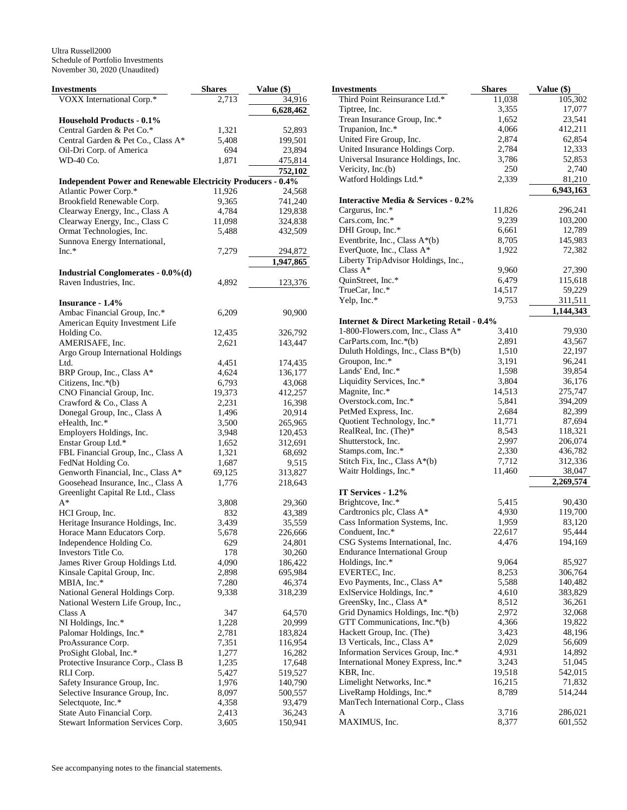| Investments                                                         | <b>Shares</b> | Value (\$)<br>In |
|---------------------------------------------------------------------|---------------|------------------|
| VOXX International Corp.*                                           | 2,713         | 34,916           |
|                                                                     |               | 6,628,462        |
| <b>Household Products - 0.1%</b>                                    |               |                  |
| Central Garden & Pet Co.*                                           | 1,321         | 52,893           |
| Central Garden & Pet Co., Class A*                                  | 5,408         | 199,501          |
| Oil-Dri Corp. of America                                            | 694           | 23,894           |
| WD-40 Co.                                                           | 1,871         | 475,814          |
|                                                                     |               | 752,102          |
| <b>Independent Power and Renewable Electricity Producers - 0.4%</b> |               |                  |
| Atlantic Power Corp.*                                               | 11,926        | 24,568           |
| Brookfield Renewable Corp.                                          | 9,365         | 741,240          |
| Clearway Energy, Inc., Class A                                      | 4,784         | 129,838          |
| Clearway Energy, Inc., Class C                                      | 11,098        | 324,838          |
| Ormat Technologies, Inc.                                            | 5,488         | 432,509          |
| Sunnova Energy International,                                       |               |                  |
| $Inc.*$                                                             | 7,279         | 294,872          |
|                                                                     |               | 1,947,865        |
| <b>Industrial Conglomerates - 0.0%(d)</b>                           |               |                  |
| Raven Industries, Inc.                                              | 4,892         | 123,376          |
|                                                                     |               |                  |
| <b>Insurance - 1.4%</b>                                             |               |                  |
| Ambac Financial Group, Inc.*                                        | 6,209         | 90,900           |
| American Equity Investment Life                                     |               |                  |
| Holding Co.                                                         | 12,435        | 326,792          |
| AMERISAFE, Inc.                                                     | 2,621         | 143,447          |
| Argo Group International Holdings                                   |               |                  |
| Ltd.                                                                | 4,451         | 174,435          |
| BRP Group, Inc., Class A*                                           | 4,624         | 136,177          |
| Citizens, Inc.*(b)                                                  | 6,793         | 43,068           |
| CNO Financial Group, Inc.                                           | 19,373        | 412,257          |
| Crawford & Co., Class A                                             | 2,231         | 16,398           |
| Donegal Group, Inc., Class A                                        | 1,496         | 20,914           |
| eHealth, Inc.*                                                      | 3,500         | 265,965          |
| Employers Holdings, Inc.                                            | 3,948         | 120,453          |
| Enstar Group Ltd.*                                                  | 1,652         | 312,691          |
| FBL Financial Group, Inc., Class A                                  | 1,321         | 68,692           |
| FedNat Holding Co.                                                  | 1,687         | 9,515            |
| Genworth Financial, Inc., Class A*                                  | 69,125        | 313,827          |
| Goosehead Insurance, Inc., Class A                                  | 1,776         | 218,643          |
| Greenlight Capital Re Ltd., Class                                   |               |                  |
| A*                                                                  | 3,808         | 29,360           |
| HCI Group, Inc.                                                     | 832           | 43,389           |
| Heritage Insurance Holdings, Inc.                                   | 3,439         | 35,559           |
| Horace Mann Educators Corp.                                         | 5,678         | 226,666          |
| Independence Holding Co.                                            | 629           | 24,801           |
| Investors Title Co.                                                 | 178           | 30,260           |
| James River Group Holdings Ltd.                                     | 4,090         | 186,422          |
| Kinsale Capital Group, Inc.                                         | 2,898         | 695,984          |
| MBIA, Inc.*                                                         | 7,280         | 46,374           |
| National General Holdings Corp.                                     | 9,338         | 318,239          |
| National Western Life Group, Inc.,                                  |               |                  |
| Class A                                                             | 347           | 64,570           |
| NI Holdings, Inc.*                                                  | 1,228         | 20,999           |
| Palomar Holdings, Inc.*                                             | 2,781         | 183,824          |
| ProAssurance Corp.                                                  | 7,351         | 116,954          |
| ProSight Global, Inc.*                                              | 1,277         | 16,282           |
| Protective Insurance Corp., Class B                                 | 1,235         | 17,648           |
| RLI Corp.                                                           | 5,427         | 519,527          |
| Safety Insurance Group, Inc.                                        | 1,976         | 140,790          |
| Selective Insurance Group, Inc.                                     | 8,097         | 500,557          |
| Selectquote, Inc.*                                                  | 4,358         | 93,479           |
| State Auto Financial Corp.                                          | 2,413         | 36,243           |
| Stewart Information Services Corp.                                  | 3,605         | 150,941          |

**Investments** Shares Value (\$) Third Point Reinsurance Ltd.\* 11,038 105,302<br>Tiptree. Inc. 3.355 17.077 Tiptree, Inc. 3,355 17,077<br>Trean Insurance Group, Inc.\* 1,652 23,541 Trean Insurance Group, Inc.\* 1,652 Trupanion, Inc.\* 4,066 412,211 United Fire Group, Inc. 2,874 62,854 United Insurance Holdings Corp. 2,784 12,333 Universal Insurance Holdings, Inc. 3,786 52,853<br>Vericity Inc (b) 350 3740 Vericity, Inc.(b) 250 2,740 Watford Holdings Ltd.\* 2,339 81,210 **6,943,163 Interactive Media & Services - 0.2%**  Cargurus, Inc.\* 11,826 296,241 Cars.com, Inc.\* 9,239 103,200<br>DHI Group. Inc.\* 6.661 12.789 DHI Group, Inc.\* 6,661 Eventbrite, Inc., Class A<sup>\*</sup>(b) 8,705 145,983 EverQuote, Inc., Class A\* 1,922 72,382 Liberty TripAdvisor Holdings, Inc., Class A\* 9,960 27,390 QuinStreet, Inc.\* 6,479 115,618 TrueCar, Inc.\* 14,517 59,229 Yelp, Inc.\* 9,753 311,511 **1,144,343 Internet & Direct Marketing Retail - 0.4%**  1-800-Flowers.com, Inc., Class A\* 3,410 79,930 CarParts.com, Inc.\*(b) 2,891 43,567 Duluth Holdings, Inc., Class  $B^*(b)$  1,510 22,197 Groupon, Inc.\* 3,191 96,241<br>Lands' End, Inc.\* 3,198 39,854 Lands' End, Inc.\* 1,598 39,854<br>
Liquidity Services, Inc.\* 3,804 36,176 Liquidity Services, Inc.\* Magnite, Inc.\* 14,513 275,747 Overstock.com, Inc.\* 5,841 394,209<br>
PetMed Express, Inc. 2,684 82,399 PetMed Express, Inc. 2,684 82,399<br>Quotient Technology, Inc.\* 11,771 87,694 Quotient Technology, Inc.\* RealReal, Inc. (The)\* 8,543 118,321<br>Shutterstock. Inc. 2.997 206.074 Shutterstock, Inc. 2,997 206,074<br>Stamps.com, Inc.\* 2,330 436,782 Stamps.com, Inc.\* 2,330 436,782 Stitch Fix, Inc., Class A\*(b) 7,712 312,336 Waitr Holdings, Inc.\* 11,460 38,047 **2,269,574 IT Services - 1.2%**  Brightcove, Inc.\* 5,415 90,430 Cardtronics plc, Class A\* 4,930 119,700<br>Cass Information Systems, Inc. 1,959 83,120 Cass Information Systems, Inc. 1,959 83,120 Conduent, Inc.\* 22,617 95,444 CSG Systems International, Inc. 4,476 194,169 Endurance International Group Holdings, Inc.\* 9,064 85,927<br>EVERTEC, Inc. 8,253 306,764 EVERTEC, Inc. Evo Payments, Inc., Class  $A^*$  5,588 140,482 ExlService Holdings, Inc.\* 4,610 383,829 GreenSky, Inc., Class A\* 8,512 36,261 Grid Dynamics Holdings, Inc.\*(b) 2,972 32,068<br>GTT Communications, Inc.\*(b) 4,366 19.822 GTT Communications, Inc. $*(b)$  4,366 Hackett Group, Inc. (The) 3,423 48,196 I3 Verticals, Inc., Class A\* 2,029 56,609 Information Services Group, Inc.\* 4,931 14,892 International Money Express, Inc.\* 3,243 51,045 KBR, Inc. 19,518 542,015 Limelight Networks, Inc.\* 16,215 71,832 LiveRamp Holdings, Inc.\* 8,789 514,244 ManTech International Corp., Class A 3,716 286,021 MAXIMUS, Inc. 8,377 601,552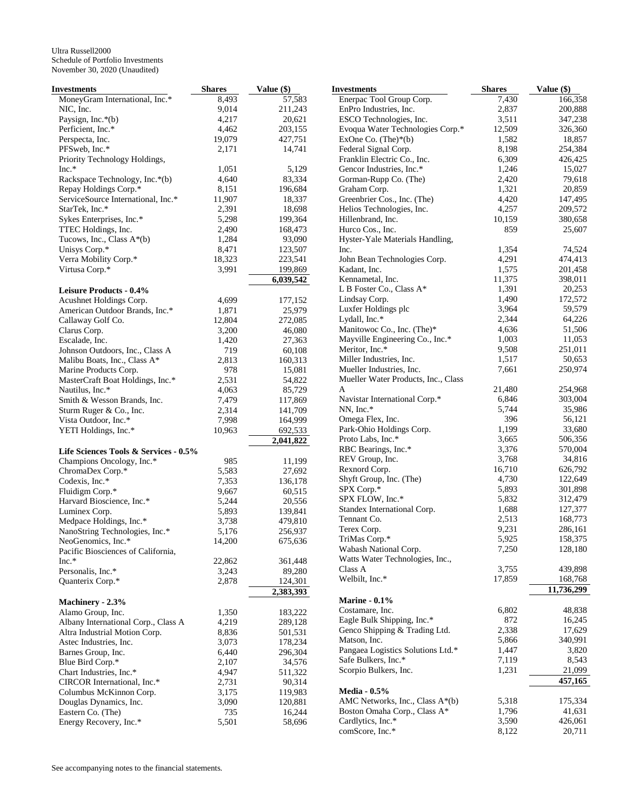| Investments                                                          | <b>Shares</b>  | Value (\$)         |
|----------------------------------------------------------------------|----------------|--------------------|
| MoneyGram International, Inc.*                                       | 8,493          | 57,583             |
| NIC, Inc.                                                            | 9,014          | 211,243            |
| Paysign, Inc.*(b)                                                    | 4,217          | 20,621             |
| Perficient, Inc.*                                                    | 4,462          | 203,155            |
| Perspecta, Inc.                                                      | 19,079         | 427,751            |
| PFSweb, Inc.*                                                        | 2,171          | 14,741             |
| Priority Technology Holdings,                                        |                |                    |
| $Inc.*$                                                              | 1,051          | 5,129              |
| Rackspace Technology, Inc.*(b)                                       | 4,640          | 83,334             |
| Repay Holdings Corp.*                                                | 8,151          | 196,684            |
| ServiceSource International, Inc.*                                   | 11,907         | 18,337             |
| StarTek, Inc.*<br>Sykes Enterprises, Inc.*                           | 2,391<br>5,298 | 18,698<br>199,364  |
| TTEC Holdings, Inc.                                                  | 2,490          | 168,473            |
| Tucows, Inc., Class $A^*(b)$                                         | 1,284          | 93,090             |
| Unisys Corp.*                                                        | 8,471          | 123,507            |
| Verra Mobility Corp.*                                                | 18,323         | 223,541            |
| Virtusa Corp.*                                                       | 3,991          | 199,869            |
|                                                                      |                | 6,039,542          |
| <b>Leisure Products - 0.4%</b>                                       |                |                    |
| Acushnet Holdings Corp.                                              | 4,699          | 177,152            |
| American Outdoor Brands, Inc.*                                       | 1,871          | 25,979             |
| Callaway Golf Co.                                                    | 12,804         | 272,085            |
| Clarus Corp.                                                         | 3,200          | 46,080             |
| Escalade, Inc.                                                       | 1,420          | 27,363             |
| Johnson Outdoors, Inc., Class A                                      | 719            | 60,108             |
| Malibu Boats, Inc., Class A*                                         | 2,813          | 160,313            |
| Marine Products Corp.                                                | 978            | 15,081             |
| MasterCraft Boat Holdings, Inc.*                                     | 2,531          | 54,822             |
| Nautilus, Inc.*                                                      | 4,063          | 85,729             |
| Smith & Wesson Brands, Inc.                                          | 7,479          | 117,869            |
| Sturm Ruger & Co., Inc.                                              | 2,314          | 141,709            |
| Vista Outdoor, Inc.*                                                 | 7,998          | 164,999            |
| YETI Holdings, Inc.*                                                 | 10,963         | 692,533            |
| Life Sciences Tools & Services - 0.5%                                |                | 2,041,822          |
| Champions Oncology, Inc.*                                            | 985            | 11,199             |
| ChromaDex Corp.*                                                     | 5,583          | 27,692             |
| Codexis, Inc.*                                                       | 7,353          | 136,178            |
| Fluidigm Corp.*                                                      | 9,667          | 60,515             |
| Harvard Bioscience, Inc.*                                            | 5,244          | 20,556             |
| Luminex Corp.                                                        | 5,893          | 139,841            |
| Medpace Holdings, Inc.*                                              | 3,738          | 479,810            |
| NanoString Technologies, Inc.*                                       | 5,176          | 256,937            |
| NeoGenomics, Inc.*                                                   | 14,200         | 675,636            |
| Pacific Biosciences of California,                                   |                |                    |
| $Inc.*$                                                              | 22,862         | 361,448            |
| Personalis, Inc.*                                                    | 3,243          | 89,280             |
| Quanterix Corp.*                                                     | 2,878          | 124,301            |
|                                                                      |                | 2,383,393          |
| Machinery - 2.3%                                                     |                |                    |
| Alamo Group, Inc.                                                    | 1,350          | 183,222            |
| Albany International Corp., Class A<br>Altra Industrial Motion Corp. | 4,219<br>8,836 | 289,128<br>501,531 |
| Astec Industries, Inc.                                               | 3,073          | 178,234            |
| Barnes Group, Inc.                                                   | 6,440          | 296,304            |
| Blue Bird Corp.*                                                     | 2,107          | 34,576             |
| Chart Industries, Inc.*                                              | 4,947          | 511,322            |
| CIRCOR International, Inc.*                                          | 2,731          | 90,314             |
| Columbus McKinnon Corp.                                              | 3,175          | 119,983            |
| Douglas Dynamics, Inc.                                               | 3,090          | 120,881            |
| Eastern Co. (The)                                                    | 735            | 16,244             |
| Energy Recovery, Inc.*                                               | 5,501          | 58,696             |

| Investments                         | <b>Shares</b> | Value (\$) |
|-------------------------------------|---------------|------------|
| Enerpac Tool Group Corp.            | 7,430         | 166,358    |
| EnPro Industries, Inc.              | 2,837         | 200,888    |
| ESCO Technologies, Inc.             | 3,511         | 347,238    |
| Evoqua Water Technologies Corp.*    | 12,509        | 326,360    |
| ExOne Co. $(The)*(b)$               | 1,582         | 18,857     |
| Federal Signal Corp.                | 8,198         | 254,384    |
| Franklin Electric Co., Inc.         | 6,309         | 426,425    |
| Gencor Industries, Inc.*            | 1,246         | 15,027     |
| Gorman-Rupp Co. (The)               | 2,420         | 79,618     |
| Graham Corp.                        | 1,321         | 20,859     |
| Greenbrier Cos., Inc. (The)         | 4,420         | 147,495    |
| Helios Technologies, Inc.           | 4,257         | 209,572    |
| Hillenbrand, Inc.                   | 10,159        | 380,658    |
| Hurco Cos., Inc.                    | 859           | 25,607     |
| Hyster-Yale Materials Handling,     |               |            |
| Inc.                                | 1,354         | 74,524     |
| John Bean Technologies Corp.        | 4,291         | 474,413    |
| Kadant, Inc.                        | 1,575         | 201,458    |
| Kennametal, Inc.                    | 11,375        | 398,011    |
| L B Foster Co., Class A*            | 1,391         | 20,253     |
| Lindsay Corp.                       | 1,490         | 172,572    |
| Luxfer Holdings plc                 | 3,964         | 59,579     |
| Lydall, Inc.*                       | 2,344         | 64,226     |
| Manitowoc Co., Inc. (The)*          | 4,636         | 51,506     |
| Mayville Engineering Co., Inc.*     | 1,003         | 11,053     |
| Meritor, Inc.*                      | 9,508         | 251,011    |
| Miller Industries, Inc.             | 1,517         | 50,653     |
| Mueller Industries, Inc.            | 7,661         | 250,974    |
| Mueller Water Products, Inc., Class |               |            |
| A                                   | 21,480        | 254,968    |
| Navistar International Corp.*       | 6,846         | 303,004    |
| NN, Inc.*                           | 5,744         | 35,986     |
| Omega Flex, Inc.                    | 396           | 56,121     |
| Park-Ohio Holdings Corp.            | 1,199         | 33,680     |
| Proto Labs, Inc.*                   | 3,665         | 506,356    |
| RBC Bearings, Inc.*                 | 3,376         | 570,004    |
| REV Group, Inc.                     | 3,768         | 34,816     |
| Rexnord Corp.                       | 16,710        | 626,792    |
| Shyft Group, Inc. (The)             | 4,730         | 122,649    |
| SPX Corp.*                          | 5,893         | 301,898    |
| SPX FLOW, Inc.*                     | 5,832         | 312,479    |
| Standex International Corp.         | 1,688         | 127,377    |
| Tennant Co.                         | 2,513         | 168,773    |
| Terex Corp.                         | 9,231         | 286,161    |
| TriMas Corp.*                       | 5,925         | 158,375    |
| Wabash National Corp.               | 7,250         | 128,180    |
| Watts Water Technologies, Inc.,     |               |            |
| Class A                             | 3,755         | 439,898    |
| Welbilt, Inc.*                      | 17,859        | 168,768    |
|                                     |               | 11,736,299 |
| <b>Marine - 0.1%</b>                |               |            |
| Costamare, Inc.                     | 6,802         | 48,838     |
| Eagle Bulk Shipping, Inc.*          | 872           | 16,245     |
| Genco Shipping & Trading Ltd.       | 2,338         | 17,629     |
| Matson, Inc.                        | 5,866         | 340,991    |
| Pangaea Logistics Solutions Ltd.*   | 1,447         | 3,820      |
| Safe Bulkers, Inc.*                 | 7,119         | 8,543      |
| Scorpio Bulkers, Inc.               | 1,231         | 21,099     |
|                                     |               | 457,165    |
| <b>Media - 0.5%</b>                 |               |            |
| AMC Networks, Inc., Class A*(b)     | 5,318         | 175,334    |
| Boston Omaha Corp., Class A*        | 1,796         | 41,631     |
| Cardlytics, Inc.*                   | 3,590         | 426,061    |
| comScore, Inc.*                     | 8,122         | 20,711     |
|                                     |               |            |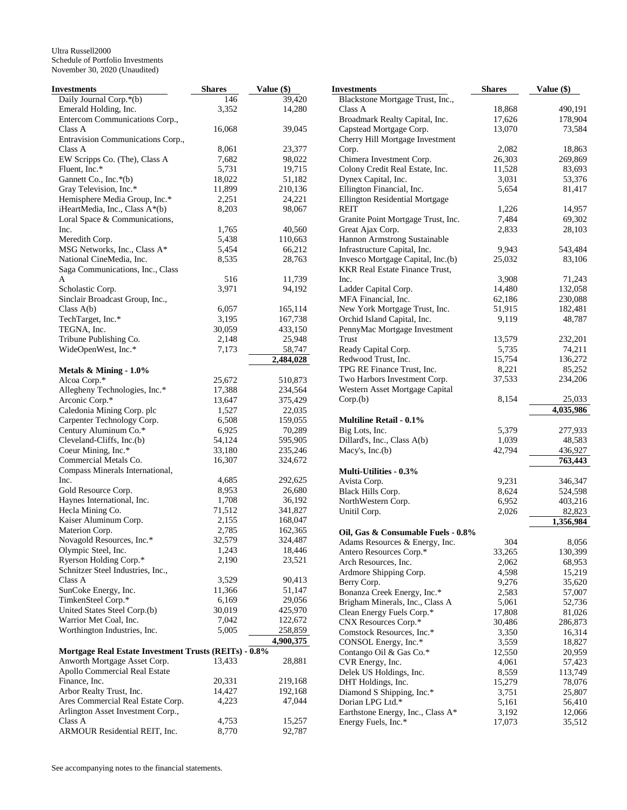| Investments                                           | <b>Shares</b> | Value (\$) | <b>Investments</b>                    | <b>Shares</b> | Value (\$) |
|-------------------------------------------------------|---------------|------------|---------------------------------------|---------------|------------|
| Daily Journal Corp.*(b)                               | 146           | 39,420     | Blackstone Mortgage Trust, Inc.,      |               |            |
| Emerald Holding, Inc.                                 | 3,352         | 14,280     | Class A                               | 18,868        | 490,191    |
| Entercom Communications Corp.,                        |               |            | Broadmark Realty Capital, Inc.        | 17,626        | 178,904    |
| Class A                                               | 16,068        | 39,045     | Capstead Mortgage Corp.               | 13,070        | 73,584     |
| Entravision Communications Corp.,                     |               |            | Cherry Hill Mortgage Investment       |               |            |
| Class A                                               | 8,061         | 23,377     | Corp.                                 | 2,082         | 18,863     |
| EW Scripps Co. (The), Class A                         | 7,682         | 98,022     | Chimera Investment Corp.              | 26,303        | 269,869    |
| Fluent, Inc.*                                         | 5,731         | 19,715     | Colony Credit Real Estate, Inc.       | 11,528        | 83,693     |
| Gannett Co., Inc.*(b)                                 | 18,022        | 51,182     | Dynex Capital, Inc.                   | 3,031         | 53,376     |
| Gray Television, Inc.*                                | 11,899        | 210,136    | Ellington Financial, Inc.             | 5,654         | 81,417     |
| Hemisphere Media Group, Inc.*                         | 2,251         | 24,221     | Ellington Residential Mortgage        |               |            |
| iHeartMedia, Inc., Class A*(b)                        | 8,203         | 98,067     | <b>REIT</b>                           | 1,226         | 14,957     |
| Loral Space & Communications,                         |               |            | Granite Point Mortgage Trust, Inc.    | 7,484         | 69,302     |
| Inc.                                                  | 1,765         | 40,560     |                                       | 2,833         |            |
|                                                       |               |            | Great Ajax Corp.                      |               | 28,103     |
| Meredith Corp.                                        | 5,438         | 110,663    | Hannon Armstrong Sustainable          |               |            |
| MSG Networks, Inc., Class A*                          | 5,454         | 66,212     | Infrastructure Capital, Inc.          | 9,943         | 543,484    |
| National CineMedia, Inc.                              | 8,535         | 28,763     | Invesco Mortgage Capital, Inc.(b)     | 25,032        | 83,106     |
| Saga Communications, Inc., Class                      |               |            | <b>KKR Real Estate Finance Trust,</b> |               |            |
| A                                                     | 516           | 11,739     | Inc.                                  | 3,908         | 71,243     |
| Scholastic Corp.                                      | 3,971         | 94,192     | Ladder Capital Corp.                  | 14,480        | 132,058    |
| Sinclair Broadcast Group, Inc.,                       |               |            | MFA Financial, Inc.                   | 62,186        | 230,088    |
| Class $A(b)$                                          | 6,057         | 165,114    | New York Mortgage Trust, Inc.         | 51,915        | 182,481    |
| TechTarget, Inc.*                                     | 3,195         | 167,738    | Orchid Island Capital, Inc.           | 9,119         | 48,787     |
| TEGNA, Inc.                                           | 30,059        | 433,150    | PennyMac Mortgage Investment          |               |            |
| Tribune Publishing Co.                                | 2,148         | 25,948     | Trust                                 | 13,579        | 232,201    |
| WideOpenWest, Inc.*                                   | 7,173         | 58,747     | Ready Capital Corp.                   | 5,735         | 74,211     |
|                                                       |               | 2,484,028  | Redwood Trust, Inc.                   | 15,754        | 136,272    |
| Metals & Mining - 1.0%                                |               |            | TPG RE Finance Trust, Inc.            | 8,221         | 85,252     |
| Alcoa Corp.*                                          | 25,672        | 510,873    | Two Harbors Investment Corp.          | 37,533        | 234,206    |
| Allegheny Technologies, Inc.*                         | 17,388        | 234,564    | Western Asset Mortgage Capital        |               |            |
| Arconic Corp.*                                        | 13,647        | 375,429    | Corp.(b)                              | 8,154         | 25,033     |
| Caledonia Mining Corp. plc                            | 1,527         | 22,035     |                                       |               | 4,035,986  |
| Carpenter Technology Corp.                            | 6,508         | 159,055    | <b>Multiline Retail - 0.1%</b>        |               |            |
|                                                       | 6,925         |            |                                       | 5,379         |            |
| Century Aluminum Co.*                                 |               | 70,289     | Big Lots, Inc.                        |               | 277,933    |
| Cleveland-Cliffs, Inc.(b)                             | 54,124        | 595,905    | Dillard's, Inc., Class A(b)           | 1,039         | 48,583     |
| Coeur Mining, Inc.*                                   | 33,180        | 235,246    | Macy's, $Inc.(b)$                     | 42,794        | 436,927    |
| Commercial Metals Co.                                 | 16,307        | 324,672    |                                       |               | 763,443    |
| Compass Minerals International,                       |               |            | <b>Multi-Utilities - 0.3%</b>         |               |            |
| Inc.                                                  | 4,685         | 292,625    | Avista Corp.                          | 9,231         | 346,347    |
| Gold Resource Corp.                                   | 8,953         | 26,680     | Black Hills Corp.                     | 8,624         | 524,598    |
| Haynes International, Inc.                            | 1,708         | 36,192     | NorthWestern Corp.                    | 6,952         | 403,216    |
| Hecla Mining Co.                                      | 71,512        | 341,827    | Unitil Corp.                          | 2,026         | 82,823     |
| Kaiser Aluminum Corp.                                 | 2,155         | 168,047    |                                       |               | 1,356,984  |
| Materion Corp.                                        | 2,785         | 162,365    | Oil, Gas & Consumable Fuels - 0.8%    |               |            |
| Novagold Resources, Inc.*                             | 32,579        | 324,487    | Adams Resources & Energy, Inc.        | 304           | 8,056      |
| Olympic Steel, Inc.                                   | 1,243         | 18,446     | Antero Resources Corp.*               | 33,265        | 130,399    |
| Ryerson Holding Corp.*                                | 2,190         | 23,521     | Arch Resources, Inc.                  | 2,062         | 68,953     |
| Schnitzer Steel Industries, Inc.,                     |               |            | Ardmore Shipping Corp.                | 4,598         | 15,219     |
| Class A                                               | 3,529         | 90,413     | Berry Corp.                           | 9,276         | 35,620     |
| SunCoke Energy, Inc.                                  | 11,366        | 51,147     | Bonanza Creek Energy, Inc.*           | 2,583         | 57,007     |
| TimkenSteel Corp.*                                    | 6,169         | 29,056     |                                       |               |            |
| United States Steel Corp.(b)                          | 30,019        | 425,970    | Brigham Minerals, Inc., Class A       | 5,061         | 52,736     |
| Warrior Met Coal, Inc.                                | 7,042         | 122,672    | Clean Energy Fuels Corp.*             | 17,808        | 81,026     |
| Worthington Industries, Inc.                          | 5,005         | 258,859    | CNX Resources Corp.*                  | 30,486        | 286,873    |
|                                                       |               | 4,900,375  | Comstock Resources, Inc.*             | 3,350         | 16,314     |
|                                                       |               |            | CONSOL Energy, Inc.*                  | 3,559         | 18,827     |
| Mortgage Real Estate Investment Trusts (REITs) - 0.8% |               |            | Contango Oil & Gas Co.*               | 12,550        | 20,959     |
| Anworth Mortgage Asset Corp.                          | 13,433        | 28,881     | CVR Energy, Inc.                      | 4,061         | 57,423     |
| Apollo Commercial Real Estate                         |               |            | Delek US Holdings, Inc.               | 8,559         | 113,749    |
| Finance, Inc.                                         | 20,331        | 219,168    | DHT Holdings, Inc.                    | 15,279        | 78,076     |
| Arbor Realty Trust, Inc.                              | 14,427        | 192,168    | Diamond S Shipping, Inc.*             | 3,751         | 25,807     |
| Ares Commercial Real Estate Corp.                     | 4,223         | 47,044     | Dorian LPG Ltd.*                      | 5,161         | 56,410     |
| Arlington Asset Investment Corp.,                     |               |            | Earthstone Energy, Inc., Class A*     | 3,192         | 12,066     |
| Class A                                               | 4,753         | 15,257     | Energy Fuels, Inc.*                   | 17,073        | 35,512     |
| ARMOUR Residential REIT, Inc.                         | 8,770         | 92,787     |                                       |               |            |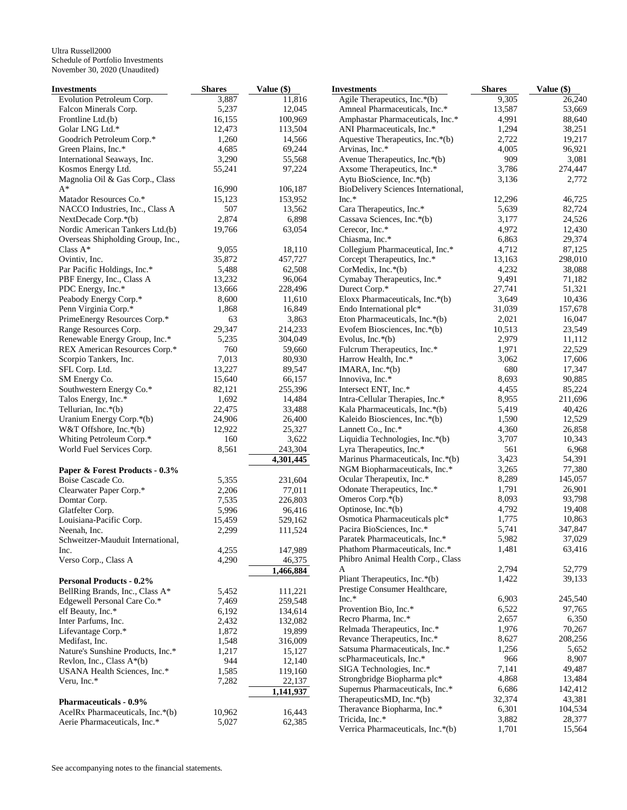| Investments                       | <b>Shares</b> | Value (\$) | <b>Investments</b>                  | <b>Shares</b> | Value (\$) |
|-----------------------------------|---------------|------------|-------------------------------------|---------------|------------|
| Evolution Petroleum Corp.         | 3,887         | 11,816     | Agile Therapeutics, Inc.*(b)        | 9,305         | 26,240     |
| Falcon Minerals Corp.             | 5,237         | 12,045     | Amneal Pharmaceuticals, Inc.*       | 13,587        | 53,669     |
| Frontline Ltd.(b)                 | 16,155        | 100,969    | Amphastar Pharmaceuticals, Inc.*    | 4,991         | 88,640     |
| Golar LNG Ltd.*                   | 12,473        | 113,504    | ANI Pharmaceuticals, Inc.*          | 1,294         | 38,251     |
| Goodrich Petroleum Corp.*         | 1,260         | 14,566     | Aquestive Therapeutics, Inc.*(b)    | 2,722         | 19,217     |
| Green Plains, Inc.*               | 4,685         | 69,244     | Arvinas, Inc.*                      | 4,005         | 96,921     |
| International Seaways, Inc.       | 3,290         | 55,568     | Avenue Therapeutics, Inc.*(b)       | 909           | 3,081      |
| Kosmos Energy Ltd.                | 55,241        | 97,224     | Axsome Therapeutics, Inc.*          | 3,786         | 274,447    |
| Magnolia Oil & Gas Corp., Class   |               |            | Aytu BioScience, Inc.*(b)           | 3,136         | 2,772      |
| $A^*$                             | 16,990        | 106,187    | BioDelivery Sciences International, |               |            |
| Matador Resources Co.*            | 15,123        | 153,952    | $Inc.*$                             | 12,296        | 46,725     |
| NACCO Industries, Inc., Class A   | 507           | 13,562     | Cara Therapeutics, Inc.*            | 5,639         | 82,724     |
| NextDecade Corp.*(b)              | 2,874         | 6,898      | Cassava Sciences, Inc.*(b)          | 3,177         | 24,526     |
| Nordic American Tankers Ltd.(b)   | 19,766        | 63,054     | Cerecor, Inc.*                      | 4,972         | 12,430     |
| Overseas Shipholding Group, Inc., |               |            | Chiasma, Inc.*                      | 6,863         | 29,374     |
| Class A*                          | 9,055         | 18,110     | Collegium Pharmaceutical, Inc.*     | 4,712         | 87,125     |
| Ovintiv, Inc.                     | 35,872        | 457,727    | Corcept Therapeutics, Inc.*         | 13,163        | 298,010    |
| Par Pacific Holdings, Inc.*       | 5,488         | 62,508     | CorMedix, Inc.*(b)                  | 4,232         | 38,088     |
| PBF Energy, Inc., Class A         | 13,232        | 96,064     | Cymabay Therapeutics, Inc.*         | 9,491         | 71,182     |
| PDC Energy, Inc.*                 | 13,666        | 228,496    | Durect Corp.*                       | 27,741        | 51,321     |
|                                   | 8,600         | 11,610     | Eloxx Pharmaceuticals, Inc.*(b)     | 3,649         |            |
| Peabody Energy Corp.*             |               |            |                                     |               | 10,436     |
| Penn Virginia Corp.*              | 1,868         | 16,849     | Endo International plc*             | 31,039        | 157,678    |
| PrimeEnergy Resources Corp.*      | 63            | 3,863      | Eton Pharmaceuticals, Inc.*(b)      | 2,021         | 16,047     |
| Range Resources Corp.             | 29,347        | 214,233    | Evofem Biosciences, Inc.*(b)        | 10,513        | 23,549     |
| Renewable Energy Group, Inc.*     | 5,235         | 304,049    | Evolus, Inc.*(b)                    | 2,979         | 11,112     |
| REX American Resources Corp.*     | 760           | 59,660     | Fulcrum Therapeutics, Inc.*         | 1,971         | 22,529     |
| Scorpio Tankers, Inc.             | 7,013         | 80,930     | Harrow Health, Inc.*                | 3,062         | 17,606     |
| SFL Corp. Ltd.                    | 13,227        | 89,547     | IMARA, Inc.*(b)                     | 680           | 17,347     |
| SM Energy Co.                     | 15,640        | 66,157     | Innoviva, Inc.*                     | 8,693         | 90,885     |
| Southwestern Energy Co.*          | 82,121        | 255,396    | Intersect ENT, Inc.*                | 4,455         | 85,224     |
| Talos Energy, Inc.*               | 1,692         | 14,484     | Intra-Cellular Therapies, Inc.*     | 8,955         | 211,696    |
| Tellurian, Inc.*(b)               | 22,475        | 33,488     | Kala Pharmaceuticals, Inc.*(b)      | 5,419         | 40,426     |
| Uranium Energy Corp.*(b)          | 24,906        | 26,400     | Kaleido Biosciences, Inc.*(b)       | 1,590         | 12,529     |
| W&T Offshore, Inc.*(b)            | 12,922        | 25,327     | Lannett Co., Inc.*                  | 4,360         | 26,858     |
| Whiting Petroleum Corp.*          | 160           | 3,622      | Liquidia Technologies, Inc.*(b)     | 3,707         | 10,343     |
| World Fuel Services Corp.         | 8,561         | 243,304    | Lyra Therapeutics, Inc.*            | 561           | 6,968      |
|                                   |               | 4,301,445  | Marinus Pharmaceuticals, Inc.*(b)   | 3,423         | 54,391     |
| Paper & Forest Products - 0.3%    |               |            | NGM Biopharmaceuticals, Inc.*       | 3,265         | 77,380     |
| Boise Cascade Co.                 | 5,355         | 231,604    | Ocular Therapeutix, Inc.*           | 8,289         | 145,057    |
| Clearwater Paper Corp.*           | 2,206         | 77,011     | Odonate Therapeutics, Inc.*         | 1,791         | 26,901     |
| Domtar Corp.                      | 7,535         | 226,803    | Omeros Corp.*(b)                    | 8,093         | 93,798     |
| Glatfelter Corp.                  | 5,996         | 96,416     | Optinose, Inc.*(b)                  | 4,792         | 19,408     |
| Louisiana-Pacific Corp.           | 15,459        | 529,162    | Osmotica Pharmaceuticals plc*       | 1,775         | 10,863     |
| Neenah, Inc.                      | 2,299         | 111,524    | Pacira BioSciences, Inc.*           | 5,741         | 347,847    |
| Schweitzer-Mauduit International, |               |            | Paratek Pharmaceuticals, Inc.*      | 5,982         | 37,029     |
| Inc.                              | 4,255         | 147,989    | Phathom Pharmaceuticals, Inc.*      | 1,481         | 63,416     |
| Verso Corp., Class A              | 4,290         | 46,375     | Phibro Animal Health Corp., Class   |               |            |
|                                   |               | 1,466,884  | A                                   | 2,794         | 52,779     |
| <b>Personal Products - 0.2%</b>   |               |            | Pliant Therapeutics, Inc.*(b)       | 1,422         | 39,133     |
| BellRing Brands, Inc., Class A*   | 5,452         | 111,221    | Prestige Consumer Healthcare,       |               |            |
| Edgewell Personal Care Co.*       | 7,469         | 259,548    | $Inc.*$                             | 6,903         | 245,540    |
| elf Beauty, Inc.*                 | 6,192         | 134,614    | Provention Bio, Inc.*               | 6,522         | 97,765     |
| Inter Parfums, Inc.               | 2,432         | 132,082    | Recro Pharma, Inc.*                 | 2,657         | 6,350      |
| Lifevantage Corp.*                | 1,872         | 19,899     | Relmada Therapeutics, Inc.*         | 1,976         | 70,267     |
| Medifast, Inc.                    | 1,548         | 316,009    | Revance Therapeutics, Inc.*         | 8,627         | 208,256    |
| Nature's Sunshine Products, Inc.* | 1,217         | 15,127     | Satsuma Pharmaceuticals, Inc.*      | 1,256         | 5,652      |
|                                   |               |            | scPharmaceuticals, Inc.*            | 966           | 8,907      |
| Revlon, Inc., Class $A^*(b)$      | 944           | 12,140     | SIGA Technologies, Inc.*            | 7,141         | 49,487     |
| USANA Health Sciences, Inc.*      | 1,585         | 119,160    | Strongbridge Biopharma plc*         | 4,868         | 13,484     |
| Veru, Inc.*                       | 7,282         | 22,137     | Supernus Pharmaceuticals, Inc.*     | 6,686         | 142,412    |
|                                   |               | 1,141,937  | TherapeuticsMD, Inc.*(b)            | 32,374        | 43,381     |
| <b>Pharmaceuticals - 0.9%</b>     |               |            | Theravance Biopharma, Inc.*         | 6,301         | 104,534    |
| AcelRx Pharmaceuticals, Inc.*(b)  | 10,962        | 16,443     | Tricida, Inc.*                      | 3,882         | 28,377     |
| Aerie Pharmaceuticals, Inc.*      | 5,027         | 62,385     | Verrica Pharmaceuticals, Inc.*(b)   | 1,701         | 15,564     |
|                                   |               |            |                                     |               |            |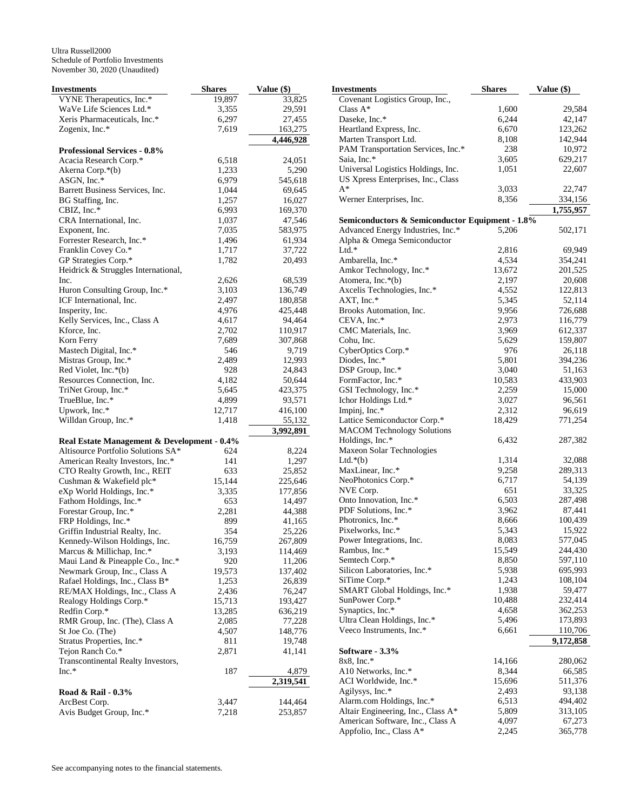| Investments                                 | <b>Shares</b> | Value (\$) | <b>Investments</b>                              | <b>Shares</b> | Value (\$) |
|---------------------------------------------|---------------|------------|-------------------------------------------------|---------------|------------|
| VYNE Therapeutics, Inc.*                    | 19,897        | 33,825     | Covenant Logistics Group, Inc.,                 |               |            |
| WaVe Life Sciences Ltd.*                    | 3,355         | 29,591     | Class $\mathbf{A}^*$                            | 1,600         | 29,584     |
| Xeris Pharmaceuticals, Inc.*                | 6,297         | 27,455     | Daseke, Inc.*                                   | 6,244         | 42,147     |
| Zogenix, Inc.*                              | 7,619         | 163,275    | Heartland Express, Inc.                         | 6,670         | 123,262    |
|                                             |               | 4,446,928  | Marten Transport Ltd.                           | 8,108         | 142,944    |
| <b>Professional Services - 0.8%</b>         |               |            | PAM Transportation Services, Inc.*              | 238           | 10,972     |
| Acacia Research Corp.*                      | 6,518         | 24,051     | Saia, Inc.*                                     | 3,605         | 629,217    |
|                                             |               |            | Universal Logistics Holdings, Inc.              | 1,051         | 22,607     |
| Akerna Corp.*(b)                            | 1,233         | 5,290      | US Xpress Enterprises, Inc., Class              |               |            |
| ASGN, Inc.*                                 | 6,979         | 545,618    | $A^*$                                           | 3,033         | 22,747     |
| Barrett Business Services, Inc.             | 1,044         | 69,645     |                                                 |               |            |
| BG Staffing, Inc.                           | 1,257         | 16,027     | Werner Enterprises, Inc.                        | 8,356         | 334,156    |
| CBIZ, Inc.*                                 | 6,993         | 169,370    |                                                 |               | 1,755,957  |
| CRA International, Inc.                     | 1,037         | 47,546     | Semiconductors & Semiconductor Equipment - 1.8% |               |            |
| Exponent, Inc.                              | 7,035         | 583,975    | Advanced Energy Industries, Inc.*               | 5,206         | 502,171    |
| Forrester Research, Inc.*                   | 1,496         | 61,934     | Alpha & Omega Semiconductor                     |               |            |
| Franklin Covey Co.*                         | 1,717         | 37,722     | $Ltd.*$                                         | 2,816         | 69,949     |
| GP Strategies Corp.*                        | 1,782         | 20,493     | Ambarella, Inc.*                                | 4,534         | 354,241    |
| Heidrick & Struggles International,         |               |            | Amkor Technology, Inc.*                         | 13,672        | 201,525    |
| Inc.                                        | 2,626         | 68,539     | Atomera, Inc.*(b)                               | 2,197         | 20,608     |
| Huron Consulting Group, Inc.*               | 3,103         | 136,749    | Axcelis Technologies, Inc.*                     | 4,552         | 122,813    |
| ICF International, Inc.                     | 2,497         | 180,858    | AXT, Inc.*                                      | 5,345         | 52,114     |
| Insperity, Inc.                             | 4,976         | 425,448    | Brooks Automation, Inc.                         | 9,956         | 726,688    |
| Kelly Services, Inc., Class A               |               | 94,464     |                                                 | 2,973         |            |
|                                             | 4,617         |            | $CEVA$ , Inc. $*$                               |               | 116,779    |
| Kforce, Inc.                                | 2,702         | 110,917    | CMC Materials, Inc.                             | 3,969         | 612,337    |
| Korn Ferry                                  | 7,689         | 307,868    | Cohu, Inc.                                      | 5,629         | 159,807    |
| Mastech Digital, Inc.*                      | 546           | 9,719      | CyberOptics Corp.*                              | 976           | 26,118     |
| Mistras Group, Inc.*                        | 2,489         | 12,993     | Diodes, Inc.*                                   | 5,801         | 394,236    |
| Red Violet, Inc.*(b)                        | 928           | 24,843     | DSP Group, Inc.*                                | 3,040         | 51,163     |
| Resources Connection, Inc.                  | 4,182         | 50,644     | FormFactor, Inc.*                               | 10,583        | 433,903    |
| TriNet Group, Inc.*                         | 5,645         | 423,375    | GSI Technology, Inc.*                           | 2,259         | 15,000     |
| TrueBlue, Inc.*                             | 4,899         | 93,571     | Ichor Holdings Ltd.*                            | 3,027         | 96,561     |
| Upwork, Inc.*                               | 12,717        | 416,100    | Impinj, Inc.*                                   | 2,312         | 96,619     |
| Willdan Group, Inc.*                        | 1,418         | 55,132     | Lattice Semiconductor Corp.*                    | 18,429        | 771,254    |
|                                             |               | 3,992,891  | <b>MACOM Technology Solutions</b>               |               |            |
| Real Estate Management & Development - 0.4% |               |            | Holdings, Inc.*                                 | 6,432         | 287,382    |
| Altisource Portfolio Solutions SA*          | 624           | 8,224      | Maxeon Solar Technologies                       |               |            |
| American Realty Investors, Inc.*            | 141           | 1,297      | Ltd. $*(b)$                                     | 1,314         | 32,088     |
| CTO Realty Growth, Inc., REIT               | 633           | 25,852     | MaxLinear, Inc.*                                | 9,258         | 289,313    |
|                                             | 15,144        | 225,646    | NeoPhotonics Corp.*                             | 6,717         | 54,139     |
| Cushman & Wakefield plc*                    |               |            | NVE Corp.                                       | 651           | 33,325     |
| eXp World Holdings, Inc.*                   | 3,335         | 177,856    | Onto Innovation, Inc.*                          |               |            |
| Fathom Holdings, Inc.*                      | 653           | 14,497     |                                                 | 6,503         | 287,498    |
| Forestar Group, Inc.*                       | 2,281         | 44,388     | PDF Solutions, Inc.*                            | 3,962         | 87,441     |
| FRP Holdings, Inc.*                         | 899           | 41,165     | Photronics, Inc.*                               | 8,666         | 100,439    |
| Griffin Industrial Realty, Inc.             | 354           | 25,226     | Pixelworks, Inc.*                               | 5,343         | 15,922     |
| Kennedy-Wilson Holdings, Inc.               | 16,759        | 267,809    | Power Integrations, Inc.                        | 8,083         | 577,045    |
| Marcus & Millichap, Inc.*                   | 3,193         | 114,469    | Rambus, Inc.*                                   | 15,549        | 244,430    |
| Maui Land & Pineapple Co., Inc.*            | 920           | 11,206     | Semtech Corp.*                                  | 8,850         | 597,110    |
| Newmark Group, Inc., Class A                | 19,573        | 137,402    | Silicon Laboratories, Inc.*                     | 5,938         | 695,993    |
| Rafael Holdings, Inc., Class B*             | 1,253         | 26,839     | SiTime Corp.*                                   | 1,243         | 108,104    |
| RE/MAX Holdings, Inc., Class A              | 2,436         | 76,247     | SMART Global Holdings, Inc.*                    | 1,938         | 59,477     |
| Realogy Holdings Corp.*                     | 15,713        | 193,427    | SunPower Corp.*                                 | 10,488        | 232,414    |
| Redfin Corp.*                               | 13,285        | 636,219    | Synaptics, Inc.*                                | 4,658         | 362,253    |
| RMR Group, Inc. (The), Class A              | 2,085         | 77,228     | Ultra Clean Holdings, Inc.*                     | 5,496         | 173,893    |
| St Joe Co. (The)                            | 4,507         | 148,776    | Veeco Instruments, Inc.*                        | 6,661         | 110,706    |
| Stratus Properties, Inc.*                   | 811           | 19,748     |                                                 |               | 9,172,858  |
|                                             |               |            |                                                 |               |            |
| Tejon Ranch Co.*                            | 2,871         | 41,141     | Software - 3.3%                                 |               |            |
| Transcontinental Realty Investors,          |               |            | 8x8, Inc.*                                      | 14,166        | 280,062    |
| Inc.*                                       | 187           | 4,879      | A10 Networks, Inc.*                             | 8,344         | 66,585     |
|                                             |               | 2,319,541  | ACI Worldwide, Inc.*                            | 15,696        | 511,376    |
| Road & Rail - 0.3%                          |               |            | Agilysys, Inc.*                                 | 2,493         | 93,138     |
| ArcBest Corp.                               | 3,447         | 144,464    | Alarm.com Holdings, Inc.*                       | 6,513         | 494,402    |
| Avis Budget Group, Inc.*                    | 7,218         | 253,857    | Altair Engineering, Inc., Class A*              | 5,809         | 313,105    |
|                                             |               |            | American Software, Inc., Class A                | 4,097         | 67,273     |

Appfolio, Inc., Class A\* 2,245 365,778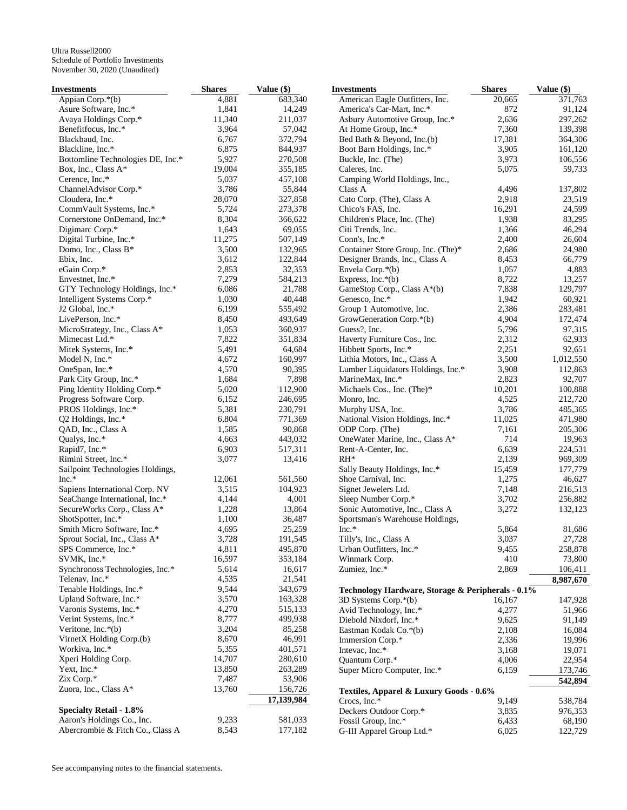| Investments                       | <b>Shares</b>  | Value $(\$)$       | <b>Investments</b>                                    | <b>Shares</b>  | Value (\$)           |
|-----------------------------------|----------------|--------------------|-------------------------------------------------------|----------------|----------------------|
| Appian Corp.*(b)                  | 4,881          | 683,340            | American Eagle Outfitters, Inc.                       | 20,665         | 371,763              |
| Asure Software, Inc.*             | 1,841          | 14,249             | America's Car-Mart, Inc.*                             | 872            | 91,124               |
| Avaya Holdings Corp.*             | 11,340         | 211,037            | Asbury Automotive Group, Inc.*                        | 2,636          | 297,262              |
| Benefitfocus, Inc.*               | 3,964          | 57,042             | At Home Group, Inc.*                                  | 7,360          | 139,398              |
| Blackbaud, Inc.                   | 6,767          | 372,794            | Bed Bath & Beyond, Inc.(b)                            | 17,381         | 364,306              |
| Blackline, Inc.*                  | 6,875          | 844,937            | Boot Barn Holdings, Inc.*                             | 3,905          | 161,120              |
| Bottomline Technologies DE, Inc.* | 5,927          | 270,508            | Buckle, Inc. (The)                                    | 3,973          | 106,556              |
| Box, Inc., Class A*               | 19,004         | 355,185            | Caleres, Inc.                                         | 5,075          | 59,733               |
| Cerence, Inc.*                    | 5,037          | 457,108            | Camping World Holdings, Inc.,                         |                |                      |
| ChannelAdvisor Corp.*             | 3,786          | 55,844             | Class A                                               | 4,496          | 137,802              |
| Cloudera, Inc.*                   | 28,070         | 327,858            | Cato Corp. (The), Class A                             | 2,918          | 23,519               |
| CommVault Systems, Inc.*          | 5,724          | 273,378            | Chico's FAS, Inc.                                     | 16,291         | 24,599               |
| Cornerstone OnDemand, Inc.*       | 8,304          | 366,622            | Children's Place, Inc. (The)                          | 1,938          | 83,295               |
| Digimarc Corp.*                   | 1,643          | 69,055             | Citi Trends, Inc.                                     | 1,366          | 46,294               |
| Digital Turbine, Inc.*            | 11,275         | 507,149            | Conn's, Inc.*                                         | 2,400          | 26,604               |
| Domo, Inc., Class B*              | 3,500          | 132,965            | Container Store Group, Inc. (The)*                    | 2,686          | 24,980               |
| Ebix, Inc.                        | 3,612          | 122,844            | Designer Brands, Inc., Class A                        | 8,453          | 66,779               |
| eGain Corp.*                      | 2,853          | 32,353             | Envela Corp.*(b)                                      | 1,057          | 4,883                |
| Envestnet, Inc.*                  | 7,279          | 584,213            | Express, Inc. $*(b)$                                  | 8,722          | 13,257               |
| GTY Technology Holdings, Inc.*    | 6,086          | 21,788             | GameStop Corp., Class A*(b)                           | 7,838          | 129,797              |
| Intelligent Systems Corp.*        | 1,030          | 40,448             | Genesco, Inc.*                                        | 1,942          | 60,921               |
| J2 Global, Inc.*                  | 6,199          | 555,492            | Group 1 Automotive, Inc.                              | 2,386          | 283,481              |
| LivePerson, Inc.*                 | 8,450          | 493,649<br>360,937 | GrowGeneration Corp.*(b)                              | 4,904          | 172,474              |
| MicroStrategy, Inc., Class A*     | 1,053          |                    | Guess?, Inc.                                          | 5,796          | 97,315               |
| Mimecast Ltd.*                    | 7,822<br>5,491 | 351,834<br>64,684  | Haverty Furniture Cos., Inc.                          | 2,312<br>2,251 | 62,933<br>92,651     |
| Mitek Systems, Inc.*              | 4.672          |                    | Hibbett Sports, Inc.*<br>Lithia Motors, Inc., Class A |                |                      |
| Model N, Inc.*<br>OneSpan, Inc.*  | 4,570          | 160,997<br>90,395  | Lumber Liquidators Holdings, Inc.*                    | 3,500<br>3,908 | 1,012,550<br>112,863 |
| Park City Group, Inc.*            | 1,684          | 7,898              | MarineMax, Inc.*                                      | 2,823          | 92,707               |
| Ping Identity Holding Corp.*      | 5,020          | 112,900            | Michaels Cos., Inc. (The)*                            | 10,201         | 100,888              |
| Progress Software Corp.           | 6,152          | 246,695            | Monro, Inc.                                           | 4,525          | 212,720              |
| PROS Holdings, Inc.*              | 5,381          | 230,791            | Murphy USA, Inc.                                      | 3,786          | 485,365              |
| Q2 Holdings, Inc.*                | 6,804          | 771,369            | National Vision Holdings, Inc.*                       | 11,025         | 471,980              |
| QAD, Inc., Class A                | 1,585          | 90,868             | ODP Corp. (The)                                       | 7,161          | 205,306              |
| Qualys, Inc.*                     | 4,663          | 443,032            | OneWater Marine, Inc., Class A*                       | 714            | 19,963               |
| Rapid7, Inc.*                     | 6,903          | 517,311            | Rent-A-Center, Inc.                                   | 6,639          | 224,531              |
| Rimini Street, Inc.*              | 3,077          | 13,416             | $RH^*$                                                | 2,139          | 969,309              |
| Sailpoint Technologies Holdings,  |                |                    | Sally Beauty Holdings, Inc.*                          | 15,459         | 177,779              |
| $Inc.*$                           | 12,061         | 561,560            | Shoe Carnival, Inc.                                   | 1,275          | 46,627               |
| Sapiens International Corp. NV    | 3,515          | 104,923            | Signet Jewelers Ltd.                                  | 7,148          | 216,513              |
| SeaChange International, Inc.*    | 4,144          | 4,001              | Sleep Number Corp.*                                   | 3,702          | 256,882              |
| SecureWorks Corp., Class A*       | 1,228          | 13,864             | Sonic Automotive, Inc., Class A                       | 3,272          | 132,123              |
| ShotSpotter, Inc.*                | 1,100          | 36,487             | Sportsman's Warehouse Holdings,                       |                |                      |
| Smith Micro Software, Inc.*       | 4,695          | 25,259             | $Inc.*$                                               | 5,864          | 81,686               |
| Sprout Social, Inc., Class A*     | 3,728          | 191,545            | Tilly's, Inc., Class A                                | 3,037          | 27,728               |
| SPS Commerce, Inc.*               | 4,811          | 495,870            | Urban Outfitters, Inc.*                               | 9,455          | 258,878              |
| SVMK, Inc.*                       | 16,597         | 353,184            | Winmark Corp.                                         | 410            | 73,800               |
| Synchronoss Technologies, Inc.*   | 5,614          | 16,617             | Zumiez, Inc.*                                         | 2,869          | 106,411              |
| Telenav, Inc.*                    | 4,535          | 21,541             |                                                       |                | 8,987,670            |
| Tenable Holdings, Inc.*           | 9,544          | 343,679            | Technology Hardware, Storage & Peripherals - 0.1%     |                |                      |
| Upland Software, Inc.*            | 3,570          | 163,328            | 3D Systems Corp.*(b)                                  | 16,167         | 147,928              |
| Varonis Systems, Inc.*            | 4,270          | 515,133            | Avid Technology, Inc.*                                | 4,277          | 51,966               |
| Verint Systems, Inc.*             | 8,777          | 499,938            | Diebold Nixdorf, Inc.*                                | 9,625          | 91,149               |
| Veritone, Inc. $*(b)$             | 3,204          | 85,258             | Eastman Kodak Co.*(b)                                 | 2,108          | 16,084               |
| VirnetX Holding Corp.(b)          | 8,670          | 46,991             | Immersion Corp.*                                      | 2,336          | 19,996               |
| Workiva, Inc.*                    | 5,355          | 401,571            | Intevac, Inc.*                                        | 3,168          | 19,071               |
| Xperi Holding Corp.               | 14,707         | 280,610            | Quantum Corp.*                                        | 4,006          | 22,954               |
| Yext, Inc.*                       | 13,850         | 263,289            | Super Micro Computer, Inc.*                           | 6,159          | 173,746              |
| Zix Corp.*                        | 7,487          | 53,906             |                                                       |                | 542,894              |
| Zuora, Inc., Class A*             | 13,760         | 156,726            | Textiles, Apparel & Luxury Goods - 0.6%               |                |                      |
|                                   |                | 17,139,984         | Crocs, Inc.*                                          | 9,149          | 538,784              |
| <b>Specialty Retail - 1.8%</b>    |                |                    | Deckers Outdoor Corp.*                                | 3,835          | 976,353              |
| Aaron's Holdings Co., Inc.        | 9,233          | 581,033            | Fossil Group, Inc.*                                   | 6,433          | 68,190               |
| Abercrombie & Fitch Co., Class A  | 8,543          | 177,182            | G-III Apparel Group Ltd.*                             | 6,025          | 122,729              |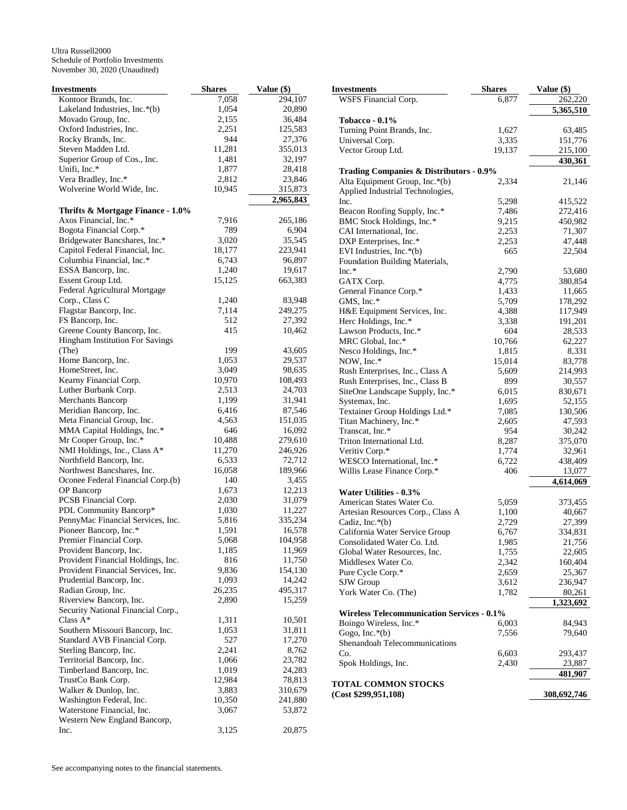| <b>Investments</b>                                                       | <b>Shares</b>   | Value (\$)           |
|--------------------------------------------------------------------------|-----------------|----------------------|
| Kontoor Brands, Inc.                                                     | 7,058           | 294,107              |
| Lakeland Industries, Inc.*(b)                                            | 1,054           | 20,890               |
| Movado Group, Inc.                                                       | 2,155           | 36,484               |
| Oxford Industries, Inc.                                                  | 2,251           | 125,583              |
| Rocky Brands, Inc.                                                       | 944             | 27,376               |
| Steven Madden Ltd.                                                       | 11,281          | 355,013              |
| Superior Group of Cos., Inc.                                             | 1,481           | 32,197               |
| Unifi, Inc.*                                                             | 1,877           | 28,418               |
| Vera Bradley, Inc.*                                                      | 2,812           | 23,846               |
| Wolverine World Wide, Inc.                                               | 10,945          | 315,873<br>2,965,843 |
| Thrifts & Mortgage Finance - 1.0%                                        |                 |                      |
| Axos Financial, Inc.*                                                    | 7,916           | 265,186              |
| Bogota Financial Corp.*                                                  | 789             | 6,904                |
| Bridgewater Bancshares, Inc.*                                            | 3,020           | 35,545               |
| Capitol Federal Financial, Inc.                                          | 18,177          | 223,941              |
| Columbia Financial, Inc.*                                                | 6,743           | 96,897               |
| ESSA Bancorp, Inc.                                                       | 1,240           | 19,617               |
| Essent Group Ltd.                                                        | 15,125          | 663,383              |
| Federal Agricultural Mortgage                                            |                 |                      |
| Corp., Class C                                                           | 1,240           | 83,948               |
| Flagstar Bancorp, Inc.                                                   | 7,114           | 249,275              |
| FS Bancorp, Inc.                                                         | 512             | 27,392               |
| Greene County Bancorp, Inc.                                              | 415             | 10,462               |
| Hingham Institution For Savings                                          |                 |                      |
| (The)                                                                    | 199             | 43,605               |
| Home Bancorp, Inc.<br>HomeStreet, Inc.                                   | 1,053           | 29,537               |
| Kearny Financial Corp.                                                   | 3,049<br>10,970 | 98,635               |
| Luther Burbank Corp.                                                     | 2,513           | 108,493<br>24,703    |
| <b>Merchants Bancorp</b>                                                 | 1,199           | 31,941               |
| Meridian Bancorp, Inc.                                                   | 6,416           | 87,546               |
| Meta Financial Group, Inc.                                               | 4,563           | 151,035              |
| MMA Capital Holdings, Inc.*                                              | 646             | 16,092               |
| Mr Cooper Group, Inc.*                                                   | 10,488          | 279,610              |
| NMI Holdings, Inc., Class A*                                             | 11,270          | 246,926              |
| Northfield Bancorp, Inc.                                                 | 6,533           | 72,712               |
| Northwest Bancshares, Inc.                                               | 16,058          | 189,966              |
| Oconee Federal Financial Corp.(b)                                        | 140             | 3,455                |
| OP Bancorp                                                               | 1,673           | 12,213               |
| PCSB Financial Corp.                                                     | 2,030           | 31,079               |
| PDL Community Bancorp*                                                   | 1,030           | 11,227               |
| PennyMac Financial Services, Inc.                                        | 5,816           | 335,234              |
| Pioneer Bancorp, Inc.*                                                   | 1,591           | 16,578               |
| Premier Financial Corp.                                                  | 5,068           | 104,958              |
| Provident Bancorp, Inc.                                                  | 1,185           | 11,969               |
| Provident Financial Holdings, Inc.<br>Provident Financial Services, Inc. | 816             | 11,750               |
|                                                                          | 9,836<br>1,093  | 154,130              |
| Prudential Bancorp, Inc.                                                 | 26,235          | 14,242<br>495,317    |
| Radian Group, Inc.<br>Riverview Bancorp, Inc.                            | 2,890           | 15,259               |
| Security National Financial Corp.,                                       |                 |                      |
| Class $A^*$                                                              | 1,311           | 10,501               |
| Southern Missouri Bancorp, Inc.                                          | 1,053           | 31,811               |
| Standard AVB Financial Corp.                                             | 527             | 17,270               |
| Sterling Bancorp, Inc.                                                   | 2,241           | 8,762                |
| Territorial Bancorp, Inc.                                                | 1,066           | 23,782               |
| Timberland Bancorp, Inc.                                                 | 1,019           | 24,283               |
| TrustCo Bank Corp.                                                       | 12,984          | 78,813               |
| Walker & Dunlop, Inc.                                                    | 3,883           | 310,679              |
| Washington Federal, Inc.                                                 | 10,350          | 241,880              |
| Waterstone Financial, Inc.                                               | 3,067           | 53,872               |
| Western New England Bancorp,                                             |                 |                      |
| Inc.                                                                     | 3,125           | 20,875               |

| <b>Investments</b>                                 | <b>Shares</b> | Value (\$)  |
|----------------------------------------------------|---------------|-------------|
| WSFS Financial Corp.                               | 6,877         | 262,220     |
|                                                    |               | 5,365,510   |
| <b>Tobacco - 0.1%</b>                              |               |             |
| Turning Point Brands, Inc.                         | 1,627         | 63,485      |
| Universal Corp.                                    | 3,335         | 151,776     |
| Vector Group Ltd.                                  | 19,137        | 215,100     |
|                                                    |               | 430,361     |
| <b>Trading Companies &amp; Distributors - 0.9%</b> |               |             |
| Alta Equipment Group, Inc.*(b)                     | 2,334         | 21,146      |
| Applied Industrial Technologies,                   |               |             |
| Inc.                                               | 5,298         | 415,522     |
| Beacon Roofing Supply, Inc.*                       | 7,486         | 272,416     |
| BMC Stock Holdings, Inc.*                          | 9,215         | 450,982     |
| CAI International, Inc.                            | 2,253         | 71,307      |
| DXP Enterprises, Inc.*                             | 2,253         | 47,448      |
| EVI Industries, Inc. $*(b)$                        | 665           | 22,504      |
| Foundation Building Materials,                     |               |             |
| $Inc.*$                                            | 2,790         | 53,680      |
| GATX Corp.                                         | 4,775         | 380,854     |
| General Finance Corp.*                             | 1,433         | 11,665      |
| GMS, Inc.*                                         | 5,709         | 178,292     |
| H&E Equipment Services, Inc.                       | 4,388         | 117,949     |
| Herc Holdings, Inc.*                               | 3,338         | 191,201     |
| Lawson Products, Inc.*                             | 604           | 28,533      |
| MRC Global, Inc.*                                  | 10,766        | 62,227      |
| Nesco Holdings, Inc.*                              | 1,815         | 8,331       |
| NOW, Inc.*                                         | 15,014        | 83,778      |
| Rush Enterprises, Inc., Class A                    | 5,609         | 214,993     |
| Rush Enterprises, Inc., Class B                    | 899           | 30,557      |
| SiteOne Landscape Supply, Inc.*                    | 6,015         | 830,671     |
| Systemax, Inc.                                     | 1,695         | 52,155      |
| Textainer Group Holdings Ltd.*                     | 7,085         | 130,506     |
| Titan Machinery, Inc.*                             | 2,605         | 47,593      |
| Transcat, Inc.*                                    | 954           | 30,242      |
| Triton International Ltd.                          | 8,287         | 375,070     |
| Veritiv Corp.*                                     | 1,774         | 32,961      |
| WESCO International, Inc.*                         | 6,722         | 438,409     |
| Willis Lease Finance Corp.*                        | 406           | 13,077      |
|                                                    |               | 4,614,069   |
| <b>Water Utilities - 0.3%</b>                      |               |             |
| American States Water Co.                          | 5,059         | 373,455     |
| Artesian Resources Corp., Class A                  | 1,100         | 40,667      |
| Cadiz, Inc.*(b)                                    | 2,729         | 27,399      |
| California Water Service Group                     | 6,767         | 334,831     |
| Consolidated Water Co. Ltd.                        | 1,985         | 21,756      |
| Global Water Resources, Inc.                       | 1,755         | 22,605      |
| Middlesex Water Co.                                | 2,342         | 160,404     |
| Pure Cycle Corp.*                                  | 2,659         | 25,367      |
| SJW Group                                          | 3,612         | 236,947     |
| York Water Co. (The)                               | 1,782         | 80,261      |
|                                                    |               | 1,323,692   |
| <b>Wireless Telecommunication Services - 0.1%</b>  |               |             |
| Boingo Wireless, Inc.*                             | 6,003         | 84,943      |
| Gogo, Inc.*(b)                                     | 7,556         | 79,640      |
| Shenandoah Telecommunications                      |               |             |
| Co.                                                | 6,603         | 293,437     |
| Spok Holdings, Inc.                                | 2,430         | 23,887      |
|                                                    |               | 481,907     |
| <b>TOTAL COMMON STOCKS</b><br>(Cost \$299,951,108) |               | 308,692,746 |
|                                                    |               |             |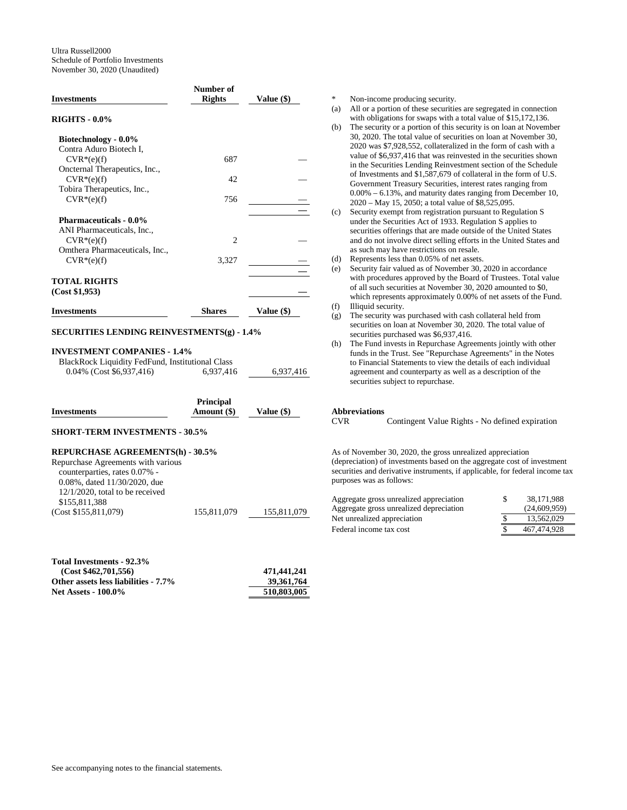| <b>Investments</b>             | Number of<br><b>Rights</b> | <b>Value (\$)</b> |
|--------------------------------|----------------------------|-------------------|
| <b>RIGHTS - 0.0%</b>           |                            |                   |
| Biotechnology - 0.0%           |                            |                   |
| Contra Aduro Biotech I,        |                            |                   |
| $CVR*(e)(f)$                   | 687                        |                   |
| Oncternal Therapeutics, Inc.,  |                            |                   |
| $CVR*(e)(f)$                   | 42                         |                   |
| Tobira Therapeutics, Inc.,     |                            |                   |
| $CVR*(e)(f)$                   | 756                        |                   |
|                                |                            |                   |
| <b>Pharmaceuticals - 0.0%</b>  |                            |                   |
| ANI Pharmaceuticals, Inc.,     |                            |                   |
| $CVR*(e)(f)$                   | $\mathfrak{D}$             |                   |
| Omthera Pharmaceuticals, Inc., |                            |                   |
| $CVR*(e)(f)$                   | 3,327                      |                   |
|                                |                            |                   |
| <b>TOTAL RIGHTS</b>            |                            |                   |
| (Cost \$1,953)                 |                            |                   |
| <b>Investments</b>             | <b>Shares</b>              | <b>Value (\$)</b> |

## **SECURITIES LENDING REINVESTMENTS(g) - 1.4%**

## **INVESTMENT COMPANIES - 1.4%**

BlackRock Liquidity FedFund, Institutional Class

| 0.04% (Cost \$6,937,416) | 6,937,416 | 6,937,416 |
|--------------------------|-----------|-----------|
|                          |           |           |

|             | <b>Principal</b> |              |
|-------------|------------------|--------------|
| Investments | Amount (\$)      | Value $(\$)$ |
|             |                  |              |

## **SHORT-TERM INVESTMENTS - 30.5%**

## **REPURCHASE AGREEMENTS(h) - 30.5%**

| Repurchase Agreements with various  |             |             |
|-------------------------------------|-------------|-------------|
| counterparties, rates 0.07% -       |             |             |
| $0.08\%$ , dated $11/30/2020$ , due |             |             |
| $12/1/2020$ , total to be received  |             |             |
| \$155,811,388                       |             |             |
| (Cost \$155,811,079)                | 155,811,079 | 155,811,079 |

| Total Investments - 92.3%            |              |
|--------------------------------------|--------------|
| (Cost \$462,701,556)                 | 471.441.241  |
| Other assets less liabilities - 7.7% | 39, 361, 764 |
| <b>Net Assets - 100.0%</b>           | 510,803,005  |

Non-income producing security. (a) All or a portion of these securities are segregated in connection with obligations for swaps with a total value of \$15,172,136. (b) The security or a portion of this security is on loan at November 30, 2020. The total value of securities on loan at November 30, 2020 was \$7,928,552, collateralized in the form of cash with a value of \$6,937,416 that was reinvested in the securities shown in the Securities Lending Reinvestment section of the Schedule of Investments and \$1,587,679 of collateral in the form of U.S. Government Treasury Securities, interest rates ranging from 0.00% – 6.13%, and maturity dates ranging from December 10, 2020 – May 15, 2050; a total value of \$8,525,095. (c) Security exempt from registration pursuant to Regulation S under the Securities Act of 1933. Regulation S applies to

- securities offerings that are made outside of the United States and do not involve direct selling efforts in the United States and as such may have restrictions on resale.
- (d) Represents less than 0.05% of net assets.
- (e) Security fair valued as of November 30, 2020 in accordance with procedures approved by the Board of Trustees. Total value of all such securities at November 30, 2020 amounted to \$0, which represents approximately 0.00% of net assets of the Fund.
- (f) Illiquid security.
- (g) The security was purchased with cash collateral held from securities on loan at November 30, 2020. The total value of securities purchased was \$6,937,416.
- (h) The Fund invests in Repurchase Agreements jointly with other funds in the Trust. See "Repurchase Agreements" in the Notes to Financial Statements to view the details of each individual agreement and counterparty as well as a description of the securities subject to repurchase.

# **Abbreviations**

Contingent Value Rights - No defined expiration

As of November 30, 2020, the gross unrealized appreciation (depreciation) of investments based on the aggregate cost of investment securities and derivative instruments, if applicable, for federal income tax purposes was as follows:

| Aggregate gross unrealized appreciation | S | 38.171.988   |
|-----------------------------------------|---|--------------|
| Aggregate gross unrealized depreciation |   | (24,609,959) |
| Net unrealized appreciation             |   | 13.562.029   |
| Federal income tax cost                 |   | 467.474.928  |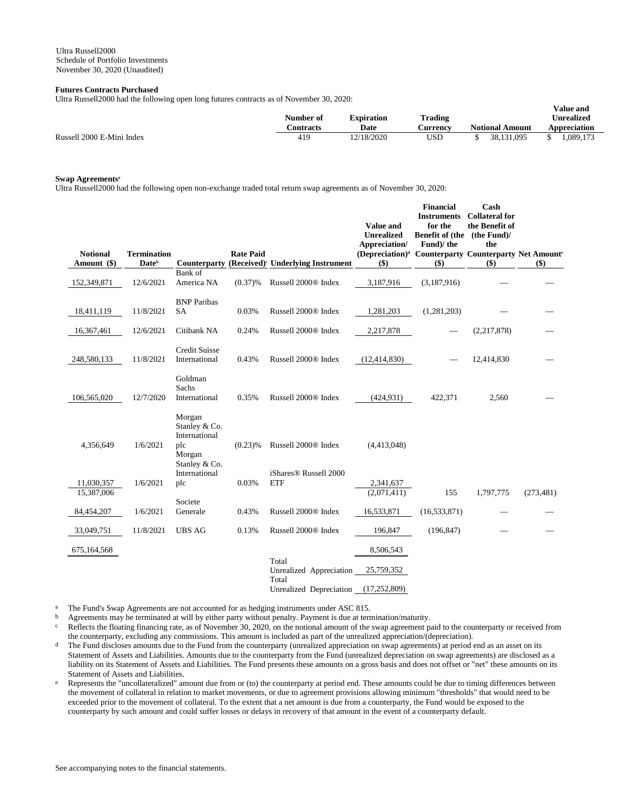## **Futures Contracts Purchased**

Ultra Russell2000 had the following open long futures contracts as of November 30, 2020:

|                           | Number of        | <b>Expiration</b> | Trading  |                        | v alut allu<br><b>Unrealized</b> |
|---------------------------|------------------|-------------------|----------|------------------------|----------------------------------|
|                           | <b>Contracts</b> | Date              | Aurrency | <b>Notional Amount</b> | Appreciation                     |
| Russell 2000 E-Mini Index | 419              | 2/18/2020         | USD      | 38.131.095             | 1.089.17?                        |

**Value and** 

## **Swap Agreements<sup>a</sup>**

Ultra Russell2000 had the following open non-exchange traded total return swap agreements as of November 30, 2020:

| <b>Notional</b><br>Amount (\$) | <b>Termination</b><br>Date <sup>b</sup> | Counterparty                                                                                | <b>Rate Paid</b> | (Received) <sup>c</sup> Underlying Instrument            | <b>Value and</b><br><b>Unrealized</b><br>Appreciation/<br>(Depreciation) <sup>d</sup> Counterparty Counterparty Net Amount <sup>6</sup><br>\$) | <b>Financial</b><br><b>Instruments</b><br>for the<br>Benefit of (the (the Fund)/<br>Fund)/the<br>\$) | Cash<br><b>Collateral for</b><br>the Benefit of<br>the<br>$($)$ | \$)        |
|--------------------------------|-----------------------------------------|---------------------------------------------------------------------------------------------|------------------|----------------------------------------------------------|------------------------------------------------------------------------------------------------------------------------------------------------|------------------------------------------------------------------------------------------------------|-----------------------------------------------------------------|------------|
| 152,349,871                    | 12/6/2021                               | Bank of<br>America NA                                                                       | $(0.37)\%$       | Russell 2000® Index                                      | 3,187,916                                                                                                                                      | (3,187,916)                                                                                          |                                                                 |            |
| 18,411,119                     | 11/8/2021                               | <b>BNP</b> Paribas<br>SA                                                                    | 0.03%            | Russell 2000® Index                                      | 1,281,203                                                                                                                                      | (1,281,203)                                                                                          |                                                                 |            |
| 16,367,461                     | 12/6/2021                               | Citibank NA                                                                                 | 0.24%            | Russell 2000® Index                                      | 2,217,878                                                                                                                                      |                                                                                                      | (2,217,878)                                                     |            |
| 248,580,133                    | 11/8/2021                               | <b>Credit Suisse</b><br>International                                                       | 0.43%            | Russell 2000® Index                                      | (12, 414, 830)                                                                                                                                 |                                                                                                      | 12,414,830                                                      |            |
| 106,565,020                    | 12/7/2020                               | Goldman<br>Sachs<br>International                                                           | 0.35%            | Russell 2000® Index                                      | (424, 931)                                                                                                                                     | 422,371                                                                                              | 2,560                                                           |            |
| 4,356,649                      | 1/6/2021                                | Morgan<br>Stanley & Co.<br>International<br>plc<br>Morgan<br>Stanley & Co.<br>International | $(0.23)$ %       | Russell 2000® Index<br>iShares <sup>®</sup> Russell 2000 | (4,413,048)                                                                                                                                    |                                                                                                      |                                                                 |            |
| 11,030,357                     | 1/6/2021                                | plc                                                                                         | 0.03%            | <b>ETF</b>                                               | 2,341,637                                                                                                                                      |                                                                                                      |                                                                 |            |
| 15,387,006<br>84,454,207       | 1/6/2021                                | Societe<br>Generale                                                                         | 0.43%            | Russell 2000® Index                                      | (2,071,411)<br>16,533,871                                                                                                                      | 155<br>(16, 533, 871)                                                                                | 1,797,775                                                       | (273, 481) |
| 33,049,751                     | 11/8/2021                               | <b>UBS AG</b>                                                                               | 0.13%            | Russell 2000® Index                                      | 196,847                                                                                                                                        | (196, 847)                                                                                           |                                                                 |            |
| 675,164,568                    |                                         |                                                                                             |                  |                                                          | 8,506,543                                                                                                                                      |                                                                                                      |                                                                 |            |
|                                |                                         |                                                                                             |                  | Total<br>Unrealized Appreciation                         | 25,759,352                                                                                                                                     |                                                                                                      |                                                                 |            |
|                                |                                         |                                                                                             |                  | Total<br>Unrealized Depreciation                         | (17, 252, 809)                                                                                                                                 |                                                                                                      |                                                                 |            |

<sup>a</sup> The Fund's Swap Agreements are not accounted for as hedging instruments under ASC 815.<br>  $\frac{b}{a}$  Agreements may be terminated at will by either party without penalty. Payment is due at term

b Agreements may be terminated at will by either party without penalty. Payment is due at termination/maturity.

<sup>c</sup> Reflects the floating financing rate, as of November 30, 2020, on the notional amount of the swap agreement paid to the counterparty or received from the counterparty, excluding any commissions. This amount is included as part of the unrealized appreciation/(depreciation).

- <sup>d</sup> The Fund discloses amounts due to the Fund from the counterparty (unrealized appreciation on swap agreements) at period end as an asset on its Statement of Assets and Liabilities. Amounts due to the counterparty from the Fund (unrealized depreciation on swap agreements) are disclosed as a liability on its Statement of Assets and Liabilities. The Fund presents these amounts on a gross basis and does not offset or "net" these amounts on its Statement of Assets and Liabilities.
- <sup>e</sup> Represents the "uncollateralized" amount due from or (to) the counterparty at period end. These amounts could be due to timing differences between the movement of collateral in relation to market movements, or due to agreement provisions allowing minimum "thresholds" that would need to be exceeded prior to the movement of collateral. To the extent that a net amount is due from a counterparty, the Fund would be exposed to the counterparty by such amount and could suffer losses or delays in recovery of that amount in the event of a counterparty default.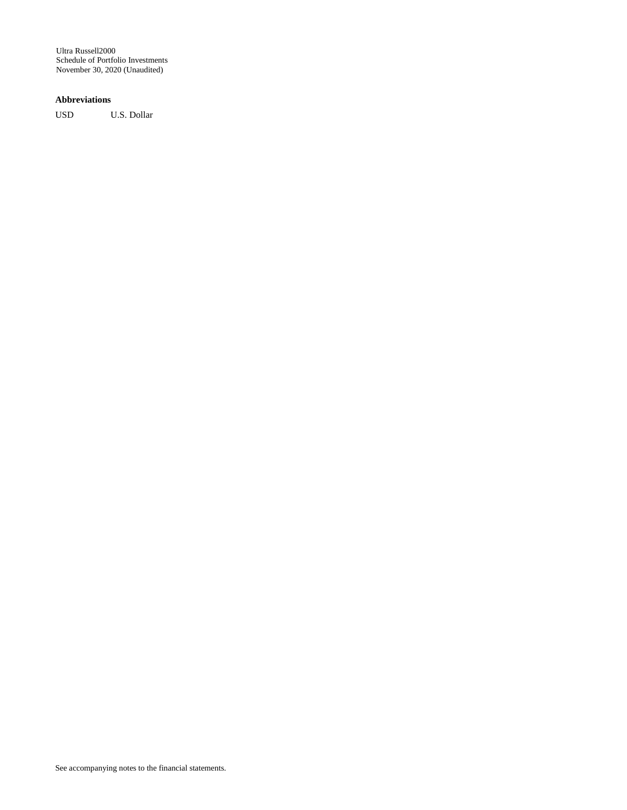## **Abbreviations**

USD U.S. Dollar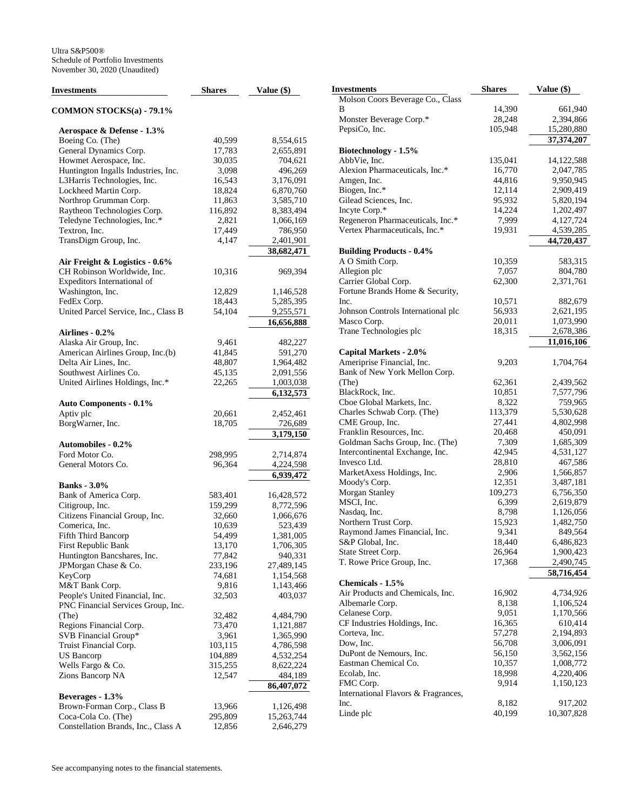| <b>Investments</b>                       | <b>Shares</b> | Value (\$)             |
|------------------------------------------|---------------|------------------------|
| <b>COMMON STOCKS(a) - 79.1%</b>          |               |                        |
| Aerospace & Defense - 1.3%               |               |                        |
| Boeing Co. (The)                         | 40,599        | 8,554,615              |
| General Dynamics Corp.                   | 17,783        | 2,655,891              |
| Howmet Aerospace, Inc.                   | 30,035        | 704,621                |
| Huntington Ingalls Industries, Inc.      | 3,098         | 496,269                |
| L3Harris Technologies, Inc.              | 16,543        | 3,176,091              |
| Lockheed Martin Corp.                    | 18,824        | 6,870,760              |
| Northrop Grumman Corp.                   | 11,863        | 3,585,710              |
| Raytheon Technologies Corp.              | 116,892       | 8,383,494              |
| Teledyne Technologies, Inc.*             | 2,821         | 1,066,169              |
| Textron, Inc.                            | 17,449        | 786,950                |
| TransDigm Group, Inc.                    | 4,147         | 2,401,901              |
|                                          |               | 38,682,471             |
| Air Freight & Logistics - 0.6%           |               |                        |
| CH Robinson Worldwide, Inc.              | 10,316        | 969,394                |
| Expeditors International of              |               |                        |
| Washington, Inc.                         | 12,829        | 1,146,528              |
| FedEx Corp.                              | 18,443        | 5,285,395              |
| United Parcel Service, Inc., Class B     | 54,104        | 9,255,571              |
|                                          |               | 16,656,888             |
| Airlines - 0.2%                          |               |                        |
| Alaska Air Group, Inc.                   | 9,461         | 482,227                |
| American Airlines Group, Inc.(b)         | 41,845        | 591,270                |
| Delta Air Lines, Inc.                    | 48,807        | 1,964,482              |
| Southwest Airlines Co.                   | 45,135        | 2,091,556              |
| United Airlines Holdings, Inc.*          | 22,265        | 1,003,038              |
|                                          |               | 6,132,573              |
| <b>Auto Components - 0.1%</b>            |               |                        |
| Aptiv plc                                | 20,661        | 2,452,461              |
| BorgWarner, Inc.                         | 18,705        | 726,689                |
|                                          |               | 3,179,150              |
| <b>Automobiles - 0.2%</b>                |               |                        |
| Ford Motor Co.                           | 298,995       | 2,714,874              |
| General Motors Co.                       | 96,364        | 4,224,598              |
| <b>Banks</b> - 3.0%                      |               | 6,939,472              |
|                                          | 583,401       |                        |
| Bank of America Corp.<br>Citigroup, Inc. | 159,299       | 16,428,572             |
| Citizens Financial Group, Inc.           | 32,660        | 8,772,596<br>1,066,676 |
| Comerica, Inc.                           | 10,639        | 523,439                |
| Fifth Third Bancorp                      | 54,499        | 1,381,005              |
| First Republic Bank                      | 13,170        | 1,706,305              |
| Huntington Bancshares, Inc.              | 77,842        | 940,331                |
| JPMorgan Chase & Co.                     | 233,196       | 27,489,145             |
| KeyCorp                                  | 74,681        | 1,154,568              |
| M&T Bank Corp.                           | 9,816         | 1,143,466              |
| People's United Financial, Inc.          | 32,503        | 403,037                |
| PNC Financial Services Group, Inc.       |               |                        |
| (The)                                    | 32,482        | 4,484,790              |
| Regions Financial Corp.                  | 73,470        | 1,121,887              |
| SVB Financial Group*                     | 3,961         | 1,365,990              |
| Truist Financial Corp.                   | 103,115       | 4,786,598              |
| US Bancorp                               | 104,889       | 4,532,254              |
| Wells Fargo & Co.                        | 315,255       | 8,622,224              |
| Zions Bancorp NA                         | 12,547        | 484,189                |
|                                          |               | 86,407,072             |
| Beverages - 1.3%                         |               |                        |
| Brown-Forman Corp., Class B              | 13,966        | 1,126,498              |
| Coca-Cola Co. (The)                      | 295,809       | 15,263,744             |
| Constellation Brands, Inc., Class A      | 12,856        | 2,646,279              |

| Investments                         | <b>Shares</b> | Value (\$)   |
|-------------------------------------|---------------|--------------|
| Molson Coors Beverage Co., Class    |               |              |
| В                                   | 14,390        | 661,940      |
| Monster Beverage Corp.*             | 28,248        | 2,394,866    |
| PepsiCo, Inc.                       | 105,948       | 15,280,880   |
|                                     |               | 37,374,207   |
| Biotechnology - 1.5%                |               |              |
| AbbVie, Inc.                        | 135,041       | 14, 122, 588 |
| Alexion Pharmaceuticals, Inc.*      | 16,770        | 2,047,785    |
| Amgen, Inc.                         | 44,816        | 9,950,945    |
| Biogen, Inc.*                       | 12,114        | 2,909,419    |
| Gilead Sciences, Inc.               | 95,932        | 5,820,194    |
| Incyte Corp.*                       | 14,224        | 1,202,497    |
| Regeneron Pharmaceuticals, Inc.*    | 7,999         | 4,127,724    |
| Vertex Pharmaceuticals, Inc.*       | 19,931        | 4,539,285    |
|                                     |               | 44,720,437   |
| <b>Building Products - 0.4%</b>     |               |              |
| A O Smith Corp.                     | 10,359        | 583,315      |
| Allegion plc                        | 7,057         | 804,780      |
| Carrier Global Corp.                | 62,300        | 2,371,761    |
| Fortune Brands Home & Security,     |               |              |
| Inc.                                | 10,571        | 882,679      |
| Johnson Controls International plc  | 56,933        | 2,621,195    |
| Masco Corp.                         | 20,011        | 1,073,990    |
| Trane Technologies plc              | 18,315        | 2,678,386    |
|                                     |               | 11,016,106   |
| <b>Capital Markets - 2.0%</b>       |               |              |
| Ameriprise Financial, Inc.          | 9,203         | 1,704,764    |
| Bank of New York Mellon Corp.       |               |              |
| (The)                               | 62,361        | 2,439,562    |
| BlackRock, Inc.                     | 10,851        | 7,577,796    |
| Cboe Global Markets, Inc.           | 8,322         | 759,965      |
| Charles Schwab Corp. (The)          | 113,379       | 5,530,628    |
| CME Group, Inc.                     | 27,441        | 4,802,998    |
| Franklin Resources, Inc.            | 20,468        | 450,091      |
| Goldman Sachs Group, Inc. (The)     | 7,309         | 1,685,309    |
| Intercontinental Exchange, Inc.     | 42,945        | 4,531,127    |
| Invesco Ltd.                        | 28,810        | 467,586      |
| MarketAxess Holdings, Inc.          | 2,906         | 1,566,857    |
| Moody's Corp.                       | 12,351        | 3,487,181    |
| <b>Morgan Stanley</b>               | 109,273       | 6,756,350    |
| MSCI, Inc.                          | 6,399         | 2,619,879    |
| Nasdaq, Inc.                        | 8,798         | 1,126,056    |
| Northern Trust Corp.                | 15,923        | 1,482,750    |
| Raymond James Financial, Inc.       | 9,341         | 849,564      |
| S&P Global, Inc.                    | 18,440        | 6,486,823    |
| State Street Corp.                  | 26,964        | 1,900,423    |
| T. Rowe Price Group, Inc.           | 17,368        | 2,490,745    |
|                                     |               | 58,716,454   |
| Chemicals - 1.5%                    |               |              |
| Air Products and Chemicals, Inc.    | 16,902        | 4,734,926    |
| Albemarle Corp.                     | 8,138         | 1,106,524    |
| Celanese Corp.                      | 9,051         | 1,170,566    |
| CF Industries Holdings, Inc.        | 16,365        | 610,414      |
| Corteva, Inc.                       | 57,278        | 2,194,893    |
| Dow, Inc.                           | 56,708        | 3,006,091    |
| DuPont de Nemours, Inc.             | 56,150        | 3,562,156    |
| Eastman Chemical Co.                | 10,357        | 1,008,772    |
| Ecolab, Inc.                        | 18,998        | 4,220,406    |
| FMC Corp.                           | 9,914         | 1,150,123    |
| International Flavors & Fragrances, |               |              |
| Inc.                                | 8,182         | 917,202      |
| Linde plc                           | 40,199        | 10,307,828   |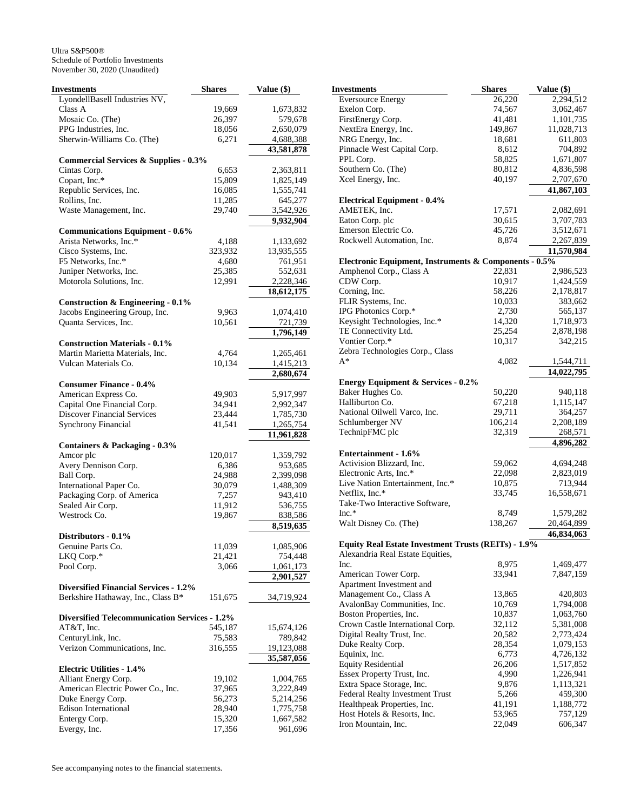| Investments                                             | <b>Shares</b> | Value (\$)             |
|---------------------------------------------------------|---------------|------------------------|
| LyondellBasell Industries NV,                           |               |                        |
| Class A                                                 | 19,669        | 1,673,832              |
| Mosaic Co. (The)                                        | 26,397        | 579,678                |
| PPG Industries, Inc.                                    | 18,056        | 2,650,079              |
| Sherwin-Williams Co. (The)                              | 6,271         | 4,688,388              |
|                                                         |               | 43,581,878             |
| <b>Commercial Services &amp; Supplies - 0.3%</b>        |               |                        |
| Cintas Corp.                                            | 6,653         | 2,363,811              |
| Copart, Inc.*                                           | 15,809        | 1,825,149              |
| Republic Services, Inc.                                 | 16,085        | 1,555,741              |
| Rollins, Inc.                                           | 11,285        | 645,277                |
| Waste Management, Inc.                                  | 29,740        | 3,542,926              |
|                                                         |               | 9,932,904              |
| <b>Communications Equipment - 0.6%</b>                  |               |                        |
| Arista Networks, Inc.*                                  | 4,188         | 1,133,692              |
| Cisco Systems, Inc.                                     | 323,932       | 13,935,555             |
| F5 Networks, Inc.*                                      | 4,680         | 761,951                |
| Juniper Networks, Inc.<br>Motorola Solutions, Inc.      | 25,385        | 552,631                |
|                                                         | 12,991        | 2,228,346              |
|                                                         |               | 18,612,175             |
| <b>Construction &amp; Engineering - 0.1%</b>            |               |                        |
| Jacobs Engineering Group, Inc.                          | 9,963         | 1,074,410              |
| Quanta Services, Inc.                                   | 10,561        | 721,739                |
|                                                         |               | 1,796,149              |
| <b>Construction Materials - 0.1%</b>                    |               |                        |
| Martin Marietta Materials, Inc.<br>Vulcan Materials Co. | 4,764         | 1,265,461              |
|                                                         | 10,134        | 1,415,213              |
|                                                         |               | 2,680,674              |
| <b>Consumer Finance - 0.4%</b><br>American Express Co.  | 49,903        |                        |
| Capital One Financial Corp.                             | 34,941        | 5,917,997<br>2,992,347 |
| <b>Discover Financial Services</b>                      | 23,444        | 1,785,730              |
| <b>Synchrony Financial</b>                              | 41,541        | 1,265,754              |
|                                                         |               | 11,961,828             |
| Containers & Packaging - 0.3%                           |               |                        |
| Amcor plc                                               | 120,017       | 1,359,792              |
| Avery Dennison Corp.                                    | 6,386         | 953,685                |
| Ball Corp.                                              | 24,988        | 2,399,098              |
| International Paper Co.                                 | 30,079        | 1,488,309              |
| Packaging Corp. of America                              | 7,257         | 943,410                |
| Sealed Air Corp.                                        | 11,912        | 536,755                |
| Westrock Co.                                            | 19,867        | 838,586                |
|                                                         |               | 8,519,635              |
| Distributors - 0.1%                                     |               |                        |
| Genuine Parts Co.                                       | 11,039        | 1,085,906              |
| LKQ Corp.*                                              | 21,421        | 754,448                |
| Pool Corp.                                              | 3,066         | 1,061,173              |
|                                                         |               | 2,901,527              |
| <b>Diversified Financial Services - 1.2%</b>            |               |                        |
| Berkshire Hathaway, Inc., Class B*                      | 151,675       | 34,719,924             |
|                                                         |               |                        |
| <b>Diversified Telecommunication Services - 1.2%</b>    |               |                        |
| AT&T, Inc.                                              | 545,187       | 15,674,126             |
| CenturyLink, Inc.                                       | 75,583        | 789,842                |
| Verizon Communications, Inc.                            | 316,555       | 19,123,088             |
|                                                         |               | 35,587,056             |
| <b>Electric Utilities - 1.4%</b>                        |               |                        |
| Alliant Energy Corp.                                    | 19,102        | 1,004,765              |
| American Electric Power Co., Inc.                       | 37,965        | 3,222,849              |
| Duke Energy Corp.                                       | 56,273        | 5,214,256              |
| <b>Edison International</b>                             | 28,940        | 1,775,758              |
| Entergy Corp.                                           | 15,320        | 1,667,582              |
| Evergy, Inc.                                            | 17,356        | 961,696                |

| <b>Investments</b>                                         | <b>Shares</b>    | Value (\$) |
|------------------------------------------------------------|------------------|------------|
| <b>Eversource Energy</b>                                   | 26,220           | 2,294,512  |
| Exelon Corp.                                               | 74,567           | 3,062,467  |
| FirstEnergy Corp.                                          | 41,481           | 1,101,735  |
| NextEra Energy, Inc.                                       | 149,867          | 11,028,713 |
| NRG Energy, Inc.                                           | 18,681           | 611,803    |
| Pinnacle West Capital Corp.                                | 8,612            | 704,892    |
| PPL Corp.                                                  | 58,825           | 1,671,807  |
| Southern Co. (The)                                         | 80,812           | 4,836,598  |
| Xcel Energy, Inc.                                          | 40,197           | 2,707,670  |
| <b>Electrical Equipment - 0.4%</b>                         |                  | 41,867,103 |
| AMETEK, Inc.                                               | 17,571           | 2,082,691  |
| Eaton Corp. plc                                            | 30,615           | 3,707,783  |
| Emerson Electric Co.                                       | 45,726           | 3,512,671  |
| Rockwell Automation, Inc.                                  | 8,874            | 2,267,839  |
|                                                            |                  | 11,570,984 |
| Electronic Equipment, Instruments & Components - 0.5%      |                  |            |
| Amphenol Corp., Class A                                    | 22,831           | 2,986,523  |
| CDW Corp.                                                  |                  |            |
| Corning, Inc.                                              | 10,917<br>58,226 | 1,424,559  |
|                                                            |                  | 2,178,817  |
| FLIR Systems, Inc.                                         | 10,033           | 383,662    |
| IPG Photonics Corp.*                                       | 2,730            | 565,137    |
| Keysight Technologies, Inc.*                               | 14,320           | 1,718,973  |
| TE Connectivity Ltd.                                       | 25,254           | 2,878,198  |
| Vontier Corp.*                                             | 10,317           | 342,215    |
| Zebra Technologies Corp., Class                            |                  |            |
| A*                                                         | 4,082            | 1,544,711  |
|                                                            |                  | 14,022,795 |
| <b>Energy Equipment &amp; Services - 0.2%</b>              |                  |            |
| Baker Hughes Co.                                           | 50,220           | 940,118    |
| Halliburton Co.                                            | 67,218           | 1,115,147  |
| National Oilwell Varco, Inc.                               | 29,711           | 364,257    |
| Schlumberger NV                                            | 106,214          | 2,208,189  |
| TechnipFMC plc                                             | 32,319           | 268,571    |
| Entertainment - 1.6%                                       |                  | 4,896,282  |
| Activision Blizzard, Inc.                                  | 59,062           | 4,694,248  |
| Electronic Arts, Inc.*                                     | 22,098           | 2,823,019  |
| Live Nation Entertainment, Inc.*                           | 10,875           | 713,944    |
| Netflix, Inc.*                                             | 33,745           | 16,558,671 |
| Take-Two Interactive Software,                             |                  |            |
| $Inc.*$                                                    | 8,749            | 1,579,282  |
| Walt Disney Co. (The)                                      | 138,267          | 20,464,899 |
|                                                            |                  | 46,834,063 |
| <b>Equity Real Estate Investment Trusts (REITs) - 1.9%</b> |                  |            |
| Alexandria Real Estate Equities,                           |                  |            |
| Inc.                                                       | 8,975            | 1,469,477  |
| American Tower Corp.                                       | 33,941           | 7,847,159  |
| Apartment Investment and                                   |                  |            |
| Management Co., Class A                                    | 13,865           | 420,803    |
| AvalonBay Communities, Inc.                                | 10,769           | 1,794,008  |
| Boston Properties, Inc.                                    | 10,837           | 1,063,760  |
| Crown Castle International Corp.                           | 32,112           | 5,381,008  |
| Digital Realty Trust, Inc.                                 | 20,582           | 2,773,424  |
| Duke Realty Corp.                                          | 28,354           | 1,079,153  |
| Equinix, Inc.                                              | 6,773            | 4,726,132  |
| <b>Equity Residential</b>                                  | 26,206           | 1,517,852  |
| Essex Property Trust, Inc.                                 | 4,990            | 1,226,941  |
| Extra Space Storage, Inc.                                  | 9,876            | 1,113,321  |
| Federal Realty Investment Trust                            | 5,266            | 459,300    |
| Healthpeak Properties, Inc.                                | 41,191           | 1,188,772  |
| Host Hotels & Resorts, Inc.                                | 53,965           | 757,129    |
| Iron Mountain, Inc.                                        | 22,049           | 606,347    |
|                                                            |                  |            |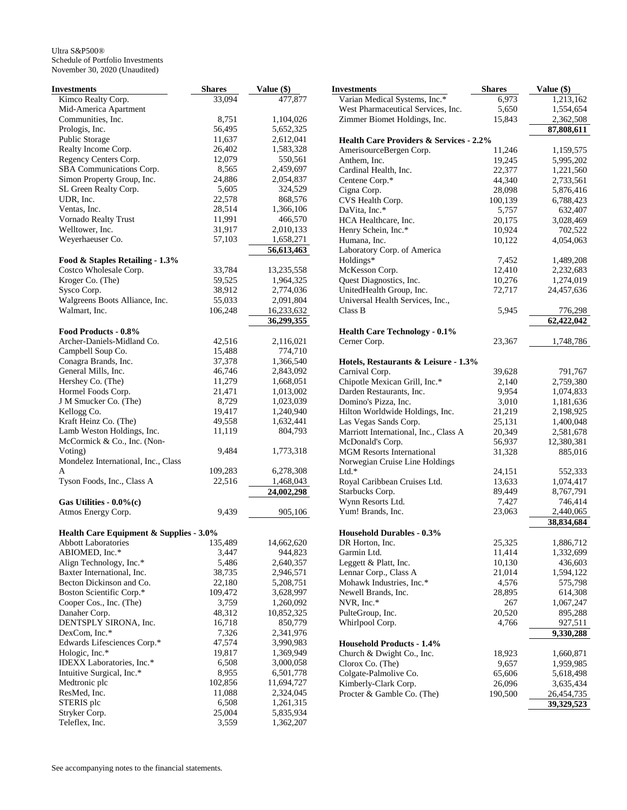| Investments                             | <b>Shares</b> | Value (\$)              |
|-----------------------------------------|---------------|-------------------------|
| Kimco Realty Corp.                      | 33,094        | 477,877                 |
| Mid-America Apartment                   |               |                         |
| Communities, Inc.                       | 8,751         | 1,104,026               |
| Prologis, Inc.                          | 56,495        | 5,652,325               |
| Public Storage                          | 11,637        | 2,612,041               |
| Realty Income Corp.                     | 26,402        | 1,583,328               |
| Regency Centers Corp.                   | 12,079        | 550,561                 |
| SBA Communications Corp.                | 8,565         | 2,459,697               |
| Simon Property Group, Inc.              | 24,886        | 2,054,837               |
| SL Green Realty Corp.                   | 5,605         | 324,529                 |
| UDR, Inc.                               | 22,578        | 868,576                 |
| Ventas, Inc.                            | 28,514        | 1,366,106               |
| Vornado Realty Trust                    | 11,991        | 466,570                 |
| Welltower, Inc.                         | 31,917        | 2,010,133               |
| Weyerhaeuser Co.                        | 57,103        | 1,658,271               |
|                                         |               | 56,613,463              |
| Food & Staples Retailing - 1.3%         |               |                         |
| Costco Wholesale Corp.                  | 33,784        | 13,235,558              |
| Kroger Co. (The)                        | 59,525        | 1,964,325               |
| Sysco Corp.                             | 38,912        | 2,774,036               |
| Walgreens Boots Alliance, Inc.          | 55,033        | 2,091,804               |
| Walmart, Inc.                           | 106,248       | 16,233,632              |
|                                         |               | 36,299,355              |
| Food Products - 0.8%                    |               |                         |
| Archer-Daniels-Midland Co.              | 42,516        | 2,116,021               |
| Campbell Soup Co.                       | 15,488        | 774,710                 |
| Conagra Brands, Inc.                    | 37,378        | 1,366,540               |
| General Mills, Inc.                     | 46,746        | 2,843,092               |
| Hershey Co. (The)                       | 11,279        | 1,668,051               |
| Hormel Foods Corp.                      | 21,471        | 1,013,002               |
| J M Smucker Co. (The)                   | 8,729         | 1,023,039               |
| Kellogg Co.                             | 19,417        | 1,240,940               |
| Kraft Heinz Co. (The)                   | 49,558        | 1,632,441               |
| Lamb Weston Holdings, Inc.              | 11,119        | 804,793                 |
| McCormick & Co., Inc. (Non-             |               |                         |
| Voting)                                 | 9,484         | 1,773,318               |
| Mondelez International, Inc., Class     |               |                         |
| A                                       | 109,283       | 6,278,308               |
| Tyson Foods, Inc., Class A              | 22,516        |                         |
|                                         |               | 1,468,043<br>24,002,298 |
| Gas Utilities - $0.0\%$ (c)             |               |                         |
| Atmos Energy Corp.                      | 9,439         | 905,106                 |
|                                         |               |                         |
| Health Care Equipment & Supplies - 3.0% |               |                         |
| <b>Abbott Laboratories</b>              | 135,489       | 14,662,620              |
| ABIOMED, Inc.*                          | 3,447         | 944,823                 |
| Align Technology, Inc.*                 | 5,486         | 2,640,357               |
| Baxter International, Inc.              | 38,735        | 2,946,571               |
| Becton Dickinson and Co.                | 22,180        | 5,208,751               |
| Boston Scientific Corp.*                | 109,472       | 3,628,997               |
| Cooper Cos., Inc. (The)                 | 3,759         | 1,260,092               |
| Danaher Corp.                           | 48,312        | 10,852,325              |
| DENTSPLY SIRONA, Inc.                   | 16,718        | 850,779                 |
| DexCom, Inc.*                           | 7,326         | 2,341,976               |
| Edwards Lifesciences Corp.*             | 47,574        | 3,990,983               |
| Hologic, Inc.*                          | 19,817        | 1,369,949               |
| IDEXX Laboratories, Inc.*               | 6,508         | 3,000,058               |
| Intuitive Surgical, Inc.*               | 8,955         | 6,501,778               |
| Medtronic plc                           | 102,856       | 11,694,727              |
| ResMed, Inc.                            | 11,088        | 2,324,045               |
| STERIS plc                              | 6,508         | 1,261,315               |
| Stryker Corp.                           | 25,004        | 5,835,934               |
| Teleflex, Inc.                          | 3,559         | 1,362,207               |
|                                         |               |                         |

| Investments                                               | <b>Shares</b>    | Value (\$)              |
|-----------------------------------------------------------|------------------|-------------------------|
| Varian Medical Systems, Inc.*                             | 6,973            | 1,213,162               |
| West Pharmaceutical Services, Inc.                        | 5,650            | 1,554,654               |
| Zimmer Biomet Holdings, Inc.                              | 15,843           | 2,362,508               |
|                                                           |                  | 87,808,611              |
| <b>Health Care Providers &amp; Services - 2.2%</b>        |                  |                         |
| AmerisourceBergen Corp.                                   | 11,246           | 1,159,575               |
| Anthem, Inc.                                              | 19,245           | 5,995,202               |
| Cardinal Health, Inc.                                     | 22,377           | 1,221,560               |
| Centene Corp.*                                            | 44,340           | 2,733,561               |
| Cigna Corp.                                               | 28,098           | 5,876,416               |
| CVS Health Corp.                                          | 100,139          | 6,788,423               |
| DaVita, Inc.*                                             | 5,757            | 632,407                 |
| HCA Healthcare, Inc.                                      | 20,175           | 3,028,469               |
| Henry Schein, Inc.*                                       | 10,924           | 702,522                 |
| Humana, Inc.                                              | 10,122           | 4,054,063               |
| Laboratory Corp. of America                               |                  |                         |
| Holdings*                                                 | 7,452            | 1,489,208               |
| McKesson Corp.                                            | 12,410           | 2,232,683               |
| Quest Diagnostics, Inc.                                   | 10,276           | 1,274,019               |
| UnitedHealth Group, Inc.                                  | 72,717           | 24,457,636              |
| Universal Health Services, Inc.,                          |                  |                         |
| Class B                                                   | 5,945            | 776,298                 |
|                                                           |                  | $\overline{62,}422,042$ |
| <b>Health Care Technology - 0.1%</b>                      |                  |                         |
| Cerner Corp.                                              | 23,367           | 1,748,786               |
|                                                           |                  |                         |
| Hotels, Restaurants & Leisure - 1.3%                      |                  |                         |
| Carnival Corp.                                            | 39,628           | 791,767                 |
| Chipotle Mexican Grill, Inc.*                             | 2,140            | 2,759,380               |
| Darden Restaurants, Inc.                                  | 9,954            | 1,074,833               |
| Domino's Pizza, Inc.                                      | 3,010<br>21,219  | 1,181,636               |
| Hilton Worldwide Holdings, Inc.<br>Las Vegas Sands Corp.  |                  | 2,198,925               |
|                                                           | 25,131           | 1,400,048               |
| Marriott International, Inc., Class A<br>McDonald's Corp. | 20,349           | 2,581,678<br>12,380,381 |
| <b>MGM Resorts International</b>                          | 56,937           |                         |
|                                                           | 31,328           | 885,016                 |
| Norwegian Cruise Line Holdings<br>Ltd.*                   | 24,151           |                         |
| Royal Caribbean Cruises Ltd.                              | 13,633           | 552,333<br>1,074,417    |
| Starbucks Corp.                                           | 89,449           | 8,767,791               |
| Wynn Resorts Ltd.                                         | 7,427            | 746,414                 |
| Yum! Brands, Inc.                                         | 23,063           | 2,440,065               |
|                                                           |                  | 38,834,684              |
| <b>Household Durables - 0.3%</b>                          |                  |                         |
| DR Horton, Inc.                                           |                  |                         |
| Garmin Ltd.                                               | 25,325<br>11,414 | 1,886,712<br>1,332,699  |
| Leggett & Platt, Inc.                                     | 10,130           | 436,603                 |
| Lennar Corp., Class A                                     | 21,014           | 1,594,122               |
| Mohawk Industries, Inc.*                                  | 4,576            | 575,798                 |
| Newell Brands, Inc.                                       | 28,895           | 614,308                 |
| NVR, Inc.*                                                | 267              | 1,067,247               |
| PulteGroup, Inc.                                          | 20,520           | 895,288                 |
| Whirlpool Corp.                                           | 4,766            | 927,511                 |
|                                                           |                  | 9,330,288               |
| <b>Household Products - 1.4%</b>                          |                  |                         |
| Church & Dwight Co., Inc.                                 | 18,923           | 1,660,871               |
| Clorox Co. (The)                                          | 9,657            | 1,959,985               |
| Colgate-Palmolive Co.                                     | 65,606           | 5,618,498               |
| Kimberly-Clark Corp.                                      | 26,096           | 3,635,434               |
| Procter & Gamble Co. (The)                                | 190,500          | 26,454,735              |
|                                                           |                  | 39,329,523              |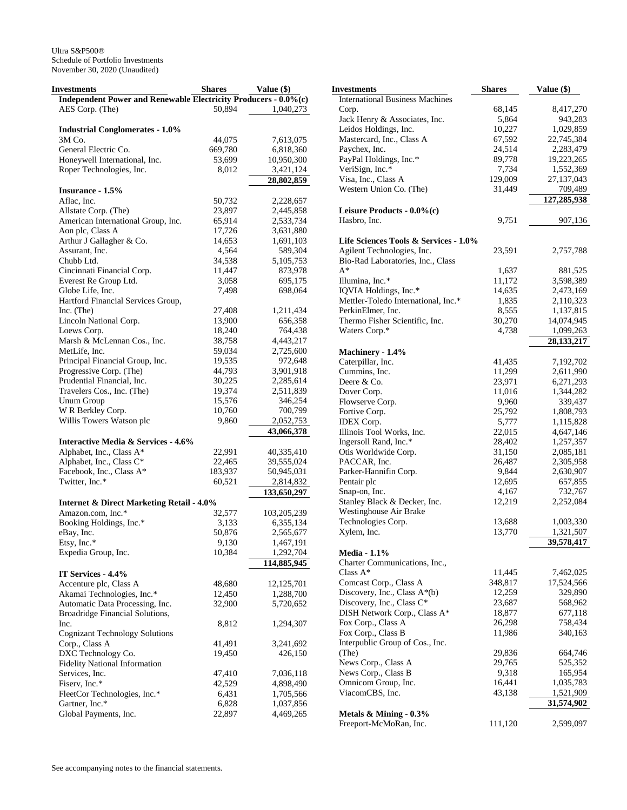| Investments                                                     | <b>Shares</b> | Value (\$)   |
|-----------------------------------------------------------------|---------------|--------------|
| Independent Power and Renewable Electricity Producers - 0.0%(c) |               |              |
| AES Corp. (The)                                                 | 50,894        | 1,040,273    |
|                                                                 |               |              |
| <b>Industrial Conglomerates - 1.0%</b>                          |               |              |
| 3M Co.                                                          | 44,075        | 7,613,075    |
| General Electric Co.                                            | 669,780       | 6,818,360    |
| Honeywell International, Inc.                                   | 53,699        | 10,950,300   |
| Roper Technologies, Inc.                                        | 8,012         | 3,421,124    |
|                                                                 |               | 28,802,859   |
| Insurance - 1.5%                                                |               |              |
| Aflac, Inc.                                                     | 50,732        | 2,228,657    |
| Allstate Corp. (The)                                            | 23,897        | 2,445,858    |
| American International Group, Inc.                              | 65,914        | 2,533,734    |
| Aon plc, Class A                                                | 17,726        | 3,631,880    |
| Arthur J Gallagher & Co.                                        | 14,653        | 1,691,103    |
| Assurant, Inc.                                                  | 4,564         | 589,304      |
| Chubb Ltd.                                                      | 34,538        | 5, 105, 753  |
| Cincinnati Financial Corp.                                      | 11,447        | 873,978      |
| Everest Re Group Ltd.                                           | 3,058         | 695,175      |
| Globe Life, Inc.                                                | 7,498         |              |
|                                                                 |               | 698,064      |
| Hartford Financial Services Group,                              |               |              |
| Inc. (The)                                                      | 27,408        | 1,211,434    |
| Lincoln National Corp.                                          | 13,900        | 656,358      |
| Loews Corp.                                                     | 18,240        | 764,438      |
| Marsh & McLennan Cos., Inc.                                     | 38,758        | 4,443,217    |
| MetLife, Inc.                                                   | 59,034        | 2,725,600    |
| Principal Financial Group, Inc.                                 | 19,535        | 972,648      |
| Progressive Corp. (The)                                         | 44,793        | 3,901,918    |
| Prudential Financial, Inc.                                      | 30,225        | 2,285,614    |
| Travelers Cos., Inc. (The)                                      | 19,374        | 2,511,839    |
| <b>Unum Group</b>                                               | 15,576        | 346,254      |
| W R Berkley Corp.                                               | 10,760        | 700,799      |
| Willis Towers Watson plc                                        | 9,860         | 2,052,753    |
|                                                                 |               | 43,066,378   |
| <b>Interactive Media &amp; Services - 4.6%</b>                  |               |              |
| Alphabet, Inc., Class A*                                        | 22,991        | 40,335,410   |
| Alphabet, Inc., Class C*                                        | 22,465        | 39,555,024   |
| Facebook, Inc., Class A*                                        | 183,937       | 50,945,031   |
| Twitter, Inc.*                                                  | 60,521        | 2,814,832    |
|                                                                 |               | 133,650,297  |
| <b>Internet &amp; Direct Marketing Retail - 4.0%</b>            |               |              |
| Amazon.com, Inc.*                                               | 32,577        | 103,205,239  |
| Booking Holdings, Inc.*                                         | 3,133         | 6,355,134    |
| eBay, Inc.                                                      | 50,876        | 2,565,677    |
| Etsy, Inc.*                                                     | 9,130         | 1,467,191    |
| Expedia Group, Inc.                                             | 10,384        | 1,292,704    |
|                                                                 |               | 114,885,945  |
| IT Services - 4.4%                                              |               |              |
| Accenture plc, Class A                                          | 48,680        | 12, 125, 701 |
| Akamai Technologies, Inc.*                                      | 12,450        | 1,288,700    |
| Automatic Data Processing, Inc.                                 | 32,900        | 5,720,652    |
| Broadridge Financial Solutions,                                 |               |              |
| Inc.                                                            | 8,812         | 1,294,307    |
| <b>Cognizant Technology Solutions</b>                           |               |              |
|                                                                 |               |              |
| Corp., Class A                                                  | 41,491        | 3,241,692    |
| DXC Technology Co.                                              | 19,450        | 426,150      |
| <b>Fidelity National Information</b>                            |               |              |
| Services, Inc.                                                  | 47,410        | 7,036,118    |
| Fiserv, Inc.*                                                   | 42,529        | 4,898,490    |
| FleetCor Technologies, Inc.*                                    | 6,431         | 1,705,566    |
| Gartner, Inc.*                                                  | 6,828         | 1,037,856    |
| Global Payments, Inc.                                           | 22,897        | 4,469,265    |

| Investments                            | <b>Shares</b> | Value (\$)   |
|----------------------------------------|---------------|--------------|
| <b>International Business Machines</b> |               |              |
| Corp.                                  | 68,145        | 8,417,270    |
| Jack Henry & Associates, Inc.          | 5,864         | 943,283      |
| Leidos Holdings, Inc.                  | 10,227        | 1,029,859    |
| Mastercard, Inc., Class A              | 67,592        | 22,745,384   |
| Paychex, Inc.                          | 24,514        | 2,283,479    |
| PayPal Holdings, Inc.*                 | 89,778        | 19,223,265   |
| VeriSign, Inc.*                        | 7,734         | 1,552,369    |
| Visa, Inc., Class A                    | 129,009       | 27, 137, 043 |
| Western Union Co. (The)                | 31,449        | 709,489      |
|                                        |               | 127,285,938  |
| Leisure Products - 0.0%(c)             |               |              |
| Hasbro, Inc.                           | 9,751         | 907,136      |
|                                        |               |              |
| Life Sciences Tools & Services - 1.0%  |               |              |
| Agilent Technologies, Inc.             | 23,591        | 2,757,788    |
| Bio-Rad Laboratories, Inc., Class      |               |              |
| $A^*$                                  | 1,637         | 881,525      |
| Illumina, Inc.*                        | 11,172        | 3,598,389    |
| IQVIA Holdings, Inc.*                  | 14,635        | 2,473,169    |
| Mettler-Toledo International, Inc.*    | 1,835         | 2,110,323    |
| PerkinElmer, Inc.                      | 8,555         | 1,137,815    |
| Thermo Fisher Scientific, Inc.         | 30,270        | 14,074,945   |
| Waters Corp.*                          | 4,738         | 1,099,263    |
|                                        |               | 28, 133, 217 |
| Machinery - 1.4%                       |               |              |
| Caterpillar, Inc.                      | 41,435        | 7,192,702    |
| Cummins, Inc.                          | 11,299        | 2,611,990    |
| Deere & Co.                            | 23,971        | 6,271,293    |
| Dover Corp.                            | 11,016        | 1,344,282    |
| Flowserve Corp.                        | 9,960         | 339,437      |
| Fortive Corp.                          | 25,792        | 1,808,793    |
| IDEX Corp.                             | 5,777         | 1,115,828    |
| Illinois Tool Works, Inc.              | 22,015        | 4,647,146    |
| Ingersoll Rand, Inc.*                  | 28,402        | 1,257,357    |
| Otis Worldwide Corp.                   | 31,150        | 2,085,181    |
| PACCAR, Inc.                           | 26,487        | 2,305,958    |
| Parker-Hannifin Corp.                  | 9,844         | 2,630,907    |
| Pentair plc                            | 12,695        | 657,855      |
| Snap-on, Inc.                          | 4,167         | 732,767      |
| Stanley Black & Decker, Inc.           | 12,219        | 2,252,084    |
| Westinghouse Air Brake                 |               |              |
| Technologies Corp.                     | 13,688        | 1,003,330    |
| Xylem, Inc.                            | 13,770        | 1,321,507    |
|                                        |               | 39,578,417   |
| <b>Media - 1.1%</b>                    |               |              |
| Charter Communications, Inc.,          |               |              |
| Class $A^*$                            | 11,445        | 7,462,025    |
| Comcast Corp., Class A                 | 348,817       | 17,524,566   |
| Discovery, Inc., Class A*(b)           | 12,259        | 329,890      |
| Discovery, Inc., Class C*              | 23,687        | 568,962      |
| DISH Network Corp., Class A*           | 18,877        | 677,118      |
| Fox Corp., Class A                     | 26,298        | 758,434      |
| Fox Corp., Class B                     | 11,986        | 340,163      |
| Interpublic Group of Cos., Inc.        |               |              |
| (The)                                  | 29,836        | 664,746      |
| News Corp., Class A                    | 29,765        | 525,352      |
| News Corp., Class B                    | 9,318         | 165,954      |
| Omnicom Group, Inc.                    | 16,441        | 1,035,783    |
| ViacomCBS, Inc.                        | 43,138        | 1,521,909    |
|                                        |               | 31,574,902   |
| Metals $&$ Mining - $0.3\%$            |               |              |
| Freeport-McMoRan, Inc.                 | 111,120       | 2,599,097    |
|                                        |               |              |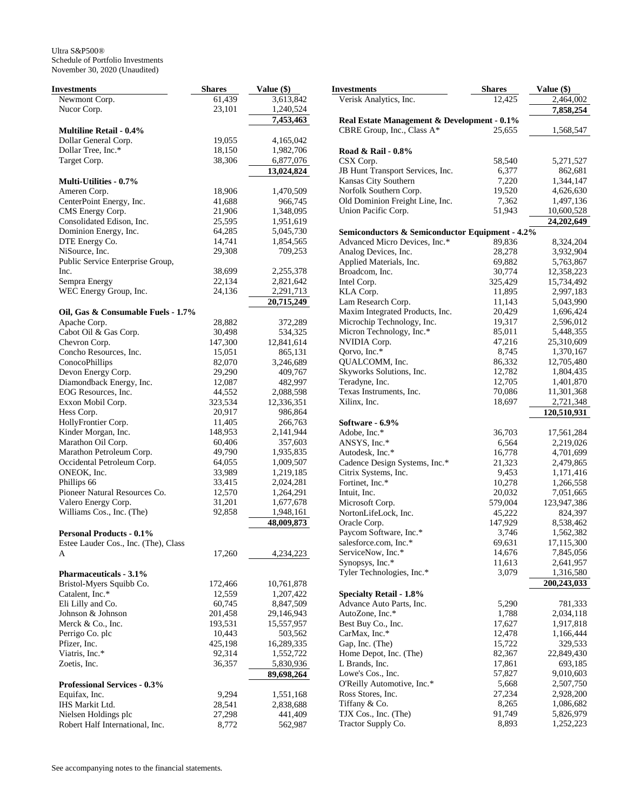| Investments                                 | <b>Shares</b> | Value (\$) |
|---------------------------------------------|---------------|------------|
| Newmont Corp.                               | 61,439        | 3,613,842  |
| Nucor Corp.                                 | 23,101        | 1,240,524  |
|                                             |               | 7,453,463  |
| <b>Multiline Retail - 0.4%</b>              |               |            |
| Dollar General Corp.                        | 19,055        | 4,165,042  |
| Dollar Tree, Inc.*                          | 18,150        | 1,982,706  |
| Target Corp.                                | 38,306        | 6,877,076  |
| <b>Multi-Utilities - 0.7%</b>               |               | 13,024,824 |
| Ameren Corp.                                | 18,906        | 1,470,509  |
| CenterPoint Energy, Inc.                    | 41,688        | 966,745    |
| CMS Energy Corp.                            | 21,906        | 1,348,095  |
| Consolidated Edison, Inc.                   | 25,595        | 1,951,619  |
| Dominion Energy, Inc.                       | 64,285        | 5,045,730  |
| DTE Energy Co.                              | 14,741        | 1,854,565  |
| NiSource, Inc.                              | 29,308        | 709,253    |
| Public Service Enterprise Group,            |               |            |
| Inc.                                        | 38,699        | 2,255,378  |
| Sempra Energy                               | 22,134        | 2,821,642  |
| WEC Energy Group, Inc.                      | 24,136        | 2,291,713  |
|                                             |               | 20,715,249 |
| Oil, Gas & Consumable Fuels - 1.7%          |               |            |
| Apache Corp.                                | 28,882        | 372,289    |
| Cabot Oil & Gas Corp.                       | 30,498        | 534,325    |
| Chevron Corp.                               | 147,300       | 12,841,614 |
| Concho Resources, Inc.                      | 15,051        | 865,131    |
| ConocoPhillips                              | 82,070        | 3,246,689  |
| Devon Energy Corp.                          | 29,290        | 409,767    |
| Diamondback Energy, Inc.                    | 12,087        | 482,997    |
| EOG Resources, Inc.                         | 44,552        | 2,088,598  |
| Exxon Mobil Corp.                           | 323,534       | 12,336,351 |
| Hess Corp.                                  | 20,917        | 986,864    |
| HollyFrontier Corp.                         | 11,405        | 266,763    |
| Kinder Morgan, Inc.                         | 148,953       | 2,141,944  |
| Marathon Oil Corp.                          | 60,406        | 357,603    |
| Marathon Petroleum Corp.                    | 49,790        | 1,935,835  |
| Occidental Petroleum Corp.                  | 64,055        | 1,009,507  |
| ONEOK, Inc.                                 | 33,989        | 1,219,185  |
| Phillips 66                                 | 33,415        | 2,024,281  |
| Pioneer Natural Resources Co.               | 12,570        | 1,264,291  |
| Valero Energy Corp.                         | 31,201        | 1,677,678  |
| Williams Cos., Inc. (The)                   | 92,858        | 1,948,161  |
|                                             |               | 48,009,873 |
| <b>Personal Products - 0.1%</b>             |               |            |
| Estee Lauder Cos., Inc. (The), Class        |               |            |
| A                                           | 17,260        | 4,234,223  |
|                                             |               |            |
| <b>Pharmaceuticals - 3.1%</b>               |               |            |
| Bristol-Myers Squibb Co.<br>Catalent, Inc.* | 172,466       | 10,761,878 |
|                                             | 12,559        | 1,207,422  |
| Eli Lilly and Co.                           | 60,745        | 8,847,509  |
| Johnson & Johnson                           | 201,458       | 29,146,943 |
| Merck & Co., Inc.                           | 193,531       | 15,557,957 |
| Perrigo Co. plc                             | 10,443        | 503,562    |
| Pfizer, Inc.                                | 425,198       | 16,289,335 |
| Viatris, Inc.*                              | 92,314        | 1,552,722  |
| Zoetis, Inc.                                | 36,357        | 5,830,936  |
| <b>Professional Services - 0.3%</b>         |               | 89,698,264 |
| Equifax, Inc.                               | 9,294         | 1,551,168  |
| IHS Markit Ltd.                             | 28,541        | 2,838,688  |
| Nielsen Holdings plc                        | 27,298        | 441,409    |
| Robert Half International, Inc.             | 8,772         | 562,987    |
|                                             |               |            |

|                | <b>Investments</b>                                         | <b>Shares</b>   | Value (\$)              |
|----------------|------------------------------------------------------------|-----------------|-------------------------|
| $12 \text{ }$  | Verisk Analytics, Inc.                                     | 12,425          | 2,464,002               |
| $^{24}$        |                                                            |                 | 7,858,254               |
| 53             | Real Estate Management & Development - 0.1%                |                 |                         |
|                | CBRE Group, Inc., Class A*                                 | 25,655          | 1,568,547               |
| $12 \text{ }$  |                                                            |                 |                         |
| )6             | Road & Rail - 0.8%                                         |                 |                         |
| 76             | CSX Corp.                                                  | 58,540          | 5,271,527               |
| $\frac{24}{1}$ | JB Hunt Transport Services, Inc.                           | 6,377           | 862,681                 |
|                | Kansas City Southern                                       | 7,220           | 1,344,147               |
| )9             | Norfolk Southern Corp.                                     | 19,520          | 4,626,630               |
| 15             | Old Dominion Freight Line, Inc.<br>Union Pacific Corp.     | 7,362<br>51,943 | 1,497,136<br>10,600,528 |
| 95<br>19       |                                                            |                 | 24,202,649              |
| 30             | Semiconductors & Semiconductor Equipment - 4.2%            |                 |                         |
| 55             | Advanced Micro Devices, Inc.*                              | 89,836          | 8,324,204               |
| 53             | Analog Devices, Inc.                                       | 28,278          | 3,932,904               |
|                | Applied Materials, Inc.                                    | 69,882          | 5,763,867               |
| 78             | Broadcom, Inc.                                             | 30,774          | 12,358,223              |
| $12 \text{ }$  | Intel Corp.                                                | 325,429         | 15,734,492              |
| 13             | KLA Corp.                                                  | 11,895          | 2,997,183               |
| 19             | Lam Research Corp.                                         | 11,143          | 5,043,990               |
|                | Maxim Integrated Products, Inc.                            | 20,429          | 1,696,424               |
| 39             | Microchip Technology, Inc.                                 | 19,317          | 2,596,012               |
| 25             | Micron Technology, Inc.*                                   | 85,011          | 5,448,355               |
| l 4            | NVIDIA Corp.                                               | 47,216          | 25,310,609              |
| 31             | Qorvo, Inc.*                                               | 8,745           | 1,370,167               |
| 39             | QUALCOMM, Inc.                                             | 86,332          | 12,705,480              |
| 57             | Skyworks Solutions, Inc.                                   | 12,782          | 1,804,435               |
| 97             | Teradyne, Inc.                                             | 12,705          | 1,401,870               |
| 98             | Texas Instruments, Inc.                                    | 70,086          | 11,301,368              |
| 51             | Xilinx, Inc.                                               | 18,697          | 2,721,348               |
| 54<br>53       | Software - 6.9%                                            |                 | 120,510,931             |
| 14             | Adobe, Inc.*                                               | 36,703          | 17,561,284              |
| $_{\rm{3}}$    | ANSYS, Inc.*                                               | 6,564           | 2,219,026               |
| 35             | Autodesk, Inc.*                                            | 16,778          | 4,701,699               |
| )7             | Cadence Design Systems, Inc.*                              | 21,323          | 2,479,865               |
| 35             | Citrix Systems, Inc.                                       | 9,453           | 1,171,416               |
| 31             | Fortinet, Inc.*                                            | 10,278          | 1,266,558               |
| 91             | Intuit, Inc.                                               | 20,032          | 7,051,665               |
| 78             | Microsoft Corp.                                            | 579,004         | 123,947,386             |
| 51             | NortonLifeLock, Inc.                                       | 45,222          | 824,397                 |
| 73             | Oracle Corp.                                               | 147,929         | 8,538,462               |
|                | Paycom Software, Inc.*                                     | 3,746           | 1,562,382               |
|                | salesforce.com, Inc.*                                      | 69,631          | 17,115,300              |
| 23             | ServiceNow, Inc.*                                          | 14,676          | 7,845,056               |
|                | Synopsys, Inc.*                                            | 11,613          | 2,641,957               |
|                | Tyler Technologies, Inc.*                                  | 3,079           | 1,316,580               |
| 78             |                                                            |                 | 200,243,033             |
| 22<br>)9       | <b>Specialty Retail - 1.8%</b><br>Advance Auto Parts, Inc. | 5,290           | 781,333                 |
| 13             | AutoZone, Inc.*                                            | 1,788           | 2,034,118               |
| 57             | Best Buy Co., Inc.                                         | 17,627          | 1,917,818               |
| 52             | CarMax, Inc.*                                              | 12,478          | 1,166,444               |
| $35^{\circ}$   | Gap, Inc. (The)                                            | 15,722          | 329,533                 |
| $^{22}$        | Home Depot, Inc. (The)                                     | 82,367          | 22,849,430              |
| 36             | L Brands, Inc.                                             | 17,861          | 693,185                 |
| 54             | Lowe's Cos., Inc.                                          | 57,827          | 9,010,603               |
|                | O'Reilly Automotive, Inc.*                                 | 5,668           | 2,507,750               |
| 58             | Ross Stores, Inc.                                          | 27,234          | 2,928,200               |
| 38             | Tiffany & Co.                                              | 8,265           | 1,086,682               |
| )9             | TJX Cos., Inc. (The)                                       | 91,749          | 5,826,979               |
| 37             | Tractor Supply Co.                                         | 8,893           | 1,252,223               |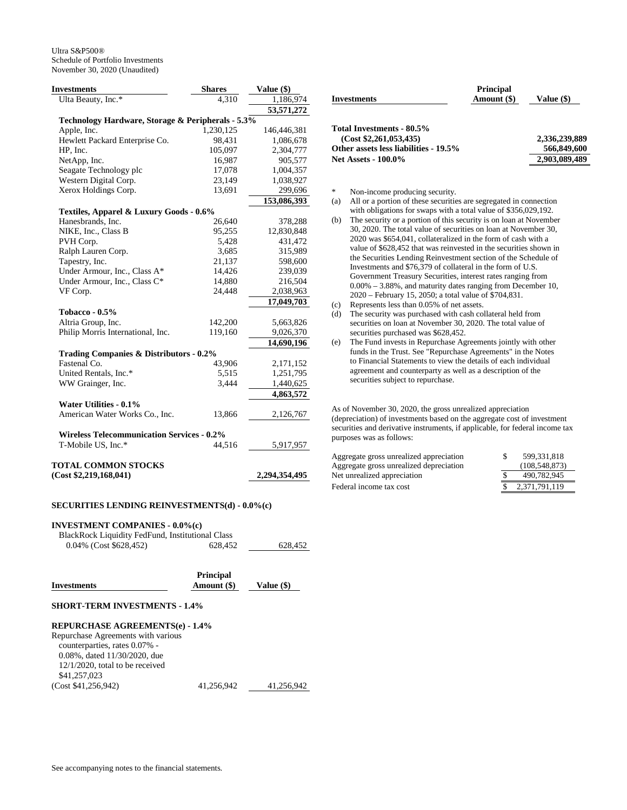| <b>Investments</b>                                | <b>Shares</b> | Value (\$)    |
|---------------------------------------------------|---------------|---------------|
| Ulta Beauty, Inc.*                                | 4,310         | 1,186,974     |
|                                                   |               | 53,571,272    |
| Technology Hardware, Storage & Peripherals - 5.3% |               |               |
| Apple, Inc.                                       | 1,230,125     | 146,446,381   |
| Hewlett Packard Enterprise Co.                    | 98,431        | 1,086,678     |
| HP, Inc.                                          | 105,097       | 2,304,777     |
| NetApp, Inc.                                      | 16,987        | 905,577       |
| Seagate Technology plc                            | 17,078        | 1,004,357     |
| Western Digital Corp.                             | 23,149        | 1,038,927     |
| Xerox Holdings Corp.                              | 13,691        | 299,696       |
|                                                   |               | 153,086,393   |
| Textiles, Apparel & Luxury Goods - 0.6%           |               |               |
| Hanesbrands, Inc.                                 | 26,640        | 378,288       |
| NIKE, Inc., Class B                               | 95,255        | 12,830,848    |
| PVH Corp.                                         | 5,428         | 431,472       |
| Ralph Lauren Corp.                                | 3,685         | 315,989       |
| Tapestry, Inc.                                    | 21,137        | 598,600       |
| Under Armour, Inc., Class A*                      | 14,426        | 239,039       |
| Under Armour, Inc., Class C*                      | 14,880        | 216,504       |
| VF Corp.                                          | 24,448        | 2,038,963     |
|                                                   |               | 17,049,703    |
| Tobacco - $0.5\%$                                 |               |               |
| Altria Group, Inc.                                | 142,200       | 5,663,826     |
| Philip Morris International, Inc.                 | 119,160       | 9,026,370     |
|                                                   |               | 14,690,196    |
| Trading Companies & Distributors - 0.2%           |               |               |
| Fastenal Co.                                      | 43,906        | 2,171,152     |
| United Rentals, Inc.*                             | 5,515         | 1,251,795     |
| WW Grainger, Inc.                                 | 3,444         | 1,440,625     |
|                                                   |               | 4,863,572     |
| <b>Water Utilities - 0.1%</b>                     |               |               |
| American Water Works Co., Inc.                    | 13,866        | 2,126,767     |
|                                                   |               |               |
| <b>Wireless Telecommunication Services - 0.2%</b> |               |               |
| T-Mobile US, Inc.*                                | 44,516        | 5,917,957     |
|                                                   |               |               |
| <b>TOTAL COMMON STOCKS</b>                        |               |               |
| (Cost \$2,219,168,041)                            |               | 2,294,354,495 |

## **SECURITIES LENDING REINVESTMENTS(d) - 0.0%(c)**

## **INVESTMENT COMPANIES - 0.0%(c)**

| BlackRock Liquidity FedFund, Institutional Class |         |         |
|--------------------------------------------------|---------|---------|
| $0.04\%$ (Cost \$628,452)                        | 628.452 | 628,452 |
|                                                  |         |         |

| <b>Principal</b> |            |  |  |
|------------------|------------|--|--|
| Amount (\$)      | Value (\$) |  |  |
|                  |            |  |  |
|                  |            |  |  |

## **SHORT-TERM INVESTMENTS - 1.4%**

## **REPURCHASE AGREEMENTS(e) - 1.4%**

| Repurchase Agreements with various  |            |            |
|-------------------------------------|------------|------------|
| counterparties, rates 0.07% -       |            |            |
| $0.08\%$ , dated $11/30/2020$ , due |            |            |
| $12/1/2020$ , total to be received  |            |            |
| \$41,257,023                        |            |            |
| (Cost \$41,256,942)                 | 41,256,942 | 41.256.942 |
|                                     |            |            |

| <b>Investments</b>                    | <b>Principal</b><br>Amount (\$) | Value (\$)    |
|---------------------------------------|---------------------------------|---------------|
|                                       |                                 |               |
| Total Investments - 80.5%             |                                 |               |
| (Cost \$2,261,053,435)                |                                 | 2.336.239.889 |
| Other assets less liabilities - 19.5% |                                 | 566,849,600   |
| <b>Net Assets - 100.0%</b>            |                                 | 2,903,089,489 |

\* Non-income producing security.

- (a) All or a portion of these securities are segregated in connection with obligations for swaps with a total value of \$356,029,192.
- (b) The security or a portion of this security is on loan at November 30, 2020. The total value of securities on loan at November 30, 2020 was \$654,041, collateralized in the form of cash with a value of \$628,452 that was reinvested in the securities shown in the Securities Lending Reinvestment section of the Schedule of Investments and \$76,379 of collateral in the form of U.S. Government Treasury Securities, interest rates ranging from 0.00% – 3.88%, and maturity dates ranging from December 10, 2020 – February 15, 2050; a total value of \$704,831.
- (c) Represents less than 0.05% of net assets.
- (d) The security was purchased with cash collateral held from securities on loan at November 30, 2020. The total value of securities purchased was \$628,452.
- (e) The Fund invests in Repurchase Agreements jointly with other funds in the Trust. See "Repurchase Agreements" in the Notes to Financial Statements to view the details of each individual agreement and counterparty as well as a description of the securities subject to repurchase.

As of November 30, 2020, the gross unrealized appreciation (depreciation) of investments based on the aggregate cost of investment securities and derivative instruments, if applicable, for federal income tax purposes was as follows:

| Aggregate gross unrealized appreciation | 599.331.818   |
|-----------------------------------------|---------------|
| Aggregate gross unrealized depreciation | (108.548.873) |
| Net unrealized appreciation             | 490.782.945   |
| Federal income tax cost                 | 2.371.791.119 |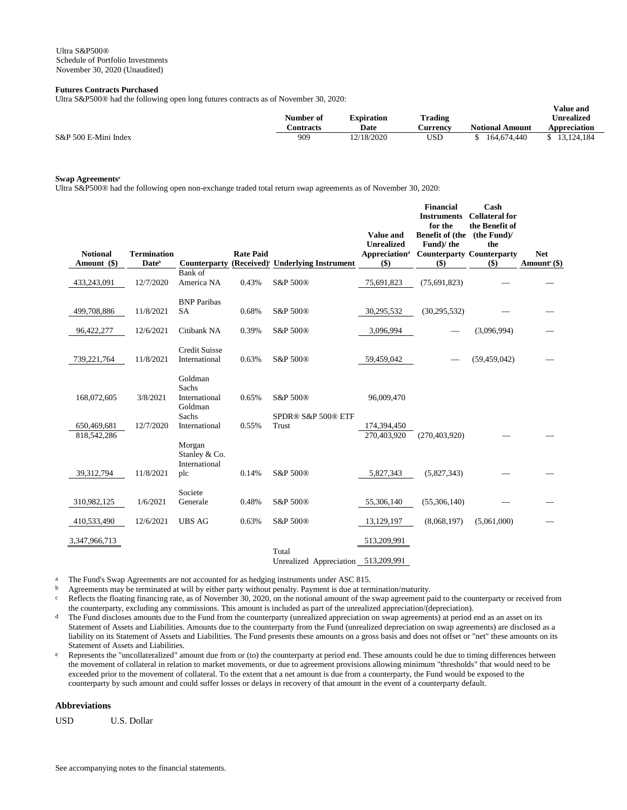## **Futures Contracts Purchased**

Ultra S&P500® had the following open long futures contracts as of November 30, 2020:

|                      | Number of | Expiration | Trading  |                        | v aluc allu<br><b>Unrealized</b> |
|----------------------|-----------|------------|----------|------------------------|----------------------------------|
|                      | Contracts | Date       | ∠urrencv | <b>Notional Amount</b> | <b>Appreciation</b>              |
| S&P 500 E-Mini Index | 909       | 12/18/2020 | USD      | 164,674,440            | 13.124.184                       |

**Value and** 

### **Swap Agreements<sup>a</sup>**

Ultra S&P500® had the following open non-exchange traded total return swap agreements as of November 30, 2020:

| <b>Notional</b><br>Amount (\$) | <b>Termination</b><br>Date <sup>b</sup> | <b>Counterparty</b>                                   | <b>Rate Paid</b> | (Received) <sup>c</sup> Underlying Instrument | <b>Value and</b><br><b>Unrealized</b><br><b>Appreciation</b> <sup>d</sup><br>$($ \$) | <b>Financial</b><br><b>Instruments</b><br>for the<br>Benefit of (the (the Fund)/<br>Fund)/the<br><b>Counterparty Counterparty</b><br>$($ \$) | Cash<br><b>Collateral</b> for<br>the Benefit of<br>the<br>$($ \$) | <b>Net</b><br>Amount <sup>e</sup> (\$) |
|--------------------------------|-----------------------------------------|-------------------------------------------------------|------------------|-----------------------------------------------|--------------------------------------------------------------------------------------|----------------------------------------------------------------------------------------------------------------------------------------------|-------------------------------------------------------------------|----------------------------------------|
|                                |                                         | Bank of                                               |                  |                                               |                                                                                      |                                                                                                                                              |                                                                   |                                        |
| 433,243,091                    | 12/7/2020                               | America NA                                            | 0.43%            | S&P 500®                                      | 75,691,823                                                                           | (75, 691, 823)                                                                                                                               |                                                                   |                                        |
|                                |                                         | <b>BNP</b> Paribas                                    |                  |                                               |                                                                                      |                                                                                                                                              |                                                                   |                                        |
| 499,708,886                    | 11/8/2021                               | <b>SA</b>                                             | 0.68%            | S&P 500®                                      | 30,295,532                                                                           | (30, 295, 532)                                                                                                                               |                                                                   |                                        |
| 96,422,277                     | 12/6/2021                               | Citibank NA                                           | 0.39%            | S&P 500®                                      | 3,096,994                                                                            |                                                                                                                                              | (3,096,994)                                                       |                                        |
| 739,221,764                    | 11/8/2021                               | <b>Credit Suisse</b><br>International                 | 0.63%            | S&P 500®                                      | 59,459,042                                                                           |                                                                                                                                              | (59, 459, 042)                                                    |                                        |
| 168,072,605                    | 3/8/2021                                | Goldman<br>Sachs<br>International<br>Goldman<br>Sachs | 0.65%            | S&P 500®<br>SPDR® S&P 500® ETF                | 96,009,470                                                                           |                                                                                                                                              |                                                                   |                                        |
| 650,469,681<br>818,542,286     | 12/7/2020                               | International                                         | 0.55%            | Trust                                         | 174,394,450<br>270.403.920                                                           | (270, 403, 920)                                                                                                                              |                                                                   |                                        |
| 39,312,794                     | 11/8/2021                               | Morgan<br>Stanley & Co.<br>International<br>plc       | 0.14%            | S&P 500®                                      | 5,827,343                                                                            | (5,827,343)                                                                                                                                  |                                                                   |                                        |
| 310,982,125                    | 1/6/2021                                | Societe<br>Generale                                   | 0.48%            | S&P 500®                                      | 55,306,140                                                                           | (55,306,140)                                                                                                                                 |                                                                   |                                        |
| 410,533,490                    | 12/6/2021                               | <b>UBS AG</b>                                         | 0.63%            | S&P 500®                                      | 13,129,197                                                                           | (8,068,197)                                                                                                                                  | (5,061,000)                                                       |                                        |
| 3,347,966,713                  |                                         |                                                       |                  | Total                                         | 513,209,991                                                                          |                                                                                                                                              |                                                                   |                                        |
|                                |                                         |                                                       |                  | Unrealized Appreciation                       | 513,209,991                                                                          |                                                                                                                                              |                                                                   |                                        |

<sup>a</sup> The Fund's Swap Agreements are not accounted for as hedging instruments under ASC 815.<br>b Agreements may be terminated at will by either party without penalty. Payment is due at term

b Agreements may be terminated at will by either party without penalty. Payment is due at termination/maturity.

c Reflects the floating financing rate, as of November 30, 2020, on the notional amount of the swap agreement paid to the counterparty or received from the counterparty, excluding any commissions. This amount is included as part of the unrealized appreciation/(depreciation).

<sup>d</sup> The Fund discloses amounts due to the Fund from the counterparty (unrealized appreciation on swap agreements) at period end as an asset on its Statement of Assets and Liabilities. Amounts due to the counterparty from the Fund (unrealized depreciation on swap agreements) are disclosed as a liability on its Statement of Assets and Liabilities. The Fund presents these amounts on a gross basis and does not offset or "net" these amounts on its Statement of Assets and Liabilities.

e Represents the "uncollateralized" amount due from or (to) the counterparty at period end. These amounts could be due to timing differences between the movement of collateral in relation to market movements, or due to agreement provisions allowing minimum "thresholds" that would need to be exceeded prior to the movement of collateral. To the extent that a net amount is due from a counterparty, the Fund would be exposed to the counterparty by such amount and could suffer losses or delays in recovery of that amount in the event of a counterparty default.

## **Abbreviations**

USD U.S. Dollar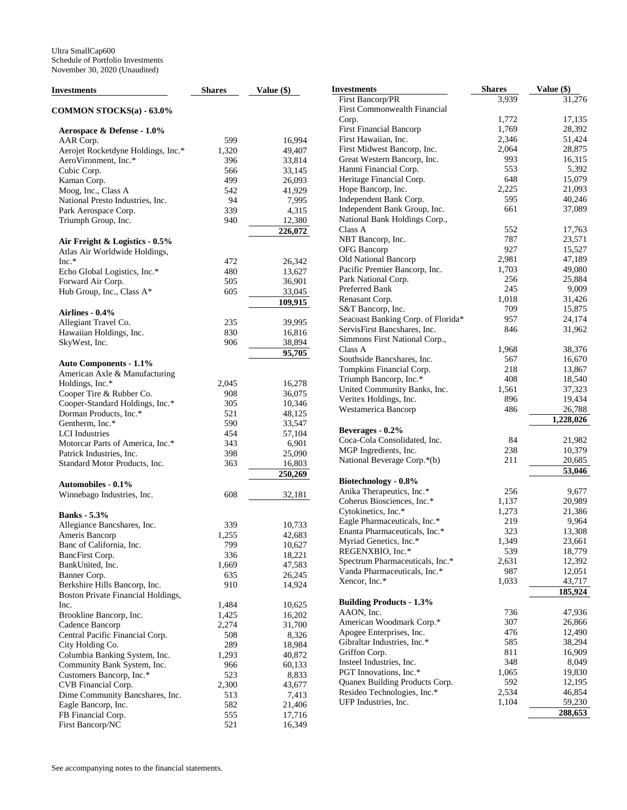| Investments                                                         | <b>Shares</b> | Value (\$)          |
|---------------------------------------------------------------------|---------------|---------------------|
| COMMON STOCKS(a) - 63.0%                                            |               |                     |
| Aerospace & Defense - 1.0%                                          |               |                     |
| AAR Corp.                                                           | 599           | 16,994              |
| Aerojet Rocketdyne Holdings, Inc.*                                  | 1,320         | 49,407              |
| AeroVironment, Inc.*                                                | 396           | 33,814              |
| Cubic Corp.                                                         | 566           | 33,145              |
| Kaman Corp.                                                         | 499           | 26,093              |
| Moog, Inc., Class A                                                 | 542           | 41,929              |
| National Presto Industries, Inc.                                    | 94            | 7,995               |
| Park Aerospace Corp.                                                | 339           | 4,315               |
| Triumph Group, Inc.                                                 | 940           | 12,380              |
|                                                                     |               | 226,072             |
| Air Freight & Logistics - 0.5%<br>Atlas Air Worldwide Holdings,     |               |                     |
| $Inc.*$                                                             | 472           | 26,342              |
| Echo Global Logistics, Inc.*                                        | 480           | 13,627              |
| Forward Air Corp.                                                   | 505           | 36,901              |
| Hub Group, Inc., Class A*                                           | 605           | 33,045              |
|                                                                     |               | 109,915             |
| Airlines - 0.4%<br>Allegiant Travel Co.                             | 235           | 39,995              |
| Hawaiian Holdings, Inc.                                             | 830           | 16,816              |
| SkyWest, Inc.                                                       | 906           | 38,894              |
|                                                                     |               | $\overline{95,705}$ |
| <b>Auto Components - 1.1%</b>                                       |               |                     |
| American Axle & Manufacturing                                       |               |                     |
| Holdings, Inc.*                                                     | 2,045         | 16,278              |
| Cooper Tire & Rubber Co.                                            | 908<br>305    | 36,075<br>10,346    |
| Cooper-Standard Holdings, Inc.*<br>Dorman Products, Inc.*           |               |                     |
| Gentherm, Inc.*                                                     | 521<br>590    | 48,125              |
| <b>LCI</b> Industries                                               | 454           | 33,547              |
| Motorcar Parts of America, Inc.*                                    | 343           | 57,104<br>6,901     |
| Patrick Industries, Inc.                                            | 398           | 25,090              |
| Standard Motor Products, Inc.                                       | 363           | 16,803              |
|                                                                     |               | 250,269             |
| <b>Automobiles - 0.1%</b>                                           |               |                     |
| Winnebago Industries, Inc.                                          | 608           | 32,181              |
| <b>Banks</b> - 5.3%                                                 |               |                     |
| Allegiance Bancshares, Inc.                                         | 339           | 10,733              |
| Ameris Bancorp                                                      | 1,255         | 42,683              |
| Banc of California, Inc.                                            | 799           | 10,627              |
| BancFirst Corp.                                                     | 336           | 18,221              |
| BankUnited, Inc.                                                    | 1,669         | 47,583              |
| Banner Corp.                                                        | 635           | 26,245              |
| Berkshire Hills Bancorp, Inc.<br>Boston Private Financial Holdings, | 910           | 14,924              |
| Inc.                                                                | 1,484         | 10,625              |
| Brookline Bancorp, Inc.                                             | 1,425         | 16,202              |
| Cadence Bancorp                                                     | 2,274         | 31,700              |
| Central Pacific Financial Corp.                                     | 508           | 8,326               |
| City Holding Co.                                                    | 289           | 18,984              |
| Columbia Banking System, Inc.                                       | 1,293         | 40,872              |
| Community Bank System, Inc.                                         | 966           | 60,133              |
| Customers Bancorp, Inc.*                                            | 523           | 8,833               |
| CVB Financial Corp.                                                 | 2,300         | 43,677              |
| Dime Community Bancshares, Inc.                                     | 513           | 7,413               |
| Eagle Bancorp, Inc.                                                 | 582           | 21,406              |
| FB Financial Corp.                                                  | 555           | 17,716              |
| First Bancorp/NC                                                    | 521           | 16,349              |

| Investments                                   | <b>Shares</b> | Value (\$)        |
|-----------------------------------------------|---------------|-------------------|
| First Bancorp/PR                              | 3,939         | 31,276            |
| First Commonwealth Financial                  |               |                   |
| Corp.                                         | 1,772         | 17,135            |
| <b>First Financial Bancorp</b>                | 1,769         | 28,392            |
| First Hawaiian, Inc.                          | 2,346         | 51,424            |
| First Midwest Bancorp, Inc.                   | 2,064         | 28,875            |
| Great Western Bancorp, Inc.                   | 993           | 16,315            |
| Hanmi Financial Corp.                         | 553           | 5,392             |
| Heritage Financial Corp.                      | 648           | 15,079            |
| Hope Bancorp, Inc.                            | 2,225         | 21,093            |
| Independent Bank Corp.                        | 595           | 40,246            |
| Independent Bank Group, Inc.                  | 661           | 37,089            |
| National Bank Holdings Corp.,                 |               |                   |
| Class A                                       | 552           | 17,763            |
| NBT Bancorp, Inc.                             | 787           | 23,571            |
| OFG Bancorp                                   | 927           | 15,527            |
| Old National Bancorp                          | 2,981         | 47,189            |
| Pacific Premier Bancorp, Inc.                 | 1,703         | 49,080            |
| Park National Corp.                           | 256           | 25,884            |
| Preferred Bank                                | 245           | 9,009             |
| Renasant Corp.                                | 1,018         | 31,426            |
| S&T Bancorp, Inc.                             | 709           | 15,875            |
| Seacoast Banking Corp. of Florida*            | 957           | 24,174            |
| ServisFirst Bancshares, Inc.                  | 846           | 31,962            |
| Simmons First National Corp.,<br>Class A      |               |                   |
| Southside Bancshares, Inc.                    | 1,968<br>567  | 38,376<br>16,670  |
| Tompkins Financial Corp.                      | 218           | 13,867            |
| Triumph Bancorp, Inc.*                        | 408           | 18,540            |
| United Community Banks, Inc.                  | 1,561         | 37,323            |
| Veritex Holdings, Inc.                        | 896           | 19,434            |
| Westamerica Bancorp                           | 486           | 26,788            |
|                                               |               | 1,228,026         |
| Beverages - 0.2%                              |               |                   |
| Coca-Cola Consolidated, Inc.                  | 84            | 21,982            |
| MGP Ingredients, Inc.                         | 238           | 10,379            |
| National Beverage Corp.*(b)                   | 211           | 20,685            |
|                                               |               | 53,046            |
| Biotechnology - 0.8%                          |               |                   |
| Anika Therapeutics, Inc.*                     | 256           | 9,677             |
| Coherus Biosciences, Inc.*                    | 1,137         | 20,989            |
| Cytokinetics, Inc.*                           | 1,273         | 21,386            |
| Eagle Pharmaceuticals, Inc.*                  | 219           | 9,964             |
| Enanta Pharmaceuticals, Inc.*                 | 323           | 13,308            |
| Myriad Genetics, Inc.*                        | 1,349         | 23,661            |
| REGENXBIO, Inc.*                              | 539           | 18,779            |
| Spectrum Pharmaceuticals, Inc.*               | 2,631         | 12,392            |
| Vanda Pharmaceuticals, Inc.*<br>Xencor, Inc.* | 987           | 12,051            |
|                                               | 1,033         | 43,717<br>185,924 |
| <b>Building Products - 1.3%</b>               |               |                   |
| AAON, Inc.                                    | 736           | 47,936            |
| American Woodmark Corp.*                      | 307           | 26,866            |
| Apogee Enterprises, Inc.                      | 476           | 12,490            |
| Gibraltar Industries, Inc.*                   | 585           | 38,294            |
| Griffon Corp.                                 | 811           | 16,909            |
| Insteel Industries, Inc.                      | 348           | 8,049             |
| PGT Innovations, Inc.*                        | 1,065         | 19,830            |
| Quanex Building Products Corp.                | 592           | 12,195            |
| Resideo Technologies, Inc.*                   | 2,534         | 46,854            |
| UFP Industries, Inc.                          | 1,104         | 59,230            |
|                                               |               | 288,653           |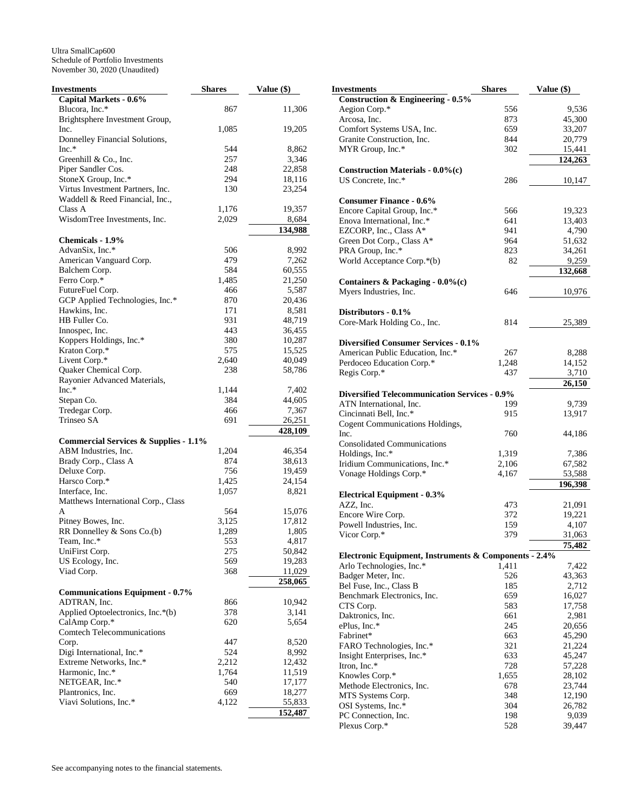| Investments                                      | <b>Shares</b> | Value (\$) |
|--------------------------------------------------|---------------|------------|
| Capital Markets - 0.6%                           |               |            |
| Blucora, Inc.*                                   | 867           | 11,306     |
| Brightsphere Investment Group,                   |               |            |
| Inc.                                             | 1,085         | 19,205     |
| Donnelley Financial Solutions,                   |               |            |
| $Inc.*$                                          | 544           | 8,862      |
| Greenhill & Co., Inc.                            | 257           | 3,346      |
| Piper Sandler Cos.                               | 248           | 22,858     |
| StoneX Group, Inc.*                              | 294           | 18,116     |
| Virtus Investment Partners, Inc.                 | 130           | 23,254     |
| Waddell & Reed Financial, Inc.,                  |               |            |
| Class A                                          | 1,176         | 19,357     |
| WisdomTree Investments, Inc.                     | 2,029         | 8,684      |
|                                                  |               | 134.988    |
| Chemicals - 1.9%                                 |               |            |
| AdvanSix, Inc.*                                  | 506           | 8,992      |
| American Vanguard Corp.                          | 479           | 7,262      |
| Balchem Corp.                                    | 584           | 60,555     |
| Ferro Corp.*                                     | 1,485         | 21,250     |
| FutureFuel Corp.                                 | 466           | 5,587      |
| GCP Applied Technologies, Inc.*                  | 870           | 20,436     |
| Hawkins, Inc.                                    | 171           | 8,581      |
| HB Fuller Co.                                    | 931           | 48,719     |
| Innospec, Inc.                                   | 443           | 36,455     |
| Koppers Holdings, Inc.*                          | 380           | 10,287     |
| Kraton Corp.*                                    | 575           | 15,525     |
| Livent Corp.*                                    | 2,640         | 40,049     |
| Quaker Chemical Corp.                            | 238           | 58,786     |
| Rayonier Advanced Materials,                     |               |            |
| $Inc.*$                                          | 1,144         | 7,402      |
| Stepan Co.                                       | 384           | 44,605     |
| Tredegar Corp.                                   | 466           | 7,367      |
| Trinseo SA                                       | 691           | 26,251     |
|                                                  |               | 428,109    |
| <b>Commercial Services &amp; Supplies - 1.1%</b> |               |            |
| ABM Industries, Inc.                             | 1,204         | 46,354     |
| Brady Corp., Class A                             | 874           | 38,613     |
| Deluxe Corp.                                     | 756           | 19,459     |
| Harsco Corp.*                                    | 1,425         | 24,154     |
| Interface, Inc.                                  | 1,057         | 8,821      |
| Matthews International Corp., Class              |               |            |
| A                                                | 564           | 15,076     |
| Pitney Bowes, Inc.                               | 3,125         | 17,812     |
| RR Donnelley & Sons Co.(b)                       | 1,289         | 1,805      |
| Team, Inc.*                                      | 553           | 4,817      |
| UniFirst Corp.                                   | 275           | 50,842     |
| US Ecology, Inc.                                 | 569           | 19,283     |
| Viad Corp.                                       | 368           | 11,029     |
|                                                  |               | 258,065    |
| <b>Communications Equipment - 0.7%</b>           |               |            |
| ADTRAN, Inc.                                     | 866           | 10,942     |
| Applied Optoelectronics, Inc.*(b)                | 378           | 3,141      |
| CalAmp Corp.*                                    | 620           | 5,654      |
| <b>Comtech Telecommunications</b>                |               |            |
| Corp.                                            | 447           | 8,520      |
| Digi International, Inc.*                        | 524           | 8,992      |
| Extreme Networks, Inc.*                          | 2,212         | 12,432     |
| Harmonic, Inc.*                                  | 1,764         | 11,519     |
| NETGEAR, Inc.*                                   | 540           | 17,177     |
| Plantronics, Inc.                                | 669           | 18,277     |
| Viavi Solutions, Inc.*                           | 4,122         | 55,833     |
|                                                  |               | 152,487    |
|                                                  |               |            |

| Investments                                           | <b>Shares</b> | Value (\$)      |
|-------------------------------------------------------|---------------|-----------------|
| <b>Construction &amp; Engineering - 0.5%</b>          |               |                 |
| Aegion Corp.*                                         | 556           | 9,536           |
| Arcosa, Inc.                                          | 873           | 45,300          |
| Comfort Systems USA, Inc.                             | 659           | 33,207          |
| Granite Construction, Inc.                            | 844           | 20,779          |
| MYR Group, Inc.*                                      | 302           | 15,441          |
|                                                       |               | 124,263         |
| <b>Construction Materials - 0.0%(c)</b>               |               |                 |
| US Concrete, Inc.*                                    | 286           | 10,147          |
| <b>Consumer Finance - 0.6%</b>                        |               |                 |
| Encore Capital Group, Inc.*                           | 566           | 19,323          |
| Enova International, Inc.*                            | 641           | 13,403          |
| EZCORP, Inc., Class A*                                | 941           | 4,790           |
| Green Dot Corp., Class A*                             | 964           | 51,632          |
| PRA Group, Inc.*                                      | 823           | 34,261          |
| World Acceptance Corp.*(b)                            | 82            | 9,259           |
|                                                       |               | 132,668         |
| Containers & Packaging $-0.0\%$ (c)                   |               |                 |
| Myers Industries, Inc.                                | 646           | 10,976          |
| Distributors - 0.1%                                   |               |                 |
| Core-Mark Holding Co., Inc.                           | 814           | 25,389          |
|                                                       |               |                 |
| Diversified Consumer Services - 0.1%                  |               |                 |
| American Public Education, Inc.*                      | 267           | 8,288           |
| Perdoceo Education Corp.*                             | 1,248         | 14,152          |
| Regis Corp.*                                          | 437           | 3,710<br>26,150 |
| <b>Diversified Telecommunication Services - 0.9%</b>  |               |                 |
| ATN International, Inc.                               | 199           | 9,739           |
| Cincinnati Bell, Inc.*                                | 915           | 13,917          |
| Cogent Communications Holdings,                       |               |                 |
| Inc.                                                  | 760           | 44,186          |
| <b>Consolidated Communications</b>                    |               |                 |
| Holdings, Inc.*                                       | 1,319         | 7,386           |
| Iridium Communications, Inc.*                         | 2,106         | 67,582          |
| Vonage Holdings Corp.*                                | 4,167         | 53,588          |
|                                                       |               | 196,398         |
| <b>Electrical Equipment - 0.3%</b>                    |               |                 |
| AZZ, Inc.                                             | 473           | 21,091          |
| Encore Wire Corp.                                     | 372           | 19,221          |
| Powell Industries, Inc.                               | 159           | 4,107           |
| Vicor Corp.*                                          | 379           | 31,063          |
|                                                       |               | 75,482          |
| Electronic Equipment, Instruments & Components - 2.4% |               |                 |
| Arlo Technologies, Inc.*                              | 1,411         | 7,422           |
| Badger Meter, Inc.                                    | 526           | 43,363          |
| Bel Fuse, Inc., Class B                               | 185           | 2,712           |
| Benchmark Electronics, Inc.                           | 659           | 16,027          |
| CTS Corp.                                             | 583           | 17,758          |
| Daktronics, Inc.                                      | 661           | 2,981           |
| ePlus, Inc.*                                          | 245           | 20,656          |
| Fabrinet*                                             | 663           | 45,290          |
| FARO Technologies, Inc.*                              | 321           | 21,224          |
| Insight Enterprises, Inc.*                            | 633           | 45,247          |
| Itron, Inc.*                                          | 728           | 57,228          |
| Knowles Corp.*                                        | 1,655         | 28,102          |
| Methode Electronics, Inc.                             | 678           | 23,744          |
| MTS Systems Corp.                                     | 348           | 12,190          |
| OSI Systems, Inc.*                                    | 304           | 26,782          |
| PC Connection, Inc.                                   | 198           | 9,039           |
| Plexus Corp.*                                         | 528           | 39,447          |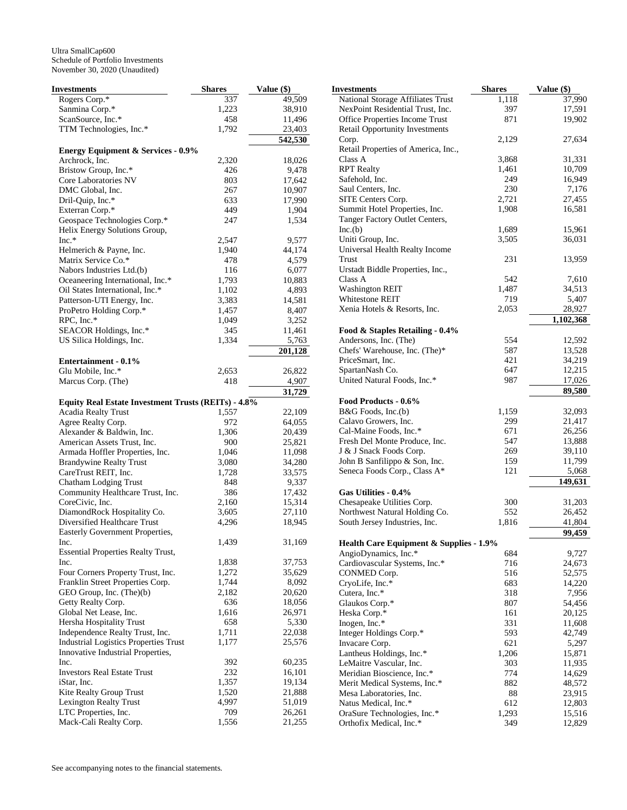| Investments                                                  | <b>Shares</b>  | Value (\$)       |
|--------------------------------------------------------------|----------------|------------------|
| Rogers Corp.*                                                | 337            | 49,509           |
| Sanmina Corp.*                                               | 1,223          | 38,910           |
| ScanSource, Inc.*                                            | 458            | 11,496           |
| TTM Technologies, Inc.*                                      | 1,792          | 23,403           |
|                                                              |                | 542,530          |
| <b>Energy Equipment &amp; Services - 0.9%</b>                |                |                  |
| Archrock, Inc.                                               | 2,320          | 18,026           |
| Bristow Group, Inc.*                                         | 426            | 9,478            |
| Core Laboratories NV                                         | 803            | 17,642           |
| DMC Global, Inc.                                             | 267            | 10,907           |
| Dril-Quip, Inc.*                                             | 633            | 17,990           |
| Exterran Corp.*                                              | 449            | 1,904            |
| Geospace Technologies Corp.*                                 | 247            | 1,534            |
| Helix Energy Solutions Group,                                |                |                  |
| $Inc.*$                                                      | 2,547          | 9,577            |
| Helmerich & Payne, Inc.                                      | 1,940          | 44,174           |
| Matrix Service Co.*                                          | 478            | 4,579            |
| Nabors Industries Ltd.(b)                                    | 116            | 6,077            |
| Oceaneering International, Inc.*                             | 1,793          | 10,883           |
| Oil States International, Inc.*                              | 1,102          | 4,893            |
| Patterson-UTI Energy, Inc.                                   | 3,383          | 14,581           |
| ProPetro Holding Corp.*                                      | 1,457          | 8,407            |
| RPC, Inc.*                                                   | 1,049          | 3,252            |
| SEACOR Holdings, Inc.*                                       | 345            | 11,461           |
| US Silica Holdings, Inc.                                     | 1,334          | 5,763            |
|                                                              |                | 201,128          |
| Entertainment - 0.1%                                         |                |                  |
| Glu Mobile, Inc.*                                            | 2,653          | 26,822           |
| Marcus Corp. (The)                                           | 418            | 4,907            |
|                                                              |                | 31,729           |
| <b>Equity Real Estate Investment Trusts (REITs) - 4.8%</b>   |                |                  |
| <b>Acadia Realty Trust</b>                                   | 1,557          | 22,109           |
| Agree Realty Corp.                                           | 972            | 64,055           |
| Alexander & Baldwin, Inc.                                    | 1,306          | 20,439           |
| American Assets Trust, Inc.                                  | 900            | 25,821           |
| Armada Hoffler Properties, Inc.                              | 1,046          | 11,098           |
| <b>Brandywine Realty Trust</b>                               | 3,080          | 34,280           |
| CareTrust REIT, Inc.                                         | 1,728          | 33,575           |
| <b>Chatham Lodging Trust</b>                                 | 848            | 9,337            |
| Community Healthcare Trust, Inc.                             | 386            | 17,432           |
| CoreCivic, Inc.                                              | 2,160          | 15,314           |
| DiamondRock Hospitality Co.                                  | 3,605          | 27,110           |
| Diversified Healthcare Trust                                 | 4,296          | 18,945           |
| Easterly Government Properties,                              | 1,439          | 31,169           |
| Inc.<br><b>Essential Properties Realty Trust,</b>            |                |                  |
| Inc.                                                         | 1,838          | 37,753           |
|                                                              | 1,272          | 35,629           |
| Four Corners Property Trust, Inc.                            | 1,744          | 8,092            |
| Franklin Street Properties Corp.<br>GEO Group, Inc. (The)(b) | 2,182          | 20,620           |
| Getty Realty Corp.                                           | 636            |                  |
| Global Net Lease, Inc.                                       | 1,616          | 18,056<br>26,971 |
| Hersha Hospitality Trust                                     | 658            | 5,330            |
| Independence Realty Trust, Inc.                              | 1,711          | 22,038           |
| <b>Industrial Logistics Properties Trust</b>                 |                | 25,576           |
| Innovative Industrial Properties,                            | 1,177          |                  |
| Inc.                                                         |                | 60,235           |
| <b>Investors Real Estate Trust</b>                           | 392<br>232     |                  |
| iStar, Inc.                                                  | 1,357          | 16,101<br>19,134 |
| Kite Realty Group Trust                                      |                | 21,888           |
| <b>Lexington Realty Trust</b>                                | 1,520<br>4,997 | 51,019           |
| LTC Properties, Inc.                                         | 709            | 26,261           |
| Mack-Cali Realty Corp.                                       | 1,556          | 21,255           |
|                                                              |                |                  |

| Investments                                                     | <b>Shares</b> | Value (\$)       |
|-----------------------------------------------------------------|---------------|------------------|
| National Storage Affiliates Trust                               | 1,118         | 37,990           |
| NexPoint Residential Trust, Inc.                                | 397           | 17,591           |
| Office Properties Income Trust                                  | 871           | 19,902           |
| <b>Retail Opportunity Investments</b>                           |               |                  |
| Corp.                                                           | 2,129         | 27,634           |
| Retail Properties of America, Inc.,                             |               |                  |
| Class A                                                         | 3,868         | 31,331           |
| <b>RPT</b> Realty                                               | 1,461         | 10,709           |
| Safehold, Inc.                                                  | 249           | 16,949           |
| Saul Centers, Inc.                                              | 230           | 7,176            |
| SITE Centers Corp.                                              | 2,721         | 27,455           |
| Summit Hotel Properties, Inc.<br>Tanger Factory Outlet Centers, | 1,908         | 16,581           |
| Inc.(b)                                                         | 1,689         | 15,961           |
| Uniti Group, Inc.                                               | 3,505         | 36,031           |
| Universal Health Realty Income                                  |               |                  |
| Trust                                                           | 231           | 13,959           |
| Urstadt Biddle Properties, Inc.,                                |               |                  |
| Class A                                                         | 542           | 7,610            |
| <b>Washington REIT</b>                                          | 1,487         | 34,513           |
| Whitestone REIT                                                 | 719           | 5,407            |
| Xenia Hotels & Resorts, Inc.                                    | 2,053         | 28,927           |
|                                                                 |               | 1,102,368        |
| Food & Staples Retailing - 0.4%                                 |               |                  |
| Andersons, Inc. (The)                                           | 554           | 12,592           |
| Chefs' Warehouse, Inc. (The)*                                   | 587           | 13,528           |
| PriceSmart, Inc.                                                | 421           | 34,219           |
| SpartanNash Co.                                                 | 647           | 12,215           |
| United Natural Foods, Inc.*                                     | 987           | 17,026           |
|                                                                 |               | 89,580           |
| Food Products - 0.6%                                            |               |                  |
| B&G Foods, Inc.(b)                                              | 1,159         | 32,093           |
| Calavo Growers, Inc.<br>Cal-Maine Foods, Inc.*                  | 299<br>671    | 21,417           |
| Fresh Del Monte Produce, Inc.                                   | 547           | 26,256<br>13,888 |
| J & J Snack Foods Corp.                                         | 269           | 39,110           |
| John B Sanfilippo & Son, Inc.                                   | 159           | 11,799           |
| Seneca Foods Corp., Class A*                                    | 121           | 5,068            |
|                                                                 |               | 149,631          |
| Gas Utilities - 0.4%                                            |               |                  |
| Chesapeake Utilities Corp.                                      | 300           | 31,203           |
| Northwest Natural Holding Co.                                   | 552           | 26,452           |
| South Jersey Industries, Inc.                                   | 1,816         | 41,804           |
|                                                                 |               | 99,459           |
| <b>Health Care Equipment &amp; Supplies - 1.9%</b>              |               |                  |
| AngioDynamics, Inc.*                                            | 684           | 9,727            |
| Cardiovascular Systems, Inc.*                                   | 716           | 24,673           |
| CONMED Corp.                                                    | 516           | 52,575           |
| CryoLife, Inc.*                                                 | 683           | 14,220           |
| Cutera, Inc.*                                                   | 318           | 7,956            |
| Glaukos Corp.*                                                  | 807<br>161    | 54,456<br>20,125 |
| Heska Corp.*<br>Inogen, Inc.*                                   | 331           | 11,608           |
| Integer Holdings Corp.*                                         | 593           | 42,749           |
| Invacare Corp.                                                  | 621           | 5,297            |
| Lantheus Holdings, Inc.*                                        | 1,206         | 15,871           |
| LeMaitre Vascular, Inc.                                         | 303           | 11,935           |
| Meridian Bioscience, Inc.*                                      | 774           | 14,629           |
| Merit Medical Systems, Inc.*                                    | 882           | 48,572           |
| Mesa Laboratories, Inc.                                         | 88            | 23,915           |
| Natus Medical, Inc.*                                            | 612           | 12,803           |
| OraSure Technologies, Inc.*                                     | 1,293         | 15,516           |
| Orthofix Medical, Inc.*                                         | 349           | 12,829           |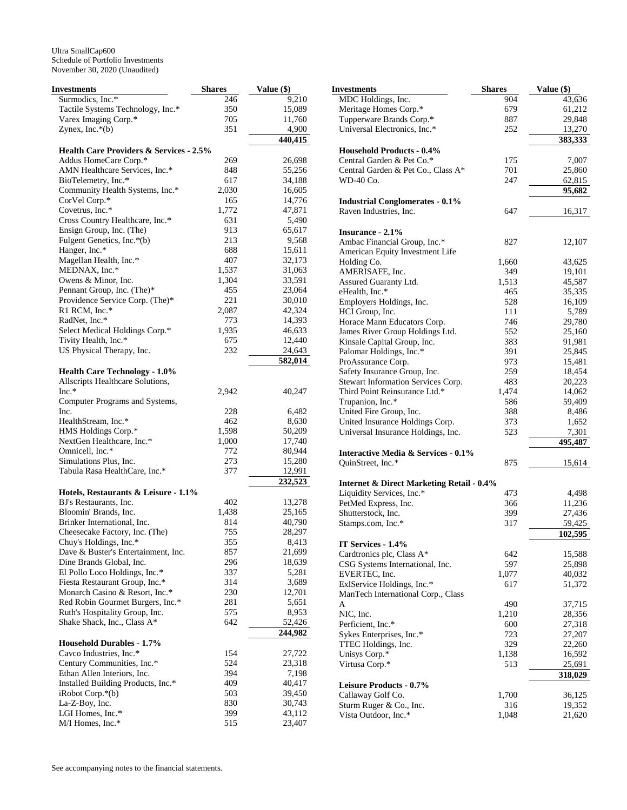| <b>Investments</b>                                        | <b>Shares</b> | Value (\$)       |
|-----------------------------------------------------------|---------------|------------------|
| Surmodics, Inc.*                                          | 246           | 9,210            |
| Tactile Systems Technology, Inc.*                         | 350           | 15,089           |
| Varex Imaging Corp.*                                      | 705           | 11,760           |
| Zynex, Inc.*(b)                                           | 351           | 4,900            |
|                                                           |               | 440,415          |
| Health Care Providers & Services - 2.5%                   |               |                  |
| Addus HomeCare Corp.*<br>AMN Healthcare Services, Inc.*   | 269<br>848    | 26,698<br>55,256 |
| BioTelemetry, Inc.*                                       | 617           | 34,188           |
| Community Health Systems, Inc.*                           | 2,030         | 16,605           |
| CorVel Corp.*                                             | 165           | 14,776           |
| Covetrus, Inc.*                                           | 1,772         | 47,871           |
| Cross Country Healthcare, Inc.*                           | 631           | 5,490            |
| Ensign Group, Inc. (The)                                  | 913           | 65,617           |
| Fulgent Genetics, Inc.*(b)                                | 213           | 9,568            |
| Hanger, Inc.*                                             | 688           | 15,611           |
| Magellan Health, Inc.*                                    | 407           | 32,173           |
| MEDNAX, Inc.*                                             | 1,537         | 31,063           |
| Owens & Minor, Inc.                                       | 1,304         | 33,591           |
| Pennant Group, Inc. (The)*                                | 455           | 23,064           |
| Providence Service Corp. (The)*                           | 221           | 30,010           |
| R1 RCM, Inc.*<br>RadNet, Inc.*                            | 2,087<br>773  | 42,324<br>14,393 |
| Select Medical Holdings Corp.*                            | 1,935         | 46,633           |
| Tivity Health, Inc.*                                      | 675           | 12,440           |
| US Physical Therapy, Inc.                                 | 232           | 24,643           |
|                                                           |               | 582,014          |
| <b>Health Care Technology - 1.0%</b>                      |               |                  |
| Allscripts Healthcare Solutions,                          |               |                  |
| $Inc.*$                                                   | 2,942         | 40,247           |
| Computer Programs and Systems,                            |               |                  |
| Inc.                                                      | 228           | 6,482            |
| HealthStream, Inc.*                                       | 462           | 8,630            |
| HMS Holdings Corp.*                                       | 1,598         | 50,209           |
| NextGen Healthcare, Inc.*<br>Omnicell, Inc.*              | 1,000<br>772  | 17,740<br>80,944 |
| Simulations Plus, Inc.                                    | 273           | 15,280           |
| Tabula Rasa HealthCare, Inc.*                             | 377           | 12,991           |
|                                                           |               | 232,523          |
| Hotels, Restaurants & Leisure - 1.1%                      |               |                  |
| BJ's Restaurants, Inc.                                    | 402           | 13,278           |
| Bloomin' Brands, Inc.                                     | 1,438         | 25,165           |
| Brinker International, Inc.                               | 814           | 40,790           |
| Cheesecake Factory, Inc. (The)                            | 755           | 28,297           |
| Chuy's Holdings, Inc.*                                    | 355           | 8,413            |
| Dave & Buster's Entertainment, Inc.                       | 857           | 21,699           |
| Dine Brands Global, Inc.<br>El Pollo Loco Holdings, Inc.* | 296           | 18,639           |
| Fiesta Restaurant Group, Inc.*                            | 337<br>314    | 5,281<br>3,689   |
| Monarch Casino & Resort, Inc.*                            | 230           | 12,701           |
| Red Robin Gourmet Burgers, Inc.*                          | 281           | 5,651            |
| Ruth's Hospitality Group, Inc.                            | 575           | 8,953            |
| Shake Shack, Inc., Class A*                               | 642           | 52,426           |
|                                                           |               | 244,982          |
| <b>Household Durables - 1.7%</b>                          |               |                  |
| Cavco Industries, Inc.*                                   | 154           | 27,722           |
| Century Communities, Inc.*<br>Ethan Allen Interiors, Inc. | 524<br>394    | 23,318<br>7,198  |
| Installed Building Products, Inc.*                        | 409           | 40,417           |
| $i$ Robot Corp. $*(b)$                                    | 503           | 39,450           |
| La-Z-Boy, Inc.                                            | 830           | 30,743           |
| LGI Homes, Inc.*                                          | 399           | 43,112           |
| M/I Homes, Inc.*                                          | 515           | 23,407           |

| Investments                                                      | <b>Shares</b> | Value (\$)       |
|------------------------------------------------------------------|---------------|------------------|
| MDC Holdings, Inc.                                               | 904           | 43,636           |
| Meritage Homes Corp.*                                            | 679           | 61,212           |
| Tupperware Brands Corp.*                                         | 887           | 29,848           |
| Universal Electronics, Inc.*                                     | 252           | 13,270           |
|                                                                  |               | 383,333          |
| <b>Household Products - 0.4%</b>                                 |               |                  |
| Central Garden & Pet Co.*                                        | 175           | 7,007            |
| Central Garden & Pet Co., Class A*                               | 701           | 25,860           |
| WD-40 Co.                                                        | 247           | 62,815<br>95,682 |
|                                                                  |               |                  |
| <b>Industrial Conglomerates - 0.1%</b><br>Raven Industries, Inc. | 647           |                  |
|                                                                  |               | 16,317           |
| Insurance - 2.1%                                                 |               |                  |
| Ambac Financial Group, Inc.*                                     | 827           | 12,107           |
| American Equity Investment Life                                  |               |                  |
| Holding Co.                                                      | 1,660         | 43,625           |
| AMERISAFE, Inc.                                                  | 349           | 19,101           |
| Assured Guaranty Ltd.                                            | 1,513         | 45,587           |
| eHealth, Inc.*                                                   | 465           | 35,335           |
| Employers Holdings, Inc.                                         | 528           | 16,109           |
| HCI Group, Inc.                                                  | 111           | 5,789            |
| Horace Mann Educators Corp.                                      | 746           | 29,780           |
| James River Group Holdings Ltd.                                  | 552           | 25,160           |
| Kinsale Capital Group, Inc.                                      | 383           | 91,981           |
| Palomar Holdings, Inc.*                                          | 391           | 25,845           |
| ProAssurance Corp.                                               | 973           | 15,481           |
| Safety Insurance Group, Inc.                                     | 259           | 18,454           |
| Stewart Information Services Corp.                               | 483           | 20,223           |
| Third Point Reinsurance Ltd.*                                    | 1,474         | 14,062           |
| Trupanion, Inc.*                                                 | 586           | 59,409           |
| United Fire Group, Inc.<br>United Insurance Holdings Corp.       | 388<br>373    | 8,486<br>1,652   |
| Universal Insurance Holdings, Inc.                               | 523           | 7,301            |
|                                                                  |               | 495,487          |
| <b>Interactive Media &amp; Services - 0.1%</b>                   |               |                  |
| QuinStreet, Inc.*                                                | 875           | 15,614           |
|                                                                  |               |                  |
| <b>Internet &amp; Direct Marketing Retail - 0.4%</b>             |               |                  |
| Liquidity Services, Inc.*                                        | 473           | 4,498            |
| PetMed Express, Inc.                                             | 366           | 11,236           |
| Shutterstock, Inc.                                               | 399           | 27,436           |
| Stamps.com, Inc.*                                                | 317           | 59,425           |
|                                                                  |               | 102,595          |
| IT Services - 1.4%                                               |               |                  |
| Cardtronics plc, Class A*                                        | 642           | 15,588           |
| CSG Systems International, Inc.<br>EVERTEC, Inc.                 | 597<br>1,077  | 25,898<br>40,032 |
| ExlService Holdings, Inc.*                                       | 617           | 51,372           |
| ManTech International Corp., Class                               |               |                  |
| A                                                                | 490           | 37,715           |
| NIC, Inc.                                                        | 1,210         | 28,356           |
| Perficient, Inc.*                                                | 600           | 27,318           |
| Sykes Enterprises, Inc.*                                         | 723           | 27,207           |
| TTEC Holdings, Inc.                                              | 329           | 22,260           |
| Unisys Corp.*                                                    | 1,138         | 16,592           |
| Virtusa Corp.*                                                   | 513           | 25,691           |
|                                                                  |               | 318,029          |
| <b>Leisure Products - 0.7%</b>                                   |               |                  |
| Callaway Golf Co.                                                | 1,700         | 36,125           |
| Sturm Ruger & Co., Inc.                                          | 316           | 19,352           |
| Vista Outdoor, Inc.*                                             | 1,048         | 21,620           |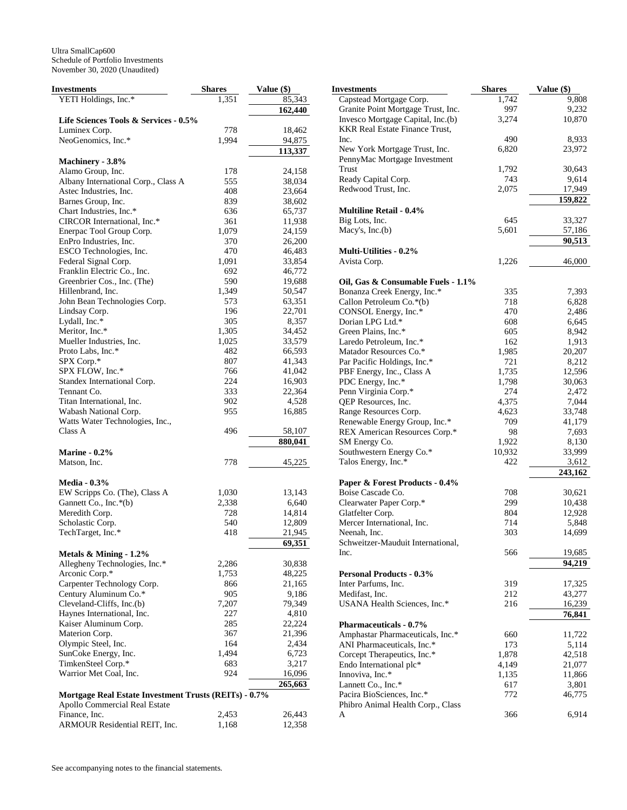| <b>Investments</b>                                    | <b>Shares</b> | Value (\$)      |
|-------------------------------------------------------|---------------|-----------------|
| YETI Holdings, Inc.*                                  | 1,351         | 85,343          |
|                                                       |               | 162,440         |
| Life Sciences Tools & Services - 0.5%                 |               |                 |
| Luminex Corp.                                         | 778           | 18,462          |
| NeoGenomics, Inc.*                                    | 1,994         | 94,875          |
|                                                       |               | 113,337         |
| Machinery - 3.8%                                      |               |                 |
| Alamo Group, Inc.                                     | 178           | 24,158          |
| Albany International Corp., Class A                   | 555           | 38,034          |
| Astec Industries, Inc.                                | 408           | 23,664          |
| Barnes Group, Inc.                                    | 839           | 38,602          |
| Chart Industries, Inc.*                               | 636           | 65,737          |
| CIRCOR International, Inc.*                           | 361           | 11,938          |
| Enerpac Tool Group Corp.                              | 1,079         | 24,159          |
| EnPro Industries, Inc.                                | 370           | 26,200          |
| ESCO Technologies, Inc.                               | 470           | 46,483          |
| Federal Signal Corp.                                  | 1,091         | 33,854          |
| Franklin Electric Co., Inc.                           | 692           | 46,772          |
| Greenbrier Cos., Inc. (The)                           | 590           | 19,688          |
| Hillenbrand, Inc.                                     | 1,349         | 50,547          |
| John Bean Technologies Corp.                          | 573<br>196    | 63,351          |
| Lindsay Corp.<br>Lydall, Inc.*                        | 305           | 22,701<br>8,357 |
| Meritor, Inc.*                                        | 1,305         | 34,452          |
| Mueller Industries, Inc.                              | 1,025         | 33,579          |
| Proto Labs, Inc.*                                     | 482           | 66,593          |
| SPX Corp.*                                            | 807           | 41,343          |
| SPX FLOW, Inc.*                                       | 766           | 41,042          |
| Standex International Corp.                           | 224           | 16,903          |
| Tennant Co.                                           | 333           | 22,364          |
| Titan International, Inc.                             | 902           | 4,528           |
| Wabash National Corp.                                 | 955           | 16,885          |
| Watts Water Technologies, Inc.,                       |               |                 |
| Class A                                               | 496           | 58,107          |
|                                                       |               | 880,041         |
| <b>Marine - 0.2%</b>                                  |               |                 |
| Matson, Inc.                                          | 778           | 45,225          |
|                                                       |               |                 |
| <b>Media - 0.3%</b>                                   |               |                 |
| EW Scripps Co. (The), Class A                         | 1,030         | 13,143          |
| Gannett Co., Inc.*(b)                                 | 2,338         | 6,640           |
| Meredith Corp.                                        | 728           | 14,814          |
| Scholastic Corp.                                      | 540           | 12,809          |
| TechTarget, Inc.*                                     | 418           | 21,945          |
|                                                       |               | 69,351          |
| Metals & Mining - 1.2%                                |               |                 |
| Allegheny Technologies, Inc.*                         | 2,286         | 30,838          |
| Arconic Corp.*                                        | 1,753         | 48,225          |
| Carpenter Technology Corp.                            | 866           | 21,165          |
| Century Aluminum Co.*                                 | 905           | 9,186           |
| Cleveland-Cliffs, Inc.(b)                             | 7,207         | 79,349          |
| Haynes International, Inc.                            | 227           | 4,810           |
| Kaiser Aluminum Corp.                                 | 285           | 22,224          |
| Materion Corp.                                        | 367           | 21,396          |
| Olympic Steel, Inc.                                   | 164           | 2,434           |
| SunCoke Energy, Inc.                                  | 1,494         | 6,723           |
| TimkenSteel Corp.*                                    | 683           | 3,217           |
| Warrior Met Coal, Inc.                                | 924           | 16,096          |
|                                                       |               | 265,663         |
| Mortgage Real Estate Investment Trusts (REITs) - 0.7% |               |                 |
| Apollo Commercial Real Estate                         |               |                 |
| Finance, Inc.                                         | 2,453         | 26,443          |
| ARMOUR Residential REIT, Inc.                         | 1,168         | 12,358          |

| Investments                                | <b>Shares</b> | Value (\$)      |
|--------------------------------------------|---------------|-----------------|
| Capstead Mortgage Corp.                    | 1,742         | 9,808           |
| Granite Point Mortgage Trust, Inc.         | 997           | 9,232           |
| Invesco Mortgage Capital, Inc.(b)          | 3,274         | 10,870          |
| <b>KKR Real Estate Finance Trust,</b>      |               |                 |
| Inc.                                       | 490           | 8,933           |
| New York Mortgage Trust, Inc.              | 6,820         | 23,972          |
| PennyMac Mortgage Investment<br>Trust      | 1,792         | 30,643          |
| Ready Capital Corp.                        | 743           | 9,614           |
| Redwood Trust, Inc.                        | 2,075         | 17,949          |
|                                            |               | 159,822         |
| <b>Multiline Retail - 0.4%</b>             |               |                 |
| Big Lots, Inc.                             | 645           | 33,327          |
| Macy's, $Inc.(b)$                          | 5,601         | 57,186          |
|                                            |               | 90,513          |
| <b>Multi-Utilities - 0.2%</b>              |               |                 |
| Avista Corp.                               | 1,226         | 46,000          |
| Oil, Gas & Consumable Fuels - 1.1%         |               |                 |
| Bonanza Creek Energy, Inc.*                | 335           | 7,393           |
| Callon Petroleum Co.*(b)                   | 718           | 6,828           |
| CONSOL Energy, Inc.*                       | 470           | 2,486           |
| Dorian LPG Ltd.*                           | 608           | 6,645           |
| Green Plains, Inc.*                        | 605           | 8,942           |
| Laredo Petroleum, Inc.*                    | 162           | 1,913           |
| Matador Resources Co.*                     | 1,985         | 20,207          |
| Par Pacific Holdings, Inc.*                | 721           | 8,212           |
| PBF Energy, Inc., Class A                  | 1,735         | 12,596          |
| PDC Energy, Inc.*                          | 1,798         | 30,063          |
| Penn Virginia Corp.*                       | 274           | 2,472           |
| QEP Resources, Inc.                        | 4,375         | 7,044           |
| Range Resources Corp.                      | 4,623         | 33,748          |
| Renewable Energy Group, Inc.*              | 709           | 41,179          |
| REX American Resources Corp.*              | 98            | 7,693           |
| SM Energy Co.                              | 1,922         | 8,130           |
| Southwestern Energy Co.*                   | 10,932        | 33,999          |
| Talos Energy, Inc.*                        | 422           | 3,612           |
|                                            |               | 243,162         |
| Paper & Forest Products - 0.4%             |               |                 |
| Boise Cascade Co.                          | 708           | 30,621          |
| Clearwater Paper Corp.*                    | 299           | 10,438          |
| Glatfelter Corp.                           | 804           | 12,928          |
| Mercer International, Inc.<br>Neenah, Inc. | 714<br>303    | 5,848<br>14,699 |
| Schweitzer-Mauduit International,          |               |                 |
| Inc.                                       | 566           | 19,685          |
|                                            |               | 94,219          |
| <b>Personal Products - 0.3%</b>            |               |                 |
| Inter Parfums, Inc.                        | 319           | 17,325          |
| Medifast, Inc.                             | 212           | 43,277          |
| USANA Health Sciences, Inc.*               | 216           | 16,239          |
| <b>Pharmaceuticals - 0.7%</b>              |               | 76,841          |
| Amphastar Pharmaceuticals, Inc.*           | 660           | 11,722          |
| ANI Pharmaceuticals, Inc.*                 | 173           | 5,114           |
| Corcept Therapeutics, Inc.*                | 1,878         | 42,518          |
| Endo International plc*                    | 4,149         | 21,077          |
| Innoviva, Inc.*                            | 1,135         | 11,866          |
| Lannett Co., Inc.*                         | 617           | 3,801           |
| Pacira BioSciences, Inc.*                  | 772           | 46,775          |
| Phibro Animal Health Corp., Class          |               |                 |
| A                                          | 366           | 6,914           |
|                                            |               |                 |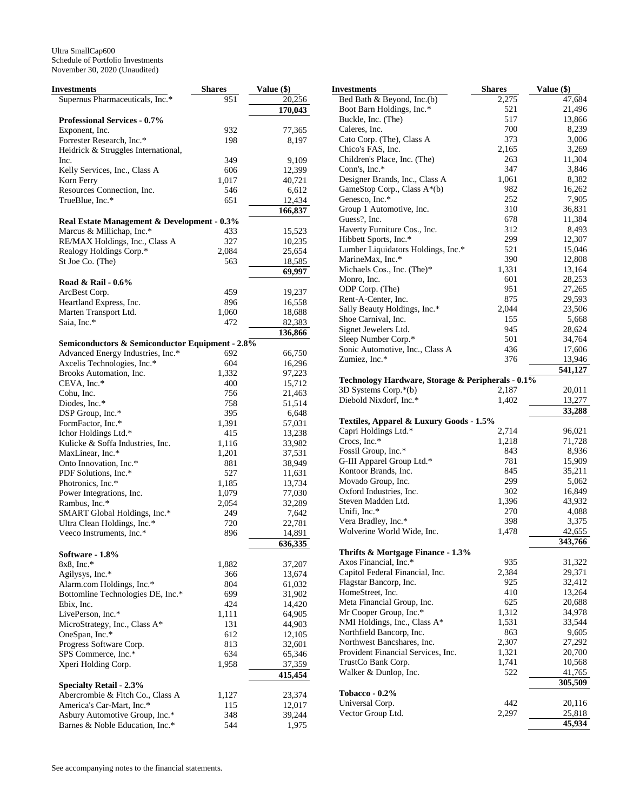| <b>Investments</b>                                          | <b>Shares</b> | Value (\$)       |
|-------------------------------------------------------------|---------------|------------------|
| Supernus Pharmaceuticals, Inc.*                             | 951           | 20,256           |
|                                                             |               | 170,043          |
| <b>Professional Services - 0.7%</b>                         |               |                  |
| Exponent, Inc.                                              | 932           | 77,365           |
| Forrester Research, Inc.*                                   | 198           | 8,197            |
| Heidrick & Struggles International,                         |               |                  |
| Inc.                                                        | 349           | 9,109            |
| Kelly Services, Inc., Class A                               | 606           | 12,399           |
| Korn Ferry                                                  | 1,017         | 40,721           |
| Resources Connection, Inc.                                  | 546           | 6,612            |
| TrueBlue, Inc.*                                             | 651           | 12,434           |
|                                                             |               | 166,837          |
| Real Estate Management & Development - 0.3%                 | 433           |                  |
| Marcus & Millichap, Inc.*<br>RE/MAX Holdings, Inc., Class A | 327           | 15,523<br>10,235 |
| Realogy Holdings Corp.*                                     | 2,084         | 25,654           |
| St Joe Co. (The)                                            | 563           | 18,585           |
|                                                             |               | 69,997           |
| Road & Rail - 0.6%                                          |               |                  |
| ArcBest Corp.                                               | 459           | 19,237           |
| Heartland Express, Inc.                                     | 896           | 16,558           |
| Marten Transport Ltd.                                       | 1,060         | 18,688           |
| Saia, Inc.*                                                 | 472           | 82,383           |
|                                                             |               | 136,866          |
| Semiconductors & Semiconductor Equipment - 2.8%             |               |                  |
| Advanced Energy Industries, Inc.*                           | 692           | 66,750           |
| Axcelis Technologies, Inc.*                                 | 604           | 16,296           |
| Brooks Automation, Inc.                                     | 1,332         | 97,223           |
| CEVA, Inc.*                                                 | 400           | 15,712           |
| Cohu, Inc.                                                  | 756           | 21,463           |
| Diodes, Inc.*                                               | 758           | 51,514           |
| DSP Group, Inc.*                                            | 395           | 6,648            |
| FormFactor, Inc.*                                           | 1,391         | 57,031           |
| Ichor Holdings Ltd.*                                        | 415           | 13,238           |
| Kulicke & Soffa Industries, Inc.                            | 1,116         | 33,982           |
| MaxLinear, Inc.*                                            | 1,201         | 37,531           |
| Onto Innovation, Inc.*                                      | 881           | 38,949           |
| PDF Solutions, Inc.*<br>Photronics, Inc.*                   | 527<br>1,185  | 11,631           |
| Power Integrations, Inc.                                    | 1,079         | 13,734<br>77,030 |
| Rambus, Inc.*                                               | 2,054         | 32,289           |
| SMART Global Holdings, Inc.*                                | 249           | 7,642            |
| Ultra Clean Holdings, Inc.*                                 | 720           | 22,781           |
| Veeco Instruments, Inc.*                                    | 896           | 14,891           |
|                                                             |               | 636,335          |
| Software - 1.8%                                             |               |                  |
| $8x8$ , Inc.*                                               | 1,882         | 37,207           |
| Agilysys, Inc.*                                             | 366           | 13,674           |
| Alarm.com Holdings, Inc.*                                   | 804           | 61,032           |
| Bottomline Technologies DE, Inc.*                           | 699           | 31,902           |
| Ebix, Inc.                                                  | 424           | 14,420           |
| LivePerson, Inc.*                                           | 1,111         | 64,905           |
| MicroStrategy, Inc., Class A*                               | 131           | 44,903           |
| OneSpan, Inc.*                                              | 612           | 12,105           |
| Progress Software Corp.                                     | 813           | 32,601           |
| SPS Commerce, Inc.*                                         | 634           | 65,346           |
| Xperi Holding Corp.                                         | 1,958         | 37,359           |
|                                                             |               | 415,454          |
| <b>Specialty Retail - 2.3%</b>                              |               |                  |
| Abercrombie & Fitch Co., Class A                            | 1,127         | 23,374           |
| America's Car-Mart, Inc.*<br>Asbury Automotive Group, Inc.* | 115<br>348    | 12,017<br>39,244 |
| Barnes & Noble Education, Inc.*                             | 544           | 1,975            |
|                                                             |               |                  |

| Investments                                           | <b>Shares</b> | Value (\$)       |
|-------------------------------------------------------|---------------|------------------|
| Bed Bath & Beyond, Inc.(b)                            | 2,275         | 47,684           |
| Boot Barn Holdings, Inc.*                             | 521           | 21,496           |
| Buckle, Inc. (The)                                    | 517           | 13,866           |
| Caleres, Inc.                                         | 700           | 8,239            |
| Cato Corp. (The), Class A                             | 373           | 3,006            |
| Chico's FAS, Inc.                                     | 2,165         | 3,269            |
| Children's Place, Inc. (The)                          | 263           | 11,304           |
| Conn's, Inc.*                                         | 347           | 3,846            |
| Designer Brands, Inc., Class A                        | 1,061         | 8,382            |
| GameStop Corp., Class A*(b)                           | 982           | 16,262           |
| Genesco, Inc.*                                        | 252           | 7,905            |
| Group 1 Automotive, Inc.                              | 310           | 36,831           |
| Guess?, Inc.                                          | 678<br>312    | 11,384           |
| Haverty Furniture Cos., Inc.<br>Hibbett Sports, Inc.* | 299           | 8,493<br>12,307  |
| Lumber Liquidators Holdings, Inc.*                    | 521           | 15,046           |
| MarineMax, Inc.*                                      | 390           | 12,808           |
| Michaels Cos., Inc. (The)*                            | 1,331         | 13,164           |
| Monro, Inc.                                           | 601           | 28,253           |
| ODP Corp. (The)                                       | 951           | 27,265           |
| Rent-A-Center, Inc.                                   | 875           | 29,593           |
| Sally Beauty Holdings, Inc.*                          | 2,044         | 23,506           |
| Shoe Carnival, Inc.                                   | 155           | 5,668            |
| Signet Jewelers Ltd.                                  | 945           | 28,624           |
| Sleep Number Corp.*                                   | 501           | 34,764           |
| Sonic Automotive, Inc., Class A                       | 436           | 17,606           |
| Zumiez, Inc.*                                         | 376           | 13,946           |
|                                                       |               | 541,127          |
| Technology Hardware, Storage & Peripherals - 0.1%     |               |                  |
| 3D Systems Corp.*(b)                                  | 2,187         | 20,011           |
| Diebold Nixdorf, Inc.*                                | 1,402         | 13,277           |
|                                                       |               | 33,288           |
| Textiles, Apparel & Luxury Goods - 1.5%               |               |                  |
| Capri Holdings Ltd.*                                  | 2,714         | 96,021           |
| Crocs, Inc.*                                          | 1,218         | 71,728           |
| Fossil Group, Inc.*                                   | 843<br>781    | 8,936            |
| G-III Apparel Group Ltd.*<br>Kontoor Brands, Inc.     | 845           | 15,909<br>35,211 |
| Movado Group, Inc.                                    | 299           | 5,062            |
| Oxford Industries, Inc.                               | 302           | 16,849           |
| Steven Madden Ltd.                                    | 1,396         | 43,932           |
| Unifi, Inc.*                                          | 270           | 4,088            |
| Vera Bradley, Inc.*                                   | 398           | 3,375            |
| Wolverine World Wide, Inc.                            | 1,478         | 42,655           |
|                                                       |               | 343,766          |
| Thrifts & Mortgage Finance - 1.3%                     |               |                  |
| Axos Financial, Inc.*                                 | 935           | 31,322           |
| Capitol Federal Financial, Inc.                       | 2,384         | 29,371           |
| Flagstar Bancorp, Inc.                                | 925           | 32,412           |
| HomeStreet, Inc.                                      | 410           | 13,264           |
| Meta Financial Group, Inc.                            | 625           | 20,688           |
| Mr Cooper Group, Inc.*                                | 1,312         | 34,978           |
| NMI Holdings, Inc., Class A*                          | 1,531         | 33,544           |
| Northfield Bancorp, Inc.                              | 863           | 9,605            |
| Northwest Bancshares, Inc.                            | 2,307         | 27,292           |
| Provident Financial Services, Inc.                    | 1,321         | 20,700           |
| TrustCo Bank Corp.                                    | 1,741         | 10,568           |
| Walker & Dunlop, Inc.                                 | 522           | 41,765           |
|                                                       |               | 305,509          |
| Tobacco - 0.2%                                        |               |                  |
| Universal Corp.                                       | 442           | 20,116           |
| Vector Group Ltd.                                     | 2,297         | 25,818           |
|                                                       |               | 45,934           |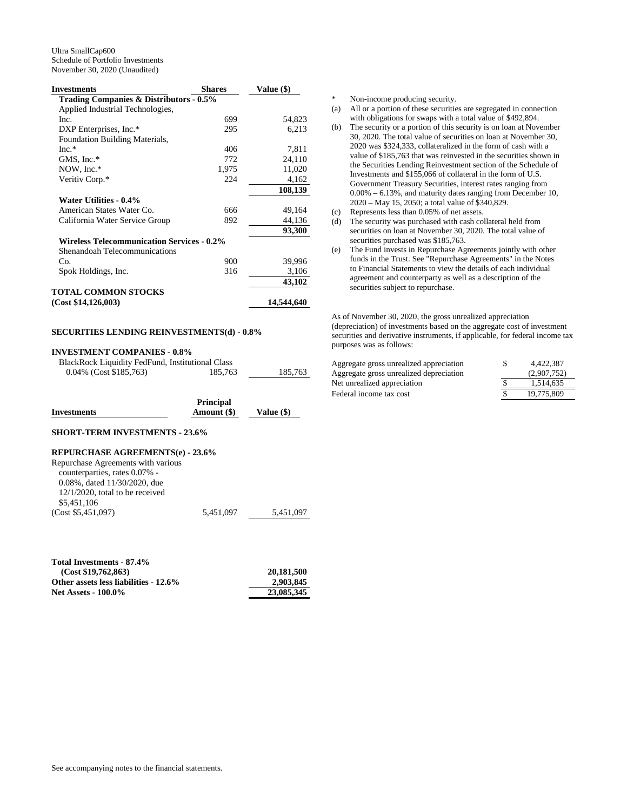| <b>Investments</b>                                | <b>Shares</b> | Value (\$) |
|---------------------------------------------------|---------------|------------|
| Trading Companies & Distributors - 0.5%           |               |            |
| Applied Industrial Technologies,                  |               |            |
| Inc.                                              | 699           | 54,823     |
| DXP Enterprises, Inc.*                            | 295           | 6,213      |
| Foundation Building Materials,                    |               |            |
| $Inc.*$                                           | 406           | 7,811      |
| GMS, Inc.*                                        | 772           | 24,110     |
| NOW, Inc.*                                        | 1,975         | 11,020     |
| Veritiv Corp.*                                    | 224           | 4,162      |
|                                                   |               | 108,139    |
| Water Utilities - 0.4%                            |               |            |
| American States Water Co.                         | 666           | 49,164     |
| California Water Service Group                    | 892           | 44,136     |
|                                                   |               | 93,300     |
| <b>Wireless Telecommunication Services - 0.2%</b> |               |            |
| Shenandoah Telecommunications                     |               |            |
| Co.                                               | 900           | 39,996     |
| Spok Holdings, Inc.                               | 316           | 3,106      |
|                                                   |               | 43,102     |
| <b>TOTAL COMMON STOCKS</b>                        |               |            |
| (Cost \$14,126,003)                               |               | 14,544,640 |
|                                                   |               |            |

## **SECURITIES LENDING REINVESTMENTS(d) - 0.8%**

| <b>INVESTMENT COMPANIES - 0.8%</b> |  |
|------------------------------------|--|
|                                    |  |

| BlackRock Liquidity FedFund, Institutional Class |         |         |
|--------------------------------------------------|---------|---------|
| $0.04\%$ (Cost \$185,763)                        | 185.763 | 185.763 |

|                    | <b>Principal</b> |              |
|--------------------|------------------|--------------|
| <b>Investments</b> | Amount (\$)      | Value $(\$)$ |

### **SHORT-TERM INVESTMENTS - 23.6%**

#### **REPURCHASE AGREEMENTS(e) - 23.6%**

| Repurchase Agreements with various  |           |           |
|-------------------------------------|-----------|-----------|
| counterparties, rates 0.07% -       |           |           |
| $0.08\%$ , dated $11/30/2020$ , due |           |           |
| $12/1/2020$ , total to be received  |           |           |
| \$5,451,106                         |           |           |
| (Cost \$5,451,097)                  | 5.451,097 | 5.451.097 |

| Total Investments - 87.4%             |            |
|---------------------------------------|------------|
| (Cost \$19.762.863)                   | 20.181.500 |
| Other assets less liabilities - 12.6% | 2.903.845  |
| <b>Net Assets - 100.0%</b>            | 23,085,345 |

\* Non-income producing security.

- (a) All or a portion of these securities are segregated in connection with obligations for swaps with a total value of \$492,894.
- (b) The security or a portion of this security is on loan at November 30, 2020. The total value of securities on loan at November 30, 2020 was \$324,333, collateralized in the form of cash with a value of \$185,763 that was reinvested in the securities shown in the Securities Lending Reinvestment section of the Schedule of Investments and \$155,066 of collateral in the form of U.S. Government Treasury Securities, interest rates ranging from 0.00% – 6.13%, and maturity dates ranging from December 10, 2020 – May 15, 2050; a total value of \$340,829.
- (c) Represents less than 0.05% of net assets.
- (d) The security was purchased with cash collateral held from securities on loan at November 30, 2020. The total value of securities purchased was \$185,763.
- (e) The Fund invests in Repurchase Agreements jointly with other funds in the Trust. See "Repurchase Agreements" in the Notes to Financial Statements to view the details of each individual agreement and counterparty as well as a description of the securities subject to repurchase.

As of November 30, 2020, the gross unrealized appreciation (depreciation) of investments based on the aggregate cost of investment securities and derivative instruments, if applicable, for federal income tax purposes was as follows:

| Aggregate gross unrealized appreciation | S | 4.422.387   |
|-----------------------------------------|---|-------------|
| Aggregate gross unrealized depreciation |   | (2.907.752) |
| Net unrealized appreciation             |   | 1.514.635   |
| Federal income tax cost                 |   | 19,775,809  |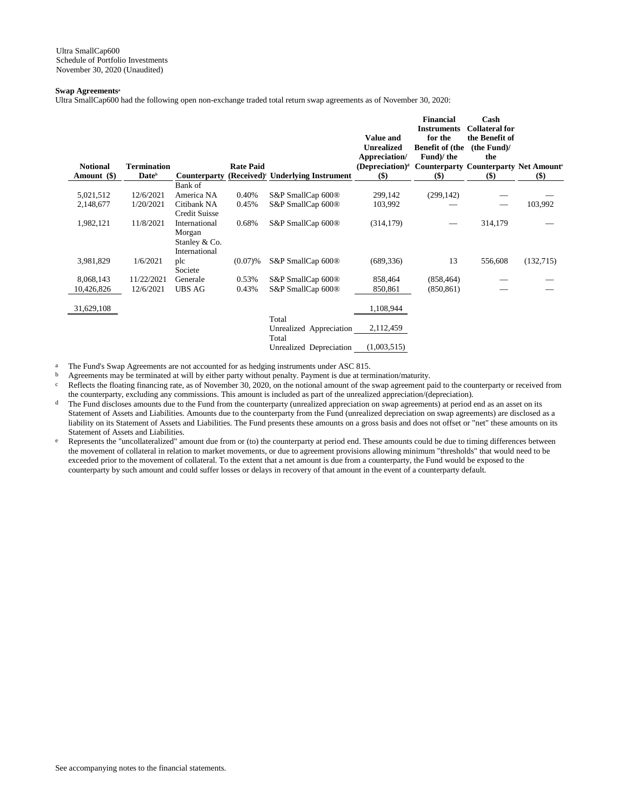## **Swap Agreements<sup>a</sup>**

Ultra SmallCap600 had the following open non-exchange traded total return swap agreements as of November 30, 2020:

| <b>Notional</b><br>Amount (\$) | <b>Termination</b><br>Date <sup>b</sup> | <b>Counterparty</b>                                       | <b>Rate Paid</b> | (Received) <sup>c</sup> Underlying Instrument | <b>Value and</b><br><b>Unrealized</b><br>Appreciation/<br>(Depreciation) <sup>d</sup><br>$($)$ | <b>Financial</b><br><b>Instruments</b><br>for the<br><b>Benefit of (the</b><br>Fund)/the<br><b>Counterparty Counterparty Net Amounter</b><br>$($)$ | Cash<br><b>Collateral for</b><br>the Benefit of<br>(the Fund)<br>the<br>$($)$ | $($ \$    |
|--------------------------------|-----------------------------------------|-----------------------------------------------------------|------------------|-----------------------------------------------|------------------------------------------------------------------------------------------------|----------------------------------------------------------------------------------------------------------------------------------------------------|-------------------------------------------------------------------------------|-----------|
|                                |                                         | Bank of                                                   |                  |                                               |                                                                                                |                                                                                                                                                    |                                                                               |           |
| 5,021,512                      | 12/6/2021                               | America NA                                                | 0.40%            | S&P SmallCap 600®                             | 299,142                                                                                        | (299, 142)                                                                                                                                         |                                                                               |           |
| 2,148,677                      | 1/20/2021                               | Citibank NA<br>Credit Suisse                              | 0.45%            | S&P SmallCap 600 <sup>®</sup>                 | 103,992                                                                                        |                                                                                                                                                    |                                                                               | 103,992   |
| 1,982,121                      | 11/8/2021                               | International<br>Morgan<br>Stanley & Co.<br>International | 0.68%            | S&P SmallCap 600 <sup>®</sup>                 | (314, 179)                                                                                     |                                                                                                                                                    | 314,179                                                                       |           |
| 3,981,829                      | 1/6/2021                                | plc<br>Societe                                            | (0.07)%          | S&P SmallCap 600 <sup>®</sup>                 | (689, 336)                                                                                     | 13                                                                                                                                                 | 556,608                                                                       | (132,715) |
| 8,068,143                      | 11/22/2021                              | Generale                                                  | 0.53%            | S&P SmallCap 600 <sup>®</sup>                 | 858,464                                                                                        | (858, 464)                                                                                                                                         |                                                                               |           |
| 10,426,826                     | 12/6/2021                               | <b>UBS AG</b>                                             | 0.43%            | S&P SmallCap 600®                             | 850,861                                                                                        | (850, 861)                                                                                                                                         |                                                                               |           |
| 31,629,108                     |                                         |                                                           |                  |                                               | 1,108,944                                                                                      |                                                                                                                                                    |                                                                               |           |
|                                |                                         |                                                           |                  | Total<br>Unrealized Appreciation<br>Total     | 2,112,459                                                                                      |                                                                                                                                                    |                                                                               |           |
|                                |                                         |                                                           |                  | Unrealized Depreciation                       | (1,003,515)                                                                                    |                                                                                                                                                    |                                                                               |           |

<sup>a</sup> The Fund's Swap Agreements are not accounted for as hedging instruments under ASC 815.<br>  $\frac{b}{a}$  Agreements may be terminated at will by either party without penalty. Payment is due at term

b Agreements may be terminated at will by either party without penalty. Payment is due at termination/maturity.<br>Reflects the floating financing rate, as of November 30, 2020, on the notional amount of the swap agreement p

Reflects the floating financing rate, as of November 30, 2020, on the notional amount of the swap agreement paid to the counterparty or received from the counterparty, excluding any commissions. This amount is included as part of the unrealized appreciation/(depreciation).

- d The Fund discloses amounts due to the Fund from the counterparty (unrealized appreciation on swap agreements) at period end as an asset on its Statement of Assets and Liabilities. Amounts due to the counterparty from the Fund (unrealized depreciation on swap agreements) are disclosed as a liability on its Statement of Assets and Liabilities. The Fund presents these amounts on a gross basis and does not offset or "net" these amounts on its Statement of Assets and Liabilities.
- e Represents the "uncollateralized" amount due from or (to) the counterparty at period end. These amounts could be due to timing differences between the movement of collateral in relation to market movements, or due to agreement provisions allowing minimum "thresholds" that would need to be exceeded prior to the movement of collateral. To the extent that a net amount is due from a counterparty, the Fund would be exposed to the counterparty by such amount and could suffer losses or delays in recovery of that amount in the event of a counterparty default.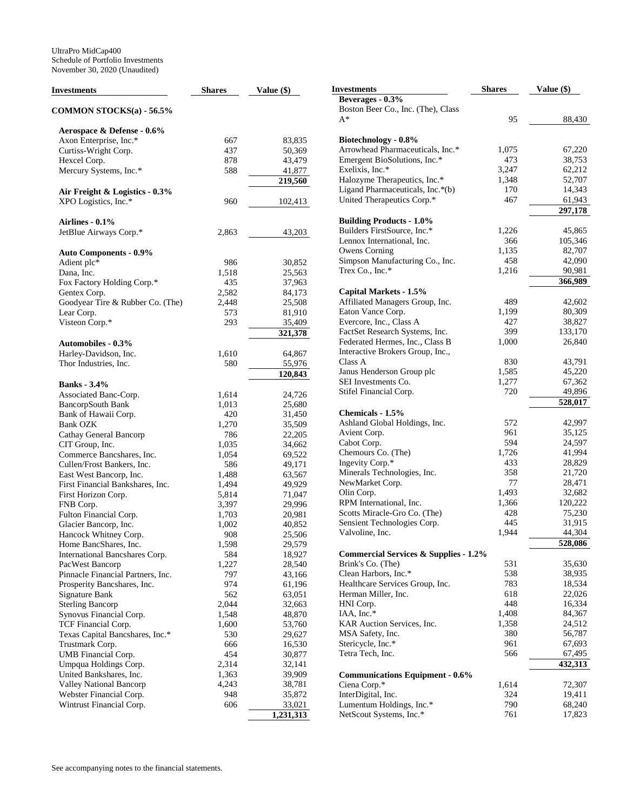| Investments                                    | <b>Shares</b> | Value $(\$)$           | <b>Investments</b>                               | <b>Shares</b> | Value (\$)        |
|------------------------------------------------|---------------|------------------------|--------------------------------------------------|---------------|-------------------|
|                                                |               |                        | Beverages - 0.3%                                 |               |                   |
| COMMON STOCKS(a) - 56.5%                       |               |                        | Boston Beer Co., Inc. (The), Class               |               |                   |
|                                                |               |                        | $A^*$                                            | 95            | 88,430            |
| Aerospace & Defense - 0.6%                     |               |                        |                                                  |               |                   |
| Axon Enterprise, Inc.*                         | 667           | 83,835                 | Biotechnology - 0.8%                             |               |                   |
| Curtiss-Wright Corp.                           | 437           | 50,369                 | Arrowhead Pharmaceuticals, Inc.*                 | 1,075         | 67,220            |
| Hexcel Corp.                                   | 878           | 43,479                 | Emergent BioSolutions, Inc.*                     | 473           | 38,753            |
| Mercury Systems, Inc.*                         | 588           | 41,877                 | Exelixis, Inc.*                                  | 3,247         | 62,212            |
|                                                |               | 219,560                | Halozyme Therapeutics, Inc.*                     | 1,348         | 52,707            |
| Air Freight & Logistics - 0.3%                 |               |                        | Ligand Pharmaceuticals, Inc.*(b)                 | 170           | 14,343            |
| XPO Logistics, Inc.*                           | 960           | 102,413                | United Therapeutics Corp.*                       | 467           | 61,943            |
|                                                |               |                        |                                                  |               | 297,178           |
| Airlines - 0.1%                                |               |                        | <b>Building Products - 1.0%</b>                  |               |                   |
| JetBlue Airways Corp.*                         | 2,863         | 43,203                 | Builders FirstSource, Inc.*                      | 1,226         | 45,865            |
|                                                |               |                        | Lennox International, Inc.                       | 366           | 105,346           |
| <b>Auto Components - 0.9%</b>                  |               |                        | Owens Corning                                    | 1,135         | 82,707            |
| Adient plc*                                    | 986           | 30,852                 | Simpson Manufacturing Co., Inc.                  | 458           | 42,090            |
| Dana, Inc.                                     | 1,518         | 25,563                 | Trex Co., Inc.*                                  | 1,216         | 90,981            |
| Fox Factory Holding Corp.*                     | 435           | 37,963                 |                                                  |               | 366,989           |
| Gentex Corp.                                   | 2,582         | 84,173                 | Capital Markets - 1.5%                           |               |                   |
| Goodyear Tire & Rubber Co. (The)               | 2,448         | 25,508                 | Affiliated Managers Group, Inc.                  | 489           | 42,602            |
| Lear Corp.                                     | 573           | 81,910                 | Eaton Vance Corp.                                | 1,199         | 80,309            |
| Visteon Corp.*                                 | 293           | 35,409                 | Evercore, Inc., Class A                          | 427           | 38,827            |
|                                                |               | 321,378                | FactSet Research Systems, Inc.                   | 399           | 133,170           |
| <b>Automobiles - 0.3%</b>                      |               |                        | Federated Hermes, Inc., Class B                  | 1,000         | 26,840            |
|                                                | 1,610         | 64,867                 | Interactive Brokers Group, Inc.,                 |               |                   |
| Harley-Davidson, Inc.<br>Thor Industries, Inc. |               |                        | Class A                                          | 830           | 43,791            |
|                                                | 580           | 55,976                 | Janus Henderson Group plc                        | 1,585         | 45,220            |
|                                                |               | 120,843                | SEI Investments Co.                              | 1,277         | 67,362            |
| <b>Banks</b> - 3.4%                            |               |                        | Stifel Financial Corp.                           | 720           | 49,896            |
| Associated Banc-Corp.                          | 1,614         | 24,726                 |                                                  |               | 528,017           |
| <b>BancorpSouth Bank</b>                       | 1,013         | 25,680                 | Chemicals - 1.5%                                 |               |                   |
| Bank of Hawaii Corp.                           | 420           | 31,450                 | Ashland Global Holdings, Inc.                    | 572           | 42,997            |
| <b>Bank OZK</b>                                | 1,270         | 35,509                 | Avient Corp.                                     | 961           | 35,125            |
| Cathay General Bancorp                         | 786           | 22,205                 | Cabot Corp.                                      | 594           | 24,597            |
| CIT Group, Inc.                                | 1,035         | 34,662                 | Chemours Co. (The)                               | 1,726         | 41,994            |
| Commerce Bancshares, Inc.                      | 1,054         | 69,522                 | Ingevity Corp.*                                  | 433           | 28,829            |
| Cullen/Frost Bankers, Inc.                     | 586           | 49,171                 |                                                  | 358           | 21,720            |
| East West Bancorp, Inc.                        | 1,488         | 63,567                 | Minerals Technologies, Inc.<br>NewMarket Corp.   | 77            | 28,471            |
| First Financial Bankshares, Inc.               | 1,494         | 49,929                 |                                                  | 1,493         | 32,682            |
| First Horizon Corp.                            | 5,814         | 71,047                 | Olin Corp.<br>RPM International, Inc.            | 1,366         | 120,222           |
| FNB Corp.                                      | 3,397         | 29,996                 |                                                  | 428           |                   |
| Fulton Financial Corp.                         | 1,703         | 20,981                 | Scotts Miracle-Gro Co. (The)                     |               | 75,230            |
| Glacier Bancorp, Inc.                          | 1,002         | 40,852                 | Sensient Technologies Corp.                      | 445<br>1,944  | 31,915            |
| Hancock Whitney Corp.                          | 908           | 25,506                 | Valvoline, Inc.                                  |               | 44,304<br>528,086 |
| Home BancShares, Inc.                          | 1,598         | 29,579                 |                                                  |               |                   |
| International Bancshares Corp.                 | 584           | 18,927                 | <b>Commercial Services &amp; Supplies - 1.2%</b> |               |                   |
| PacWest Bancorp                                | 1,227         | 28,540                 | Brink's Co. (The)                                | 531           | 35,630            |
| Pinnacle Financial Partners, Inc.              | 797           | 43,166                 | Clean Harbors, Inc.*                             | 538           | 38,935            |
| Prosperity Bancshares, Inc.                    | 974           | 61,196                 | Healthcare Services Group, Inc.                  | 783           | 18,534            |
| Signature Bank                                 | 562           | 63,051                 | Herman Miller, Inc.                              | 618           | 22,026            |
| <b>Sterling Bancorp</b>                        | 2,044         | 32,663                 | HNI Corp.                                        | 448           | 16,334            |
| Synovus Financial Corp.                        | 1,548         | 48,870                 | IAA, Inc.*                                       | 1,408         | 84,367            |
| TCF Financial Corp.                            | 1,600         | 53,760                 | KAR Auction Services, Inc.                       | 1,358         | 24,512            |
| Texas Capital Bancshares, Inc.*                | 530           | 29,627                 | MSA Safety, Inc.                                 | 380           | 56,787            |
| Trustmark Corp.                                | 666           | 16,530                 | Stericycle, Inc.*                                | 961           | 67,693            |
| UMB Financial Corp.                            | 454           | 30,877                 | Tetra Tech, Inc.                                 | 566           | 67,495            |
| Umpqua Holdings Corp.                          | 2,314         | 32,141                 |                                                  |               | 432,313           |
| United Bankshares, Inc.                        | 1,363         | 39,909                 | <b>Communications Equipment - 0.6%</b>           |               |                   |
| Valley National Bancorp                        | 4,243         | 38,781                 | Ciena Corp.*                                     | 1,614         | 72,307            |
| Webster Financial Corp.                        | 948           | 35,872                 | InterDigital, Inc.                               | 324           | 19,411            |
| Wintrust Financial Corp.                       | 606           | 33,021                 | Lumentum Holdings, Inc.*                         | 790           | 68,240            |
|                                                |               | $\overline{1,}231,313$ | NetScout Systems, Inc.*                          | 761           | 17,823            |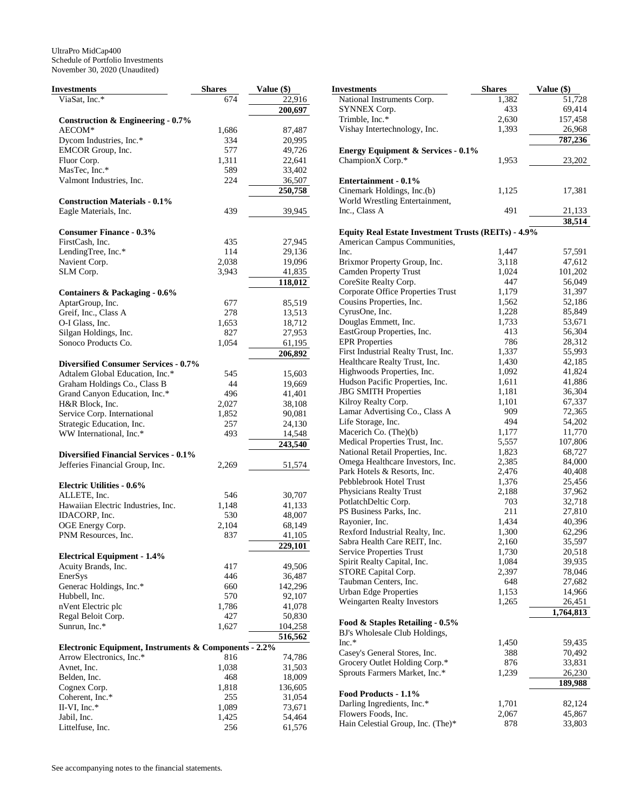| Investments                                           | <b>Shares</b> | <b>Value (\$)</b>    |
|-------------------------------------------------------|---------------|----------------------|
| ViaSat, Inc.*                                         | 674           | 22,916               |
|                                                       |               | 200,697              |
| Construction & Engineering - $0.7\%$                  |               |                      |
| AECOM*                                                | 1,686         | 87,487               |
| Dycom Industries, Inc.*                               | 334           | 20,995               |
| EMCOR Group, Inc.                                     | 577           | 49,726               |
| Fluor Corp.                                           | 1,311         | 22,641               |
| MasTec, Inc.*                                         | 589           | 33,402               |
| Valmont Industries, Inc.                              | 224           |                      |
|                                                       |               | 36,507               |
|                                                       |               | 250,758              |
| <b>Construction Materials - 0.1%</b>                  |               |                      |
| Eagle Materials, Inc.                                 | 439           | 39,945               |
|                                                       |               |                      |
| <b>Consumer Finance - 0.3%</b>                        |               |                      |
| FirstCash, Inc.                                       | 435           | 27,945               |
| LendingTree, Inc.*                                    | 114           | 29,136               |
| Navient Corp.                                         | 2,038         | 19,096               |
| SLM Corp.                                             | 3,943         | 41,835               |
|                                                       |               | 118,012              |
| Containers & Packaging - 0.6%                         |               |                      |
| AptarGroup, Inc.                                      | 677           | 85,519               |
| Greif, Inc., Class A                                  | 278           | 13,513               |
|                                                       |               |                      |
| O-I Glass, Inc.                                       | 1,653         | 18,712               |
| Silgan Holdings, Inc.                                 | 827           | 27,953               |
| Sonoco Products Co.                                   | 1,054         | 61,195               |
|                                                       |               | 206,892              |
| <b>Diversified Consumer Services - 0.7%</b>           |               |                      |
| Adtalem Global Education, Inc.*                       | 545           | 15,603               |
| Graham Holdings Co., Class B                          | 44            | 19,669               |
| Grand Canyon Education, Inc.*                         | 496           | 41,401               |
| H&R Block, Inc.                                       | 2,027         | 38,108               |
| Service Corp. International                           | 1,852         | 90,081               |
| Strategic Education, Inc.                             | 257           | 24,130               |
| WW International, Inc.*                               |               | 14,548               |
|                                                       | 493           | 243,540              |
|                                                       |               |                      |
| <b>Diversified Financial Services - 0.1%</b>          |               |                      |
| Jefferies Financial Group, Inc.                       | 2,269         | 51,574               |
|                                                       |               |                      |
| <b>Electric Utilities - 0.6%</b>                      |               |                      |
| ALLETE, Inc.                                          | 546           | 30,707               |
| Hawaiian Electric Industries, Inc.                    | 1,148         | 41,133               |
| IDACORP, Inc.                                         | 530           | 48,007               |
| OGE Energy Corp.                                      | 2,104         | 68,149               |
| PNM Resources, Inc.                                   | 837           | 41,105               |
|                                                       |               | $\overline{229,}101$ |
| <b>Electrical Equipment - 1.4%</b>                    |               |                      |
| Acuity Brands, Inc.                                   | 417           | 49,506               |
| EnerSys                                               | 446           | 36,487               |
|                                                       |               |                      |
| Generac Holdings, Inc.*                               | 660           | 142,296              |
| Hubbell, Inc.                                         | 570           | 92,107               |
| nVent Electric plc                                    | 1,786         | 41,078               |
| Regal Beloit Corp.                                    | 427           | 50,830               |
| Sunrun, Inc.*                                         | 1,627         | 104,258              |
|                                                       |               | 516,562              |
| Electronic Equipment, Instruments & Components - 2.2% |               |                      |
| Arrow Electronics, Inc.*                              | 816           | 74,786               |
| Avnet, Inc.                                           | 1,038         | 31,503               |
| Belden, Inc.                                          | 468           | 18,009               |
| Cognex Corp.                                          | 1,818         | 136,605              |
| Coherent, Inc.*                                       | 255           |                      |
|                                                       |               | 31,054               |
| II-VI, Inc.*                                          | 1,089         | 73,671               |
| Jabil, Inc.                                           | 1,425         | 54,464               |
| Littelfuse, Inc.                                      | 256           | 61,576               |

| Investments                                                      | <b>Shares</b> | Value (\$)          |
|------------------------------------------------------------------|---------------|---------------------|
| National Instruments Corp.                                       | 1,382         | 51,728              |
| SYNNEX Corp.                                                     | 433           | 69,414              |
| Trimble, Inc.*                                                   | 2,630         | 157,458             |
| Vishay Intertechnology, Inc.                                     | 1,393         | 26,968              |
|                                                                  |               | 787,236             |
| <b>Energy Equipment &amp; Services - 0.1%</b>                    |               |                     |
| ChampionX Corp.*                                                 | 1,953         | 23,202              |
|                                                                  |               |                     |
| Entertainment - 0.1%                                             |               |                     |
| Cinemark Holdings, Inc.(b)<br>World Wrestling Entertainment,     | 1,125         | 17,381              |
| Inc., Class A                                                    | 491           | 21,133              |
|                                                                  |               | 38,514              |
| <b>Equity Real Estate Investment Trusts (REITs) - 4.9%</b>       |               |                     |
| American Campus Communities,                                     |               |                     |
| Inc.                                                             | 1,447         | 57,591              |
| Brixmor Property Group, Inc.                                     | 3,118         | 47,612              |
| <b>Camden Property Trust</b>                                     | 1,024         | 101,202             |
| CoreSite Realty Corp.                                            | 447           | 56,049              |
| Corporate Office Properties Trust                                | 1,179         | 31,397              |
| Cousins Properties, Inc.                                         | 1,562         | 52,186              |
| CyrusOne, Inc.                                                   | 1,228         | 85,849              |
| Douglas Emmett, Inc.                                             | 1,733         | 53,671              |
| EastGroup Properties, Inc.                                       | 413           | 56,304              |
| <b>EPR</b> Properties                                            | 786           | 28,312              |
| First Industrial Realty Trust, Inc.                              | 1,337         | 55,993              |
| Healthcare Realty Trust, Inc.                                    | 1,430         | 42,185              |
| Highwoods Properties, Inc.                                       | 1,092         | 41,824              |
| Hudson Pacific Properties, Inc.                                  | 1,611         | 41,886              |
| <b>JBG SMITH Properties</b>                                      | 1,181         | 36,304              |
| Kilroy Realty Corp.<br>Lamar Advertising Co., Class A            | 1,101<br>909  | 67,337<br>72,365    |
| Life Storage, Inc.                                               | 494           | 54,202              |
| Macerich Co. (The)(b)                                            | 1,177         | 11,770              |
| Medical Properties Trust, Inc.                                   | 5,557         | 107,806             |
| National Retail Properties, Inc.                                 | 1,823         | 68,727              |
| Omega Healthcare Investors, Inc.                                 | 2,385         | 84,000              |
| Park Hotels & Resorts, Inc.                                      | 2,476         | 40,408              |
| Pebblebrook Hotel Trust                                          | 1,376         | 25,456              |
| Physicians Realty Trust                                          | 2,188         | 37,962              |
| PotlatchDeltic Corp.                                             | 703           | 32,718              |
| PS Business Parks, Inc.                                          | 211           | 27,810              |
| Rayonier, Inc.                                                   | 1,434         | 40,396              |
| Rexford Industrial Realty, Inc.                                  | 1,300         | 62,296              |
| Sabra Health Care REIT, Inc.                                     | 2,160         | 35,597              |
| <b>Service Properties Trust</b>                                  | 1,730         | 20,518              |
| Spirit Realty Capital, Inc.                                      | 1,084         | 39,935              |
| STORE Capital Corp.                                              | 2,397         | 78,046              |
| Taubman Centers, Inc.                                            | 648           | 27,682              |
| <b>Urban Edge Properties</b>                                     | 1,153         | 14,966              |
| Weingarten Realty Investors                                      | 1,265         | 26,451<br>1,764,813 |
|                                                                  |               |                     |
| Food & Staples Retailing - 0.5%<br>BJ's Wholesale Club Holdings, |               |                     |
| Inc.*                                                            | 1,450         | 59,435              |
| Casey's General Stores, Inc.                                     | 388           | 70,492              |
| Grocery Outlet Holding Corp.*                                    | 876           | 33,831              |
| Sprouts Farmers Market, Inc.*                                    | 1,239         | 26,230              |
|                                                                  |               | 189,988             |
| Food Products - 1.1%                                             |               |                     |
| Darling Ingredients, Inc.*                                       | 1,701         | 82,124              |
| Flowers Foods, Inc.                                              | 2,067         | 45,867              |
| Hain Celestial Group, Inc. (The)*                                | 878           | 33,803              |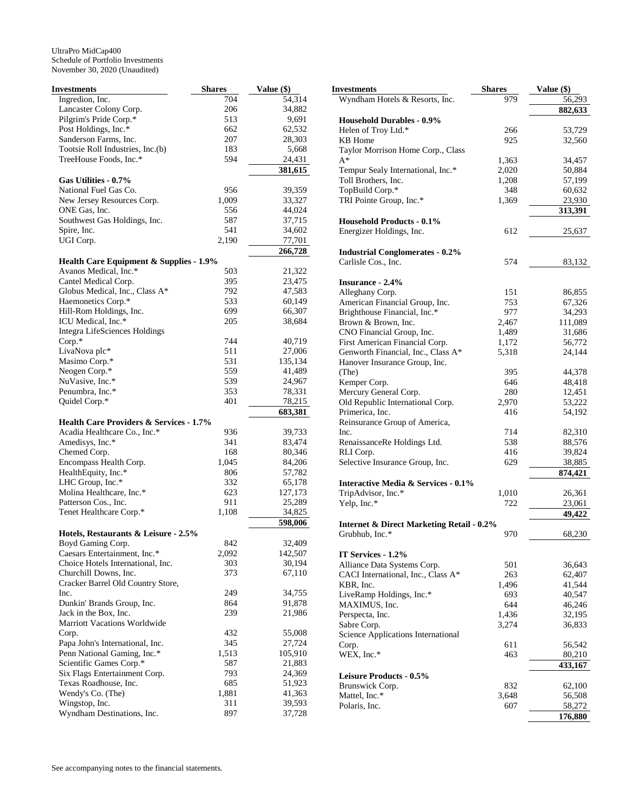| <b>Investments</b>                                   | <b>Shares</b> | Value (\$)       |
|------------------------------------------------------|---------------|------------------|
| Ingredion, Inc.                                      | 704           | 54,314           |
| Lancaster Colony Corp.                               | 206           | 34,882           |
| Pilgrim's Pride Corp.*                               | 513           | 9,691            |
| Post Holdings, Inc.*                                 | 662           | 62,532           |
| Sanderson Farms, Inc.                                | 207           | 28,303           |
| Tootsie Roll Industries, Inc.(b)                     | 183           | 5,668            |
| TreeHouse Foods, Inc.*                               | 594           | 24,431           |
|                                                      |               | 381,615          |
| Gas Utilities - 0.7%                                 |               |                  |
| National Fuel Gas Co.                                | 956           | 39,359           |
| New Jersey Resources Corp.                           | 1,009         | 33,327           |
| ONE Gas, Inc.                                        | 556           | 44,024           |
| Southwest Gas Holdings, Inc.                         | 587           | 37,715           |
| Spire, Inc.                                          | 541           | 34,602           |
| UGI Corp.                                            | 2,190         | 77,701           |
|                                                      |               | 266,728          |
| <b>Health Care Equipment &amp; Supplies - 1.9%</b>   |               |                  |
| Avanos Medical, Inc.*<br>Cantel Medical Corp.        | 503           | 21,322           |
|                                                      | 395<br>792    | 23,475<br>47,583 |
| Globus Medical, Inc., Class A*<br>Haemonetics Corp.* | 533           |                  |
| Hill-Rom Holdings, Inc.                              | 699           | 60,149<br>66,307 |
| ICU Medical, Inc.*                                   | 205           | 38,684           |
| <b>Integra LifeSciences Holdings</b>                 |               |                  |
| Corp.*                                               | 744           | 40,719           |
| LivaNova plc*                                        | 511           | 27,006           |
| Masimo Corp.*                                        | 531           | 135,134          |
| Neogen Corp.*                                        | 559           | 41,489           |
| NuVasive, Inc.*                                      | 539           | 24,967           |
| Penumbra, Inc.*                                      | 353           | 78,331           |
| Quidel Corp.*                                        | 401           | 78,215           |
|                                                      |               | 683,381          |
| Health Care Providers & Services - 1.7%              |               |                  |
| Acadia Healthcare Co., Inc.*                         | 936           | 39,733           |
| Amedisys, Inc.*                                      | 341           | 83,474           |
| Chemed Corp.                                         | 168           | 80,346           |
| Encompass Health Corp.                               | 1,045         | 84,206           |
| HealthEquity, Inc.*                                  | 806           | 57,782           |
| LHC Group, Inc.*                                     | 332           | 65,178           |
| Molina Healthcare, Inc.*                             | 623           | 127,173          |
| Patterson Cos., Inc.                                 | 911           | 25,289           |
| Tenet Healthcare Corp.*                              | 1,108         | 34,825           |
|                                                      |               | 598,006          |
| Hotels, Restaurants & Leisure - 2.5%                 |               |                  |
| Boyd Gaming Corp.                                    | 842           | 32,409           |
| Caesars Entertainment, Inc.*                         | 2,092         | 142,507          |
| Choice Hotels International, Inc.                    | 303           | 30,194           |
| Churchill Downs, Inc.                                | 373           | 67,110           |
| Cracker Barrel Old Country Store,                    |               |                  |
| Inc.<br>Dunkin' Brands Group, Inc.                   | 249           | 34,755<br>91,878 |
| Jack in the Box, Inc.                                | 864<br>239    | 21,986           |
| Marriott Vacations Worldwide                         |               |                  |
|                                                      | 432           | 55,008           |
| Corp.<br>Papa John's International, Inc.             | 345           | 27,724           |
| Penn National Gaming, Inc.*                          | 1,513         | 105,910          |
| Scientific Games Corp.*                              | 587           | 21,883           |
| Six Flags Entertainment Corp.                        | 793           | 24,369           |
| Texas Roadhouse, Inc.                                | 685           | 51,923           |
| Wendy's Co. (The)                                    | 1,881         | 41,363           |
| Wingstop, Inc.                                       | 311           | 39,593           |
| Wyndham Destinations, Inc.                           | 897           | 37,728           |
|                                                      |               |                  |

| Investments                                                         | Shares         | Value $(\$)$     |
|---------------------------------------------------------------------|----------------|------------------|
| Wyndham Hotels & Resorts, Inc.                                      | 979            | 56,293           |
|                                                                     |                | 882,633          |
| <b>Household Durables - 0.9%</b>                                    |                |                  |
| Helen of Troy Ltd.*                                                 | 266            | 53,729           |
| KB Home                                                             | 925            | 32,560           |
| Taylor Morrison Home Corp., Class<br>A*                             |                |                  |
| Tempur Sealy International, Inc.*                                   | 1,363<br>2,020 | 34,457<br>50,884 |
| Toll Brothers, Inc.                                                 | 1,208          | 57,199           |
| TopBuild Corp.*                                                     | 348            | 60,632           |
| TRI Pointe Group, Inc.*                                             | 1,369          | 23,930           |
|                                                                     |                | 313,391          |
| <b>Household Products - 0.1%</b>                                    |                |                  |
| Energizer Holdings, Inc.                                            | 612            | 25,637           |
|                                                                     |                |                  |
| <b>Industrial Conglomerates - 0.2%</b>                              |                |                  |
| Carlisle Cos., Inc.                                                 | 574            | 83,132           |
|                                                                     |                |                  |
| <b>Insurance - 2.4%</b>                                             |                |                  |
| Alleghany Corp.                                                     | 151            | 86,855           |
| American Financial Group, Inc.                                      | 753            | 67,326           |
| Brighthouse Financial, Inc.*                                        | 977            | 34,293           |
| Brown & Brown, Inc.                                                 | 2,467          | 111,089          |
| CNO Financial Group, Inc.                                           | 1,489          | 31,686           |
| First American Financial Corp.                                      | 1,172          | 56,772           |
| Genworth Financial, Inc., Class A*<br>Hanover Insurance Group, Inc. | 5,318          | 24,144           |
| (The)                                                               | 395            | 44,378           |
| Kemper Corp.                                                        | 646            | 48,418           |
| Mercury General Corp.                                               | 280            | 12,451           |
| Old Republic International Corp.                                    | 2,970          | 53,222           |
| Primerica, Inc.                                                     | 416            | 54,192           |
| Reinsurance Group of America,                                       |                |                  |
| Inc.                                                                | 714            | 82,310           |
| RenaissanceRe Holdings Ltd.                                         | 538            | 88,576           |
| RLI Corp.                                                           | 416            | 39,824           |
| Selective Insurance Group, Inc.                                     | 629            | 38,885           |
|                                                                     |                | 874,421          |
| Interactive Media & Services - 0.1%                                 |                |                  |
| TripAdvisor, Inc.*                                                  | 1,010          | 26,361           |
| Yelp, Inc.*                                                         | 722            | 23,061           |
|                                                                     |                | 49,422           |
| <b>Internet &amp; Direct Marketing Retail - 0.2%</b>                |                |                  |
| Grubhub, Inc.*                                                      | 970            | 68,230           |
| IT Services - 1.2%                                                  |                |                  |
| Alliance Data Systems Corp.                                         | 501            | 36,643           |
| CACI International, Inc., Class A*                                  | 263            | 62,407           |
| KBR, Inc.                                                           | 1,496          | 41,544           |
| LiveRamp Holdings, Inc.*                                            | 693            | 40,547           |
| MAXIMUS, Inc.                                                       | 644            | 46,246           |
| Perspecta, Inc.                                                     | 1,436          | 32,195           |
| Sabre Corp.                                                         | 3,274          | 36,833           |
| Science Applications International                                  |                |                  |
| Corp.                                                               | 611            | 56,542           |
| WEX, Inc.*                                                          | 463            | 80,210           |
|                                                                     |                | 433,167          |
| <b>Leisure Products - 0.5%</b>                                      |                |                  |
| Brunswick Corp.                                                     | 832            | 62,100           |
| Mattel, Inc.*                                                       | 3,648          | 56,508           |
| Polaris, Inc.                                                       | 607            | 58,272           |
|                                                                     |                | 176,880          |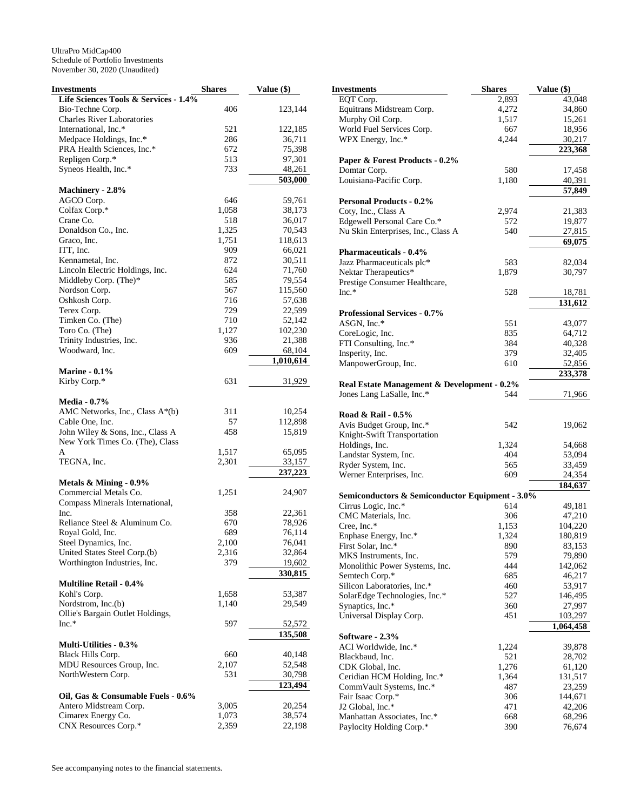| Investments                           | <b>Shares</b> | Value (\$) |
|---------------------------------------|---------------|------------|
| Life Sciences Tools & Services - 1.4% |               |            |
| Bio-Techne Corp.                      | 406           | 123,144    |
| <b>Charles River Laboratories</b>     |               |            |
| International, Inc.*                  | 521           | 122,185    |
| Medpace Holdings, Inc.*               | 286           | 36,711     |
| PRA Health Sciences, Inc.*            | 672           | 75,398     |
| Repligen Corp.*                       | 513           | 97,301     |
| Syneos Health, Inc.*                  | 733           | 48,261     |
|                                       |               | 503,000    |
| Machinery - 2.8%                      |               |            |
| AGCO Corp.                            | 646           | 59,761     |
| Colfax Corp.*                         | 1,058         | 38,173     |
| Crane Co.                             | 518           | 36,017     |
| Donaldson Co., Inc.                   | 1,325         | 70,543     |
| Graco, Inc.                           | 1,751         | 118,613    |
| ITT, Inc.                             | 909           | 66,021     |
| Kennametal, Inc.                      | 872           | 30,511     |
| Lincoln Electric Holdings, Inc.       | 624           | 71,760     |
| Middleby Corp. (The)*                 | 585           | 79,554     |
| Nordson Corp.                         | 567           | 115,560    |
| Oshkosh Corp.                         | 716           | 57,638     |
| Terex Corp.                           | 729           | 22,599     |
| Timken Co. (The)                      | 710           | 52,142     |
| Toro Co. (The)                        | 1,127         | 102,230    |
| Trinity Industries, Inc.              | 936           | 21,388     |
| Woodward, Inc.                        | 609           | 68,104     |
|                                       |               | 1,010,614  |
| <b>Marine - 0.1%</b>                  |               |            |
| Kirby Corp.*                          | 631           | 31,929     |
|                                       |               |            |
| <b>Media - 0.7%</b>                   |               |            |
| AMC Networks, Inc., Class A*(b)       | 311           | 10,254     |
| Cable One, Inc.                       | 57            | 112,898    |
| John Wiley & Sons, Inc., Class A      | 458           | 15,819     |
| New York Times Co. (The), Class       |               |            |
| A                                     | 1,517         | 65,095     |
| TEGNA, Inc.                           | 2,301         | 33,157     |
|                                       |               | 237,223    |
| Metals & Mining - 0.9%                |               |            |
| Commercial Metals Co.                 | 1,251         | 24,907     |
| Compass Minerals International,       |               |            |
| Inc.                                  | 358           | 22,361     |
| Reliance Steel & Aluminum Co.         | 670           | 78,926     |
| Royal Gold, Inc.                      | 689           | 76,114     |
| Steel Dynamics, Inc.                  | 2,100         | 76,041     |
| United States Steel Corp.(b)          | 2,316         | 32,864     |
| Worthington Industries, Inc.          | 379           | 19,602     |
|                                       |               | 330,815    |
| <b>Multiline Retail - 0.4%</b>        |               |            |
| Kohl's Corp.                          | 1,658         | 53,387     |
| Nordstrom, Inc.(b)                    | 1,140         | 29,549     |
| Ollie's Bargain Outlet Holdings,      |               |            |
| $Inc.*$                               | 597           | 52,572     |
|                                       |               | 135,508    |
| <b>Multi-Utilities - 0.3%</b>         |               |            |
|                                       |               |            |
| Black Hills Corp.                     | 660           | 40,148     |
| MDU Resources Group, Inc.             | 2,107         | 52,548     |
| NorthWestern Corp.                    | 531           | 30,798     |
|                                       |               | 123,494    |
| Oil, Gas & Consumable Fuels - 0.6%    |               |            |
| Antero Midstream Corp.                | 3,005         | 20,254     |
| Cimarex Energy Co.                    | 1,073         | 38,574     |
| CNX Resources Corp.*                  | 2,359         | 22,198     |

| <b>Investments</b>                                                     | <b>Shares</b> | Value (\$)       |
|------------------------------------------------------------------------|---------------|------------------|
| EQT Corp.                                                              | 2,893         | 43,048           |
| Equitrans Midstream Corp.                                              | 4,272         | 34,860           |
| Murphy Oil Corp.                                                       | 1,517         | 15,261           |
| World Fuel Services Corp.                                              | 667           | 18,956           |
| WPX Energy, Inc.*                                                      | 4,244         | 30,217           |
|                                                                        |               | 223,368          |
| Paper & Forest Products - 0.2%                                         |               |                  |
| Domtar Corp.                                                           | 580           | 17,458           |
| Louisiana-Pacific Corp.                                                | 1,180         | 40,391           |
|                                                                        |               | 57,849           |
| <b>Personal Products - 0.2%</b>                                        |               |                  |
| Coty, Inc., Class A                                                    | 2,974         | 21,383           |
| Edgewell Personal Care Co.*                                            | 572           | 19,877           |
| Nu Skin Enterprises, Inc., Class A                                     | 540           | 27,815<br>69,075 |
| <b>Pharmaceuticals - 0.4%</b>                                          |               |                  |
| Jazz Pharmaceuticals plc*                                              | 583           | 82,034           |
| Nektar Therapeutics*                                                   | 1,879         | 30,797           |
| Prestige Consumer Healthcare,                                          |               |                  |
| $Inc.*$                                                                | 528           | 18,781           |
|                                                                        |               | 131,612          |
| <b>Professional Services - 0.7%</b>                                    |               |                  |
| ASGN, Inc.*                                                            | 551           | 43,077           |
| CoreLogic, Inc.                                                        | 835           | 64,712           |
| FTI Consulting, Inc.*                                                  | 384           | 40,328           |
| Insperity, Inc.                                                        | 379           | 32,405           |
| ManpowerGroup, Inc.                                                    | 610           | 52,856           |
|                                                                        |               | 233,378          |
| Real Estate Management & Development - 0.2%                            |               |                  |
| Jones Lang LaSalle, Inc.*                                              | 544           | 71,966           |
|                                                                        |               |                  |
| Road & Rail - 0.5%                                                     |               |                  |
| Avis Budget Group, Inc.*                                               | 542           | 19,062           |
| Knight-Swift Transportation                                            |               |                  |
| Holdings, Inc.                                                         | 1,324         | 54,668           |
| Landstar System, Inc.                                                  | 404           | 53,094           |
| Ryder System, Inc.                                                     | 565           | 33,459           |
| Werner Enterprises, Inc.                                               | 609           | 24,354           |
|                                                                        |               | 184,637          |
| Semiconductors & Semiconductor Equipment - 3.0%<br>Cirrus Logic, Inc.* | 614           | 49,181           |
| CMC Materials, Inc.                                                    | 306           | 47,210           |
| Cree, Inc.*                                                            | 1,153         | 104,220          |
| Enphase Energy, Inc.*                                                  | 1,324         | 180,819          |
| First Solar, Inc.*                                                     | 890           | 83,153           |
| MKS Instruments, Inc.                                                  | 579           | 79,890           |
| Monolithic Power Systems, Inc.                                         | 444           | 142,062          |
| Semtech Corp.*                                                         | 685           | 46,217           |
| Silicon Laboratories, Inc.*                                            | 460           | 53,917           |
| SolarEdge Technologies, Inc.*                                          | 527           | 146,495          |
| Synaptics, Inc.*                                                       | 360           | 27,997           |
| Universal Display Corp.                                                | 451           | 103,297          |
|                                                                        |               | 1,064,458        |
| Software - 2.3%                                                        |               |                  |
| ACI Worldwide, Inc.*                                                   | 1,224         | 39,878           |
| Blackbaud, Inc.                                                        | 521           | 28,702           |
| CDK Global, Inc.                                                       | 1,276         | 61,120           |
| Ceridian HCM Holding, Inc.*                                            | 1,364         | 131,517          |
| CommVault Systems, Inc.*                                               | 487           | 23,259           |
| Fair Isaac Corp.*                                                      | 306           | 144,671          |
| J2 Global, Inc.*                                                       | 471           | 42,206           |
| Manhattan Associates, Inc.*                                            | 668           | 68,296           |
| Paylocity Holding Corp.*                                               | 390           | 76,674           |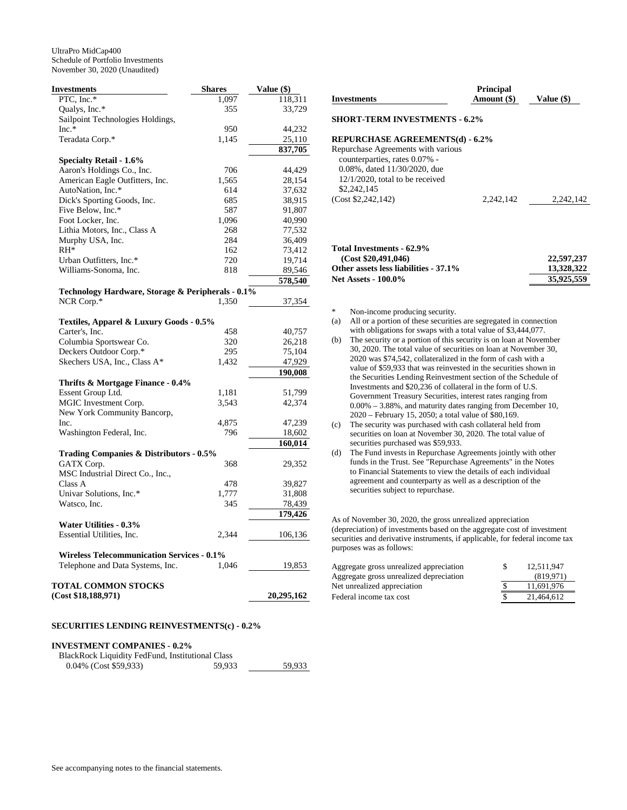| <b>Investments</b>                                | <b>Shares</b> | Value (\$) |
|---------------------------------------------------|---------------|------------|
| PTC, Inc.*                                        | 1,097         | 118,311    |
| Qualys, Inc.*                                     | 355           | 33,729     |
| Sailpoint Technologies Holdings,                  |               |            |
| $Inc.*$                                           | 950           | 44,232     |
| Teradata Corp.*                                   | 1,145         | 25,110     |
|                                                   |               | 837,705    |
| <b>Specialty Retail - 1.6%</b>                    |               |            |
| Aaron's Holdings Co., Inc.                        | 706           | 44,429     |
| American Eagle Outfitters, Inc.                   | 1,565         | 28,154     |
| AutoNation, Inc.*                                 | 614           | 37,632     |
| Dick's Sporting Goods, Inc.                       | 685           | 38,915     |
| Five Below, Inc.*                                 | 587           | 91,807     |
| Foot Locker, Inc.                                 | 1,096         | 40,990     |
| Lithia Motors, Inc., Class A                      | 268           | 77,532     |
| Murphy USA, Inc.                                  | 284           | 36,409     |
| $RH^*$                                            | 162           | 73,412     |
| Urban Outfitters, Inc.*                           | 720           | 19,714     |
| Williams-Sonoma, Inc.                             | 818           | 89,546     |
|                                                   |               | 578,540    |
| Technology Hardware, Storage & Peripherals - 0.1% |               |            |
| NCR Corp.*                                        | 1,350         | 37,354     |
|                                                   |               |            |
| Textiles, Apparel & Luxury Goods - 0.5%           |               |            |
| Carter's, Inc.                                    | 458           | 40,757     |
| Columbia Sportswear Co.                           | 320           | 26,218     |
| Deckers Outdoor Corp.*                            | 295           | 75,104     |
| Skechers USA, Inc., Class A*                      | 1,432         | 47,929     |
|                                                   |               | 190,008    |
| Thrifts & Mortgage Finance - 0.4%                 |               |            |
| Essent Group Ltd.                                 | 1,181         | 51,799     |
| MGIC Investment Corp.                             | 3,543         | 42,374     |
| New York Community Bancorp,                       |               |            |
| Inc.                                              | 4,875         | 47,239     |
| Washington Federal, Inc.                          | 796           | 18,602     |
|                                                   |               | 160,014    |
| Trading Companies & Distributors - 0.5%           |               |            |
| GATX Corp.                                        | 368           | 29,352     |
| MSC Industrial Direct Co., Inc.,                  |               |            |
| Class A                                           | 478           | 39,827     |
| Univar Solutions, Inc.*                           | 1,777         | 31,808     |
| Watsco, Inc.                                      | 345           | 78,439     |
|                                                   |               | 179,426    |
| Water Utilities - 0.3%                            |               |            |
| Essential Utilities, Inc.                         | 2,344         |            |
|                                                   |               | 106,136    |
| <b>Wireless Telecommunication Services - 0.1%</b> |               |            |
|                                                   | 1,046         |            |
| Telephone and Data Systems, Inc.                  |               | 19,853     |
| <b>TOTAL COMMON STOCKS</b>                        |               |            |
| (Cost \$18,188,971)                               |               | 20,295,162 |
|                                                   |               |            |

## **SECURITIES LENDING REINVESTMENTS(c) - 0.2%**

| <b>INVESTMENT COMPANIES - 0.2%</b>               |        |        |
|--------------------------------------------------|--------|--------|
| BlackRock Liquidity FedFund, Institutional Class |        |        |
| $0.04\%$ (Cost \$59,933)                         | 59.933 | 59.933 |

| 0.04% (Cost \$59,933) |  |
|-----------------------|--|

**Investments Principal Amount (\$) Value (\$) SHORT-TERM INVESTMENTS - 6.2% REPURCHASE AGREEMENTS(d) - 6.2%**  Repurchase Agreements with various counterparties, rates 0.07% - 0.08%, dated 11/30/2020, due 12/1/2020, total to be received

\$2,242,145 (Cost \$2,242,142) 2,242,142 2,242,142

## **Total Investments - 62.9% (Cost \$20,491,046)** 22,597,237<br>ther assets less liabilities - 37.1% 13,328,322 Other assets less liabilities - 37.1% **Net Assets - 100.0% 35,925,559**

\* Non-income producing security.

- (a) All or a portion of these securities are segregated in connection with obligations for swaps with a total value of \$3,444,077.
- (b) The security or a portion of this security is on loan at November 30, 2020. The total value of securities on loan at November 30, 2020 was \$74,542, collateralized in the form of cash with a value of \$59,933 that was reinvested in the securities shown in the Securities Lending Reinvestment section of the Schedule of Investments and \$20,236 of collateral in the form of U.S. Government Treasury Securities, interest rates ranging from 0.00% – 3.88%, and maturity dates ranging from December 10, 2020 – February 15, 2050; a total value of \$80,169.
- (c) The security was purchased with cash collateral held from securities on loan at November 30, 2020. The total value of securities purchased was \$59,933.
- (d) The Fund invests in Repurchase Agreements jointly with other funds in the Trust. See "Repurchase Agreements" in the Notes to Financial Statements to view the details of each individual agreement and counterparty as well as a description of the securities subject to repurchase.

As of November 30, 2020, the gross unrealized appreciation (depreciation) of investments based on the aggregate cost of investment securities and derivative instruments, if applicable, for federal income tax purposes was as follows:

| 12.511.947 |
|------------|
| (819.971)  |
| 11.691.976 |
| 21.464.612 |
|            |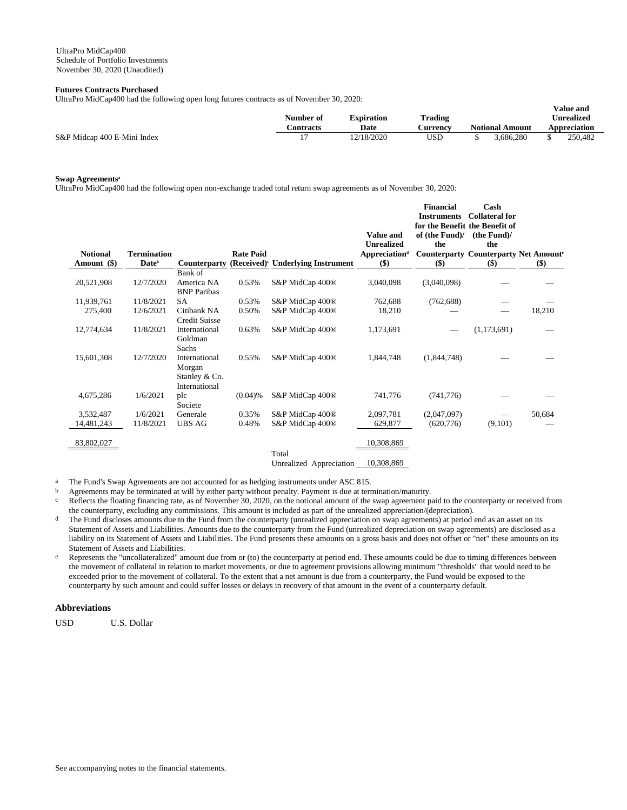## **Futures Contracts Purchased**

UltraPro MidCap400 had the following open long futures contracts as of November 30, 2020:

|                             | Number of | <b>Expiration</b> | <b>Trading</b> | v alue allu<br><b>Unrealized</b> |                        |  |              |
|-----------------------------|-----------|-------------------|----------------|----------------------------------|------------------------|--|--------------|
|                             | `ontracts | Date              | Aurrency       |                                  | <b>Notional Amount</b> |  | Appreciation |
| S&P Midcap 400 E-Mini Index |           | 12/18/2020        | USD            |                                  | :686.280               |  | 250.482      |

**Value and** 

## **Swap Agreements<sup>a</sup>**

UltraPro MidCap400 had the following open non-exchange traded total return swap agreements as of November 30, 2020:

| <b>Notional</b> | <b>Termination</b>       |                                                           | <b>Rate Paid</b> |                                               | Value and<br>Unrealized<br><b>Appreciation</b> <sup>d</sup> | <b>Financial</b><br><b>Instruments</b><br>for the Benefit the Benefit of<br>of (the Fund)/<br>the | Cash<br><b>Collateral for</b><br>(the Fund)/<br>the<br><b>Counterparty Counterparty Net Amounter</b> |        |
|-----------------|--------------------------|-----------------------------------------------------------|------------------|-----------------------------------------------|-------------------------------------------------------------|---------------------------------------------------------------------------------------------------|------------------------------------------------------------------------------------------------------|--------|
| Amount (\$)     | <b>Date</b> <sup>b</sup> | <b>Counterparty</b>                                       |                  | (Received) <sup>c</sup> Underlying Instrument | \$)                                                         | $($)$                                                                                             | $($)$                                                                                                | $($)$  |
| 20,521,908      | 12/7/2020                | Bank of<br>America NA<br><b>BNP</b> Paribas               | 0.53%            | S&P MidCap 400 <sup>®</sup>                   | 3,040,098                                                   | (3,040,098)                                                                                       |                                                                                                      |        |
| 11,939,761      | 11/8/2021                | SA                                                        | 0.53%            | S&P MidCap 400 <sup>®</sup>                   | 762,688                                                     | (762, 688)                                                                                        |                                                                                                      |        |
| 275,400         | 12/6/2021                | Citibank NA<br><b>Credit Suisse</b>                       | 0.50%            | S&P MidCap 400 <sup>®</sup>                   | 18,210                                                      |                                                                                                   |                                                                                                      | 18,210 |
| 12,774,634      | 11/8/2021                | International<br>Goldman<br>Sachs                         | 0.63%            | S&P MidCap 400 <sup>®</sup>                   | 1,173,691                                                   |                                                                                                   | (1,173,691)                                                                                          |        |
| 15,601,308      | 12/7/2020                | International<br>Morgan<br>Stanley & Co.<br>International | 0.55%            | S&P MidCap 400 <sup>®</sup>                   | 1,844,748                                                   | (1,844,748)                                                                                       |                                                                                                      |        |
| 4,675,286       | 1/6/2021                 | plc<br>Societe                                            | $(0.04)$ %       | S&P MidCap 400 <sup>®</sup>                   | 741,776                                                     | (741, 776)                                                                                        |                                                                                                      |        |
| 3,532,487       | 1/6/2021                 | Generale                                                  | 0.35%            | S&P MidCap 400 <sup>®</sup>                   | 2,097,781                                                   | (2,047,097)                                                                                       |                                                                                                      | 50,684 |
| 14,481,243      | 11/8/2021                | <b>UBS AG</b>                                             | 0.48%            | S&P MidCap 400 <sup>®</sup>                   | 629,877                                                     | (620, 776)                                                                                        | (9,101)                                                                                              |        |
| 83,802,027      |                          |                                                           |                  | Total                                         | 10,308,869                                                  |                                                                                                   |                                                                                                      |        |

Unrealized Appreciation 10,308,869

a The Fund's Swap Agreements are not accounted for as hedging instruments under ASC 815.

<sup>b</sup> Agreements may be terminated at will by either party without penalty. Payment is due at termination/maturity.

 $c$  Reflects the floating financing rate, as of November 30, 2020, on the notional amount of the swap agreement paid to the counterparty or received from the counterparty, excluding any commissions. This amount is included as part of the unrealized appreciation/(depreciation).

- <sup>d</sup> The Fund discloses amounts due to the Fund from the counterparty (unrealized appreciation on swap agreements) at period end as an asset on its Statement of Assets and Liabilities. Amounts due to the counterparty from the Fund (unrealized depreciation on swap agreements) are disclosed as a liability on its Statement of Assets and Liabilities. The Fund presents these amounts on a gross basis and does not offset or "net" these amounts on its Statement of Assets and Liabilities.
- e Represents the "uncollateralized" amount due from or (to) the counterparty at period end. These amounts could be due to timing differences between the movement of collateral in relation to market movements, or due to agreement provisions allowing minimum "thresholds" that would need to be exceeded prior to the movement of collateral. To the extent that a net amount is due from a counterparty, the Fund would be exposed to the counterparty by such amount and could suffer losses or delays in recovery of that amount in the event of a counterparty default.

## **Abbreviations**

USD U.S. Dollar

See accompanying notes to the financial statements.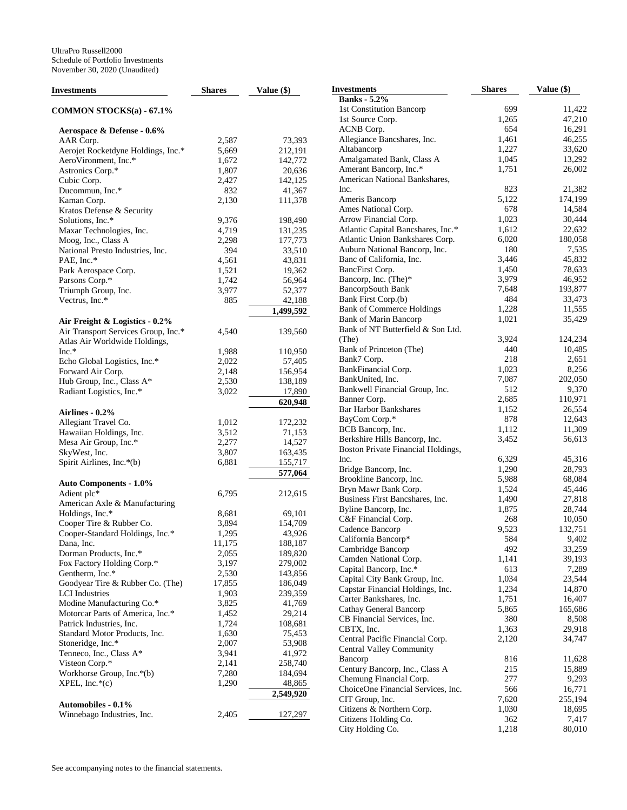| <b>Investments</b>                  | <b>Shares</b> | Value $(\$)$ | <b>Investments</b>                 | <b>Shares</b> | Value (\$) |
|-------------------------------------|---------------|--------------|------------------------------------|---------------|------------|
|                                     |               |              | <b>Banks</b> - 5.2%                |               |            |
| <b>COMMON STOCKS(a) - 67.1%</b>     |               |              | 1st Constitution Bancorp           | 699           | 11,422     |
|                                     |               |              | 1st Source Corp.                   | 1,265         | 47,210     |
| Aerospace & Defense - 0.6%          |               |              | ACNB Corp.                         | 654           | 16,291     |
| AAR Corp.                           | 2,587         | 73,393       | Allegiance Bancshares, Inc.        | 1,461         | 46,255     |
| Aerojet Rocketdyne Holdings, Inc.*  | 5,669         | 212,191      | Altabancorp                        | 1,227         | 33,620     |
| AeroVironment, Inc.*                | 1,672         | 142,772      | Amalgamated Bank, Class A          | 1,045         | 13,292     |
| Astronics Corp.*                    | 1,807         | 20,636       | Amerant Bancorp, Inc.*             | 1,751         | 26,002     |
| Cubic Corp.                         | 2,427         | 142,125      | American National Bankshares,      |               |            |
| Ducommun, Inc.*                     | 832           | 41,367       | Inc.                               | 823           | 21,382     |
| Kaman Corp.                         | 2,130         | 111,378      | Ameris Bancorp                     | 5,122         | 174,199    |
| Kratos Defense & Security           |               |              | Ames National Corp.                | 678           | 14,584     |
| Solutions, Inc.*                    | 9,376         | 198,490      | Arrow Financial Corp.              | 1,023         | 30,444     |
| Maxar Technologies, Inc.            | 4,719         | 131,235      | Atlantic Capital Bancshares, Inc.* | 1,612         | 22,632     |
| Moog, Inc., Class A                 | 2,298         | 177,773      | Atlantic Union Bankshares Corp.    | 6,020         | 180,058    |
| National Presto Industries, Inc.    | 394           | 33,510       | Auburn National Bancorp, Inc.      | 180           | 7,535      |
| PAE, Inc.*                          | 4,561         | 43,831       | Banc of California, Inc.           | 3,446         | 45,832     |
| Park Aerospace Corp.                | 1,521         | 19,362       | BancFirst Corp.                    | 1,450         | 78,633     |
| Parsons Corp.*                      | 1,742         | 56,964       | Bancorp, Inc. (The)*               | 3,979         | 46,952     |
| Triumph Group, Inc.                 | 3,977         | 52,377       | <b>BancorpSouth Bank</b>           | 7,648         | 193,877    |
| Vectrus, Inc.*                      | 885           | 42,188       | Bank First Corp.(b)                | 484           | 33,473     |
|                                     |               | 1,499,592    | <b>Bank of Commerce Holdings</b>   | 1,228         | 11,555     |
| Air Freight & Logistics - 0.2%      |               |              | <b>Bank of Marin Bancorp</b>       | 1,021         | 35,429     |
| Air Transport Services Group, Inc.* | 4,540         | 139,560      | Bank of NT Butterfield & Son Ltd.  |               |            |
| Atlas Air Worldwide Holdings,       |               |              | (The)                              | 3,924         | 124,234    |
| Inc.*                               | 1,988         | 110,950      | Bank of Princeton (The)            | 440           | 10,485     |
| Echo Global Logistics, Inc.*        | 2,022         | 57,405       | Bank7 Corp.                        | 218           | 2,651      |
| Forward Air Corp.                   | 2,148         | 156,954      | BankFinancial Corp.                | 1,023         | 8,256      |
| Hub Group, Inc., Class A*           | 2,530         | 138,189      | BankUnited, Inc.                   | 7,087         | 202,050    |
| Radiant Logistics, Inc.*            | 3,022         | 17,890       | Bankwell Financial Group, Inc.     | 512           | 9,370      |
|                                     |               | 620,948      | Banner Corp.                       | 2,685         | 110,971    |
| Airlines - 0.2%                     |               |              | <b>Bar Harbor Bankshares</b>       | 1,152         | 26,554     |
| Allegiant Travel Co.                | 1,012         | 172,232      | BayCom Corp.*                      | 878           | 12,643     |
| Hawaiian Holdings, Inc.             | 3,512         | 71,153       | BCB Bancorp, Inc.                  | 1,112         | 11,309     |
| Mesa Air Group, Inc.*               | 2,277         | 14,527       | Berkshire Hills Bancorp, Inc.      | 3,452         | 56,613     |
| SkyWest, Inc.                       | 3,807         | 163,435      | Boston Private Financial Holdings, |               |            |
| Spirit Airlines, Inc.*(b)           | 6,881         | 155,717      | Inc.                               | 6,329         | 45,316     |
|                                     |               | 577,064      | Bridge Bancorp, Inc.               | 1,290         | 28,793     |
| <b>Auto Components - 1.0%</b>       |               |              | Brookline Bancorp, Inc.            | 5,988         | 68,084     |
| Adient plc*                         | 6,795         | 212,615      | Bryn Mawr Bank Corp.               | 1,524         | 45,446     |
| American Axle & Manufacturing       |               |              | Business First Bancshares, Inc.    | 1,490         | 27,818     |
| Holdings, Inc.*                     | 8,681         | 69,101       | Byline Bancorp, Inc.               | 1,875         | 28,744     |
| Cooper Tire & Rubber Co.            | 3,894         | 154,709      | C&F Financial Corp.                | 268           | 10,050     |
| Cooper-Standard Holdings, Inc.*     | 1,295         | 43,926       | Cadence Bancorp                    | 9,523         | 132,751    |
| Dana, Inc.                          | 11,175        | 188,187      | California Bancorp*                | 584           | 9,402      |
| Dorman Products, Inc.*              | 2,055         | 189,820      | Cambridge Bancorp                  | 492           | 33,259     |
| Fox Factory Holding Corp.*          | 3,197         | 279,002      | Camden National Corp.              | 1,141         | 39,193     |
| Gentherm, Inc.*                     | 2,530         | 143,856      | Capital Bancorp, Inc.*             | 613           | 7,289      |
| Goodyear Tire & Rubber Co. (The)    | 17,855        | 186,049      | Capital City Bank Group, Inc.      | 1,034         | 23,544     |
| <b>LCI</b> Industries               | 1,903         | 239,359      | Capstar Financial Holdings, Inc.   | 1,234         | 14,870     |
| Modine Manufacturing Co.*           | 3,825         | 41,769       | Carter Bankshares, Inc.            | 1,751         | 16,407     |
| Motorcar Parts of America, Inc.*    | 1,452         | 29,214       | Cathay General Bancorp             | 5,865         | 165,686    |
| Patrick Industries, Inc.            | 1,724         | 108,681      | CB Financial Services, Inc.        | 380           | 8,508      |
| Standard Motor Products, Inc.       | 1,630         | 75,453       | CBTX, Inc.                         | 1,363         | 29,918     |
| Stoneridge, Inc.*                   | 2,007         | 53,908       | Central Pacific Financial Corp.    | 2,120         | 34,747     |
| Tenneco, Inc., Class A*             | 3,941         | 41,972       | <b>Central Valley Community</b>    |               |            |
| Visteon Corp.*                      | 2,141         | 258,740      | Bancorp                            | 816           | 11,628     |
| Workhorse Group, Inc.*(b)           | 7,280         | 184,694      | Century Bancorp, Inc., Class A     | 215           | 15,889     |
| $XPEL, Inc.*(c)$                    | 1,290         | 48,865       | Chemung Financial Corp.            | 277           | 9,293      |
|                                     |               | 2,549,920    | ChoiceOne Financial Services, Inc. | 566           | 16,771     |
| Automobiles - 0.1%                  |               |              | CIT Group, Inc.                    | 7,620         | 255,194    |
| Winnebago Industries, Inc.          | 2,405         | 127,297      | Citizens & Northern Corp.          | 1,030         | 18,695     |
|                                     |               |              | Citizens Holding Co.               | 362           | 7,417      |
|                                     |               |              | City Holding Co.                   | 1,218         | 80,010     |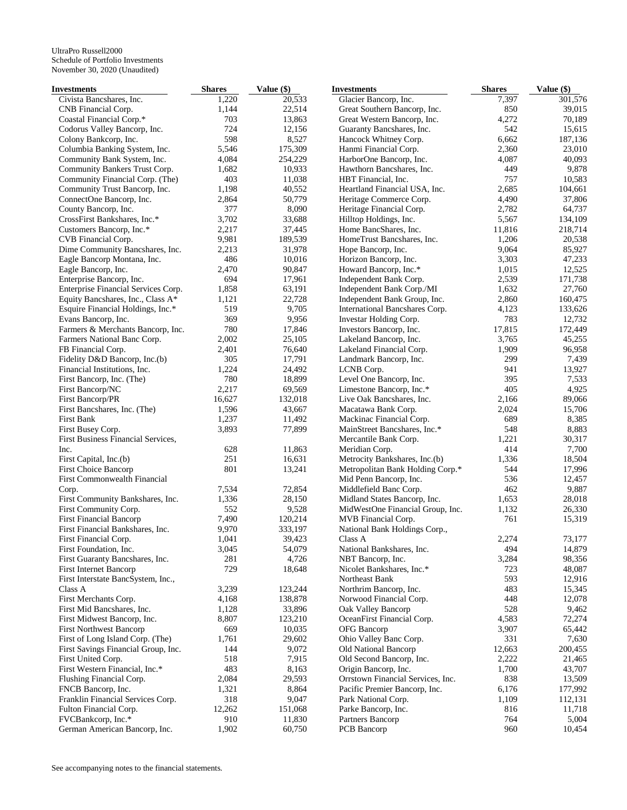| <b>Investments</b>                                      | <b>Shares</b> | Value (\$) | <b>Investments</b>                              | <b>Shares</b> | Value (\$)      |
|---------------------------------------------------------|---------------|------------|-------------------------------------------------|---------------|-----------------|
| Civista Bancshares, Inc.                                | 1,220         | 20,533     | Glacier Bancorp, Inc.                           | 7,397         | 301,576         |
| CNB Financial Corp.                                     | 1,144         | 22,514     | Great Southern Bancorp, Inc.                    | 850           | 39,015          |
| Coastal Financial Corp.*                                | 703           | 13,863     | Great Western Bancorp, Inc.                     | 4,272         | 70,189          |
| Codorus Valley Bancorp, Inc.                            | 724           | 12,156     | Guaranty Bancshares, Inc.                       | 542           | 15,615          |
| Colony Bankcorp, Inc.                                   | 598           | 8,527      | Hancock Whitney Corp.                           | 6,662         | 187,136         |
| Columbia Banking System, Inc.                           | 5,546         | 175,309    | Hanmi Financial Corp.                           | 2,360         | 23,010          |
| Community Bank System, Inc.                             | 4,084         | 254,229    | HarborOne Bancorp, Inc.                         | 4,087         | 40,093          |
| Community Bankers Trust Corp.                           | 1,682         | 10,933     | Hawthorn Bancshares, Inc.                       | 449           | 9,878           |
| Community Financial Corp. (The)                         | 403           | 11,038     | HBT Financial, Inc.                             | 757           | 10,583          |
| Community Trust Bancorp, Inc.                           | 1,198         | 40,552     | Heartland Financial USA, Inc.                   | 2,685         | 104,661         |
| ConnectOne Bancorp, Inc.                                | 2,864         | 50,779     | Heritage Commerce Corp.                         | 4,490         | 37,806          |
| County Bancorp, Inc.                                    | 377           | 8,090      | Heritage Financial Corp.                        | 2,782         | 64,737          |
| CrossFirst Bankshares, Inc.*                            | 3,702         | 33,688     | Hilltop Holdings, Inc.                          | 5,567         | 134,109         |
| Customers Bancorp, Inc.*                                | 2,217         | 37,445     | Home BancShares, Inc.                           | 11,816        | 218,714         |
| CVB Financial Corp.                                     | 9,981         | 189,539    | HomeTrust Bancshares, Inc.                      | 1,206         | 20,538          |
| Dime Community Bancshares, Inc.                         | 2,213         | 31,978     | Hope Bancorp, Inc.                              | 9,064         | 85,927          |
| Eagle Bancorp Montana, Inc.                             | 486           | 10,016     | Horizon Bancorp, Inc.                           | 3,303         | 47,233          |
| Eagle Bancorp, Inc.                                     | 2,470         | 90,847     | Howard Bancorp, Inc.*                           | 1,015         | 12,525          |
| Enterprise Bancorp, Inc.                                | 694           | 17,961     | Independent Bank Corp.                          | 2,539         | 171,738         |
| Enterprise Financial Services Corp.                     | 1,858         | 63,191     | Independent Bank Corp./MI                       | 1,632         | 27,760          |
| Equity Bancshares, Inc., Class A*                       | 1,121         | 22,728     | Independent Bank Group, Inc.                    | 2,860         | 160,475         |
| Esquire Financial Holdings, Inc.*                       | 519           | 9,705      | International Bancshares Corp.                  | 4,123         | 133,626         |
| Evans Bancorp, Inc.                                     | 369           | 9,956      | Investar Holding Corp.                          | 783           | 12,732          |
| Farmers & Merchants Bancorp, Inc.                       | 780           | 17,846     | Investors Bancorp, Inc.                         | 17,815        | 172,449         |
| Farmers National Banc Corp.                             | 2,002         | 25,105     | Lakeland Bancorp, Inc.                          | 3,765         | 45,255          |
| FB Financial Corp.                                      | 2,401         | 76,640     | Lakeland Financial Corp.                        | 1,909         | 96,958          |
| Fidelity D&D Bancorp, Inc.(b)                           | 305           | 17,791     | Landmark Bancorp, Inc.                          | 299           | 7,439           |
| Financial Institutions, Inc.                            | 1,224         | 24,492     | LCNB Corp.                                      | 941           | 13,927          |
| First Bancorp, Inc. (The)                               | 780           | 18,899     | Level One Bancorp, Inc.                         | 395           | 7,533           |
| First Bancorp/NC                                        | 2,217         | 69,569     | Limestone Bancorp, Inc.*                        | 405           | 4,925           |
| First Bancorp/PR                                        | 16,627        | 132,018    | Live Oak Bancshares, Inc.                       | 2,166         | 89,066          |
| First Bancshares, Inc. (The)                            | 1,596         | 43,667     | Macatawa Bank Corp.                             | 2,024         | 15,706          |
| <b>First Bank</b>                                       | 1,237         | 11,492     | Mackinac Financial Corp.                        | 689           | 8,385           |
|                                                         | 3,893         | 77,899     | MainStreet Bancshares, Inc.*                    | 548           |                 |
| First Busey Corp.<br>First Business Financial Services, |               |            | Mercantile Bank Corp.                           | 1,221         | 8,883<br>30,317 |
| Inc.                                                    | 628           | 11,863     |                                                 | 414           | 7,700           |
|                                                         | 251           | 16,631     | Meridian Corp.<br>Metrocity Bankshares, Inc.(b) | 1,336         | 18,504          |
| First Capital, Inc.(b)<br><b>First Choice Bancorp</b>   | 801           | 13,241     | Metropolitan Bank Holding Corp.*                | 544           | 17,996          |
| First Commonwealth Financial                            |               |            |                                                 | 536           |                 |
|                                                         | 7,534         | 72,854     | Mid Penn Bancorp, Inc.                          | 462           | 12,457<br>9,887 |
| Corp.                                                   |               |            | Middlefield Banc Corp.                          |               |                 |
| First Community Bankshares, Inc.                        | 1,336         | 28,150     | Midland States Bancorp, Inc.                    | 1,653         | 28,018          |
| First Community Corp.                                   | 552           | 9,528      | MidWestOne Financial Group, Inc.                | 1,132<br>761  | 26,330          |
| <b>First Financial Bancorp</b>                          | 7,490         | 120,214    | MVB Financial Corp.                             |               | 15,319          |
| First Financial Bankshares, Inc.                        | 9,970         | 333,197    | National Bank Holdings Corp.,                   |               |                 |
| First Financial Corp.                                   | 1,041         | 39,423     | Class A                                         | 2,274         | 73,177          |
| First Foundation, Inc.                                  | 3,045         | 54,079     | National Bankshares, Inc.                       | 494           | 14,879          |
| First Guaranty Bancshares, Inc.                         | 281           | 4,726      | NBT Bancorp, Inc.                               | 3,284         | 98,356          |
| First Internet Bancorp                                  | 729           | 18,648     | Nicolet Bankshares, Inc.*                       | 723           | 48,087          |
| First Interstate BancSystem, Inc.,                      |               |            | Northeast Bank                                  | 593           | 12,916          |
| Class A                                                 | 3,239         | 123,244    | Northrim Bancorp, Inc.                          | 483           | 15,345          |
| First Merchants Corp.                                   | 4,168         | 138,878    | Norwood Financial Corp.                         | 448           | 12,078          |
| First Mid Bancshares, Inc.                              | 1,128         | 33,896     | Oak Valley Bancorp                              | 528           | 9,462           |
| First Midwest Bancorp, Inc.                             | 8,807         | 123,210    | OceanFirst Financial Corp.                      | 4,583         | 72,274          |
| <b>First Northwest Bancorp</b>                          | 669           | 10,035     | OFG Bancorp                                     | 3,907         | 65,442          |
| First of Long Island Corp. (The)                        | 1,761         | 29,602     | Ohio Valley Banc Corp.                          | 331           | 7,630           |
| First Savings Financial Group, Inc.                     | 144           | 9,072      | Old National Bancorp                            | 12,663        | 200,455         |
| First United Corp.                                      | 518           | 7,915      | Old Second Bancorp, Inc.                        | 2,222         | 21,465          |
| First Western Financial, Inc.*                          | 483           | 8,163      | Origin Bancorp, Inc.                            | 1,700         | 43,707          |
| Flushing Financial Corp.                                | 2,084         | 29,593     | Orrstown Financial Services, Inc.               | 838           | 13,509          |
| FNCB Bancorp, Inc.                                      | 1,321         | 8,864      | Pacific Premier Bancorp, Inc.                   | 6,176         | 177,992         |
| Franklin Financial Services Corp.                       | 318           | 9,047      | Park National Corp.                             | 1,109         | 112,131         |
| Fulton Financial Corp.                                  | 12,262        | 151,068    | Parke Bancorp, Inc.                             | 816           | 11,718          |
| FVCBankcorp, Inc.*                                      | 910           | 11,830     | Partners Bancorp                                | 764           | 5,004           |
| German American Bancorp, Inc.                           | 1,902         | 60,750     | PCB Bancorp                                     | 960           | 10,454          |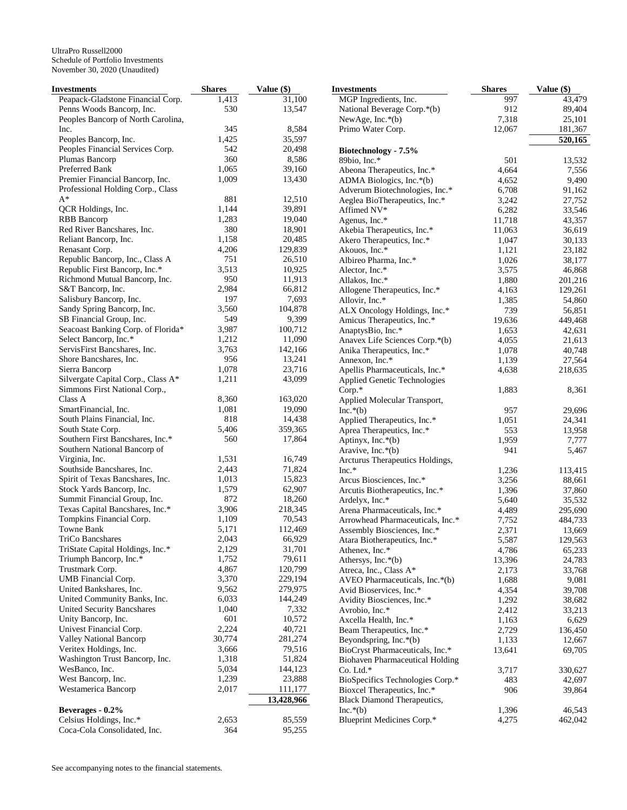| Investments                                | <b>Shares</b> | Value (\$) | <b>Investments</b>                             | <b>Shares</b> | Value (\$) |
|--------------------------------------------|---------------|------------|------------------------------------------------|---------------|------------|
| Peapack-Gladstone Financial Corp.          | 1,413         | 31,100     | MGP Ingredients, Inc.                          | 997           | 43,479     |
| Penns Woods Bancorp, Inc.                  | 530           | 13,547     | National Beverage Corp.*(b)                    | 912           | 89,404     |
| Peoples Bancorp of North Carolina,         |               |            | NewAge, Inc.*(b)                               | 7,318         | 25,101     |
| Inc.                                       | 345           | 8,584      | Primo Water Corp.                              | 12,067        | 181,367    |
| Peoples Bancorp, Inc.                      | 1,425         | 35,597     |                                                |               | 520,165    |
| Peoples Financial Services Corp.           | 542           | 20,498     | Biotechnology - 7.5%                           |               |            |
| Plumas Bancorp                             | 360           | 8,586      | 89bio, Inc.*                                   | 501           | 13,532     |
| Preferred Bank                             | 1,065         | 39,160     |                                                | 4,664         | 7,556      |
| Premier Financial Bancorp, Inc.            | 1,009         | 13,430     | Abeona Therapeutics, Inc.*                     |               |            |
|                                            |               |            | ADMA Biologics, Inc.*(b)                       | 4,652         | 9,490      |
| Professional Holding Corp., Class<br>$A^*$ |               |            | Adverum Biotechnologies, Inc.*                 | 6,708         | 91,162     |
|                                            | 881           | 12,510     | Aeglea BioTherapeutics, Inc.*                  | 3,242         | 27,752     |
| QCR Holdings, Inc.                         | 1,144         | 39,891     | Affimed NV*                                    | 6,282         | 33,546     |
| <b>RBB</b> Bancorp                         | 1,283         | 19,040     | Agenus, Inc.*                                  | 11,718        | 43,357     |
| Red River Bancshares, Inc.                 | 380           | 18,901     | Akebia Therapeutics, Inc.*                     | 11,063        | 36,619     |
| Reliant Bancorp, Inc.                      | 1,158         | 20,485     | Akero Therapeutics, Inc.*                      | 1,047         | 30,133     |
| Renasant Corp.                             | 4,206         | 129,839    | Akouos, Inc.*                                  | 1,121         | 23,182     |
| Republic Bancorp, Inc., Class A            | 751           | 26,510     | Albireo Pharma, Inc.*                          | 1,026         | 38,177     |
| Republic First Bancorp, Inc.*              | 3,513         | 10,925     | Alector, Inc.*                                 | 3,575         | 46,868     |
| Richmond Mutual Bancorp, Inc.              | 950           | 11,913     | Allakos, Inc.*                                 | 1,880         | 201,216    |
| S&T Bancorp, Inc.                          | 2,984         | 66,812     | Allogene Therapeutics, Inc.*                   | 4,163         | 129,261    |
| Salisbury Bancorp, Inc.                    | 197           | 7,693      | Allovir, Inc.*                                 | 1,385         | 54,860     |
| Sandy Spring Bancorp, Inc.                 | 3,560         | 104,878    | ALX Oncology Holdings, Inc.*                   | 739           | 56,851     |
| SB Financial Group, Inc.                   | 549           | 9,399      | Amicus Therapeutics, Inc.*                     | 19,636        | 449,468    |
| Seacoast Banking Corp. of Florida*         | 3,987         | 100,712    |                                                |               |            |
| Select Bancorp, Inc.*                      | 1,212         | 11,090     | AnaptysBio, Inc.*                              | 1,653         | 42,631     |
|                                            |               |            | Anavex Life Sciences Corp.*(b)                 | 4,055         | 21,613     |
| ServisFirst Bancshares, Inc.               | 3,763         | 142,166    | Anika Therapeutics, Inc.*                      | 1,078         | 40,748     |
| Shore Bancshares, Inc.                     | 956           | 13,241     | Annexon, Inc.*                                 | 1,139         | 27,564     |
| Sierra Bancorp                             | 1,078         | 23,716     | Apellis Pharmaceuticals, Inc.*                 | 4,638         | 218,635    |
| Silvergate Capital Corp., Class A*         | 1,211         | 43,099     | Applied Genetic Technologies                   |               |            |
| Simmons First National Corp.,              |               |            | $Corp.*$                                       | 1,883         | 8,361      |
| Class A                                    | 8,360         | 163,020    | Applied Molecular Transport,                   |               |            |
| SmartFinancial, Inc.                       | 1,081         | 19,090     | $Inc.*(b)$                                     | 957           | 29,696     |
| South Plains Financial, Inc.               | 818           | 14,438     | Applied Therapeutics, Inc.*                    | 1,051         | 24,341     |
| South State Corp.                          | 5,406         | 359,365    | Aprea Therapeutics, Inc.*                      | 553           | 13,958     |
| Southern First Bancshares, Inc.*           | 560           | 17,864     | Aptinyx, Inc.*(b)                              | 1,959         | 7,777      |
| Southern National Bancorp of               |               |            | Aravive, Inc.*(b)                              | 941           | 5,467      |
| Virginia, Inc.                             | 1,531         | 16,749     | Arcturus Therapeutics Holdings,                |               |            |
| Southside Bancshares, Inc.                 | 2,443         | 71,824     | Inc.*                                          | 1,236         | 113,415    |
| Spirit of Texas Bancshares, Inc.           | 1,013         | 15,823     | Arcus Biosciences, Inc.*                       | 3,256         | 88,661     |
| Stock Yards Bancorp, Inc.                  | 1,579         | 62,907     | Arcutis Biotherapeutics, Inc.*                 | 1,396         | 37,860     |
| Summit Financial Group, Inc.               | 872           | 18,260     |                                                |               | 35,532     |
| Texas Capital Bancshares, Inc.*            | 3,906         | 218,345    | Ardelyx, Inc.*<br>Arena Pharmaceuticals, Inc.* | 5,640         |            |
| Tompkins Financial Corp.                   | 1,109         | 70,543     |                                                | 4,489         | 295,690    |
| Towne Bank                                 | 5,171         | 112,469    | Arrowhead Pharmaceuticals, Inc.*               | 7,752         | 484,733    |
|                                            |               |            | Assembly Biosciences, Inc.*                    | 2,371         | 13,669     |
| <b>TriCo Bancshares</b>                    | 2,043         | 66,929     | Atara Biotherapeutics, Inc.*                   | 5,587         | 129,563    |
| TriState Capital Holdings, Inc.*           | 2,129         | 31,701     | Athenex, Inc.*                                 | 4,786         | 65,233     |
| Triumph Bancorp, Inc.*                     | 1,752         | 79,611     | Athersys, Inc.*(b)                             | 13,396        | 24,783     |
| Trustmark Corp.                            | 4,867         | 120,799    | Atreca, Inc., Class A*                         | 2,173         | 33,768     |
| UMB Financial Corp.                        | 3,370         | 229,194    | AVEO Pharmaceuticals, Inc.*(b)                 | 1,688         | 9,081      |
| United Bankshares, Inc.                    | 9,562         | 279,975    | Avid Bioservices, Inc.*                        | 4,354         | 39,708     |
| United Community Banks, Inc.               | 6,033         | 144,249    | Avidity Biosciences, Inc.*                     | 1,292         | 38,682     |
| United Security Bancshares                 | 1,040         | 7,332      | Avrobio, Inc.*                                 | 2,412         | 33,213     |
| Unity Bancorp, Inc.                        | 601           | 10,572     | Axcella Health, Inc.*                          | 1,163         | 6,629      |
| Univest Financial Corp.                    | 2,224         | 40,721     | Beam Therapeutics, Inc.*                       | 2,729         | 136,450    |
| Valley National Bancorp                    | 30,774        | 281,274    | Beyondspring, Inc.*(b)                         | 1,133         | 12,667     |
| Veritex Holdings, Inc.                     | 3,666         | 79,516     | BioCryst Pharmaceuticals, Inc.*                | 13,641        | 69,705     |
| Washington Trust Bancorp, Inc.             | 1,318         | 51,824     | <b>Biohaven Pharmaceutical Holding</b>         |               |            |
| WesBanco, Inc.                             | 5,034         | 144,123    | Co. Ltd.*                                      | 3,717         | 330,627    |
| West Bancorp, Inc.                         | 1,239         | 23,888     | BioSpecifics Technologies Corp.*               | 483           | 42,697     |
| Westamerica Bancorp                        | 2,017         | 111,177    |                                                | 906           |            |
|                                            |               |            | Bioxcel Therapeutics, Inc.*                    |               | 39,864     |
|                                            |               | 13,428,966 | Black Diamond Therapeutics,                    |               |            |
| Beverages - 0.2%                           |               |            | $Inc.*(b)$                                     | 1,396         | 46,543     |
| Celsius Holdings, Inc.*                    | 2,653         | 85,559     | Blueprint Medicines Corp.*                     | 4,275         | 462,042    |
| Coca-Cola Consolidated, Inc.               | 364           | 95,255     |                                                |               |            |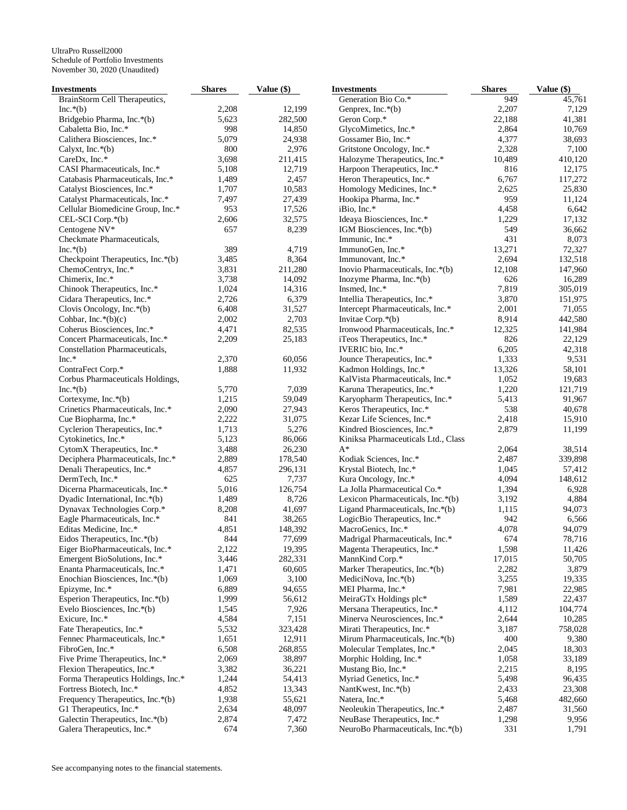| Investments                        | <b>Shares</b> | Value (\$) | <b>Investments</b>                  | <b>Shares</b> | Value (\$) |
|------------------------------------|---------------|------------|-------------------------------------|---------------|------------|
| BrainStorm Cell Therapeutics,      |               |            | Generation Bio Co.*                 | 949           | 45,761     |
| $Inc.*(b)$                         | 2,208         | 12,199     | Genprex, Inc.*(b)                   | 2,207         | 7,129      |
| Bridgebio Pharma, Inc.*(b)         | 5,623         | 282,500    | Geron Corp.*                        | 22,188        | 41,381     |
| Cabaletta Bio, Inc.*               | 998           | 14,850     | GlycoMimetics, Inc.*                | 2,864         | 10,769     |
| Calithera Biosciences, Inc.*       | 5,079         | 24,938     | Gossamer Bio, Inc.*                 | 4,377         | 38,693     |
| Calyxt, Inc. $*(b)$                | 800           | 2,976      | Gritstone Oncology, Inc.*           | 2,328         | 7,100      |
| CareDx, Inc.*                      | 3,698         | 211,415    | Halozyme Therapeutics, Inc.*        | 10,489        | 410,120    |
| CASI Pharmaceuticals, Inc.*        | 5,108         | 12,719     | Harpoon Therapeutics, Inc.*         | 816           | 12,175     |
| Catabasis Pharmaceuticals, Inc.*   | 1,489         | 2,457      | Heron Therapeutics, Inc.*           | 6,767         | 117,272    |
| Catalyst Biosciences, Inc.*        | 1,707         | 10,583     | Homology Medicines, Inc.*           | 2,625         | 25,830     |
| Catalyst Pharmaceuticals, Inc.*    | 7,497         | 27,439     | Hookipa Pharma, Inc.*               | 959           | 11,124     |
|                                    | 953           | 17,526     | iBio, Inc.*                         | 4,458         | 6,642      |
| Cellular Biomedicine Group, Inc.*  |               |            |                                     |               |            |
| CEL-SCI Corp.*(b)                  | 2,606         | 32,575     | Ideaya Biosciences, Inc.*           | 1,229         | 17,132     |
| Centogene NV*                      | 657           | 8,239      | IGM Biosciences, Inc.*(b)           | 549           | 36,662     |
| Checkmate Pharmaceuticals,         |               |            | Immunic, Inc.*                      | 431           | 8,073      |
| $Inc.*(b)$                         | 389           | 4,719      | ImmunoGen, Inc.*                    | 13,271        | 72,327     |
| Checkpoint Therapeutics, Inc.*(b)  | 3,485         | 8,364      | Immunovant, Inc.*                   | 2,694         | 132,518    |
| ChemoCentryx, Inc.*                | 3,831         | 211,280    | Inovio Pharmaceuticals, Inc.*(b)    | 12,108        | 147,960    |
| Chimerix, Inc.*                    | 3,738         | 14,092     | Inozyme Pharma, Inc.*(b)            | 626           | 16,289     |
| Chinook Therapeutics, Inc.*        | 1,024         | 14,316     | Insmed, Inc.*                       | 7,819         | 305,019    |
| Cidara Therapeutics, Inc.*         | 2,726         | 6,379      | Intellia Therapeutics, Inc.*        | 3,870         | 151,975    |
| Clovis Oncology, Inc.*(b)          | 6,408         | 31,527     | Intercept Pharmaceuticals, Inc.*    | 2,001         | 71,055     |
| Cohbar, Inc.* $(b)(c)$             | 2,002         | 2,703      | Invitae Corp.*(b)                   | 8,914         | 442,580    |
| Coherus Biosciences, Inc.*         | 4,471         | 82,535     | Ironwood Pharmaceuticals, Inc.*     | 12,325        | 141,984    |
| Concert Pharmaceuticals, Inc.*     | 2,209         | 25,183     | iTeos Therapeutics, Inc.*           | 826           | 22,129     |
| Constellation Pharmaceuticals,     |               |            | IVERIC bio, Inc.*                   | 6,205         | 42,318     |
| Inc.*                              | 2,370         | 60,056     | Jounce Therapeutics, Inc.*          | 1,333         | 9,531      |
| ContraFect Corp.*                  | 1,888         | 11,932     | Kadmon Holdings, Inc.*              | 13,326        | 58,101     |
| Corbus Pharmaceuticals Holdings,   |               |            | KalVista Pharmaceuticals, Inc.*     | 1,052         | 19,683     |
| $Inc.*(b)$                         | 5,770         | 7,039      | Karuna Therapeutics, Inc.*          | 1,220         | 121,719    |
| Cortexyme, Inc.*(b)                | 1,215         | 59,049     | Karyopharm Therapeutics, Inc.*      | 5,413         | 91,967     |
|                                    | 2,090         |            |                                     | 538           |            |
| Crinetics Pharmaceuticals, Inc.*   |               | 27,943     | Keros Therapeutics, Inc.*           |               | 40,678     |
| Cue Biopharma, Inc.*               | 2,222         | 31,075     | Kezar Life Sciences, Inc.*          | 2,418         | 15,910     |
| Cyclerion Therapeutics, Inc.*      | 1,713         | 5,276      | Kindred Biosciences, Inc.*          | 2,879         | 11,199     |
| Cytokinetics, Inc.*                | 5,123         | 86,066     | Kiniksa Pharmaceuticals Ltd., Class |               |            |
| CytomX Therapeutics, Inc.*         | 3,488         | 26,230     | $A^*$                               | 2,064         | 38,514     |
| Deciphera Pharmaceuticals, Inc.*   | 2,889         | 178,540    | Kodiak Sciences, Inc.*              | 2,487         | 339,898    |
| Denali Therapeutics, Inc.*         | 4,857         | 296,131    | Krystal Biotech, Inc.*              | 1,045         | 57,412     |
| DermTech, Inc.*                    | 625           | 7,737      | Kura Oncology, Inc.*                | 4,094         | 148,612    |
| Dicerna Pharmaceuticals, Inc.*     | 5,016         | 126,754    | La Jolla Pharmaceutical Co.*        | 1,394         | 6,928      |
| Dyadic International, Inc.*(b)     | 1,489         | 8,726      | Lexicon Pharmaceuticals, Inc.*(b)   | 3,192         | 4,884      |
| Dynavax Technologies Corp.*        | 8,208         | 41,697     | Ligand Pharmaceuticals, Inc.*(b)    | 1,115         | 94,073     |
| Eagle Pharmaceuticals, Inc.*       | 841           | 38,265     | LogicBio Therapeutics, Inc.*        | 942           | 6,566      |
| Editas Medicine, Inc.*             | 4,851         | 148,392    | MacroGenics, Inc.*                  | 4,078         | 94,079     |
| Eidos Therapeutics, Inc. $*(b)$    | 844           | 77,699     | Madrigal Pharmaceuticals, Inc.*     | 674           | 78,716     |
| Eiger BioPharmaceuticals, Inc.*    | 2,122         | 19,395     | Magenta Therapeutics, Inc.*         | 1,598         | 11,426     |
| Emergent BioSolutions, Inc.*       | 3,446         | 282,331    | MannKind Corp.*                     | 17,015        | 50,705     |
| Enanta Pharmaceuticals, Inc.*      | 1,471         | 60,605     | Marker Therapeutics, Inc.*(b)       | 2,282         | 3,879      |
| Enochian Biosciences, Inc.*(b)     | 1,069         | 3,100      | MediciNova, Inc. $*(b)$             | 3,255         | 19,335     |
| Epizyme, Inc.*                     | 6,889         | 94,655     | MEI Pharma, Inc.*                   | 7,981         | 22,985     |
| Esperion Therapeutics, Inc.*(b)    | 1,999         | 56,612     | MeiraGTx Holdings plc*              | 1,589         | 22,437     |
| Evelo Biosciences, Inc.*(b)        | 1,545         | 7,926      | Mersana Therapeutics, Inc.*         | 4,112         | 104,774    |
|                                    |               |            | Minerva Neurosciences, Inc.*        |               |            |
| Exicure, Inc.*                     | 4,584         | 7,151      |                                     | 2,644         | 10,285     |
| Fate Therapeutics, Inc.*           | 5,532         | 323,428    | Mirati Therapeutics, Inc.*          | 3,187         | 758,028    |
| Fennec Pharmaceuticals, Inc.*      | 1,651         | 12,911     | Mirum Pharmaceuticals, Inc.*(b)     | 400           | 9,380      |
| FibroGen, Inc.*                    | 6,508         | 268,855    | Molecular Templates, Inc.*          | 2,045         | 18,303     |
| Five Prime Therapeutics, Inc.*     | 2,069         | 38,897     | Morphic Holding, Inc.*              | 1,058         | 33,189     |
| Flexion Therapeutics, Inc.*        | 3,382         | 36,221     | Mustang Bio, Inc.*                  | 2,215         | 8,195      |
| Forma Therapeutics Holdings, Inc.* | 1,244         | 54,413     | Myriad Genetics, Inc.*              | 5,498         | 96,435     |
| Fortress Biotech, Inc.*            | 4,852         | 13,343     | NantKwest, Inc.*(b)                 | 2,433         | 23,308     |
| Frequency Therapeutics, Inc.*(b)   | 1,938         | 55,621     | Natera, Inc.*                       | 5,468         | 482,660    |
| G1 Therapeutics, Inc.*             | 2,634         | 48,097     | Neoleukin Therapeutics, Inc.*       | 2,487         | 31,560     |
| Galectin Therapeutics, Inc.*(b)    | 2,874         | 7,472      | NeuBase Therapeutics, Inc.*         | 1,298         | 9,956      |
| Galera Therapeutics, Inc.*         | 674           | 7,360      | NeuroBo Pharmaceuticals, Inc.*(b)   | 331           | 1,791      |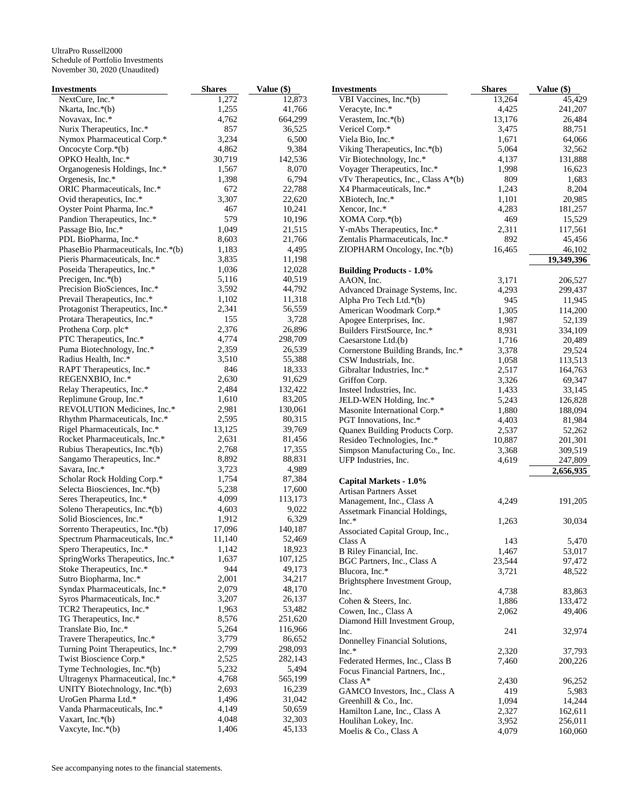| Investments                                                   | <b>Shares</b> | Value (\$) | <b>Investments</b>                  | <b>Shares</b>  | Value (\$) |
|---------------------------------------------------------------|---------------|------------|-------------------------------------|----------------|------------|
| NextCure, Inc.*                                               | 1,272         | 12,873     | VBI Vaccines, Inc.*(b)              | 13,264         | 45,429     |
| Nkarta, Inc.*(b)                                              | 1,255         | 41,766     | Veracyte, Inc.*                     | 4,425          | 241,207    |
| Novavax, Inc.*                                                | 4,762         | 664,299    | Verastem, Inc. $*(b)$               | 13,176         | 26,484     |
| Nurix Therapeutics, Inc.*                                     | 857           | 36,525     | Vericel Corp.*                      | 3,475          | 88,751     |
| Nymox Pharmaceutical Corp.*                                   | 3,234         | 6,500      | Viela Bio, Inc.*                    | 1,671          | 64,066     |
| Oncocyte Corp.*(b)                                            | 4,862         | 9,384      | Viking Therapeutics, Inc.*(b)       | 5,064          | 32,562     |
| OPKO Health, Inc.*                                            | 30,719        | 142,536    | Vir Biotechnology, Inc.*            | 4,137          | 131,888    |
| Organogenesis Holdings, Inc.*                                 | 1,567         | 8,070      | Voyager Therapeutics, Inc.*         | 1,998          | 16,623     |
| Orgenesis, Inc.*                                              | 1,398         | 6,794      | vTv Therapeutics, Inc., Class A*(b) | 809            | 1,683      |
| ORIC Pharmaceuticals, Inc.*                                   | 672           | 22,788     | X4 Pharmaceuticals, Inc.*           | 1,243          | 8,204      |
| Ovid therapeutics, Inc.*                                      | 3,307         | 22,620     | XBiotech, Inc.*                     | 1,101          | 20,985     |
| Oyster Point Pharma, Inc.*                                    | 467           | 10,241     | Xencor, Inc.*                       | 4,283          | 181,257    |
| Pandion Therapeutics, Inc.*                                   | 579           | 10,196     |                                     | 469            |            |
|                                                               |               |            | $XOMA$ Corp. $*(b)$                 |                | 15,529     |
| Passage Bio, Inc.*                                            | 1,049         | 21,515     | Y-mAbs Therapeutics, Inc.*          | 2,311          | 117,561    |
| PDL BioPharma, Inc.*                                          | 8,603         | 21,766     | Zentalis Pharmaceuticals, Inc.*     | 892            | 45,456     |
| PhaseBio Pharmaceuticals, Inc.*(b)                            | 1,183         | 4,495      | ZIOPHARM Oncology, Inc.*(b)         | 16,465         | 46,102     |
| Pieris Pharmaceuticals, Inc.*                                 | 3,835         | 11,198     |                                     |                | 19,349,396 |
| Poseida Therapeutics, Inc.*                                   | 1,036         | 12,028     | <b>Building Products - 1.0%</b>     |                |            |
| Precigen, Inc.*(b)                                            | 5,116         | 40,519     | AAON, Inc.                          | 3,171          | 206,527    |
| Precision BioSciences, Inc.*                                  | 3,592         | 44,792     | Advanced Drainage Systems, Inc.     | 4,293          | 299,437    |
| Prevail Therapeutics, Inc.*                                   | 1,102         | 11,318     | Alpha Pro Tech Ltd.*(b)             | 945            | 11,945     |
| Protagonist Therapeutics, Inc.*                               | 2,341         | 56,559     | American Woodmark Corp.*            | 1,305          | 114,200    |
| Protara Therapeutics, Inc.*                                   | 155           | 3,728      | Apogee Enterprises, Inc.            | 1,987          | 52,139     |
| Prothena Corp. plc*                                           | 2,376         | 26,896     | Builders FirstSource, Inc.*         | 8,931          | 334,109    |
| PTC Therapeutics, Inc.*                                       | 4,774         | 298,709    | Caesarstone Ltd.(b)                 | 1,716          | 20,489     |
| Puma Biotechnology, Inc.*                                     | 2,359         | 26,539     | Cornerstone Building Brands, Inc.*  | 3,378          | 29,524     |
| Radius Health, Inc.*                                          | 3,510         | 55,388     | CSW Industrials, Inc.               | 1,058          | 113,513    |
| RAPT Therapeutics, Inc.*                                      | 846           | 18,333     | Gibraltar Industries, Inc.*         | 2,517          | 164,763    |
| REGENXBIO, Inc.*                                              | 2,630         | 91,629     | Griffon Corp.                       | 3,326          | 69,347     |
| Relay Therapeutics, Inc.*                                     | 2,484         | 132,422    | Insteel Industries, Inc.            | 1,433          | 33,145     |
| Replimune Group, Inc.*                                        | 1,610         | 83,205     | JELD-WEN Holding, Inc.*             |                | 126,828    |
| REVOLUTION Medicines, Inc.*                                   | 2,981         | 130,061    |                                     | 5,243<br>1,880 |            |
| Rhythm Pharmaceuticals, Inc.*                                 | 2,595         | 80,315     | Masonite International Corp.*       |                | 188,094    |
|                                                               | 13,125        | 39,769     | PGT Innovations, Inc.*              | 4,403          | 81,984     |
| Rigel Pharmaceuticals, Inc.*<br>Rocket Pharmaceuticals, Inc.* | 2,631         |            | Quanex Building Products Corp.      | 2,537          | 52,262     |
|                                                               |               | 81,456     | Resideo Technologies, Inc.*         | 10,887         | 201,301    |
| Rubius Therapeutics, Inc.*(b)                                 | 2,768         | 17,355     | Simpson Manufacturing Co., Inc.     | 3,368          | 309,519    |
| Sangamo Therapeutics, Inc.*                                   | 8,892         | 88,831     | UFP Industries, Inc.                | 4,619          | 247,809    |
| Savara, Inc.*                                                 | 3,723         | 4,989      |                                     |                | 2,656,935  |
| Scholar Rock Holding Corp.*                                   | 1,754         | 87,384     | Capital Markets - 1.0%              |                |            |
| Selecta Biosciences, Inc.*(b)                                 | 5,238         | 17,600     | <b>Artisan Partners Asset</b>       |                |            |
| Seres Therapeutics, Inc.*                                     | 4,099         | 113,173    | Management, Inc., Class A           | 4,249          | 191,205    |
| Soleno Therapeutics, Inc.*(b)                                 | 4,603         | 9,022      | Assetmark Financial Holdings,       |                |            |
| Solid Biosciences, Inc.*                                      | 1,912         | 6,329      | Inc.*                               | 1,263          | 30,034     |
| Sorrento Therapeutics, Inc.*(b)                               | 17,096        | 140,187    | Associated Capital Group, Inc.,     |                |            |
| Spectrum Pharmaceuticals, Inc.*                               | 11,140        | 52,469     | Class A                             | 143            | 5,470      |
| Spero Therapeutics, Inc.*                                     | 1,142         | 18,923     | B Riley Financial, Inc.             | 1,467          | 53,017     |
| SpringWorks Therapeutics, Inc.*                               | 1,637         | 107,125    | BGC Partners, Inc., Class A         | 23,544         | 97,472     |
| Stoke Therapeutics, Inc.*                                     | 944           | 49,173     | Blucora, Inc.*                      | 3,721          | 48,522     |
| Sutro Biopharma, Inc.*                                        | 2,001         | 34,217     | Brightsphere Investment Group,      |                |            |
| Syndax Pharmaceuticals, Inc.*                                 | 2,079         | 48,170     | Inc.                                | 4,738          | 83,863     |
| Syros Pharmaceuticals, Inc.*                                  | 3,207         | 26,137     |                                     |                | 133,472    |
| TCR2 Therapeutics, Inc.*                                      | 1,963         | 53,482     | Cohen & Steers, Inc.                | 1,886          |            |
| TG Therapeutics, Inc.*                                        | 8,576         | 251,620    | Cowen, Inc., Class A                | 2,062          | 49,406     |
| Translate Bio, Inc.*                                          | 5,264         | 116,966    | Diamond Hill Investment Group,      |                |            |
|                                                               | 3,779         |            | Inc.                                | 241            | 32,974     |
| Travere Therapeutics, Inc.*                                   |               | 86,652     | Donnelley Financial Solutions,      |                |            |
| Turning Point Therapeutics, Inc.*                             | 2,799         | 298,093    | $Inc.*$                             | 2,320          | 37,793     |
| Twist Bioscience Corp.*                                       | 2,525         | 282,143    | Federated Hermes, Inc., Class B     | 7,460          | 200,226    |
| Tyme Technologies, Inc.*(b)                                   | 5,232         | 5,494      | Focus Financial Partners, Inc.,     |                |            |
| Ultragenyx Pharmaceutical, Inc.*                              | 4,768         | 565,199    | Class $A^*$                         | 2,430          | 96,252     |
| UNITY Biotechnology, Inc.*(b)                                 | 2,693         | 16,239     | GAMCO Investors, Inc., Class A      | 419            | 5,983      |
| UroGen Pharma Ltd.*                                           | 1,496         | 31,042     | Greenhill & Co., Inc.               | 1,094          | 14,244     |
| Vanda Pharmaceuticals, Inc.*                                  | 4,149         | 50,659     | Hamilton Lane, Inc., Class A        | 2,327          | 162,611    |
| Vaxart, Inc. $*(b)$                                           | 4,048         | 32,303     | Houlihan Lokey, Inc.                | 3,952          | 256,011    |
| Vaxcyte, $Inc.*(b)$                                           | 1,406         | 45,133     | Moelis & Co., Class A               | 4,079          | 160,060    |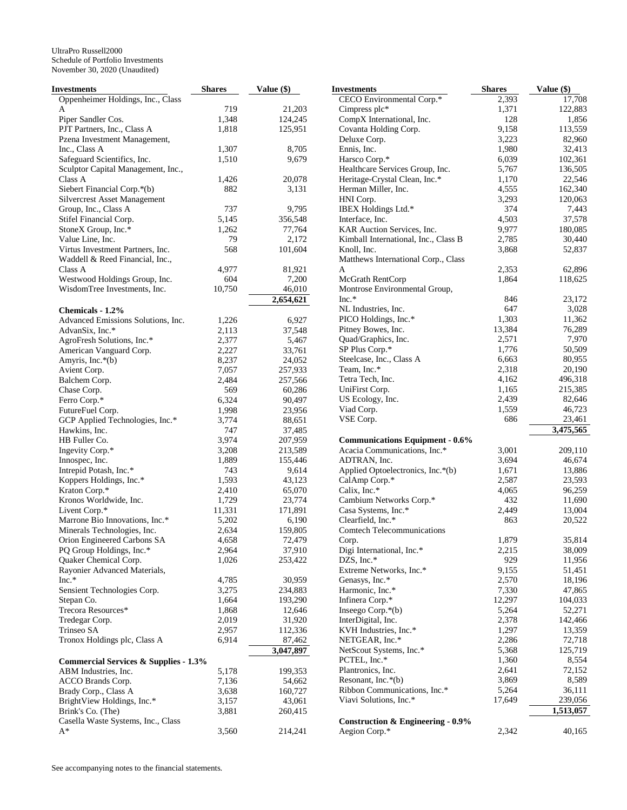| Investments                                      | <b>Shares</b> | Value $(\$)$ | <b>Investments</b>                     | <b>Shares</b> | Value (\$) |
|--------------------------------------------------|---------------|--------------|----------------------------------------|---------------|------------|
| Oppenheimer Holdings, Inc., Class                |               |              | CECO Environmental Corp.*              | 2,393         | 17,708     |
| A                                                | 719           | 21,203       | Cimpress plc*                          | 1,371         | 122,883    |
| Piper Sandler Cos.                               | 1,348         | 124,245      | CompX International, Inc.              | 128           | 1,856      |
| PJT Partners, Inc., Class A                      | 1,818         | 125,951      | Covanta Holding Corp.                  | 9,158         | 113,559    |
| Pzena Investment Management,                     |               |              | Deluxe Corp.                           | 3,223         | 82,960     |
| Inc., Class A                                    | 1,307         | 8,705        | Ennis, Inc.                            | 1,980         | 32,413     |
| Safeguard Scientifics, Inc.                      | 1,510         | 9,679        | Harsco Corp.*                          | 6,039         | 102,361    |
| Sculptor Capital Management, Inc.,               |               |              | Healthcare Services Group, Inc.        | 5,767         | 136,505    |
| Class A                                          | 1,426         | 20,078       | Heritage-Crystal Clean, Inc.*          | 1,170         | 22,546     |
| Siebert Financial Corp.*(b)                      | 882           | 3,131        | Herman Miller, Inc.                    | 4,555         | 162,340    |
| <b>Silvercrest Asset Management</b>              |               |              | HNI Corp.                              | 3,293         | 120,063    |
| Group, Inc., Class A                             | 737           | 9,795        | IBEX Holdings Ltd.*                    | 374           | 7,443      |
| Stifel Financial Corp.                           | 5,145         | 356,548      | Interface, Inc.                        | 4,503         | 37,578     |
|                                                  | 1,262         | 77,764       | KAR Auction Services, Inc.             | 9,977         | 180,085    |
| StoneX Group, Inc.*                              |               |              |                                        |               |            |
| Value Line, Inc.                                 | 79            | 2,172        | Kimball International, Inc., Class B   | 2,785         | 30,440     |
| Virtus Investment Partners, Inc.                 | 568           | 101,604      | Knoll, Inc.                            | 3,868         | 52,837     |
| Waddell & Reed Financial, Inc.,                  |               |              | Matthews International Corp., Class    |               |            |
| Class A                                          | 4,977         | 81,921       | A                                      | 2,353         | 62,896     |
| Westwood Holdings Group, Inc.                    | 604           | 7,200        | McGrath RentCorp                       | 1,864         | 118,625    |
| WisdomTree Investments, Inc.                     | 10,750        | 46,010       | Montrose Environmental Group,          |               |            |
|                                                  |               | 2,654,621    | Inc.*                                  | 846           | 23,172     |
| Chemicals - 1.2%                                 |               |              | NL Industries, Inc.                    | 647           | 3,028      |
| Advanced Emissions Solutions, Inc.               | 1,226         | 6,927        | PICO Holdings, Inc.*                   | 1,303         | 11,362     |
| AdvanSix, Inc.*                                  | 2,113         | 37,548       | Pitney Bowes, Inc.                     | 13,384        | 76,289     |
| AgroFresh Solutions, Inc.*                       | 2,377         | 5,467        | Quad/Graphics, Inc.                    | 2,571         | 7,970      |
| American Vanguard Corp.                          | 2,227         | 33,761       | SP Plus Corp.*                         | 1,776         | 50,509     |
| Amyris, Inc.*(b)                                 | 8,237         | 24,052       | Steelcase, Inc., Class A               | 6,663         | 80,955     |
| Avient Corp.                                     | 7,057         | 257,933      | Team, Inc.*                            | 2,318         | 20,190     |
| Balchem Corp.                                    | 2,484         | 257,566      | Tetra Tech, Inc.                       | 4,162         | 496,318    |
| Chase Corp.                                      | 569           | 60,286       | UniFirst Corp.                         | 1,165         | 215,385    |
| Ferro Corp.*                                     | 6,324         | 90,497       | US Ecology, Inc.                       | 2,439         | 82,646     |
| FutureFuel Corp.                                 | 1,998         | 23,956       | Viad Corp.                             | 1,559         | 46,723     |
| GCP Applied Technologies, Inc.*                  | 3,774         | 88,651       | VSE Corp.                              | 686           | 23,461     |
| Hawkins, Inc.                                    | 747           |              |                                        |               | 3,475,565  |
|                                                  | 3,974         | 37,485       |                                        |               |            |
| HB Fuller Co.                                    |               | 207,959      | <b>Communications Equipment - 0.6%</b> |               |            |
| Ingevity Corp.*                                  | 3,208         | 213,589      | Acacia Communications, Inc.*           | 3,001         | 209,110    |
| Innospec, Inc.                                   | 1,889         | 155,446      | ADTRAN, Inc.                           | 3,694         | 46,674     |
| Intrepid Potash, Inc.*                           | 743           | 9,614        | Applied Optoelectronics, Inc.*(b)      | 1,671         | 13,886     |
| Koppers Holdings, Inc.*                          | 1,593         | 43,123       | CalAmp Corp.*                          | 2,587         | 23,593     |
| Kraton Corp.*                                    | 2,410         | 65,070       | Calix, Inc.*                           | 4,065         | 96,259     |
| Kronos Worldwide, Inc.                           | 1,729         | 23,774       | Cambium Networks Corp.*                | 432           | 11,690     |
| Livent Corp.*                                    | 11,331        | 171,891      | Casa Systems, Inc.*                    | 2,449         | 13,004     |
| Marrone Bio Innovations, Inc.*                   | 5,202         | 6,190        | Clearfield, Inc.*                      | 863           | 20,522     |
| Minerals Technologies, Inc.                      | 2,634         | 159,805      | <b>Comtech Telecommunications</b>      |               |            |
| Orion Engineered Carbons SA                      | 4,658         | 72,479       | Corp.                                  | 1,879         | 35,814     |
| PQ Group Holdings, Inc.*                         | 2,964         | 37,910       | Digi International, Inc.*              | 2,215         | 38,009     |
| Quaker Chemical Corp.                            | 1,026         | 253,422      | DZS, Inc.*                             | 929           | 11,956     |
| Rayonier Advanced Materials,                     |               |              | Extreme Networks, Inc.*                | 9,155         | 51,451     |
| $Inc.*$                                          | 4,785         | 30,959       | Genasys, Inc.*                         | 2,570         | 18,196     |
| Sensient Technologies Corp.                      | 3,275         | 234,883      | Harmonic, Inc.*                        | 7,330         | 47,865     |
| Stepan Co.                                       | 1,664         | 193,290      | Infinera Corp.*                        | 12,297        | 104,033    |
| Trecora Resources*                               | 1,868         | 12,646       | Inseego Corp. $*(b)$                   | 5,264         | 52,271     |
| Tredegar Corp.                                   | 2,019         | 31,920       | InterDigital, Inc.                     | 2,378         | 142,466    |
| Trinseo SA                                       | 2,957         | 112,336      | KVH Industries, Inc.*                  | 1,297         | 13,359     |
| Tronox Holdings plc, Class A                     | 6,914         | 87,462       | NETGEAR, Inc.*                         | 2,286         | 72,718     |
|                                                  |               | 3,047,897    | NetScout Systems, Inc.*                | 5,368         | 125,719    |
|                                                  |               |              | PCTEL, Inc.*                           | 1,360         | 8,554      |
| <b>Commercial Services &amp; Supplies - 1.3%</b> |               |              |                                        |               |            |
| ABM Industries, Inc.                             | 5,178         | 199,353      | Plantronics, Inc.                      | 2,641         | 72,152     |
| ACCO Brands Corp.                                | 7,136         | 54,662       | Resonant, Inc. $*(b)$                  | 3,869         | 8,589      |
| Brady Corp., Class A                             | 3,638         | 160,727      | Ribbon Communications, Inc.*           | 5,264         | 36,111     |
| BrightView Holdings, Inc.*                       | 3,157         | 43,061       | Viavi Solutions, Inc.*                 | 17,649        | 239,056    |
| Brink's Co. (The)                                | 3,881         | 260,415      |                                        |               | 1,513,057  |
| Casella Waste Systems, Inc., Class               |               |              | Construction & Engineering - $0.9\%$   |               |            |
| $A^*$                                            | 3,560         | 214,241      | Aegion Corp.*                          | 2,342         | 40,165     |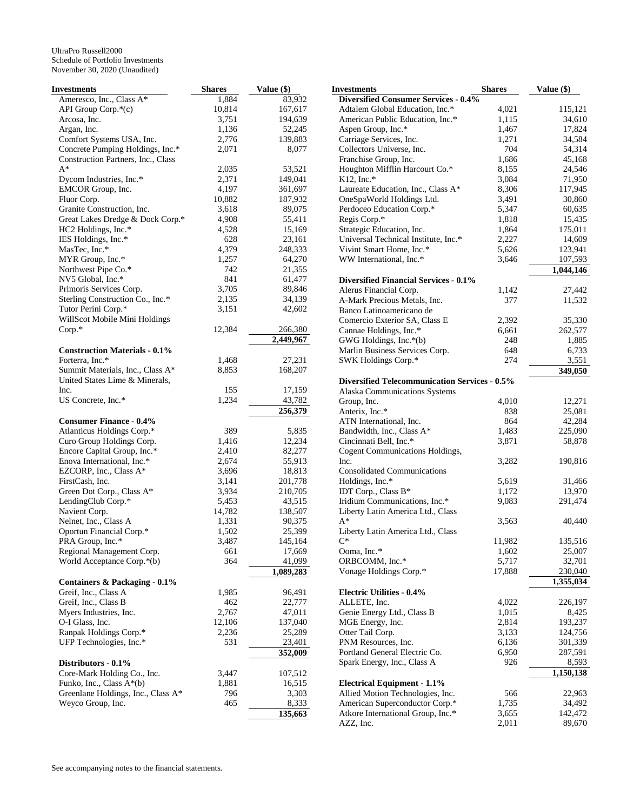| <b>Investments</b>                   | <b>Shares</b> | Value (\$) | <b>Investments</b>                                   | <b>Shares</b> | Value (\$) |
|--------------------------------------|---------------|------------|------------------------------------------------------|---------------|------------|
| Ameresco, Inc., Class A*             | 1,884         | 83,932     | <b>Diversified Consumer Services - 0.4%</b>          |               |            |
| API Group Corp.*(c)                  | 10,814        | 167,617    | Adtalem Global Education, Inc.*                      | 4,021         | 115,121    |
| Arcosa, Inc.                         | 3,751         | 194,639    | American Public Education, Inc.*                     | 1,115         | 34,610     |
| Argan, Inc.                          | 1,136         | 52,245     | Aspen Group, Inc.*                                   | 1,467         | 17,824     |
| Comfort Systems USA, Inc.            | 2,776         | 139,883    | Carriage Services, Inc.                              | 1,271         | 34,584     |
| Concrete Pumping Holdings, Inc.*     | 2,071         | 8,077      | Collectors Universe, Inc.                            | 704           | 54,314     |
| Construction Partners, Inc., Class   |               |            | Franchise Group, Inc.                                | 1,686         | 45,168     |
| $A^*$                                | 2,035         | 53,521     | Houghton Mifflin Harcourt Co.*                       | 8,155         | 24,546     |
|                                      | 2,371         | 149,041    | $K12$ , Inc.*                                        | 3,084         | 71,950     |
| Dycom Industries, Inc.*              |               |            |                                                      |               |            |
| EMCOR Group, Inc.                    | 4,197         | 361,697    | Laureate Education, Inc., Class A*                   | 8,306         | 117,945    |
| Fluor Corp.                          | 10,882        | 187,932    | OneSpaWorld Holdings Ltd.                            | 3,491         | 30,860     |
| Granite Construction, Inc.           | 3,618         | 89,075     | Perdoceo Education Corp.*                            | 5,347         | 60,635     |
| Great Lakes Dredge & Dock Corp.*     | 4,908         | 55,411     | Regis Corp.*                                         | 1,818         | 15,435     |
| HC2 Holdings, Inc.*                  | 4,528         | 15,169     | Strategic Education, Inc.                            | 1,864         | 175,011    |
| IES Holdings, Inc.*                  | 628           | 23,161     | Universal Technical Institute, Inc.*                 | 2,227         | 14,609     |
| MasTec, Inc.*                        | 4,379         | 248,333    | Vivint Smart Home, Inc.*                             | 5,626         | 123,941    |
| MYR Group, Inc.*                     | 1,257         | 64,270     | WW International, Inc.*                              | 3,646         | 107,593    |
| Northwest Pipe Co.*                  | 742           | 21,355     |                                                      |               | 1,044,146  |
| NV5 Global, Inc.*                    | 841           | 61,477     | <b>Diversified Financial Services - 0.1%</b>         |               |            |
| Primoris Services Corp.              | 3,705         | 89,846     | Alerus Financial Corp.                               | 1,142         | 27,442     |
| Sterling Construction Co., Inc.*     | 2,135         | 34,139     | A-Mark Precious Metals, Inc.                         | 377           | 11,532     |
| Tutor Perini Corp.*                  | 3,151         | 42,602     | Banco Latinoamericano de                             |               |            |
| WillScot Mobile Mini Holdings        |               |            | Comercio Exterior SA, Class E                        | 2,392         | 35,330     |
| $Corp.*$                             | 12,384        | 266,380    | Cannae Holdings, Inc.*                               | 6,661         | 262,577    |
|                                      |               | 2,449,967  |                                                      |               |            |
|                                      |               |            | GWG Holdings, Inc.*(b)                               | 248           | 1,885      |
| <b>Construction Materials - 0.1%</b> |               |            | Marlin Business Services Corp.                       | 648           | 6,733      |
| Forterra, Inc.*                      | 1,468         | 27,231     | SWK Holdings Corp.*                                  | 274           | 3,551      |
| Summit Materials, Inc., Class A*     | 8,853         | 168,207    |                                                      |               | 349,050    |
| United States Lime & Minerals,       |               |            | <b>Diversified Telecommunication Services - 0.5%</b> |               |            |
| Inc.                                 | 155           | 17,159     | Alaska Communications Systems                        |               |            |
| US Concrete, Inc.*                   | 1,234         | 43,782     | Group, Inc.                                          | 4,010         | 12,271     |
|                                      |               | 256,379    | Anterix, Inc.*                                       | 838           | 25,081     |
| <b>Consumer Finance - 0.4%</b>       |               |            | ATN International, Inc.                              | 864           | 42,284     |
| Atlanticus Holdings Corp.*           | 389           | 5,835      | Bandwidth, Inc., Class A*                            | 1,483         | 225,090    |
| Curo Group Holdings Corp.            | 1,416         | 12,234     | Cincinnati Bell, Inc.*                               | 3,871         | 58,878     |
| Encore Capital Group, Inc.*          | 2,410         | 82,277     | Cogent Communications Holdings,                      |               |            |
| Enova International, Inc.*           | 2,674         | 55,913     | Inc.                                                 | 3,282         | 190,816    |
| EZCORP, Inc., Class A*               | 3,696         | 18,813     | <b>Consolidated Communications</b>                   |               |            |
| FirstCash, Inc.                      | 3,141         | 201,778    | Holdings, Inc.*                                      | 5,619         | 31,466     |
|                                      | 3,934         |            | IDT Corp., Class B*                                  | 1,172         | 13,970     |
| Green Dot Corp., Class A*            |               | 210,705    |                                                      |               |            |
| LendingClub Corp.*                   | 5,453         | 43,515     | Iridium Communications, Inc.*                        | 9,083         | 291,474    |
| Navient Corp.                        | 14,782        | 138,507    | Liberty Latin America Ltd., Class                    |               |            |
| Nelnet, Inc., Class A                | 1,331         | 90,375     | $A^*$                                                | 3,563         | 40,440     |
| Oportun Financial Corp.*             | 1,502         | 25,399     | Liberty Latin America Ltd., Class                    |               |            |
| PRA Group, Inc.*                     | 3,487         | 145,164    | $C^*$                                                | 11,982        | 135,516    |
| Regional Management Corp.            | 661           | 17,669     | Ooma, Inc.*                                          | 1,602         | 25,007     |
| World Acceptance Corp.*(b)           | 364           | 41,099     | ORBCOMM, Inc.*                                       | 5,717         | 32,701     |
|                                      |               | 1,089,283  | Vonage Holdings Corp.*                               | 17,888        | 230,040    |
| Containers & Packaging - 0.1%        |               |            |                                                      |               | 1,355,034  |
| Greif, Inc., Class A                 | 1,985         | 96,491     | <b>Electric Utilities - 0.4%</b>                     |               |            |
| Greif, Inc., Class B                 | 462           | 22,777     | ALLETE, Inc.                                         | 4,022         | 226,197    |
| Myers Industries, Inc.               | 2,767         | 47,011     | Genie Energy Ltd., Class B                           | 1,015         | 8,425      |
| O-I Glass, Inc.                      | 12,106        | 137,040    | MGE Energy, Inc.                                     | 2,814         | 193,237    |
|                                      |               |            | Otter Tail Corp.                                     |               | 124,756    |
| Ranpak Holdings Corp.*               | 2,236         | 25,289     |                                                      | 3,133         |            |
| UFP Technologies, Inc.*              | 531           | 23,401     | PNM Resources, Inc.                                  | 6,136         | 301,339    |
|                                      |               | 352,009    | Portland General Electric Co.                        | 6,950         | 287,591    |
| Distributors - 0.1%                  |               |            | Spark Energy, Inc., Class A                          | 926           | 8,593      |
| Core-Mark Holding Co., Inc.          | 3,447         | 107,512    |                                                      |               | 1,150,138  |
| Funko, Inc., Class $A^*(b)$          | 1,881         | 16,515     | <b>Electrical Equipment - 1.1%</b>                   |               |            |
| Greenlane Holdings, Inc., Class A*   | 796           | 3,303      | Allied Motion Technologies, Inc.                     | 566           | 22,963     |
| Weyco Group, Inc.                    | 465           | 8,333      | American Superconductor Corp.*                       | 1,735         | 34,492     |
|                                      |               | 135,663    | Atkore International Group, Inc.*                    | 3,655         | 142,472    |
|                                      |               |            | AZZ, Inc.                                            | 2,011         | 89,670     |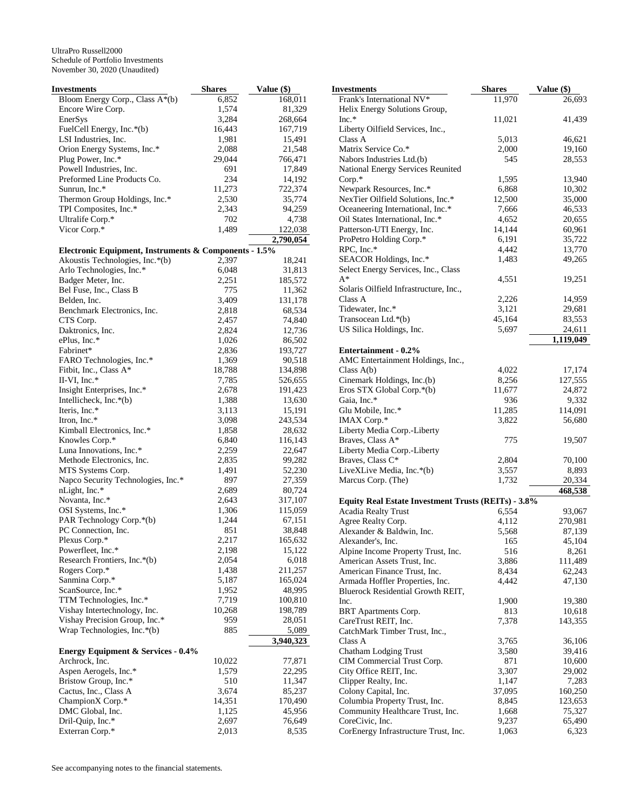| Investments                                           | <b>Shares</b>   | Value (\$)         |
|-------------------------------------------------------|-----------------|--------------------|
| Bloom Energy Corp., Class A*(b)                       | 6,852           | 168,011            |
| Encore Wire Corp.                                     | 1,574           | 81,329             |
| EnerSys                                               | 3,284           | 268,664            |
| FuelCell Energy, Inc.*(b)                             | 16,443          | 167,719            |
| LSI Industries, Inc.                                  | 1,981           | 15,491             |
| Orion Energy Systems, Inc.*                           | 2,088           | 21,548             |
| Plug Power, Inc.*                                     | 29,044          | 766,471            |
| Powell Industries, Inc.                               | 691             | 17,849             |
| Preformed Line Products Co.                           | 234             | 14,192             |
| Sunrun, Inc.*                                         | 11,273          | 722,374            |
| Thermon Group Holdings, Inc.*                         | 2,530           | 35,774             |
| TPI Composites, Inc.*                                 | 2,343           | 94,259             |
| Ultralife Corp.*                                      | 702             | 4,738              |
| Vicor Corp.*                                          | 1,489           | 122,038            |
|                                                       |                 | 2,790,054          |
| Electronic Equipment, Instruments & Components - 1.5% |                 |                    |
| Akoustis Technologies, Inc.*(b)                       | 2,397           | 18,241             |
| Arlo Technologies, Inc.*                              | 6,048           | 31,813             |
| Badger Meter, Inc.                                    | 2,251           | 185,572            |
| Bel Fuse, Inc., Class B                               | 775             | 11,362             |
| Belden, Inc.                                          | 3,409           | 131,178            |
| Benchmark Electronics, Inc.                           | 2,818           | 68,534             |
| CTS Corp.                                             | 2,457           | 74,840             |
| Daktronics, Inc.                                      | 2,824           | 12,736             |
| ePlus, Inc.*                                          | 1,026           | 86,502             |
| Fabrinet*                                             | 2,836           | 193,727            |
| FARO Technologies, Inc.*                              | 1,369<br>18,788 | 90,518             |
| Fitbit, Inc., Class A*<br>II-VI, Inc. $*$             |                 | 134,898<br>526,655 |
| Insight Enterprises, Inc.*                            | 7,785<br>2,678  | 191,423            |
| Intellicheck, Inc.*(b)                                | 1,388           | 13,630             |
| Iteris, Inc.*                                         | 3,113           | 15,191             |
| Itron, Inc.*                                          | 3,098           | 243,534            |
| Kimball Electronics, Inc.*                            | 1,858           | 28,632             |
| Knowles Corp.*                                        | 6,840           | 116,143            |
| Luna Innovations, Inc.*                               | 2,259           | 22,647             |
| Methode Electronics, Inc.                             | 2,835           | 99,282             |
| MTS Systems Corp.                                     | 1,491           | 52,230             |
| Napco Security Technologies, Inc.*                    | 897             | 27,359             |
| nLight, Inc.*                                         | 2,689           | 80,724             |
| Novanta, Inc.*                                        | 2,643           | 317,107            |
| OSI Systems, Inc.*                                    | 1,306           | 115,059            |
| PAR Technology Corp.*(b)                              | 1,244           | 67,151             |
| PC Connection, Inc.                                   | 851             | 38,848             |
| Plexus Corp.*                                         | 2,217           | 165,632            |
| Powerfleet, Inc.*                                     | 2,198           | 15,122             |
| Research Frontiers, Inc.*(b)                          | 2,054           | 6,018              |
| Rogers Corp.*                                         | 1,438           | 211,257            |
| Sanmina Corp.*                                        | 5,187           | 165,024            |
| ScanSource, Inc.*                                     | 1,952           | 48,995             |
| TTM Technologies, Inc.*                               | 7,719           | 100,810            |
| Vishay Intertechnology, Inc.                          | 10,268          | 198,789            |
| Vishay Precision Group, Inc.*                         | 959             | 28,051             |
| Wrap Technologies, Inc.*(b)                           | 885             | 5,089              |
|                                                       |                 | 3,940,323          |
| <b>Energy Equipment &amp; Services - 0.4%</b>         |                 |                    |
| Archrock, Inc.                                        | 10,022          | 77,871             |
| Aspen Aerogels, Inc.*                                 | 1,579           | 22,295             |
| Bristow Group, Inc.*                                  | 510             | 11,347             |
| Cactus, Inc., Class A                                 | 3,674           | 85,237             |
| ChampionX Corp.*                                      | 14,351          | 170,490            |
| DMC Global, Inc.                                      | 1,125           | 45,956             |
| Dril-Quip, Inc.*                                      | 2,697           | 76,649             |
| Exterran Corp.*                                       | 2,013           | 8,535              |

| Frank's International NV*<br>11,970<br>26,693<br>Helix Energy Solutions Group,<br>$Inc.*$<br>11,021<br>41,439<br>Liberty Oilfield Services, Inc.,<br>Class A<br>5,013<br>46,621<br>Matrix Service Co.*<br>19,160<br>2,000<br>Nabors Industries Ltd.(b)<br>545<br>28,553<br>National Energy Services Reunited<br>Corp.*<br>1,595<br>13,940<br>Newpark Resources, Inc.*<br>10,302<br>6,868<br>NexTier Oilfield Solutions, Inc.*<br>12,500<br>35,000<br>Oceaneering International, Inc.*<br>7,666<br>46,533<br>Oil States International, Inc.*<br>4,652<br>20,655<br>Patterson-UTI Energy, Inc.<br>14,144<br>60,961<br>ProPetro Holding Corp.*<br>6,191<br>35,722<br>RPC, Inc.*<br>4,442<br>13,770<br>SEACOR Holdings, Inc.*<br>1,483<br>49,265<br>Select Energy Services, Inc., Class<br>$A^*$<br>4,551<br>19,251<br>Solaris Oilfield Infrastructure, Inc.,<br>Class A<br>2,226<br>14,959<br>Tidewater, Inc.*<br>3,121<br>29,681<br>83,553<br>Transocean Ltd.*(b)<br>45,164<br>US Silica Holdings, Inc.<br>5,697<br>24,611<br>1,119,049<br><b>Entertainment - 0.2%</b><br>AMC Entertainment Holdings, Inc.,<br>4,022<br>17,174<br>Class $A(b)$<br>Cinemark Holdings, Inc.(b)<br>127,555<br>8,256<br>Eros STX Global Corp.*(b)<br>11,677<br>24,872<br>Gaia, Inc.*<br>936<br>9,332<br>Glu Mobile, Inc.*<br>11,285<br>114,091<br>IMAX Corp.*<br>3,822<br>56,680<br>Liberty Media Corp.-Liberty<br>Braves, Class A*<br>775<br>19,507<br>Liberty Media Corp.-Liberty<br>Braves, Class C*<br>2,804<br>70,100<br>LiveXLive Media, Inc.*(b)<br>3,557<br>8,893<br>Marcus Corp. (The)<br>1,732<br>20,334<br>468,538<br>Equity Real Estate Investment Trusts (REITs) - 3.8%<br><b>Acadia Realty Trust</b><br>6,554<br>93,067<br>Agree Realty Corp.<br>4,112<br>270,981<br>Alexander & Baldwin, Inc.<br>5,568<br>87,139<br>Alexander's, Inc.<br>165<br>45,104<br>Alpine Income Property Trust, Inc.<br>8,261<br>516<br>American Assets Trust, Inc.<br>3,886<br>111,489<br>American Finance Trust, Inc.<br>62,243<br>8,434<br>Armada Hoffler Properties, Inc.<br>4,442<br>47,130<br>Bluerock Residential Growth REIT,<br>Inc.<br>1,900<br>19,380<br>BRT Apartments Corp.<br>813<br>10,618<br>CareTrust REIT, Inc.<br>7,378<br>143,355<br>CatchMark Timber Trust, Inc.,<br>Class A<br>3,765<br>36,106<br>Chatham Lodging Trust<br>3,580<br>39,416<br>CIM Commercial Trust Corp.<br>10,600<br>871<br>City Office REIT, Inc.<br>3,307<br>29,002<br>Clipper Realty, Inc.<br>1,147<br>7,283<br>Colony Capital, Inc.<br>37,095<br>160,250<br>Columbia Property Trust, Inc.<br>8,845<br>123,653<br>Community Healthcare Trust, Inc.<br>75,327<br>1,668<br>CoreCivic, Inc.<br>9,237<br>65,490<br>CorEnergy Infrastructure Trust, Inc.<br>1,063<br>6,323 | Investments | <b>Shares</b> | Value (\$) |
|----------------------------------------------------------------------------------------------------------------------------------------------------------------------------------------------------------------------------------------------------------------------------------------------------------------------------------------------------------------------------------------------------------------------------------------------------------------------------------------------------------------------------------------------------------------------------------------------------------------------------------------------------------------------------------------------------------------------------------------------------------------------------------------------------------------------------------------------------------------------------------------------------------------------------------------------------------------------------------------------------------------------------------------------------------------------------------------------------------------------------------------------------------------------------------------------------------------------------------------------------------------------------------------------------------------------------------------------------------------------------------------------------------------------------------------------------------------------------------------------------------------------------------------------------------------------------------------------------------------------------------------------------------------------------------------------------------------------------------------------------------------------------------------------------------------------------------------------------------------------------------------------------------------------------------------------------------------------------------------------------------------------------------------------------------------------------------------------------------------------------------------------------------------------------------------------------------------------------------------------------------------------------------------------------------------------------------------------------------------------------------------------------------------------------------------------------------------------------------------------------------------------------------------------------------------------------------------------------------------------------------------------------------------------------------------------------------------------------------|-------------|---------------|------------|
|                                                                                                                                                                                                                                                                                                                                                                                                                                                                                                                                                                                                                                                                                                                                                                                                                                                                                                                                                                                                                                                                                                                                                                                                                                                                                                                                                                                                                                                                                                                                                                                                                                                                                                                                                                                                                                                                                                                                                                                                                                                                                                                                                                                                                                                                                                                                                                                                                                                                                                                                                                                                                                                                                                                                  |             |               |            |
|                                                                                                                                                                                                                                                                                                                                                                                                                                                                                                                                                                                                                                                                                                                                                                                                                                                                                                                                                                                                                                                                                                                                                                                                                                                                                                                                                                                                                                                                                                                                                                                                                                                                                                                                                                                                                                                                                                                                                                                                                                                                                                                                                                                                                                                                                                                                                                                                                                                                                                                                                                                                                                                                                                                                  |             |               |            |
|                                                                                                                                                                                                                                                                                                                                                                                                                                                                                                                                                                                                                                                                                                                                                                                                                                                                                                                                                                                                                                                                                                                                                                                                                                                                                                                                                                                                                                                                                                                                                                                                                                                                                                                                                                                                                                                                                                                                                                                                                                                                                                                                                                                                                                                                                                                                                                                                                                                                                                                                                                                                                                                                                                                                  |             |               |            |
|                                                                                                                                                                                                                                                                                                                                                                                                                                                                                                                                                                                                                                                                                                                                                                                                                                                                                                                                                                                                                                                                                                                                                                                                                                                                                                                                                                                                                                                                                                                                                                                                                                                                                                                                                                                                                                                                                                                                                                                                                                                                                                                                                                                                                                                                                                                                                                                                                                                                                                                                                                                                                                                                                                                                  |             |               |            |
|                                                                                                                                                                                                                                                                                                                                                                                                                                                                                                                                                                                                                                                                                                                                                                                                                                                                                                                                                                                                                                                                                                                                                                                                                                                                                                                                                                                                                                                                                                                                                                                                                                                                                                                                                                                                                                                                                                                                                                                                                                                                                                                                                                                                                                                                                                                                                                                                                                                                                                                                                                                                                                                                                                                                  |             |               |            |
|                                                                                                                                                                                                                                                                                                                                                                                                                                                                                                                                                                                                                                                                                                                                                                                                                                                                                                                                                                                                                                                                                                                                                                                                                                                                                                                                                                                                                                                                                                                                                                                                                                                                                                                                                                                                                                                                                                                                                                                                                                                                                                                                                                                                                                                                                                                                                                                                                                                                                                                                                                                                                                                                                                                                  |             |               |            |
|                                                                                                                                                                                                                                                                                                                                                                                                                                                                                                                                                                                                                                                                                                                                                                                                                                                                                                                                                                                                                                                                                                                                                                                                                                                                                                                                                                                                                                                                                                                                                                                                                                                                                                                                                                                                                                                                                                                                                                                                                                                                                                                                                                                                                                                                                                                                                                                                                                                                                                                                                                                                                                                                                                                                  |             |               |            |
|                                                                                                                                                                                                                                                                                                                                                                                                                                                                                                                                                                                                                                                                                                                                                                                                                                                                                                                                                                                                                                                                                                                                                                                                                                                                                                                                                                                                                                                                                                                                                                                                                                                                                                                                                                                                                                                                                                                                                                                                                                                                                                                                                                                                                                                                                                                                                                                                                                                                                                                                                                                                                                                                                                                                  |             |               |            |
|                                                                                                                                                                                                                                                                                                                                                                                                                                                                                                                                                                                                                                                                                                                                                                                                                                                                                                                                                                                                                                                                                                                                                                                                                                                                                                                                                                                                                                                                                                                                                                                                                                                                                                                                                                                                                                                                                                                                                                                                                                                                                                                                                                                                                                                                                                                                                                                                                                                                                                                                                                                                                                                                                                                                  |             |               |            |
|                                                                                                                                                                                                                                                                                                                                                                                                                                                                                                                                                                                                                                                                                                                                                                                                                                                                                                                                                                                                                                                                                                                                                                                                                                                                                                                                                                                                                                                                                                                                                                                                                                                                                                                                                                                                                                                                                                                                                                                                                                                                                                                                                                                                                                                                                                                                                                                                                                                                                                                                                                                                                                                                                                                                  |             |               |            |
|                                                                                                                                                                                                                                                                                                                                                                                                                                                                                                                                                                                                                                                                                                                                                                                                                                                                                                                                                                                                                                                                                                                                                                                                                                                                                                                                                                                                                                                                                                                                                                                                                                                                                                                                                                                                                                                                                                                                                                                                                                                                                                                                                                                                                                                                                                                                                                                                                                                                                                                                                                                                                                                                                                                                  |             |               |            |
|                                                                                                                                                                                                                                                                                                                                                                                                                                                                                                                                                                                                                                                                                                                                                                                                                                                                                                                                                                                                                                                                                                                                                                                                                                                                                                                                                                                                                                                                                                                                                                                                                                                                                                                                                                                                                                                                                                                                                                                                                                                                                                                                                                                                                                                                                                                                                                                                                                                                                                                                                                                                                                                                                                                                  |             |               |            |
|                                                                                                                                                                                                                                                                                                                                                                                                                                                                                                                                                                                                                                                                                                                                                                                                                                                                                                                                                                                                                                                                                                                                                                                                                                                                                                                                                                                                                                                                                                                                                                                                                                                                                                                                                                                                                                                                                                                                                                                                                                                                                                                                                                                                                                                                                                                                                                                                                                                                                                                                                                                                                                                                                                                                  |             |               |            |
|                                                                                                                                                                                                                                                                                                                                                                                                                                                                                                                                                                                                                                                                                                                                                                                                                                                                                                                                                                                                                                                                                                                                                                                                                                                                                                                                                                                                                                                                                                                                                                                                                                                                                                                                                                                                                                                                                                                                                                                                                                                                                                                                                                                                                                                                                                                                                                                                                                                                                                                                                                                                                                                                                                                                  |             |               |            |
|                                                                                                                                                                                                                                                                                                                                                                                                                                                                                                                                                                                                                                                                                                                                                                                                                                                                                                                                                                                                                                                                                                                                                                                                                                                                                                                                                                                                                                                                                                                                                                                                                                                                                                                                                                                                                                                                                                                                                                                                                                                                                                                                                                                                                                                                                                                                                                                                                                                                                                                                                                                                                                                                                                                                  |             |               |            |
|                                                                                                                                                                                                                                                                                                                                                                                                                                                                                                                                                                                                                                                                                                                                                                                                                                                                                                                                                                                                                                                                                                                                                                                                                                                                                                                                                                                                                                                                                                                                                                                                                                                                                                                                                                                                                                                                                                                                                                                                                                                                                                                                                                                                                                                                                                                                                                                                                                                                                                                                                                                                                                                                                                                                  |             |               |            |
|                                                                                                                                                                                                                                                                                                                                                                                                                                                                                                                                                                                                                                                                                                                                                                                                                                                                                                                                                                                                                                                                                                                                                                                                                                                                                                                                                                                                                                                                                                                                                                                                                                                                                                                                                                                                                                                                                                                                                                                                                                                                                                                                                                                                                                                                                                                                                                                                                                                                                                                                                                                                                                                                                                                                  |             |               |            |
|                                                                                                                                                                                                                                                                                                                                                                                                                                                                                                                                                                                                                                                                                                                                                                                                                                                                                                                                                                                                                                                                                                                                                                                                                                                                                                                                                                                                                                                                                                                                                                                                                                                                                                                                                                                                                                                                                                                                                                                                                                                                                                                                                                                                                                                                                                                                                                                                                                                                                                                                                                                                                                                                                                                                  |             |               |            |
|                                                                                                                                                                                                                                                                                                                                                                                                                                                                                                                                                                                                                                                                                                                                                                                                                                                                                                                                                                                                                                                                                                                                                                                                                                                                                                                                                                                                                                                                                                                                                                                                                                                                                                                                                                                                                                                                                                                                                                                                                                                                                                                                                                                                                                                                                                                                                                                                                                                                                                                                                                                                                                                                                                                                  |             |               |            |
|                                                                                                                                                                                                                                                                                                                                                                                                                                                                                                                                                                                                                                                                                                                                                                                                                                                                                                                                                                                                                                                                                                                                                                                                                                                                                                                                                                                                                                                                                                                                                                                                                                                                                                                                                                                                                                                                                                                                                                                                                                                                                                                                                                                                                                                                                                                                                                                                                                                                                                                                                                                                                                                                                                                                  |             |               |            |
|                                                                                                                                                                                                                                                                                                                                                                                                                                                                                                                                                                                                                                                                                                                                                                                                                                                                                                                                                                                                                                                                                                                                                                                                                                                                                                                                                                                                                                                                                                                                                                                                                                                                                                                                                                                                                                                                                                                                                                                                                                                                                                                                                                                                                                                                                                                                                                                                                                                                                                                                                                                                                                                                                                                                  |             |               |            |
|                                                                                                                                                                                                                                                                                                                                                                                                                                                                                                                                                                                                                                                                                                                                                                                                                                                                                                                                                                                                                                                                                                                                                                                                                                                                                                                                                                                                                                                                                                                                                                                                                                                                                                                                                                                                                                                                                                                                                                                                                                                                                                                                                                                                                                                                                                                                                                                                                                                                                                                                                                                                                                                                                                                                  |             |               |            |
|                                                                                                                                                                                                                                                                                                                                                                                                                                                                                                                                                                                                                                                                                                                                                                                                                                                                                                                                                                                                                                                                                                                                                                                                                                                                                                                                                                                                                                                                                                                                                                                                                                                                                                                                                                                                                                                                                                                                                                                                                                                                                                                                                                                                                                                                                                                                                                                                                                                                                                                                                                                                                                                                                                                                  |             |               |            |
|                                                                                                                                                                                                                                                                                                                                                                                                                                                                                                                                                                                                                                                                                                                                                                                                                                                                                                                                                                                                                                                                                                                                                                                                                                                                                                                                                                                                                                                                                                                                                                                                                                                                                                                                                                                                                                                                                                                                                                                                                                                                                                                                                                                                                                                                                                                                                                                                                                                                                                                                                                                                                                                                                                                                  |             |               |            |
|                                                                                                                                                                                                                                                                                                                                                                                                                                                                                                                                                                                                                                                                                                                                                                                                                                                                                                                                                                                                                                                                                                                                                                                                                                                                                                                                                                                                                                                                                                                                                                                                                                                                                                                                                                                                                                                                                                                                                                                                                                                                                                                                                                                                                                                                                                                                                                                                                                                                                                                                                                                                                                                                                                                                  |             |               |            |
|                                                                                                                                                                                                                                                                                                                                                                                                                                                                                                                                                                                                                                                                                                                                                                                                                                                                                                                                                                                                                                                                                                                                                                                                                                                                                                                                                                                                                                                                                                                                                                                                                                                                                                                                                                                                                                                                                                                                                                                                                                                                                                                                                                                                                                                                                                                                                                                                                                                                                                                                                                                                                                                                                                                                  |             |               |            |
|                                                                                                                                                                                                                                                                                                                                                                                                                                                                                                                                                                                                                                                                                                                                                                                                                                                                                                                                                                                                                                                                                                                                                                                                                                                                                                                                                                                                                                                                                                                                                                                                                                                                                                                                                                                                                                                                                                                                                                                                                                                                                                                                                                                                                                                                                                                                                                                                                                                                                                                                                                                                                                                                                                                                  |             |               |            |
|                                                                                                                                                                                                                                                                                                                                                                                                                                                                                                                                                                                                                                                                                                                                                                                                                                                                                                                                                                                                                                                                                                                                                                                                                                                                                                                                                                                                                                                                                                                                                                                                                                                                                                                                                                                                                                                                                                                                                                                                                                                                                                                                                                                                                                                                                                                                                                                                                                                                                                                                                                                                                                                                                                                                  |             |               |            |
|                                                                                                                                                                                                                                                                                                                                                                                                                                                                                                                                                                                                                                                                                                                                                                                                                                                                                                                                                                                                                                                                                                                                                                                                                                                                                                                                                                                                                                                                                                                                                                                                                                                                                                                                                                                                                                                                                                                                                                                                                                                                                                                                                                                                                                                                                                                                                                                                                                                                                                                                                                                                                                                                                                                                  |             |               |            |
|                                                                                                                                                                                                                                                                                                                                                                                                                                                                                                                                                                                                                                                                                                                                                                                                                                                                                                                                                                                                                                                                                                                                                                                                                                                                                                                                                                                                                                                                                                                                                                                                                                                                                                                                                                                                                                                                                                                                                                                                                                                                                                                                                                                                                                                                                                                                                                                                                                                                                                                                                                                                                                                                                                                                  |             |               |            |
|                                                                                                                                                                                                                                                                                                                                                                                                                                                                                                                                                                                                                                                                                                                                                                                                                                                                                                                                                                                                                                                                                                                                                                                                                                                                                                                                                                                                                                                                                                                                                                                                                                                                                                                                                                                                                                                                                                                                                                                                                                                                                                                                                                                                                                                                                                                                                                                                                                                                                                                                                                                                                                                                                                                                  |             |               |            |
|                                                                                                                                                                                                                                                                                                                                                                                                                                                                                                                                                                                                                                                                                                                                                                                                                                                                                                                                                                                                                                                                                                                                                                                                                                                                                                                                                                                                                                                                                                                                                                                                                                                                                                                                                                                                                                                                                                                                                                                                                                                                                                                                                                                                                                                                                                                                                                                                                                                                                                                                                                                                                                                                                                                                  |             |               |            |
|                                                                                                                                                                                                                                                                                                                                                                                                                                                                                                                                                                                                                                                                                                                                                                                                                                                                                                                                                                                                                                                                                                                                                                                                                                                                                                                                                                                                                                                                                                                                                                                                                                                                                                                                                                                                                                                                                                                                                                                                                                                                                                                                                                                                                                                                                                                                                                                                                                                                                                                                                                                                                                                                                                                                  |             |               |            |
|                                                                                                                                                                                                                                                                                                                                                                                                                                                                                                                                                                                                                                                                                                                                                                                                                                                                                                                                                                                                                                                                                                                                                                                                                                                                                                                                                                                                                                                                                                                                                                                                                                                                                                                                                                                                                                                                                                                                                                                                                                                                                                                                                                                                                                                                                                                                                                                                                                                                                                                                                                                                                                                                                                                                  |             |               |            |
|                                                                                                                                                                                                                                                                                                                                                                                                                                                                                                                                                                                                                                                                                                                                                                                                                                                                                                                                                                                                                                                                                                                                                                                                                                                                                                                                                                                                                                                                                                                                                                                                                                                                                                                                                                                                                                                                                                                                                                                                                                                                                                                                                                                                                                                                                                                                                                                                                                                                                                                                                                                                                                                                                                                                  |             |               |            |
|                                                                                                                                                                                                                                                                                                                                                                                                                                                                                                                                                                                                                                                                                                                                                                                                                                                                                                                                                                                                                                                                                                                                                                                                                                                                                                                                                                                                                                                                                                                                                                                                                                                                                                                                                                                                                                                                                                                                                                                                                                                                                                                                                                                                                                                                                                                                                                                                                                                                                                                                                                                                                                                                                                                                  |             |               |            |
|                                                                                                                                                                                                                                                                                                                                                                                                                                                                                                                                                                                                                                                                                                                                                                                                                                                                                                                                                                                                                                                                                                                                                                                                                                                                                                                                                                                                                                                                                                                                                                                                                                                                                                                                                                                                                                                                                                                                                                                                                                                                                                                                                                                                                                                                                                                                                                                                                                                                                                                                                                                                                                                                                                                                  |             |               |            |
|                                                                                                                                                                                                                                                                                                                                                                                                                                                                                                                                                                                                                                                                                                                                                                                                                                                                                                                                                                                                                                                                                                                                                                                                                                                                                                                                                                                                                                                                                                                                                                                                                                                                                                                                                                                                                                                                                                                                                                                                                                                                                                                                                                                                                                                                                                                                                                                                                                                                                                                                                                                                                                                                                                                                  |             |               |            |
|                                                                                                                                                                                                                                                                                                                                                                                                                                                                                                                                                                                                                                                                                                                                                                                                                                                                                                                                                                                                                                                                                                                                                                                                                                                                                                                                                                                                                                                                                                                                                                                                                                                                                                                                                                                                                                                                                                                                                                                                                                                                                                                                                                                                                                                                                                                                                                                                                                                                                                                                                                                                                                                                                                                                  |             |               |            |
|                                                                                                                                                                                                                                                                                                                                                                                                                                                                                                                                                                                                                                                                                                                                                                                                                                                                                                                                                                                                                                                                                                                                                                                                                                                                                                                                                                                                                                                                                                                                                                                                                                                                                                                                                                                                                                                                                                                                                                                                                                                                                                                                                                                                                                                                                                                                                                                                                                                                                                                                                                                                                                                                                                                                  |             |               |            |
|                                                                                                                                                                                                                                                                                                                                                                                                                                                                                                                                                                                                                                                                                                                                                                                                                                                                                                                                                                                                                                                                                                                                                                                                                                                                                                                                                                                                                                                                                                                                                                                                                                                                                                                                                                                                                                                                                                                                                                                                                                                                                                                                                                                                                                                                                                                                                                                                                                                                                                                                                                                                                                                                                                                                  |             |               |            |
|                                                                                                                                                                                                                                                                                                                                                                                                                                                                                                                                                                                                                                                                                                                                                                                                                                                                                                                                                                                                                                                                                                                                                                                                                                                                                                                                                                                                                                                                                                                                                                                                                                                                                                                                                                                                                                                                                                                                                                                                                                                                                                                                                                                                                                                                                                                                                                                                                                                                                                                                                                                                                                                                                                                                  |             |               |            |
|                                                                                                                                                                                                                                                                                                                                                                                                                                                                                                                                                                                                                                                                                                                                                                                                                                                                                                                                                                                                                                                                                                                                                                                                                                                                                                                                                                                                                                                                                                                                                                                                                                                                                                                                                                                                                                                                                                                                                                                                                                                                                                                                                                                                                                                                                                                                                                                                                                                                                                                                                                                                                                                                                                                                  |             |               |            |
|                                                                                                                                                                                                                                                                                                                                                                                                                                                                                                                                                                                                                                                                                                                                                                                                                                                                                                                                                                                                                                                                                                                                                                                                                                                                                                                                                                                                                                                                                                                                                                                                                                                                                                                                                                                                                                                                                                                                                                                                                                                                                                                                                                                                                                                                                                                                                                                                                                                                                                                                                                                                                                                                                                                                  |             |               |            |
|                                                                                                                                                                                                                                                                                                                                                                                                                                                                                                                                                                                                                                                                                                                                                                                                                                                                                                                                                                                                                                                                                                                                                                                                                                                                                                                                                                                                                                                                                                                                                                                                                                                                                                                                                                                                                                                                                                                                                                                                                                                                                                                                                                                                                                                                                                                                                                                                                                                                                                                                                                                                                                                                                                                                  |             |               |            |
|                                                                                                                                                                                                                                                                                                                                                                                                                                                                                                                                                                                                                                                                                                                                                                                                                                                                                                                                                                                                                                                                                                                                                                                                                                                                                                                                                                                                                                                                                                                                                                                                                                                                                                                                                                                                                                                                                                                                                                                                                                                                                                                                                                                                                                                                                                                                                                                                                                                                                                                                                                                                                                                                                                                                  |             |               |            |
|                                                                                                                                                                                                                                                                                                                                                                                                                                                                                                                                                                                                                                                                                                                                                                                                                                                                                                                                                                                                                                                                                                                                                                                                                                                                                                                                                                                                                                                                                                                                                                                                                                                                                                                                                                                                                                                                                                                                                                                                                                                                                                                                                                                                                                                                                                                                                                                                                                                                                                                                                                                                                                                                                                                                  |             |               |            |
|                                                                                                                                                                                                                                                                                                                                                                                                                                                                                                                                                                                                                                                                                                                                                                                                                                                                                                                                                                                                                                                                                                                                                                                                                                                                                                                                                                                                                                                                                                                                                                                                                                                                                                                                                                                                                                                                                                                                                                                                                                                                                                                                                                                                                                                                                                                                                                                                                                                                                                                                                                                                                                                                                                                                  |             |               |            |
|                                                                                                                                                                                                                                                                                                                                                                                                                                                                                                                                                                                                                                                                                                                                                                                                                                                                                                                                                                                                                                                                                                                                                                                                                                                                                                                                                                                                                                                                                                                                                                                                                                                                                                                                                                                                                                                                                                                                                                                                                                                                                                                                                                                                                                                                                                                                                                                                                                                                                                                                                                                                                                                                                                                                  |             |               |            |
|                                                                                                                                                                                                                                                                                                                                                                                                                                                                                                                                                                                                                                                                                                                                                                                                                                                                                                                                                                                                                                                                                                                                                                                                                                                                                                                                                                                                                                                                                                                                                                                                                                                                                                                                                                                                                                                                                                                                                                                                                                                                                                                                                                                                                                                                                                                                                                                                                                                                                                                                                                                                                                                                                                                                  |             |               |            |
|                                                                                                                                                                                                                                                                                                                                                                                                                                                                                                                                                                                                                                                                                                                                                                                                                                                                                                                                                                                                                                                                                                                                                                                                                                                                                                                                                                                                                                                                                                                                                                                                                                                                                                                                                                                                                                                                                                                                                                                                                                                                                                                                                                                                                                                                                                                                                                                                                                                                                                                                                                                                                                                                                                                                  |             |               |            |
|                                                                                                                                                                                                                                                                                                                                                                                                                                                                                                                                                                                                                                                                                                                                                                                                                                                                                                                                                                                                                                                                                                                                                                                                                                                                                                                                                                                                                                                                                                                                                                                                                                                                                                                                                                                                                                                                                                                                                                                                                                                                                                                                                                                                                                                                                                                                                                                                                                                                                                                                                                                                                                                                                                                                  |             |               |            |
|                                                                                                                                                                                                                                                                                                                                                                                                                                                                                                                                                                                                                                                                                                                                                                                                                                                                                                                                                                                                                                                                                                                                                                                                                                                                                                                                                                                                                                                                                                                                                                                                                                                                                                                                                                                                                                                                                                                                                                                                                                                                                                                                                                                                                                                                                                                                                                                                                                                                                                                                                                                                                                                                                                                                  |             |               |            |
|                                                                                                                                                                                                                                                                                                                                                                                                                                                                                                                                                                                                                                                                                                                                                                                                                                                                                                                                                                                                                                                                                                                                                                                                                                                                                                                                                                                                                                                                                                                                                                                                                                                                                                                                                                                                                                                                                                                                                                                                                                                                                                                                                                                                                                                                                                                                                                                                                                                                                                                                                                                                                                                                                                                                  |             |               |            |
|                                                                                                                                                                                                                                                                                                                                                                                                                                                                                                                                                                                                                                                                                                                                                                                                                                                                                                                                                                                                                                                                                                                                                                                                                                                                                                                                                                                                                                                                                                                                                                                                                                                                                                                                                                                                                                                                                                                                                                                                                                                                                                                                                                                                                                                                                                                                                                                                                                                                                                                                                                                                                                                                                                                                  |             |               |            |
|                                                                                                                                                                                                                                                                                                                                                                                                                                                                                                                                                                                                                                                                                                                                                                                                                                                                                                                                                                                                                                                                                                                                                                                                                                                                                                                                                                                                                                                                                                                                                                                                                                                                                                                                                                                                                                                                                                                                                                                                                                                                                                                                                                                                                                                                                                                                                                                                                                                                                                                                                                                                                                                                                                                                  |             |               |            |
|                                                                                                                                                                                                                                                                                                                                                                                                                                                                                                                                                                                                                                                                                                                                                                                                                                                                                                                                                                                                                                                                                                                                                                                                                                                                                                                                                                                                                                                                                                                                                                                                                                                                                                                                                                                                                                                                                                                                                                                                                                                                                                                                                                                                                                                                                                                                                                                                                                                                                                                                                                                                                                                                                                                                  |             |               |            |
|                                                                                                                                                                                                                                                                                                                                                                                                                                                                                                                                                                                                                                                                                                                                                                                                                                                                                                                                                                                                                                                                                                                                                                                                                                                                                                                                                                                                                                                                                                                                                                                                                                                                                                                                                                                                                                                                                                                                                                                                                                                                                                                                                                                                                                                                                                                                                                                                                                                                                                                                                                                                                                                                                                                                  |             |               |            |
|                                                                                                                                                                                                                                                                                                                                                                                                                                                                                                                                                                                                                                                                                                                                                                                                                                                                                                                                                                                                                                                                                                                                                                                                                                                                                                                                                                                                                                                                                                                                                                                                                                                                                                                                                                                                                                                                                                                                                                                                                                                                                                                                                                                                                                                                                                                                                                                                                                                                                                                                                                                                                                                                                                                                  |             |               |            |
|                                                                                                                                                                                                                                                                                                                                                                                                                                                                                                                                                                                                                                                                                                                                                                                                                                                                                                                                                                                                                                                                                                                                                                                                                                                                                                                                                                                                                                                                                                                                                                                                                                                                                                                                                                                                                                                                                                                                                                                                                                                                                                                                                                                                                                                                                                                                                                                                                                                                                                                                                                                                                                                                                                                                  |             |               |            |
|                                                                                                                                                                                                                                                                                                                                                                                                                                                                                                                                                                                                                                                                                                                                                                                                                                                                                                                                                                                                                                                                                                                                                                                                                                                                                                                                                                                                                                                                                                                                                                                                                                                                                                                                                                                                                                                                                                                                                                                                                                                                                                                                                                                                                                                                                                                                                                                                                                                                                                                                                                                                                                                                                                                                  |             |               |            |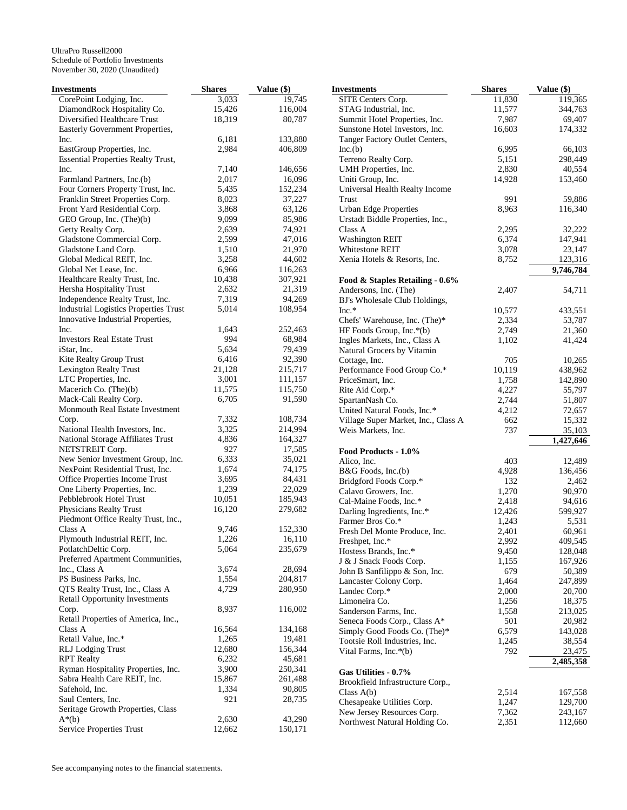| <b>Investments</b>                                        | <b>Shares</b>   | Value (\$)         | <b>Investments</b>                                   | <b>Shares</b>   | Value (\$)        |
|-----------------------------------------------------------|-----------------|--------------------|------------------------------------------------------|-----------------|-------------------|
| CorePoint Lodging, Inc.                                   | 3,033           | 19,745             | SITE Centers Corp.                                   | 11,830          | 119,365           |
| DiamondRock Hospitality Co.                               | 15,426          | 116,004            | STAG Industrial, Inc.                                | 11,577          | 344,763           |
| Diversified Healthcare Trust                              | 18,319          | 80,787             | Summit Hotel Properties, Inc.                        | 7,987           | 69,407            |
| Easterly Government Properties,                           |                 |                    | Sunstone Hotel Investors, Inc.                       | 16,603          | 174,332           |
| Inc.                                                      | 6,181           | 133,880            | Tanger Factory Outlet Centers,                       |                 |                   |
| EastGroup Properties, Inc.                                | 2,984           | 406,809            | Inc.(b)                                              | 6,995           | 66,103            |
| <b>Essential Properties Realty Trust,</b>                 |                 |                    | Terreno Realty Corp.                                 | 5,151           | 298,449           |
| Inc.                                                      | 7,140           | 146,656            | UMH Properties, Inc.                                 | 2,830           | 40,554            |
| Farmland Partners, Inc.(b)                                | 2,017           | 16,096             | Uniti Group, Inc.                                    | 14,928          | 153,460           |
| Four Corners Property Trust, Inc.                         | 5,435           | 152,234            | Universal Health Realty Income                       |                 |                   |
| Franklin Street Properties Corp.                          | 8,023           | 37,227             | Trust                                                | 991             | 59,886            |
| Front Yard Residential Corp.                              | 3,868           | 63,126             | <b>Urban Edge Properties</b>                         | 8,963           | 116,340           |
| GEO Group, Inc. (The)(b)                                  | 9,099           | 85,986             | Urstadt Biddle Properties, Inc.,                     |                 |                   |
| Getty Realty Corp.                                        | 2,639           | 74,921             | Class A                                              | 2,295           | 32,222            |
| Gladstone Commercial Corp.                                | 2,599           | 47,016             | <b>Washington REIT</b>                               | 6,374           | 147,941           |
| Gladstone Land Corp.                                      | 1,510           | 21,970             | Whitestone REIT                                      | 3,078           | 23,147            |
| Global Medical REIT, Inc.                                 | 3,258           | 44,602             | Xenia Hotels & Resorts, Inc.                         | 8,752           | 123,316           |
| Global Net Lease, Inc.                                    | 6,966           | 116,263            |                                                      |                 | 9,746,784         |
| Healthcare Realty Trust, Inc.                             | 10,438          | 307,921            | Food & Staples Retailing - 0.6%                      |                 |                   |
| Hersha Hospitality Trust                                  | 2,632           | 21,319             | Andersons, Inc. (The)                                | 2,407           | 54,711            |
| Independence Realty Trust, Inc.                           | 7,319           | 94,269             | BJ's Wholesale Club Holdings,                        |                 |                   |
| <b>Industrial Logistics Properties Trust</b>              | 5,014           | 108,954            | $Inc.*$                                              | 10,577          | 433,551           |
| Innovative Industrial Properties,                         |                 |                    | Chefs' Warehouse, Inc. (The)*                        | 2,334           | 53,787            |
| Inc.                                                      | 1,643           | 252,463            | HF Foods Group, Inc.*(b)                             | 2,749           | 21,360            |
| <b>Investors Real Estate Trust</b>                        | 994             | 68,984             | Ingles Markets, Inc., Class A                        | 1,102           | 41,424            |
| iStar, Inc.                                               | 5,634           | 79,439             | Natural Grocers by Vitamin                           |                 |                   |
| Kite Realty Group Trust                                   | 6,416           | 92,390             | Cottage, Inc.                                        | 705             | 10,265            |
| <b>Lexington Realty Trust</b>                             | 21,128          | 215,717            | Performance Food Group Co.*                          | 10,119          | 438,962           |
| LTC Properties, Inc.                                      | 3,001<br>11,575 | 111,157<br>115,750 | PriceSmart, Inc.                                     | 1,758           | 142,890           |
| Macerich Co. (The)(b)                                     | 6,705           | 91,590             | Rite Aid Corp.*                                      | 4,227           | 55,797            |
| Mack-Cali Realty Corp.<br>Monmouth Real Estate Investment |                 |                    | SpartanNash Co.                                      | 2,744           | 51,807            |
| Corp.                                                     | 7,332           | 108,734            | United Natural Foods, Inc.*                          | 4,212<br>662    | 72,657            |
| National Health Investors, Inc.                           | 3,325           | 214,994            | Village Super Market, Inc., Class A                  | 737             | 15,332<br>35,103  |
| National Storage Affiliates Trust                         | 4,836           | 164,327            | Weis Markets, Inc.                                   |                 |                   |
| NETSTREIT Corp.                                           | 927             | 17,585             |                                                      |                 | 1,427,646         |
| New Senior Investment Group, Inc.                         | 6,333           | 35,021             | Food Products - 1.0%                                 | 403             |                   |
| NexPoint Residential Trust, Inc.                          | 1,674           | 74,175             | Alico, Inc.                                          |                 | 12,489            |
| Office Properties Income Trust                            | 3,695           | 84,431             | B&G Foods, Inc.(b)                                   | 4,928           | 136,456           |
| One Liberty Properties, Inc.                              | 1,239           | 22,029             | Bridgford Foods Corp.*<br>Calavo Growers, Inc.       | 132<br>1,270    | 2,462<br>90,970   |
| Pebblebrook Hotel Trust                                   | 10,051          | 185,943            |                                                      |                 |                   |
| Physicians Realty Trust                                   | 16,120          | 279,682            | Cal-Maine Foods, Inc.*<br>Darling Ingredients, Inc.* | 2,418<br>12,426 | 94,616<br>599,927 |
| Piedmont Office Realty Trust, Inc.,                       |                 |                    | Farmer Bros Co.*                                     | 1,243           | 5,531             |
| Class A                                                   | 9,746           | 152,330            | Fresh Del Monte Produce, Inc.                        | 2,401           | 60,961            |
| Plymouth Industrial REIT, Inc.                            | 1,226           | 16,110             | Freshpet, Inc.*                                      | 2,992           | 409,545           |
| PotlatchDeltic Corp.                                      | 5,064           | 235,679            | Hostess Brands, Inc.*                                | 9,450           | 128,048           |
| Preferred Apartment Communities,                          |                 |                    | J & J Snack Foods Corp.                              | 1,155           | 167,926           |
| Inc., Class A                                             | 3,674           | 28,694             | John B Sanfilippo & Son, Inc.                        | 679             | 50,389            |
| PS Business Parks, Inc.                                   | 1,554           | 204,817            | Lancaster Colony Corp.                               | 1,464           | 247,899           |
| QTS Realty Trust, Inc., Class A                           | 4,729           | 280,950            | Landec Corp.*                                        | 2,000           | 20,700            |
| <b>Retail Opportunity Investments</b>                     |                 |                    | Limoneira Co.                                        | 1,256           | 18,375            |
| Corp.                                                     | 8,937           | 116,002            | Sanderson Farms, Inc.                                | 1,558           | 213,025           |
| Retail Properties of America, Inc.,                       |                 |                    | Seneca Foods Corp., Class A*                         | 501             | 20,982            |
| Class A                                                   | 16,564          | 134,168            | Simply Good Foods Co. (The)*                         | 6,579           | 143,028           |
| Retail Value, Inc.*                                       | 1,265           | 19,481             | Tootsie Roll Industries, Inc.                        | 1,245           | 38,554            |
| <b>RLJ</b> Lodging Trust                                  | 12,680          | 156,344            | Vital Farms, Inc.*(b)                                | 792             | 23,475            |
| <b>RPT</b> Realty                                         | 6,232           | 45,681             |                                                      |                 | 2,485,358         |
| Ryman Hospitality Properties, Inc.                        | 3,900           | 250,341            | Gas Utilities - 0.7%                                 |                 |                   |
| Sabra Health Care REIT, Inc.                              | 15,867          | 261,488            | Brookfield Infrastructure Corp.,                     |                 |                   |
| Safehold, Inc.                                            | 1,334           | 90,805             | Class $A(b)$                                         | 2,514           | 167,558           |
| Saul Centers, Inc.                                        | 921             | 28,735             | Chesapeake Utilities Corp.                           | 1,247           | 129,700           |
| Seritage Growth Properties, Class                         |                 |                    | New Jersey Resources Corp.                           | 7,362           | 243,167           |
| $A^*(b)$                                                  | 2,630           | 43,290             | Northwest Natural Holding Co.                        | 2,351           | 112,660           |
| Service Properties Trust                                  | 12,662          | 150,171            |                                                      |                 |                   |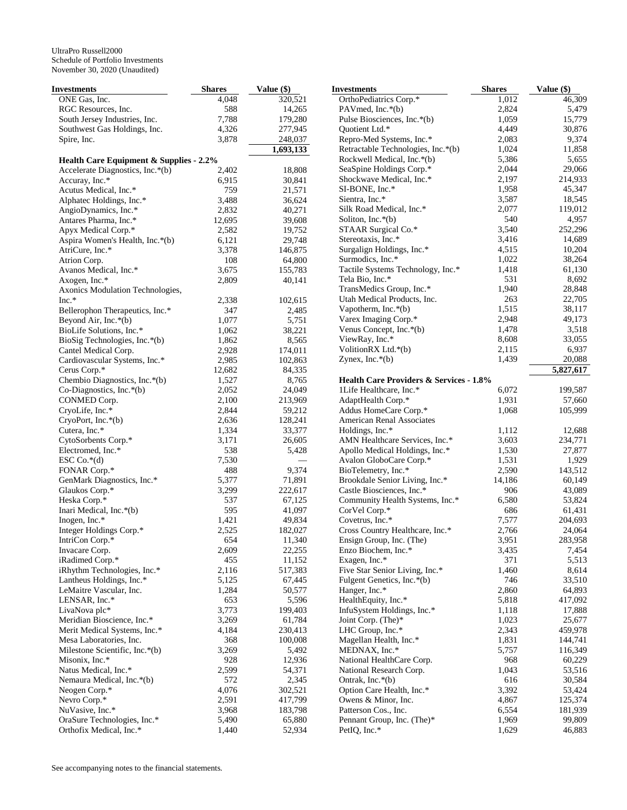| Investments                                        | <b>Shares</b> | Value (\$) | <b>Investments</b>                                 | <b>Shares</b> | Value (\$) |
|----------------------------------------------------|---------------|------------|----------------------------------------------------|---------------|------------|
| ONE Gas, Inc.                                      | 4,048         | 320,521    | OrthoPediatrics Corp.*                             | 1,012         | 46,309     |
| RGC Resources, Inc.                                | 588           | 14,265     | PAV med, Inc. $*(b)$                               | 2,824         | 5,479      |
| South Jersey Industries, Inc.                      | 7,788         | 179,280    | Pulse Biosciences, Inc.*(b)                        | 1,059         | 15,779     |
| Southwest Gas Holdings, Inc.                       | 4,326         | 277,945    | Quotient Ltd.*                                     | 4,449         | 30,876     |
| Spire, Inc.                                        | 3,878         | 248,037    | Repro-Med Systems, Inc.*                           | 2,083         | 9,374      |
|                                                    |               | 1,693,133  | Retractable Technologies, Inc.*(b)                 | 1,024         | 11,858     |
| <b>Health Care Equipment &amp; Supplies - 2.2%</b> |               |            | Rockwell Medical, Inc.*(b)                         | 5,386         | 5,655      |
| Accelerate Diagnostics, Inc.*(b)                   | 2,402         | 18,808     | SeaSpine Holdings Corp.*                           | 2,044         | 29,066     |
| Accuray, Inc.*                                     | 6,915         | 30,841     | Shockwave Medical, Inc.*                           | 2,197         | 214,933    |
| Acutus Medical, Inc.*                              | 759           | 21,571     | SI-BONE, Inc.*                                     | 1,958         | 45,347     |
| Alphatec Holdings, Inc.*                           | 3,488         | 36,624     | Sientra, Inc.*                                     | 3,587         | 18,545     |
| AngioDynamics, Inc.*                               | 2,832         | 40,271     | Silk Road Medical, Inc.*                           | 2,077         | 119,012    |
| Antares Pharma, Inc.*                              | 12,695        | 39,608     | Soliton, Inc. $*(b)$                               | 540           | 4,957      |
| Apyx Medical Corp.*                                | 2,582         | 19,752     | STAAR Surgical Co.*                                | 3,540         | 252,296    |
| Aspira Women's Health, Inc.*(b)                    | 6,121         | 29,748     | Stereotaxis, Inc.*                                 | 3,416         | 14,689     |
|                                                    | 3,378         | 146,875    | Surgalign Holdings, Inc.*                          | 4,515         | 10,204     |
| AtriCure, Inc.*                                    | 108           | 64,800     | Surmodics, Inc.*                                   | 1,022         | 38,264     |
| Atrion Corp.                                       |               |            | Tactile Systems Technology, Inc.*                  | 1,418         | 61,130     |
| Avanos Medical, Inc.*                              | 3,675         | 155,783    | Tela Bio, Inc.*                                    | 531           | 8,692      |
| Axogen, Inc.*                                      | 2,809         | 40,141     | TransMedics Group, Inc.*                           | 1,940         | 28,848     |
| Axonics Modulation Technologies,                   |               |            | Utah Medical Products, Inc.                        |               |            |
| $Inc.*$                                            | 2,338         | 102,615    |                                                    | 263           | 22,705     |
| Bellerophon Therapeutics, Inc.*                    | 347           | 2,485      | Vapotherm, Inc. $*(b)$                             | 1,515         | 38,117     |
| Beyond Air, Inc.*(b)                               | 1,077         | 5,751      | Varex Imaging Corp.*                               | 2,948         | 49,173     |
| BioLife Solutions, Inc.*                           | 1,062         | 38,221     | Venus Concept, Inc.*(b)                            | 1,478         | 3,518      |
| BioSig Technologies, Inc.*(b)                      | 1,862         | 8,565      | ViewRay, Inc.*                                     | 8,608         | 33,055     |
| Cantel Medical Corp.                               | 2,928         | 174,011    | VolitionRX Ltd.*(b)                                | 2,115         | 6,937      |
| Cardiovascular Systems, Inc.*                      | 2,985         | 102,863    | Zynex, Inc. $*(b)$                                 | 1,439         | 20,088     |
| Cerus Corp.*                                       | 12,682        | 84,335     |                                                    |               | 5,827,617  |
| Chembio Diagnostics, Inc.*(b)                      | 1,527         | 8,765      | <b>Health Care Providers &amp; Services - 1.8%</b> |               |            |
| Co-Diagnostics, Inc.*(b)                           | 2,052         | 24,049     | 1Life Healthcare, Inc.*                            | 6,072         | 199,587    |
| CONMED Corp.                                       | 2,100         | 213,969    | AdaptHealth Corp.*                                 | 1,931         | 57,660     |
| CryoLife, Inc.*                                    | 2,844         | 59,212     | Addus HomeCare Corp.*                              | 1,068         | 105,999    |
| $CryoPort, Inc.*(b)$                               | 2,636         | 128,241    | American Renal Associates                          |               |            |
| Cutera, Inc.*                                      | 1,334         | 33,377     | Holdings, Inc.*                                    | 1,112         | 12,688     |
| CytoSorbents Corp.*                                | 3,171         | 26,605     | AMN Healthcare Services, Inc.*                     | 3,603         | 234,771    |
| Electromed, Inc.*                                  | 538           | 5,428      | Apollo Medical Holdings, Inc.*                     | 1,530         | 27,877     |
| ESC Co.*(d)                                        | 7,530         |            | Avalon GloboCare Corp.*                            | 1,531         | 1,929      |
| FONAR Corp.*                                       | 488           | 9,374      | BioTelemetry, Inc.*                                | 2,590         | 143,512    |
| GenMark Diagnostics, Inc.*                         | 5,377         | 71,891     | Brookdale Senior Living, Inc.*                     | 14,186        | 60,149     |
| Glaukos Corp.*                                     | 3,299         | 222,617    | Castle Biosciences, Inc.*                          | 906           | 43,089     |
| Heska Corp.*                                       | 537           | 67,125     | Community Health Systems, Inc.*                    | 6,580         | 53,824     |
| Inari Medical, Inc.*(b)                            | 595           | 41,097     | CorVel Corp.*                                      | 686           | 61,431     |
| Inogen, Inc.*                                      | 1,421         | 49,834     | Covetrus, Inc.*                                    | 7,577         | 204,693    |
| Integer Holdings Corp.*                            | 2,525         | 182,027    | Cross Country Healthcare, Inc.*                    | 2,766         | 24,064     |
| IntriCon Corp.*                                    | 654           | 11,340     | Ensign Group, Inc. (The)                           | 3,951         | 283,958    |
| Invacare Corp.                                     | 2,609         | 22,255     | Enzo Biochem, Inc.*                                | 3,435         | 7,454      |
| iRadimed Corp.*                                    | 455           | 11,152     | Exagen, Inc.*                                      | 371           | 5,513      |
| iRhythm Technologies, Inc.*                        | 2,116         | 517,383    | Five Star Senior Living, Inc.*                     | 1,460         | 8,614      |
| Lantheus Holdings, Inc.*                           | 5,125         | 67,445     | Fulgent Genetics, Inc.*(b)                         | 746           | 33,510     |
| LeMaitre Vascular, Inc.                            | 1,284         | 50,577     | Hanger, Inc.*                                      | 2,860         | 64,893     |
| LENSAR, Inc.*                                      | 653           | 5,596      | HealthEquity, Inc.*                                | 5,818         | 417,092    |
| LivaNova plc*                                      |               |            |                                                    |               |            |
|                                                    | 3,773         | 199,403    | InfuSystem Holdings, Inc.*                         | 1,118         | 17,888     |
| Meridian Bioscience, Inc.*                         | 3,269         | 61,784     | Joint Corp. (The)*                                 | 1,023         | 25,677     |
| Merit Medical Systems, Inc.*                       | 4,184         | 230,413    | LHC Group, Inc.*                                   | 2,343         | 459,978    |
| Mesa Laboratories, Inc.                            | 368           | 100,008    | Magellan Health, Inc.*                             | 1,831         | 144,741    |
| Milestone Scientific, Inc.*(b)                     | 3,269         | 5,492      | MEDNAX, Inc.*                                      | 5,757         | 116,349    |
| Misonix, Inc.*                                     | 928           | 12,936     | National HealthCare Corp.                          | 968           | 60,229     |
| Natus Medical, Inc.*                               | 2,599         | 54,371     | National Research Corp.                            | 1,043         | 53,516     |
| Nemaura Medical, Inc.*(b)                          | 572           | 2,345      | Ontrak, Inc.*(b)                                   | 616           | 30,584     |
| Neogen Corp.*                                      | 4,076         | 302,521    | Option Care Health, Inc.*                          | 3,392         | 53,424     |
| Nevro Corp.*                                       | 2,591         | 417,799    | Owens & Minor, Inc.                                | 4,867         | 125,374    |
| NuVasive, Inc.*                                    | 3,968         | 183,798    | Patterson Cos., Inc.                               | 6,554         | 181,939    |
| OraSure Technologies, Inc.*                        | 5,490         | 65,880     | Pennant Group, Inc. (The)*                         | 1,969         | 99,809     |
| Orthofix Medical, Inc.*                            | 1,440         | 52,934     | PetIQ, Inc.*                                       | 1,629         | 46,883     |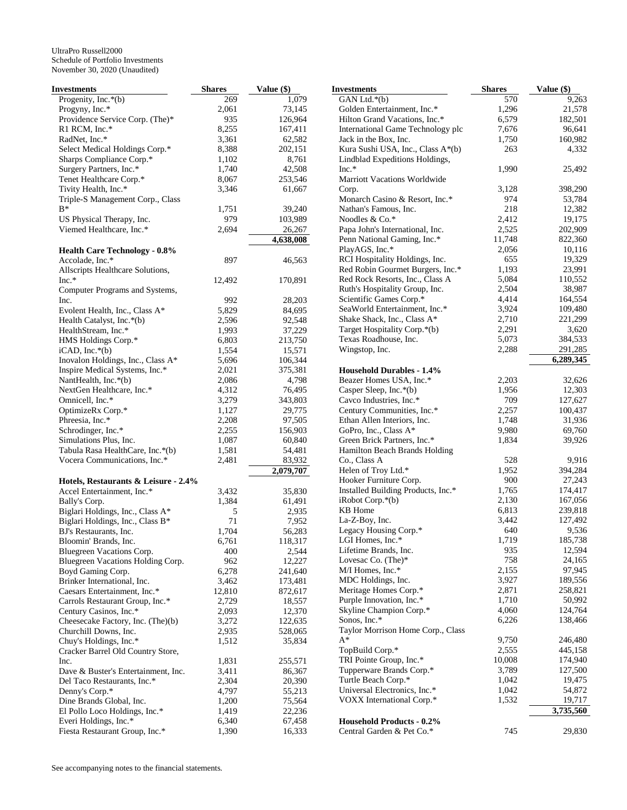| Investments                                     | <b>Shares</b>  | Value (\$)        |
|-------------------------------------------------|----------------|-------------------|
| Progenity, Inc.*(b)                             | 269            | 1,079             |
| Progyny, Inc.*                                  | 2,061          | 73,145            |
| Providence Service Corp. (The)*                 | 935            | 126,964           |
| $R1$ RCM, Inc.*                                 | 8,255          | 167,411           |
| RadNet, Inc.*                                   | 3,361          | 62,582            |
| Select Medical Holdings Corp.*                  | 8,388          | 202,151           |
| Sharps Compliance Corp.*                        | 1,102          | 8,761             |
| Surgery Partners, Inc.*                         | 1,740          | 42,508            |
| Tenet Healthcare Corp.*                         | 8,067          | 253,546           |
| Tivity Health, Inc.*                            | 3,346          | 61,667            |
| Triple-S Management Corp., Class                |                |                   |
| B*                                              | 1,751          | 39,240            |
| US Physical Therapy, Inc.                       | 979            | 103,989           |
| Viemed Healthcare, Inc.*                        | 2,694          | 26,267            |
|                                                 |                | 4,638,008         |
| <b>Health Care Technology - 0.8%</b>            |                |                   |
| Accolade, Inc.*                                 | 897            | 46,563            |
| Allscripts Healthcare Solutions,                |                |                   |
| $Inc.*$                                         | 12,492         | 170,891           |
| Computer Programs and Systems,                  |                |                   |
| Inc.                                            | 992            | 28,203            |
| Evolent Health, Inc., Class A*                  | 5,829          | 84,695            |
| Health Catalyst, Inc.*(b)                       | 2,596          | 92,548            |
| HealthStream, Inc.*                             | 1,993          | 37,229            |
| HMS Holdings Corp.*                             | 6,803          | 213,750           |
| $iCAD, Inc.*(b)$                                | 1,554          | 15,571            |
| Inovalon Holdings, Inc., Class A*               | 5,696          | 106,344           |
| Inspire Medical Systems, Inc.*                  | 2,021          | 375,381           |
| NantHealth, Inc.*(b)                            | 2,086          | 4,798             |
| NextGen Healthcare, Inc.*                       | 4,312          | 76,495            |
| Omnicell, Inc.*                                 | 3,279          | 343,803           |
| OptimizeRx Corp.*                               | 1,127          | 29,775            |
| Phreesia, Inc.*                                 | 2,208          | 97,505            |
| Schrodinger, Inc.*                              | 2,255          | 156,903           |
| Simulations Plus, Inc.                          | 1,087          | 60,840            |
| Tabula Rasa HealthCare, Inc.*(b)                | 1,581          | 54,481            |
| Vocera Communications, Inc.*                    | 2,481          | 83,932            |
|                                                 |                | 2,079,707         |
| Hotels, Restaurants & Leisure - 2.4%            |                |                   |
| Accel Entertainment, Inc.*                      | 3,432          | 35,830            |
| Bally's Corp.                                   | 1,384          | 61,491            |
| Biglari Holdings, Inc., Class A*                | 5              | 2,935             |
| Biglari Holdings, Inc., Class B*                | 71             | 7,952             |
| BJ's Restaurants, Inc.                          | 1,704          | 56,283            |
| Bloomin' Brands, Inc.                           | 6,761          | 118,317           |
| Bluegreen Vacations Corp.                       | 400            | 2,544             |
| Bluegreen Vacations Holding Corp.               | 962            | 12,227            |
| Boyd Gaming Corp.                               | 6,278          | 241,640           |
| Brinker International, Inc.                     | 3,462          | 173,481           |
| Caesars Entertainment, Inc.*                    | 12,810         | 872,617           |
| Carrols Restaurant Group, Inc.*                 | 2,729          | 18,557            |
| Century Casinos, Inc.*                          | 2,093          | 12,370            |
| Cheesecake Factory, Inc. (The)(b)               | 3,272          | 122,635           |
| Churchill Downs, Inc.<br>Chuy's Holdings, Inc.* | 2,935<br>1,512 | 528,065<br>35,834 |
| Cracker Barrel Old Country Store,               |                |                   |
| Inc.                                            | 1,831          | 255,571           |
| Dave & Buster's Entertainment, Inc.             | 3,411          | 86,367            |
| Del Taco Restaurants, Inc.*                     | 2,304          | 20,390            |
| Denny's Corp.*                                  | 4,797          | 55,213            |
| Dine Brands Global, Inc.                        | 1,200          | 75,564            |
| El Pollo Loco Holdings, Inc.*                   | 1,419          | 22,236            |
| Everi Holdings, Inc.*                           | 6,340          | 67,458            |
| Fiesta Restaurant Group, Inc.*                  | 1,390          | 16,333            |
|                                                 |                |                   |

| <b>Investments</b>                  | <b>Shares</b> | Value (\$) |
|-------------------------------------|---------------|------------|
| GAN Ltd.*(b)                        | 570           | 9,263      |
| Golden Entertainment, Inc.*         | 1,296         | 21,578     |
| Hilton Grand Vacations, Inc.*       | 6,579         | 182,501    |
| International Game Technology plc   | 7,676         | 96,641     |
| Jack in the Box, Inc.               | 1,750         | 160,982    |
| Kura Sushi USA, Inc., Class A*(b)   | 263           | 4,332      |
| Lindblad Expeditions Holdings,      |               |            |
| $Inc.*$                             | 1,990         | 25,492     |
| <b>Marriott Vacations Worldwide</b> |               |            |
| Corp.                               | 3,128         | 398,290    |
| Monarch Casino & Resort, Inc.*      | 974           | 53,784     |
| Nathan's Famous, Inc.               | 218           | 12,382     |
| Noodles & Co.*                      | 2,412         | 19,175     |
| Papa John's International, Inc.     | 2,525         | 202,909    |
| Penn National Gaming, Inc.*         | 11,748        | 822,360    |
| PlayAGS, Inc.*                      | 2,056         | 10,116     |
| RCI Hospitality Holdings, Inc.      | 655           | 19,329     |
| Red Robin Gourmet Burgers, Inc.*    | 1,193         | 23,991     |
| Red Rock Resorts, Inc., Class A     | 5,084         | 110,552    |
| Ruth's Hospitality Group, Inc.      | 2,504         | 38,987     |
| Scientific Games Corp.*             | 4,414         | 164,554    |
| SeaWorld Entertainment, Inc.*       | 3,924         | 109,480    |
| Shake Shack, Inc., Class A*         | 2,710         | 221,299    |
| Target Hospitality Corp.*(b)        | 2,291         | 3,620      |
| Texas Roadhouse, Inc.               | 5,073         | 384,533    |
| Wingstop, Inc.                      | 2,288         | 291,285    |
|                                     |               | 6,289,345  |
| <b>Household Durables - 1.4%</b>    |               |            |
| Beazer Homes USA, Inc.*             | 2,203         | 32,626     |
| Casper Sleep, Inc.*(b)              | 1,956         | 12,303     |
| Cavco Industries, Inc.*             | 709           | 127,627    |
| Century Communities, Inc.*          | 2,257         | 100,437    |
| Ethan Allen Interiors, Inc.         | 1,748         | 31,936     |
| GoPro, Inc., Class A*               | 9,980         | 69,760     |
| Green Brick Partners, Inc.*         | 1,834         | 39,926     |
| Hamilton Beach Brands Holding       |               |            |
| Co., Class A                        | 528           | 9,916      |
| Helen of Troy Ltd.*                 | 1,952         | 394,284    |
| Hooker Furniture Corp.              | 900           | 27,243     |
| Installed Building Products, Inc.*  | 1,765         | 174,417    |
| $i$ Robot Corp. $*(b)$              | 2,130         | 167,056    |
| KB Home                             | 6,813         | 239,818    |
| La-Z-Boy, Inc.                      | 3,442         | 127,492    |
| Legacy Housing Corp.*               | 640           | 9,536      |
| LGI Homes, Inc.*                    | 1,719         | 185,738    |
| Lifetime Brands, Inc.               | 935           | 12,594     |
| Lovesac Co. (The)*                  | 758           | 24,165     |
| M/I Homes, Inc.*                    | 2,155         | 97,945     |
| MDC Holdings, Inc.                  | 3,927         | 189,556    |
| Meritage Homes Corp.*               | 2,871         | 258,821    |
| Purple Innovation, Inc.*            | 1,710         | 50,992     |
| Skyline Champion Corp.*             | 4,060         | 124,764    |
| Sonos, Inc.*                        | 6,226         | 138,466    |
| Taylor Morrison Home Corp., Class   |               |            |
| A*                                  | 9,750         | 246,480    |
| TopBuild Corp.*                     | 2,555         | 445,158    |
| TRI Pointe Group, Inc.*             | 10,008        | 174,940    |
| Tupperware Brands Corp.*            | 3,789         | 127,500    |
| Turtle Beach Corp.*                 | 1,042         | 19,475     |
| Universal Electronics, Inc.*        | 1,042         | 54,872     |
| VOXX International Corp.*           | 1,532         | 19,717     |
|                                     |               | 3,735,560  |
| <b>Household Products - 0.2%</b>    |               |            |
| Central Garden & Pet Co.*           | 745           | 29,830     |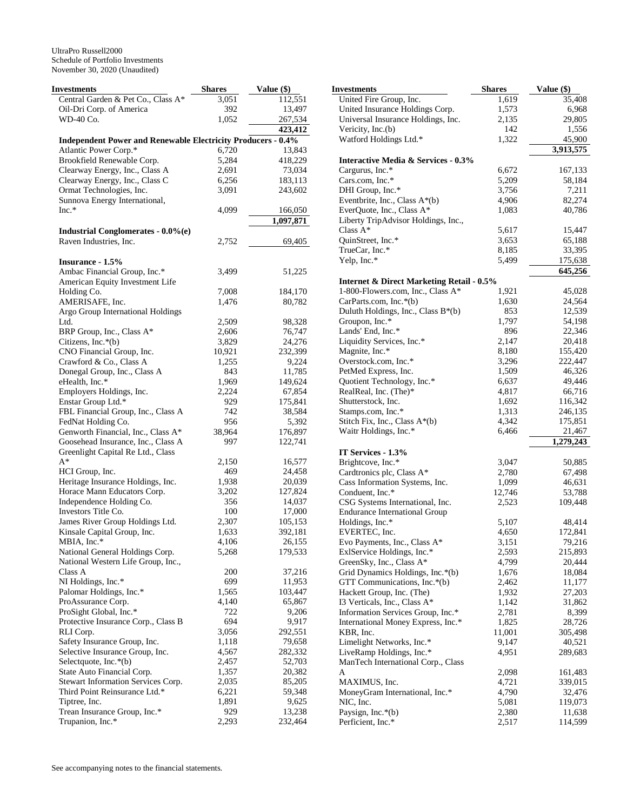| Investments                                                         | <b>Shares</b> | Value (\$) | <b>Investments</b>                                   | <b>Shares</b> | Value (\$) |
|---------------------------------------------------------------------|---------------|------------|------------------------------------------------------|---------------|------------|
| Central Garden & Pet Co., Class A*                                  | 3,051         | 112,551    | United Fire Group, Inc.                              | 1,619         | 35,408     |
| Oil-Dri Corp. of America                                            | 392           | 13,497     | United Insurance Holdings Corp.                      | 1,573         | 6,968      |
| WD-40 Co.                                                           | 1,052         | 267,534    | Universal Insurance Holdings, Inc.                   | 2,135         | 29,805     |
|                                                                     |               | 423,412    | Vericity, Inc.(b)                                    | 142           | 1,556      |
| <b>Independent Power and Renewable Electricity Producers - 0.4%</b> |               |            | Watford Holdings Ltd.*                               | 1,322         | 45,900     |
| Atlantic Power Corp.*                                               | 6,720         | 13,843     |                                                      |               | 3,913,575  |
| Brookfield Renewable Corp.                                          | 5,284         | 418,229    | <b>Interactive Media &amp; Services - 0.3%</b>       |               |            |
| Clearway Energy, Inc., Class A                                      | 2,691         | 73,034     | Cargurus, Inc.*                                      | 6,672         | 167,133    |
| Clearway Energy, Inc., Class C                                      | 6,256         | 183,113    | Cars.com, Inc.*                                      | 5,209         | 58,184     |
| Ormat Technologies, Inc.                                            | 3,091         | 243,602    | DHI Group, Inc.*                                     | 3,756         | 7,211      |
| Sunnova Energy International,                                       |               |            | Eventbrite, Inc., Class A*(b)                        | 4,906         | 82,274     |
| $Inc.*$                                                             | 4,099         | 166,050    | EverQuote, Inc., Class A*                            | 1,083         | 40,786     |
|                                                                     |               | 1,097,871  | Liberty TripAdvisor Holdings, Inc.,                  |               |            |
| <b>Industrial Conglomerates - 0.0%(e)</b>                           |               |            | Class $A^*$                                          | 5,617         | 15,447     |
| Raven Industries, Inc.                                              | 2,752         | 69,405     | QuinStreet, Inc.*                                    | 3,653         | 65,188     |
|                                                                     |               |            | TrueCar, Inc.*                                       | 8,185         | 33,395     |
| Insurance - 1.5%                                                    |               |            | Yelp, Inc.*                                          | 5,499         | 175,638    |
| Ambac Financial Group, Inc.*                                        | 3,499         | 51,225     |                                                      |               | 645,256    |
| American Equity Investment Life                                     |               |            | <b>Internet &amp; Direct Marketing Retail - 0.5%</b> |               |            |
| Holding Co.                                                         | 7,008         | 184,170    | 1-800-Flowers.com, Inc., Class A*                    | 1,921         | 45,028     |
| AMERISAFE, Inc.                                                     | 1,476         | 80,782     | CarParts.com, Inc.*(b)                               | 1,630         | 24,564     |
| Argo Group International Holdings                                   |               |            | Duluth Holdings, Inc., Class B*(b)                   | 853           | 12,539     |
| Ltd.                                                                | 2,509         | 98,328     | Groupon, Inc.*                                       | 1,797         | 54,198     |
|                                                                     |               |            | Lands' End, Inc.*                                    | 896           | 22,346     |
| BRP Group, Inc., Class A*<br>Citizens, Inc.*(b)                     | 2,606         | 76,747     | Liquidity Services, Inc.*                            | 2,147         | 20,418     |
|                                                                     | 3,829         | 24,276     |                                                      |               |            |
| CNO Financial Group, Inc.                                           | 10,921        | 232,399    | Magnite, Inc.*                                       | 8,180         | 155,420    |
| Crawford & Co., Class A                                             | 1,255         | 9,224      | Overstock.com, Inc.*                                 | 3,296         | 222,447    |
| Donegal Group, Inc., Class A                                        | 843           | 11,785     | PetMed Express, Inc.                                 | 1,509         | 46,326     |
| eHealth, Inc.*                                                      | 1,969         | 149,624    | Quotient Technology, Inc.*                           | 6,637         | 49,446     |
| Employers Holdings, Inc.                                            | 2,224         | 67,854     | RealReal, Inc. (The)*                                | 4,817         | 66,716     |
| Enstar Group Ltd.*                                                  | 929           | 175,841    | Shutterstock, Inc.                                   | 1,692         | 116,342    |
| FBL Financial Group, Inc., Class A                                  | 742           | 38,584     | Stamps.com, Inc.*                                    | 1,313         | 246,135    |
| FedNat Holding Co.                                                  | 956           | 5,392      | Stitch Fix, Inc., Class $A^*(b)$                     | 4,342         | 175,851    |
| Genworth Financial, Inc., Class A*                                  | 38,964        | 176,897    | Waitr Holdings, Inc.*                                | 6,466         | 21,467     |
| Goosehead Insurance, Inc., Class A                                  | 997           | 122,741    |                                                      |               | 1,279,243  |
| Greenlight Capital Re Ltd., Class                                   |               |            | IT Services - 1.3%                                   |               |            |
| $A^*$                                                               | 2,150         | 16,577     | Brightcove, Inc.*                                    | 3,047         | 50,885     |
| HCI Group, Inc.                                                     | 469           | 24,458     | Cardtronics plc, Class A*                            | 2,780         | 67,498     |
| Heritage Insurance Holdings, Inc.                                   | 1,938         | 20,039     | Cass Information Systems, Inc.                       | 1,099         | 46,631     |
| Horace Mann Educators Corp.                                         | 3,202         | 127,824    | Conduent, Inc.*                                      | 12,746        | 53,788     |
| Independence Holding Co.                                            | 356           | 14,037     | CSG Systems International, Inc.                      | 2,523         | 109,448    |
| Investors Title Co.                                                 | 100           | 17,000     | <b>Endurance International Group</b>                 |               |            |
| James River Group Holdings Ltd.                                     | 2,307         | 105,153    | Holdings, Inc.*                                      | 5,107         | 48,414     |
| Kinsale Capital Group, Inc.                                         | 1,633         | 392,181    | EVERTEC, Inc.                                        | 4,650         | 172,841    |
| $MBIA$ , Inc.*                                                      | 4,106         | 26,155     | Evo Payments, Inc., Class A*                         | 3,151         | 79,216     |
| National General Holdings Corp.                                     | 5,268         | 179,533    | ExlService Holdings, Inc.*                           | 2,593         | 215,893    |
| National Western Life Group, Inc.,                                  |               |            | GreenSky, Inc., Class A*                             | 4,799         | 20,444     |
| Class A                                                             | 200           | 37,216     | Grid Dynamics Holdings, Inc.*(b)                     | 1,676         | 18,084     |
| NI Holdings, Inc.*                                                  | 699           | 11,953     | GTT Communications, Inc.*(b)                         | 2,462         | 11,177     |
| Palomar Holdings, Inc.*                                             | 1,565         | 103,447    | Hackett Group, Inc. (The)                            | 1,932         | 27,203     |
| ProAssurance Corp.                                                  | 4,140         | 65,867     | 13 Verticals, Inc., Class A*                         | 1,142         | 31,862     |
| ProSight Global, Inc.*                                              | 722           | 9,206      | Information Services Group, Inc.*                    | 2,781         | 8,399      |
| Protective Insurance Corp., Class B                                 | 694           | 9,917      | International Money Express, Inc.*                   | 1,825         | 28,726     |
| RLI Corp.                                                           | 3,056         | 292,551    | KBR, Inc.                                            | 11,001        | 305,498    |
| Safety Insurance Group, Inc.                                        | 1,118         | 79,658     | Limelight Networks, Inc.*                            | 9,147         | 40,521     |
| Selective Insurance Group, Inc.                                     | 4,567         | 282,332    | LiveRamp Holdings, Inc.*                             | 4,951         | 289,683    |
| Selectquote, Inc.*(b)                                               | 2,457         | 52,703     | ManTech International Corp., Class                   |               |            |
| State Auto Financial Corp.                                          | 1,357         | 20,382     | A                                                    | 2,098         | 161,483    |
| Stewart Information Services Corp.                                  | 2,035         | 85,205     | MAXIMUS, Inc.                                        | 4,721         | 339,015    |
| Third Point Reinsurance Ltd.*                                       | 6,221         | 59,348     | MoneyGram International, Inc.*                       | 4,790         | 32,476     |
| Tiptree, Inc.                                                       | 1,891         | 9,625      | NIC, Inc.                                            | 5,081         | 119,073    |
| Trean Insurance Group, Inc.*                                        | 929           | 13,238     | Paysign, Inc. $*(b)$                                 | 2,380         | 11,638     |
| Trupanion, Inc.*                                                    | 2,293         | 232,464    | Perficient, Inc.*                                    | 2,517         | 114,599    |

| Investments                                                                               | <b>Shares</b>  | Value (\$)         |
|-------------------------------------------------------------------------------------------|----------------|--------------------|
| United Fire Group, Inc.                                                                   | 1,619          | 35,408             |
| United Insurance Holdings Corp.                                                           | 1,573          | 6,968              |
| Universal Insurance Holdings, Inc.                                                        | 2,135          | 29,805             |
| Vericity, Inc.(b)                                                                         | 142            | 1,556              |
| Watford Holdings Ltd.*                                                                    | 1,322          | 45,900             |
|                                                                                           |                | 3,913,575          |
| <b>Interactive Media &amp; Services - 0.3%</b>                                            |                |                    |
| Cargurus, Inc.*                                                                           | 6,672          | 167,133            |
| Cars.com, Inc.*                                                                           | 5,209          | 58,184             |
| DHI Group, Inc.*                                                                          | 3,756          | 7,211              |
| Eventbrite, Inc., Class A*(b)                                                             | 4,906          | 82,274             |
| EverQuote, Inc., Class A*                                                                 | 1,083          | 40,786             |
| Liberty TripAdvisor Holdings, Inc.,                                                       |                |                    |
| Class $A^*$                                                                               | 5,617          | 15,447             |
| QuinStreet, Inc.*                                                                         | 3,653          | 65,188             |
| TrueCar, Inc.*                                                                            | 8,185          | 33,395             |
| Yelp, Inc.*                                                                               | 5,499          | 175,638            |
|                                                                                           |                | 645,256            |
| <b>Internet &amp; Direct Marketing Retail - 0.5%</b><br>1-800-Flowers.com, Inc., Class A* |                |                    |
| CarParts.com, Inc.*(b)                                                                    | 1,921<br>1,630 | 45,028<br>24,564   |
| Duluth Holdings, Inc., Class B*(b)                                                        |                | 12,539             |
| Groupon, Inc.*                                                                            | 853<br>1,797   | 54,198             |
| Lands' End, Inc.*                                                                         | 896            | 22,346             |
|                                                                                           | 2,147          | 20,418             |
| Liquidity Services, Inc.*<br>Magnite, Inc.*                                               | 8,180          | 155,420            |
| Overstock.com, Inc.*                                                                      | 3,296          | 222,447            |
| PetMed Express, Inc.                                                                      | 1,509          | 46,326             |
| Quotient Technology, Inc.*                                                                | 6,637          | 49,446             |
| RealReal, Inc. (The)*                                                                     | 4,817          | 66,716             |
| Shutterstock, Inc.                                                                        | 1,692          | 116,342            |
| Stamps.com, Inc.*                                                                         | 1,313          | 246,135            |
| Stitch Fix, Inc., Class A*(b)                                                             | 4,342          | 175,851            |
| Waitr Holdings, Inc.*                                                                     | 6,466          | 21,467             |
|                                                                                           |                | 1,279,243          |
| IT Services - 1.3%                                                                        |                |                    |
| Brightcove, Inc.*                                                                         | 3,047          | 50,885             |
| Cardtronics plc, Class A*                                                                 | 2,780          | 67,498             |
| Cass Information Systems, Inc.                                                            | 1,099          | 46,631             |
| Conduent, Inc.*                                                                           | 12,746         | 53,788             |
| CSG Systems International, Inc.                                                           | 2,523          | 109,448            |
| <b>Endurance International Group</b>                                                      |                |                    |
| Holdings, Inc.*                                                                           | 5,107          | 48,414             |
| EVERTEC, Inc.                                                                             | 4,650          | 172,841            |
| Evo Payments, Inc., Class A*                                                              | 3,151          | 79,216             |
| ExlService Holdings, Inc.*                                                                | 2,593          | 215,893            |
| GreenSky, Inc., Class A*                                                                  | 4,799          | 20,444             |
| Grid Dynamics Holdings, Inc.*(b)                                                          | 1,676          | 18,084             |
| GTT Communications, Inc.*(b)                                                              | 2,462          | 11,177             |
| Hackett Group, Inc. (The)                                                                 | 1,932          | 27,203             |
| I3 Verticals, Inc., Class A*                                                              | 1,142          | 31,862             |
| Information Services Group, Inc.*                                                         | 2,781          | 8,399              |
| International Money Express, Inc.*                                                        | 1,825          | 28,726             |
| KBR, Inc.                                                                                 | 11,001         | 305,498            |
| Limelight Networks, Inc.*                                                                 | 9,147          | 40,521             |
| LiveRamp Holdings, Inc.*                                                                  | 4,951          | 289,683            |
| ManTech International Corp., Class                                                        |                |                    |
| A<br>MAXIMUS, Inc.                                                                        | 2,098<br>4,721 | 161,483<br>339,015 |
| MoneyGram International, Inc.*                                                            | 4,790          | 32,476             |
| NIC, Inc.                                                                                 | 5,081          | 119,073            |
| Paysign, Inc.*(b)                                                                         | 2,380          | 11,638             |
| Perficient Inc <sup>*</sup>                                                               | 2517           | 114.599            |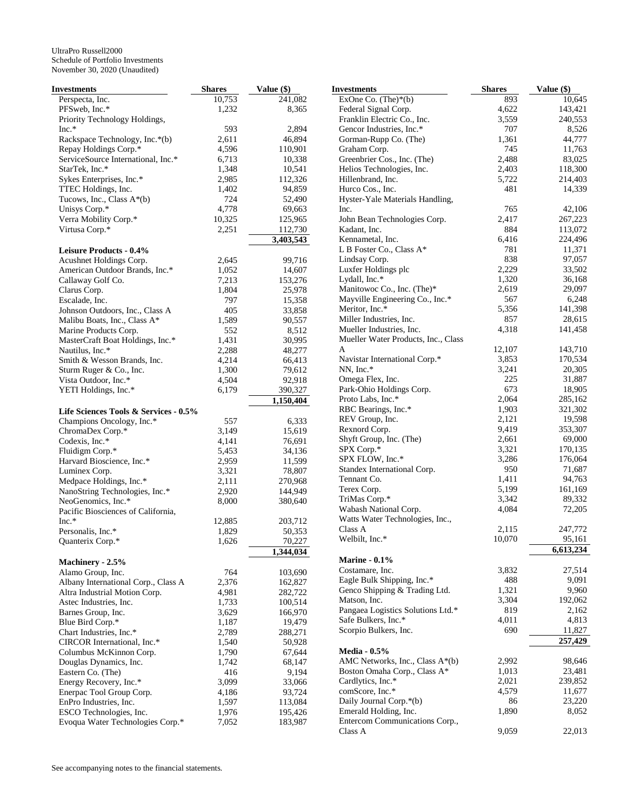| Investments                                                 | <b>Shares</b>   | Value (\$)        |
|-------------------------------------------------------------|-----------------|-------------------|
| Perspecta, Inc.                                             | 10,753          | 241,082           |
| PFSweb, Inc.*                                               | 1,232           | 8,365             |
| Priority Technology Holdings,                               |                 |                   |
| $Inc.*$                                                     | 593             | 2,894             |
| Rackspace Technology, Inc.*(b)                              | 2,611<br>4,596  | 46,894            |
| Repay Holdings Corp.*<br>ServiceSource International, Inc.* | 6,713           | 110,901<br>10,338 |
| StarTek, Inc.*                                              | 1,348           | 10,541            |
| Sykes Enterprises, Inc.*                                    | 2,985           | 112,326           |
| TTEC Holdings, Inc.                                         | 1,402           | 94,859            |
| Tucows, Inc., Class $A^*(b)$                                | 724             | 52,490            |
| Unisys Corp.*                                               | 4,778           | 69,663            |
| Verra Mobility Corp.*                                       | 10,325          | 125,965           |
| Virtusa Corp.*                                              | 2,251           | 112,730           |
|                                                             |                 | 3,403,543         |
| Leisure Products - 0.4%                                     |                 |                   |
| Acushnet Holdings Corp.                                     | 2,645           | 99,716            |
| American Outdoor Brands, Inc.*                              | 1,052           | 14,607            |
| Callaway Golf Co.<br>Clarus Corp.                           | 7,213<br>1,804  | 153,276<br>25,978 |
| Escalade, Inc.                                              | 797             | 15,358            |
| Johnson Outdoors, Inc., Class A                             | 405             | 33,858            |
| Malibu Boats, Inc., Class A*                                | 1,589           | 90,557            |
| Marine Products Corp.                                       | 552             | 8,512             |
| MasterCraft Boat Holdings, Inc.*                            | 1,431           | 30,995            |
| Nautilus, Inc.*                                             | 2,288           | 48,277            |
| Smith & Wesson Brands, Inc.                                 | 4,214           | 66,413            |
| Sturm Ruger & Co., Inc.                                     | 1,300           | 79,612            |
| Vista Outdoor, Inc.*                                        | 4,504           | 92,918            |
| YETI Holdings, Inc.*                                        | 6,179           | 390,327           |
| Life Sciences Tools & Services - 0.5%                       |                 | 1,150,404         |
| Champions Oncology, Inc.*                                   | 557             | 6,333             |
| ChromaDex Corp.*                                            | 3,149           | 15,619            |
| Codexis, Inc.*                                              | 4,141           | 76,691            |
| Fluidigm Corp.*                                             | 5,453           | 34,136            |
| Harvard Bioscience, Inc.*                                   | 2,959           | 11,599            |
| Luminex Corp.                                               | 3,321           | 78,807            |
| Medpace Holdings, Inc.*                                     | 2,111           | 270,968           |
| NanoString Technologies, Inc.*                              | 2,920           | 144,949           |
| NeoGenomics, Inc.*                                          | 8,000           | 380,640           |
| Pacific Biosciences of California,                          |                 |                   |
| $Inc.*$<br>Personalis, Inc.*                                | 12,885<br>1,829 | 203,712<br>50,353 |
| Quanterix Corp.*                                            | 1,626           | 70,227            |
|                                                             |                 | 1,344,034         |
| Machinery - 2.5%                                            |                 |                   |
| Alamo Group, Inc.                                           | 764             | 103,690           |
| Albany International Corp., Class A                         | 2,376           | 162,827           |
| Altra Industrial Motion Corp.                               | 4,981           | 282,722           |
| Astec Industries, Inc.                                      | 1,733           | 100,514           |
| Barnes Group, Inc.                                          | 3,629           | 166,970           |
| Blue Bird Corp.*                                            | 1,187           | 19,479            |
| Chart Industries, Inc.*                                     | 2,789           | 288,271           |
| CIRCOR International, Inc.*                                 | 1,540           | 50,928            |
| Columbus McKinnon Corp.<br>Douglas Dynamics, Inc.           | 1,790<br>1,742  | 67,644<br>68,147  |
| Eastern Co. (The)                                           | 416             | 9,194             |
| Energy Recovery, Inc.*                                      | 3,099           | 33,066            |
| Enerpac Tool Group Corp.                                    | 4,186           | 93,724            |
| EnPro Industries, Inc.                                      | 1,597           | 113,084           |
| ESCO Technologies, Inc.                                     | 1,976           | 195,426           |
| Evoqua Water Technologies Corp.*                            | 7,052           | 183,987           |

| Investments                         | <b>Shares</b> | Value (\$) |
|-------------------------------------|---------------|------------|
| ExOne Co. (The)*(b)                 | 893           | 10,645     |
| Federal Signal Corp.                | 4,622         | 143,421    |
| Franklin Electric Co., Inc.         | 3,559         | 240,553    |
| Gencor Industries, Inc.*            | 707           | 8,526      |
| Gorman-Rupp Co. (The)               | 1,361         | 44,777     |
| Graham Corp.                        | 745           | 11,763     |
| Greenbrier Cos., Inc. (The)         | 2,488         | 83,025     |
| Helios Technologies, Inc.           | 2,403         | 118,300    |
| Hillenbrand, Inc.                   | 5,722         | 214,403    |
| Hurco Cos., Inc.                    | 481           | 14,339     |
| Hyster-Yale Materials Handling,     |               |            |
| Inc.                                | 765           | 42,106     |
| John Bean Technologies Corp.        | 2,417         | 267,223    |
| Kadant, Inc.                        | 884           | 113,072    |
| Kennametal, Inc.                    | 6,416         | 224,496    |
| L B Foster Co., Class A*            | 781           | 11,371     |
| Lindsay Corp.                       | 838           | 97,057     |
| Luxfer Holdings plc                 | 2,229         | 33,502     |
| Lydall, Inc.*                       | 1,320         | 36,168     |
| Manitowoc Co., Inc. (The)*          | 2,619         | 29,097     |
| Mayville Engineering Co., Inc.*     | 567           | 6,248      |
| Meritor, Inc.*                      | 5,356         | 141,398    |
| Miller Industries, Inc.             | 857           | 28,615     |
| Mueller Industries, Inc.            | 4,318         | 141,458    |
| Mueller Water Products, Inc., Class |               |            |
| A                                   | 12,107        | 143,710    |
| Navistar International Corp.*       | 3,853         | 170,534    |
| NN, Inc.*                           | 3,241         | 20,305     |
| Omega Flex, Inc.                    | 225           | 31,887     |
| Park-Ohio Holdings Corp.            | 673           | 18,905     |
| Proto Labs, Inc.*                   | 2,064         | 285,162    |
| RBC Bearings, Inc.*                 | 1,903         | 321,302    |
| REV Group, Inc.                     | 2,121         | 19,598     |
| Rexnord Corp.                       | 9,419         | 353,307    |
| Shyft Group, Inc. (The)             | 2,661         | 69,000     |
| SPX Corp.*                          | 3,321         | 170,135    |
| SPX FLOW, Inc.*                     | 3,286         | 176,064    |
| Standex International Corp.         | 950           | 71,687     |
| Tennant Co.                         | 1,411         | 94,763     |
| Terex Corp.                         | 5,199         | 161,169    |
| TriMas Corp.*                       | 3,342         | 89,332     |
| Wabash National Corp.               | 4,084         | 72,205     |
| Watts Water Technologies, Inc.,     |               |            |
| Class A                             | 2,115         | 247,772    |
| Welbilt, Inc.*                      | 10,070        | 95.161     |
|                                     |               | 6,613,234  |
| <b>Marine - 0.1%</b>                |               |            |
| Costamare, Inc.                     | 3,832         | 27,514     |
| Eagle Bulk Shipping, Inc.*          | 488           | 9,091      |
| Genco Shipping & Trading Ltd.       | 1,321         | 9,960      |
| Matson, Inc.                        | 3,304         | 192,062    |
| Pangaea Logistics Solutions Ltd.*   | 819           | 2,162      |
|                                     | 4,011         |            |
| Safe Bulkers, Inc.*                 | 690           | 4,813      |
| Scorpio Bulkers, Inc.               |               | 11,827     |
|                                     |               | 257,429    |
| <b>Media - 0.5%</b>                 |               |            |
| AMC Networks, Inc., Class A*(b)     | 2,992         | 98,646     |
| Boston Omaha Corp., Class A*        | 1,013         | 23,481     |
| Cardlytics, Inc.*                   | 2,021         | 239,852    |
| comScore, Inc.*                     | 4,579         | 11,677     |
| Daily Journal Corp.*(b)             | 86            | 23,220     |
| Emerald Holding, Inc.               | 1,890         | 8,052      |
| Entercom Communications Corp.,      |               |            |
| Class A                             | 9,059         | 22,013     |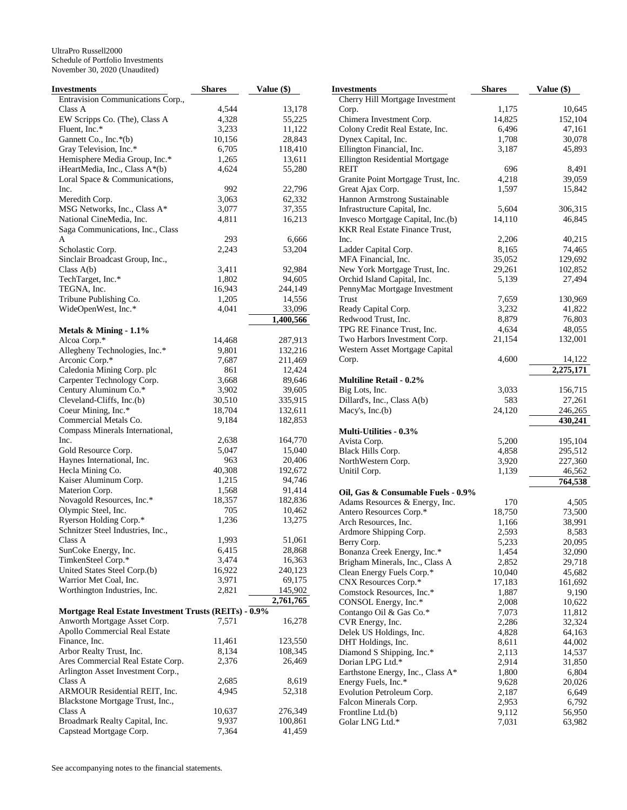| Investments                                           | <b>Shares</b> | Value (\$) |
|-------------------------------------------------------|---------------|------------|
| Entravision Communications Corp.,                     |               |            |
| Class A                                               | 4,544         | 13,178     |
| EW Scripps Co. (The), Class A                         | 4,328         | 55,225     |
| Fluent, Inc.*                                         | 3,233         | 11,122     |
| Gannett Co., Inc.*(b)                                 | 10,156        | 28,843     |
| Gray Television, Inc.*                                | 6,705         | 118,410    |
| Hemisphere Media Group, Inc.*                         | 1,265         | 13,611     |
| iHeartMedia, Inc., Class A*(b)                        | 4,624         | 55,280     |
| Loral Space & Communications,                         |               |            |
| Inc.                                                  | 992           | 22,796     |
| Meredith Corp.                                        | 3,063         | 62,332     |
| MSG Networks, Inc., Class A*                          | 3,077         | 37,355     |
| National CineMedia, Inc.                              | 4,811         | 16,213     |
| Saga Communications, Inc., Class                      |               |            |
| A                                                     | 293           | 6,666      |
| Scholastic Corp.                                      | 2,243         | 53,204     |
| Sinclair Broadcast Group, Inc.,                       |               |            |
| Class $A(b)$                                          | 3,411         | 92,984     |
| TechTarget, Inc.*                                     | 1,802         | 94,605     |
| TEGNA, Inc.                                           | 16,943        | 244,149    |
| Tribune Publishing Co.                                | 1,205         | 14,556     |
| WideOpenWest, Inc.*                                   | 4,041         | 33,096     |
|                                                       |               | 1,400,566  |
| Metals & Mining - 1.1%                                |               |            |
| Alcoa Corp.*                                          | 14,468        | 287,913    |
| Allegheny Technologies, Inc.*                         | 9,801         | 132,216    |
|                                                       |               | 211,469    |
| Arconic Corp.*                                        | 7,687         |            |
| Caledonia Mining Corp. plc                            | 861           | 12,424     |
| Carpenter Technology Corp.                            | 3,668         | 89,646     |
| Century Aluminum Co.*                                 | 3,902         | 39,605     |
| Cleveland-Cliffs, Inc.(b)                             | 30,510        | 335,915    |
| Coeur Mining, Inc.*                                   | 18,704        | 132,611    |
| Commercial Metals Co.                                 | 9,184         | 182,853    |
| Compass Minerals International,                       |               |            |
| Inc.                                                  | 2,638         | 164,770    |
| Gold Resource Corp.                                   | 5,047         | 15,040     |
| Haynes International, Inc.                            | 963           | 20,406     |
| Hecla Mining Co.                                      | 40,308        | 192,672    |
| Kaiser Aluminum Corp.                                 | 1,215         | 94,746     |
| Materion Corp.                                        | 1,568         | 91,414     |
| Novagold Resources, Inc.*                             | 18,357        | 182,836    |
| Olympic Steel, Inc.                                   | 705           | 10,462     |
| Ryerson Holding Corp.*                                | 1,236         | 13,275     |
| Schnitzer Steel Industries, Inc.,                     |               |            |
| Class A                                               | 1,993         | 51,061     |
| SunCoke Energy, Inc.                                  | 6,415         | 28,868     |
| TimkenSteel Corp.*                                    | 3,474         | 16,363     |
| United States Steel Corp.(b)                          | 16,922        | 240,123    |
| Warrior Met Coal, Inc.                                | 3,971         | 69,175     |
| Worthington Industries, Inc.                          | 2,821         | 145,902    |
|                                                       |               | 2,761,765  |
| Mortgage Real Estate Investment Trusts (REITs) - 0.9% |               |            |
| Anworth Mortgage Asset Corp.                          | 7,571         | 16,278     |
| Apollo Commercial Real Estate                         |               |            |
| Finance, Inc.                                         | 11,461        | 123,550    |
| Arbor Realty Trust, Inc.                              | 8,134         | 108,345    |
| Ares Commercial Real Estate Corp.                     | 2,376         | 26,469     |
| Arlington Asset Investment Corp.,                     |               |            |
| Class A                                               | 2,685         | 8,619      |
| ARMOUR Residential REIT, Inc.                         | 4,945         | 52,318     |
| Blackstone Mortgage Trust, Inc.,                      |               |            |
| Class A                                               | 10,637        | 276,349    |
| Broadmark Realty Capital, Inc.                        | 9,937         | 100,861    |
| Capstead Mortgage Corp.                               | 7,364         | 41,459     |

|       | <b>Investments</b>                    | <b>Shares</b> | Value (\$) |
|-------|---------------------------------------|---------------|------------|
|       | Cherry Hill Mortgage Investment       |               |            |
| 3,178 | Corp.                                 | 1,175         | 10,645     |
| ,225  | Chimera Investment Corp.              | 14,825        | 152,104    |
| ,122  | Colony Credit Real Estate, Inc.       | 6,496         | 47,161     |
| 3,843 | Dynex Capital, Inc.                   | 1,708         | 30,078     |
| 3,410 | Ellington Financial, Inc.             | 3,187         | 45,893     |
| 3,611 | Ellington Residential Mortgage        |               |            |
| ,280  | REIT                                  | 696           | 8,491      |
|       | Granite Point Mortgage Trust, Inc.    | 4,218         | 39,059     |
| 2,796 | Great Ajax Corp.                      | 1,597         | 15,842     |
| ,332  | Hannon Armstrong Sustainable          |               |            |
|       | Infrastructure Capital, Inc.          |               |            |
| ',355 |                                       | 5,604         | 306,315    |
| 5,213 | Invesco Mortgage Capital, Inc.(b)     | 14,110        | 46,845     |
|       | <b>KKR Real Estate Finance Trust,</b> |               |            |
| 5,666 | Inc.                                  | 2,206         | 40,215     |
| 3,204 | Ladder Capital Corp.                  | 8,165         | 74,465     |
|       | MFA Financial, Inc.                   | 35,052        | 129,692    |
| ,984  | New York Mortgage Trust, Inc.         | 29,261        | 102,852    |
| l,605 | Orchid Island Capital, Inc.           | 5,139         | 27,494     |
| l,149 | PennyMac Mortgage Investment          |               |            |
| 1,556 | Trust                                 | 7,659         | 130,969    |
| ,096  | Ready Capital Corp.                   | 3,232         | 41,822     |
| ,566  | Redwood Trust, Inc.                   | 8,879         | 76,803     |
|       | TPG RE Finance Trust, Inc.            | 4,634         | 48,055     |
| ,913  | Two Harbors Investment Corp.          | 21,154        | 132,001    |
| 2,216 | Western Asset Mortgage Capital        |               |            |
| ,469  | Corp.                                 | 4,600         | 14,122     |
| 424.  |                                       |               | 2,275,171  |
| ,646  | <b>Multiline Retail - 0.2%</b>        |               |            |
| ,605  | Big Lots, Inc.                        | 3,033         | 156,715    |
| 5,915 | Dillard's, Inc., Class A(b)           | 583           | 27,261     |
| 2,611 | Macy's, $Inc.(b)$                     | 24,120        | 246,265    |
| 2,853 |                                       |               |            |
|       |                                       |               | 430,241    |
| 4,770 | <b>Multi-Utilities - 0.3%</b>         |               |            |
|       | Avista Corp.                          | 5,200         | 195,104    |
| ,040  | Black Hills Corp.                     | 4,858         | 295,512    |
| ,406  | NorthWestern Corp.                    | 3,920         | 227,360    |
| 2,672 | Unitil Corp.                          | 1,139         | 46,562     |
| ,746  |                                       |               | 764,538    |
| ,414  | Oil, Gas & Consumable Fuels - 0.9%    |               |            |
| 2,836 | Adams Resources & Energy, Inc.        | 170           | 4,505      |
| ),462 | Antero Resources Corp.*               | 18,750        | 73,500     |
| 3,275 | Arch Resources, Inc.                  | 1,166         | 38,991     |
|       | Ardmore Shipping Corp.                | 2,593         | 8,583      |
| ,061  | Berry Corp.                           | 5,233         | 20,095     |
| 3,868 | Bonanza Creek Energy, Inc.*           | 1,454         | 32,090     |
| 5,363 | Brigham Minerals, Inc., Class A       | 2,852         | 29,718     |
| 0,123 | Clean Energy Fuels Corp.*             | 10,040        | 45,682     |
| ,175  | CNX Resources Corp.*                  | 17,183        | 161,692    |
| 5,902 | Comstock Resources, Inc.*             | 1,887         | 9,190      |
| ,765  | CONSOL Energy, Inc.*                  | 2,008         | 10,622     |
|       |                                       | 7,073         | 11,812     |
| 5,278 | Contango Oil & Gas Co.*               |               | 32,324     |
|       | CVR Energy, Inc.                      | 2,286         |            |
|       | Delek US Holdings, Inc.               | 4,828         | 64,163     |
| 1,550 | DHT Holdings, Inc.                    | 8,611         | 44,002     |
| 3,345 | Diamond S Shipping, Inc.*             | 2,113         | 14,537     |
| 5,469 | Dorian LPG Ltd.*                      | 2,914         | 31,850     |
|       | Earthstone Energy, Inc., Class A*     | 1,800         | 6,804      |
| 3,619 | Energy Fuels, Inc.*                   | 9,628         | 20,026     |
| 2,318 | Evolution Petroleum Corp.             | 2,187         | 6,649      |
|       | Falcon Minerals Corp.                 | 2,953         | 6,792      |
| 5,349 | Frontline Ltd.(b)                     | 9,112         | 56,950     |
| ),861 | Golar LNG Ltd.*                       | 7,031         | 63,982     |
|       |                                       |               |            |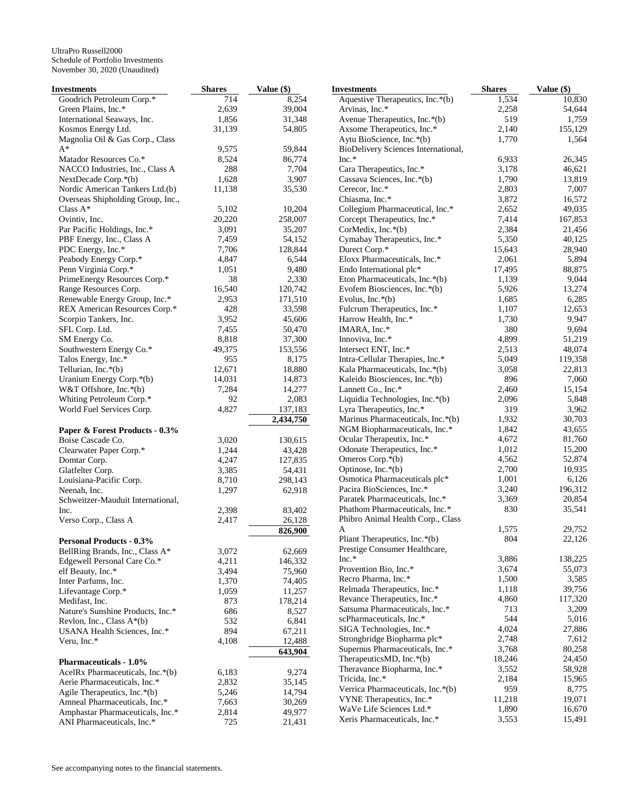| <b>Investments</b>                | <b>Shares</b> | Value (\$) | <b>Investments</b>                                       | <b>Shares</b> | Value (\$) |
|-----------------------------------|---------------|------------|----------------------------------------------------------|---------------|------------|
| Goodrich Petroleum Corp.*         | 714           | 8,254      | Aquestive Therapeutics, Inc.*(b)                         | 1,534         | 10,830     |
| Green Plains, Inc.*               | 2,639         | 39,004     | Arvinas, Inc.*                                           | 2,258         | 54,644     |
| International Seaways, Inc.       | 1,856         | 31,348     | Avenue Therapeutics, Inc.*(b)                            | 519           | 1,759      |
| Kosmos Energy Ltd.                | 31,139        | 54,805     | Axsome Therapeutics, Inc.*                               | 2,140         | 155,129    |
| Magnolia Oil & Gas Corp., Class   |               |            | Aytu BioScience, Inc.*(b)                                | 1,770         | 1,564      |
| $A^*$                             | 9,575         | 59,844     | BioDelivery Sciences International,                      |               |            |
| Matador Resources Co.*            | 8,524         | 86,774     | $Inc.*$                                                  | 6,933         | 26,345     |
| NACCO Industries, Inc., Class A   | 288           | 7,704      | Cara Therapeutics, Inc.*                                 | 3,178         | 46,621     |
| NextDecade Corp.*(b)              | 1,628         | 3,907      | Cassava Sciences, Inc.*(b)                               | 1,790         | 13,819     |
| Nordic American Tankers Ltd.(b)   | 11,138        | 35,530     | Cerecor, Inc.*                                           | 2,803         | 7,007      |
| Overseas Shipholding Group, Inc., |               |            | Chiasma, Inc.*                                           | 3,872         | 16,572     |
| Class $A^*$                       | 5,102         | 10,204     | Collegium Pharmaceutical, Inc.*                          | 2,652         | 49,035     |
| Ovintiv, Inc.                     | 20,220        | 258,007    | Corcept Therapeutics, Inc.*                              | 7,414         | 167,853    |
| Par Pacific Holdings, Inc.*       | 3,091         | 35,207     | CorMedix, Inc.*(b)                                       | 2,384         | 21,456     |
| PBF Energy, Inc., Class A         | 7,459         | 54,152     | Cymabay Therapeutics, Inc.*                              | 5,350         | 40,125     |
| PDC Energy, Inc.*                 | 7,706         | 128,844    | Durect Corp.*                                            | 15,643        | 28,940     |
| Peabody Energy Corp.*             | 4,847         | 6,544      | Eloxx Pharmaceuticals, Inc.*                             | 2,061         | 5,894      |
| Penn Virginia Corp.*              | 1,051         | 9,480      | Endo International plc*                                  | 17,495        | 88,875     |
| PrimeEnergy Resources Corp.*      | 38            | 2,330      | Eton Pharmaceuticals, Inc.*(b)                           | 1,139         | 9,044      |
| Range Resources Corp.             | 16,540        | 120,742    | Evofem Biosciences, Inc.*(b)                             | 5,926         | 13,274     |
| Renewable Energy Group, Inc.*     | 2,953         | 171,510    | Evolus, Inc. $*(b)$                                      | 1,685         | 6,285      |
| REX American Resources Corp.*     | 428           | 33,598     | Fulcrum Therapeutics, Inc.*                              | 1,107         | 12,653     |
| Scorpio Tankers, Inc.             | 3,952         | 45,606     | Harrow Health, Inc.*                                     | 1,730         | 9,947      |
| SFL Corp. Ltd.                    | 7,455         | 50,470     | IMARA, Inc.*                                             | 380           | 9,694      |
| SM Energy Co.                     | 8,818         | 37,300     | Innoviva, Inc.*                                          | 4,899         | 51,219     |
| Southwestern Energy Co.*          | 49,375        | 153,556    | Intersect ENT, Inc.*                                     | 2,513         | 48,074     |
| Talos Energy, Inc.*               | 955           | 8,175      | Intra-Cellular Therapies, Inc.*                          | 5,049         | 119,358    |
| Tellurian, Inc.*(b)               | 12,671        | 18,880     | Kala Pharmaceuticals, Inc.*(b)                           | 3,058         | 22,813     |
| Uranium Energy Corp.*(b)          | 14,031        | 14,873     | Kaleido Biosciences, Inc.*(b)                            | 896           | 7,060      |
| W&T Offshore, Inc.*(b)            | 7,284         | 14,277     | Lannett Co., Inc.*                                       | 2,460         | 15,154     |
| Whiting Petroleum Corp.*          | 92            | 2,083      | Liquidia Technologies, Inc.*(b)                          | 2,096         | 5,848      |
| World Fuel Services Corp.         | 4,827         | 137,183    | Lyra Therapeutics, Inc.*                                 | 319           | 3,962      |
|                                   |               | 2,434,750  | Marinus Pharmaceuticals, Inc.*(b)                        | 1,932         | 30,703     |
| Paper & Forest Products - 0.3%    |               |            | NGM Biopharmaceuticals, Inc.*                            | 1,842         | 43,655     |
| Boise Cascade Co.                 | 3,020         | 130,615    | Ocular Therapeutix, Inc.*                                | 4,672         | 81,760     |
| Clearwater Paper Corp.*           | 1,244         | 43,428     | Odonate Therapeutics, Inc.*                              | 1,012         | 15,200     |
| Domtar Corp.                      | 4,247         | 127,835    | Omeros Corp.*(b)                                         | 4,562         | 52,874     |
| Glatfelter Corp.                  | 3,385         | 54,431     | Optinose, Inc.*(b)                                       | 2,700         | 10,935     |
| Louisiana-Pacific Corp.           | 8,710         | 298,143    | Osmotica Pharmaceuticals plc*                            | 1,001         | 6,126      |
| Neenah, Inc.                      | 1,297         | 62,918     | Pacira BioSciences, Inc.*                                | 3,240         | 196,312    |
| Schweitzer-Mauduit International, |               |            | Paratek Pharmaceuticals, Inc.*                           | 3,369         | 20,854     |
| Inc.                              | 2,398         | 83,402     | Phathom Pharmaceuticals, Inc.*                           | 830           | 35,541     |
| Verso Corp., Class A              | 2,417         | 26,128     | Phibro Animal Health Corp., Class                        |               |            |
|                                   |               | 826,900    | A                                                        | 1,575         | 29,752     |
| <b>Personal Products - 0.3%</b>   |               |            | Pliant Therapeutics, Inc.*(b)                            | 804           | 22,126     |
| BellRing Brands, Inc., Class A*   | 3,072         | 62,669     | Prestige Consumer Healthcare,                            |               |            |
| Edgewell Personal Care Co.*       | 4,211         | 146,332    | $Inc.*$                                                  | 3,886         | 138,225    |
| elf Beauty, Inc.*                 | 3,494         | 75,960     | Provention Bio, Inc.*                                    | 3,674         | 55,073     |
| Inter Parfums, Inc.               | 1,370         | 74,405     | Recro Pharma, Inc.*                                      | 1,500         | 3,585      |
| Lifevantage Corp.*                | 1,059         | 11,257     | Relmada Therapeutics, Inc.*                              | 1,118         | 39,756     |
| Medifast, Inc.                    | 873           | 178,214    | Revance Therapeutics, Inc.*                              | 4,860         | 117,320    |
| Nature's Sunshine Products, Inc.* | 686           | 8,527      | Satsuma Pharmaceuticals, Inc.*                           | 713           | 3,209      |
| Revlon, Inc., Class A*(b)         | 532           | 6,841      | scPharmaceuticals, Inc.*                                 | 544           | 5,016      |
| USANA Health Sciences, Inc.*      | 894           | 67,211     | SIGA Technologies, Inc.*                                 | 4,024         | 27,886     |
| Veru, Inc.*                       | 4,108         | 12,488     | Strongbridge Biopharma plc*                              | 2,748         | 7,612      |
|                                   |               | 643,904    | Supernus Pharmaceuticals, Inc.*                          | 3,768         | 80,258     |
| <b>Pharmaceuticals - 1.0%</b>     |               |            | TherapeuticsMD, Inc.*(b)<br>Theravance Biopharma, Inc.*  | 18,246        | 24,450     |
| AcelRx Pharmaceuticals, Inc.*(b)  | 6,183         | 9,274      |                                                          | 3,552         | 58,928     |
| Aerie Pharmaceuticals, Inc.*      | 2,832         | 35,145     | Tricida, Inc.*                                           | 2,184<br>959  | 15,965     |
| Agile Therapeutics, Inc.*(b)      | 5,246         | 14,794     | Verrica Pharmaceuticals, Inc.*(b)                        |               | 8,775      |
| Amneal Pharmaceuticals, Inc.*     | 7,663         | 30,269     | VYNE Therapeutics, Inc.*                                 | 11,218        | 19,071     |
| Amphastar Pharmaceuticals, Inc.*  | 2,814         | 49,977     | WaVe Life Sciences Ltd.*<br>Xeris Pharmaceuticals, Inc.* | 1,890         | 16,670     |
| ANI Pharmaceuticals, Inc.*        | 725           | 21,431     |                                                          | 3,553         | 15,491     |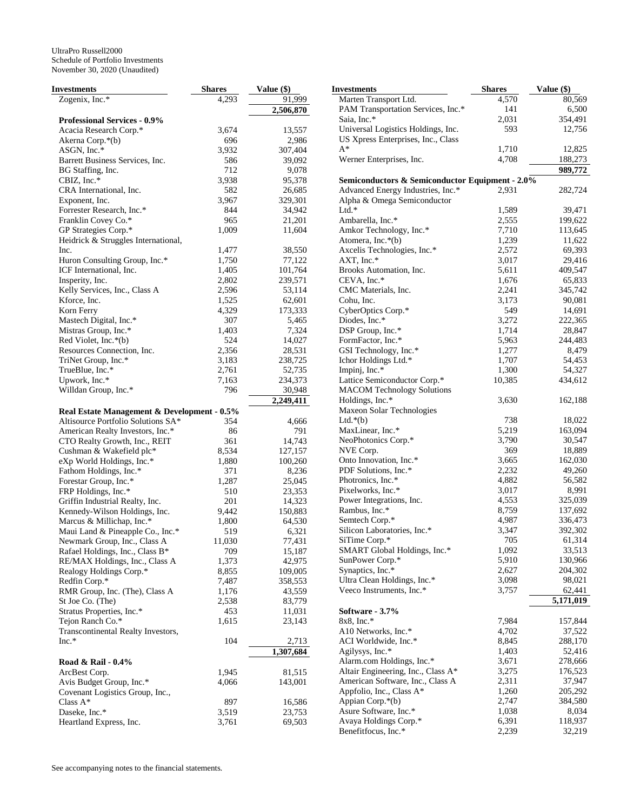| <b>Investments</b>                          | <b>Shares</b> | Value (\$) |
|---------------------------------------------|---------------|------------|
| Zogenix, Inc.*                              | 4,293         | 91,999     |
|                                             |               | 2,506,870  |
| <b>Professional Services - 0.9%</b>         |               |            |
| Acacia Research Corp.*                      | 3,674         | 13,557     |
| Akerna Corp.*(b)                            | 696           | 2,986      |
| ASGN, Inc. $*$                              | 3,932         | 307,404    |
| Barrett Business Services, Inc.             | 586           | 39,092     |
| BG Staffing, Inc.                           | 712           | 9,078      |
| CBIZ, Inc.*                                 | 3,938         | 95,378     |
| CRA International, Inc.                     | 582           | 26,685     |
| Exponent, Inc.                              | 3,967         | 329,301    |
| Forrester Research, Inc.*                   | 844           | 34,942     |
| Franklin Covey Co.*                         | 965           | 21,201     |
| GP Strategies Corp.*                        | 1,009         | 11,604     |
| Heidrick & Struggles International,         |               |            |
| Inc.                                        | 1,477         | 38,550     |
| Huron Consulting Group, Inc.*               | 1,750         | 77,122     |
| ICF International, Inc.                     | 1,405         | 101,764    |
| Insperity, Inc.                             | 2,802         | 239,571    |
| Kelly Services, Inc., Class A               | 2,596         | 53,114     |
| Kforce, Inc.                                | 1,525         | 62,601     |
| Korn Ferry                                  | 4,329         | 173,333    |
| Mastech Digital, Inc.*                      | 307           | 5,465      |
| Mistras Group, Inc.*                        | 1,403         | 7,324      |
| Red Violet, Inc.*(b)                        | 524           | 14,027     |
| Resources Connection, Inc.                  | 2,356         | 28,531     |
| TriNet Group, Inc.*                         | 3,183         | 238,725    |
| TrueBlue, Inc.*                             | 2,761         | 52,735     |
| Upwork, Inc.*                               | 7,163         | 234,373    |
| Willdan Group, Inc.*                        | 796           | 30,948     |
|                                             |               | 2,249,411  |
| Real Estate Management & Development - 0.5% |               |            |
| Altisource Portfolio Solutions SA*          | 354           | 4,666      |
| American Realty Investors, Inc.*            | 86            | 791        |
| CTO Realty Growth, Inc., REIT               | 361           | 14,743     |
| Cushman & Wakefield plc*                    | 8,534         | 127,157    |
| eXp World Holdings, Inc.*                   | 1,880         | 100,260    |
| Fathom Holdings, Inc.*                      | 371           | 8,236      |
| Forestar Group, Inc.*                       | 1,287         | 25,045     |
| FRP Holdings, Inc.*                         | 510           | 23,353     |
| Griffin Industrial Realty, Inc.             | 201           | 14,323     |
| Kennedy-Wilson Holdings, Inc.               | 9,442         | 150,883    |
| Marcus & Millichap, Inc.*                   | 1,800         | 64,530     |
| Maui Land & Pineapple Co., Inc.*            | 519           | 6,321      |
| Newmark Group, Inc., Class A                | 11,030        | 77,431     |
| Rafael Holdings, Inc., Class B*             | 709           | 15,187     |
| RE/MAX Holdings, Inc., Class A              | 1,373         | 42,975     |
| Realogy Holdings Corp.*                     | 8,855         | 109,005    |
| Redfin Corp.*                               | 7,487         | 358,553    |
| RMR Group, Inc. (The), Class A              | 1,176         | 43,559     |
| St Joe Co. (The)                            | 2,538         | 83,779     |
| Stratus Properties, Inc.*                   | 453           | 11,031     |
| Tejon Ranch Co.*                            | 1,615         | 23,143     |
| Transcontinental Realty Investors,          |               |            |
| $Inc.*$                                     | 104           | 2,713      |
|                                             |               | 1,307,684  |
| Road & Rail - 0.4%                          |               |            |
| ArcBest Corp.                               | 1,945         | 81,515     |
| Avis Budget Group, Inc.*                    | 4,066         | 143,001    |
| Covenant Logistics Group, Inc.,             |               |            |
| Class $A^*$                                 | 897           | 16,586     |
| Daseke, Inc.*                               | 3,519         | 23,753     |
| Heartland Express, Inc.                     | 3,761         | 69,503     |

| Investments                                     | <b>Shares</b>   | Value (\$)        |
|-------------------------------------------------|-----------------|-------------------|
| Marten Transport Ltd.                           | 4,570           | 80,569            |
| PAM Transportation Services, Inc.*              | 141             | 6,500             |
| Saia, Inc.*                                     | 2,031           | 354,491           |
| Universal Logistics Holdings, Inc.              | 593             | 12,756            |
| US Xpress Enterprises, Inc., Class              |                 |                   |
| A*                                              | 1,710           | 12,825            |
| Werner Enterprises, Inc.                        | 4,708           | 188,273           |
|                                                 |                 | 989,772           |
| Semiconductors & Semiconductor Equipment - 2.0% |                 |                   |
| Advanced Energy Industries, Inc.*               | 2,931           | 282,724           |
| Alpha & Omega Semiconductor                     |                 |                   |
| $Ltd.*$                                         | 1,589           | 39,471            |
| Ambarella, Inc.*                                | 2,555           | 199,622           |
| Amkor Technology, Inc.*                         | 7,710           | 113,645           |
| Atomera, Inc.*(b)                               | 1,239           | 11,622            |
| Axcelis Technologies, Inc.*                     | 2,572           | 69,393            |
| AXT, Inc.*                                      | 3,017           | 29,416            |
| Brooks Automation, Inc.                         | 5,611           | 409,547           |
| CEVA, Inc.*                                     | 1,676           | 65,833            |
| CMC Materials, Inc.                             | 2,241           | 345,742           |
| Cohu, Inc.                                      | 3,173           | 90,081            |
| CyberOptics Corp.*                              | 549             | 14,691            |
| Diodes, Inc.*                                   | 3,272           | 222,365           |
| DSP Group, Inc.*                                | 1,714           | 28,847            |
| FormFactor, Inc.*                               | 5,963           | 244,483           |
| GSI Technology, Inc.*<br>Ichor Holdings Ltd.*   | 1,277           | 8,479<br>54,453   |
|                                                 | 1,707           |                   |
| Impinj, Inc.*<br>Lattice Semiconductor Corp.*   | 1,300<br>10,385 | 54,327<br>434,612 |
| <b>MACOM Technology Solutions</b>               |                 |                   |
| Holdings, Inc.*                                 |                 | 162,188           |
| Maxeon Solar Technologies                       | 3,630           |                   |
| Ltd. $*(b)$                                     | 738             | 18,022            |
| MaxLinear, Inc.*                                | 5,219           | 163,094           |
| NeoPhotonics Corp.*                             | 3,790           | 30,547            |
| NVE Corp.                                       | 369             | 18,889            |
| Onto Innovation, Inc.*                          | 3,665           | 162,030           |
| PDF Solutions, Inc.*                            | 2,232           | 49,260            |
| Photronics, Inc.*                               | 4,882           | 56,582            |
| Pixelworks, Inc.*                               | 3,017           | 8,991             |
| Power Integrations, Inc.                        | 4,553           | 325,039           |
| Rambus, Inc.*                                   | 8,759           | 137,692           |
| Semtech Corp.*                                  | 4,987           | 336,473           |
| Silicon Laboratories, Inc.*                     | 3,347           | 392,302           |
| SiTime Corp.*                                   | 705             | 61,314            |
| SMART Global Holdings, Inc.*                    | 1,092           | 33,513            |
| SunPower Corp.*                                 | 5,910           | 130,966           |
| Synaptics, Inc.*                                | 2,627           | 204,302           |
| Ultra Clean Holdings, Inc.*                     | 3,098           | 98,021            |
| Veeco Instruments, Inc.*                        | 3,757           | 62,441            |
|                                                 |                 | 5,171,019         |
| Software - 3.7%                                 |                 |                   |
| $8x8$ , Inc.*                                   | 7,984           | 157,844           |
| A10 Networks, Inc.*                             | 4,702           | 37,522            |
| ACI Worldwide, Inc.*                            | 8,845           | 288,170           |
| Agilysys, Inc.*                                 | 1,403           | 52,416            |
| Alarm.com Holdings, Inc.*                       | 3,671           | 278,666           |
| Altair Engineering, Inc., Class A*              | 3,275           | 176,523           |
| American Software, Inc., Class A                | 2,311           | 37,947            |
| Appfolio, Inc., Class A*                        | 1,260           | 205,292           |
| Appian Corp.*(b)                                | 2,747           | 384,580           |
| Asure Software, Inc.*                           | 1,038           | 8,034             |
| Avaya Holdings Corp.*                           | 6,391           | 118,937           |
| Benefitfocus, Inc.*                             | 2,239           | 32,219            |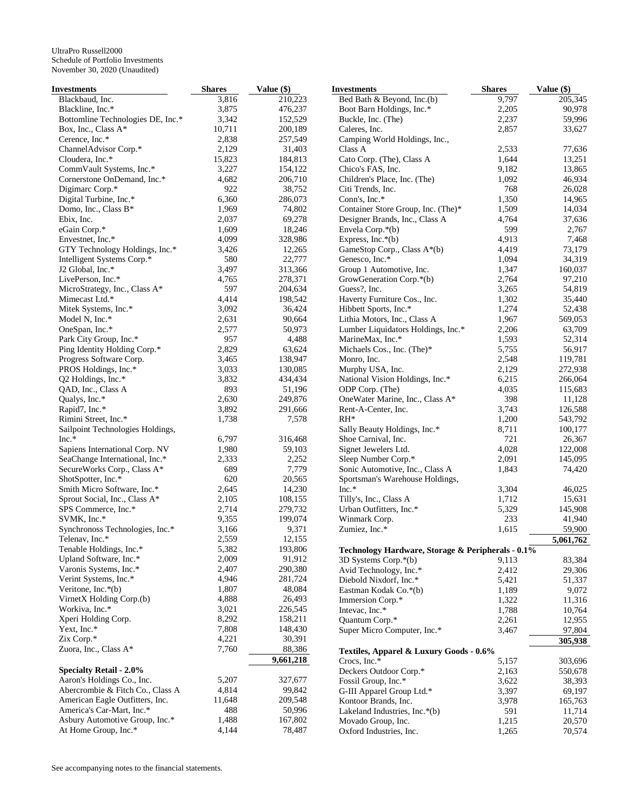| Investments                       | <b>Shares</b> | Value (\$) | <b>Investments</b>                                | <b>Shares</b> | Value (\$) |
|-----------------------------------|---------------|------------|---------------------------------------------------|---------------|------------|
| Blackbaud, Inc.                   | 3,816         | 210,223    | Bed Bath & Beyond, Inc.(b)                        | 9,797         | 205,345    |
| Blackline, Inc.*                  | 3,875         | 476,237    | Boot Barn Holdings, Inc.*                         | 2,205         | 90,978     |
| Bottomline Technologies DE, Inc.* | 3,342         | 152,529    | Buckle, Inc. (The)                                | 2,237         | 59,996     |
| Box, Inc., Class A*               | 10,711        | 200,189    | Caleres, Inc.                                     | 2,857         | 33,627     |
| Cerence, Inc.*                    | 2,838         | 257,549    | Camping World Holdings, Inc.,                     |               |            |
| ChannelAdvisor Corp.*             | 2,129         | 31,403     | Class A                                           | 2,533         | 77,636     |
| Cloudera, Inc.*                   | 15,823        | 184,813    | Cato Corp. (The), Class A                         | 1,644         | 13,251     |
| CommVault Systems, Inc.*          | 3,227         | 154,122    | Chico's FAS, Inc.                                 | 9,182         | 13,865     |
| Cornerstone OnDemand, Inc.*       | 4,682         | 206,710    | Children's Place, Inc. (The)                      | 1,092         | 46,934     |
| Digimarc Corp.*                   | 922           | 38,752     | Citi Trends, Inc.                                 | 768           | 26,028     |
| Digital Turbine, Inc.*            | 6,360         | 286,073    | Conn's, Inc.*                                     | 1,350         | 14,965     |
| Domo, Inc., Class B*              | 1,969         | 74,802     | Container Store Group, Inc. (The)*                | 1,509         | 14,034     |
| Ebix, Inc.                        | 2,037         | 69,278     | Designer Brands, Inc., Class A                    | 4,764         | 37,636     |
| eGain Corp.*                      | 1,609         | 18,246     | Envela Corp.*(b)                                  | 599           | 2,767      |
| Envestnet, Inc.*                  | 4,099         | 328,986    | Express, $Inc.*(b)$                               | 4,913         | 7,468      |
| GTY Technology Holdings, Inc.*    | 3,426         | 12,265     | GameStop Corp., Class A*(b)                       | 4,419         | 73,179     |
| Intelligent Systems Corp.*        | 580           | 22,777     | Genesco, Inc.*                                    | 1,094         | 34,319     |
| J2 Global, Inc.*                  | 3,497         | 313,366    | Group 1 Automotive, Inc.                          | 1,347         | 160,037    |
| LivePerson, Inc.*                 | 4,765         | 278,371    | GrowGeneration Corp.*(b)                          | 2,764         | 97,210     |
| MicroStrategy, Inc., Class A*     | 597           | 204,634    | Guess?, Inc.                                      | 3,265         | 54,819     |
| Mimecast Ltd.*                    | 4,414         | 198,542    | Haverty Furniture Cos., Inc.                      | 1,302         | 35,440     |
| Mitek Systems, Inc.*              | 3,092         | 36,424     | Hibbett Sports, Inc.*                             | 1,274         | 52,438     |
| Model N, Inc.*                    | 2,631         |            | Lithia Motors, Inc., Class A                      | 1,967         | 569,053    |
|                                   |               | 90,664     |                                                   |               |            |
| OneSpan, Inc.*                    | 2,577         | 50,973     | Lumber Liquidators Holdings, Inc.*                | 2,206         | 63,709     |
| Park City Group, Inc.*            | 957           | 4,488      | MarineMax, Inc.*                                  | 1,593         | 52,314     |
| Ping Identity Holding Corp.*      | 2,829         | 63,624     | Michaels Cos., Inc. (The)*                        | 5,755         | 56,917     |
| Progress Software Corp.           | 3,465         | 138,947    | Monro, Inc.                                       | 2,548         | 119,781    |
| PROS Holdings, Inc.*              | 3,033         | 130,085    | Murphy USA, Inc.                                  | 2,129         | 272,938    |
| Q2 Holdings, Inc.*                | 3,832         | 434,434    | National Vision Holdings, Inc.*                   | 6,215         | 266,064    |
| QAD, Inc., Class A                | 893           | 51,196     | ODP Corp. (The)                                   | 4,035         | 115,683    |
| Qualys, Inc.*                     | 2,630         | 249,876    | OneWater Marine, Inc., Class A*                   | 398           | 11,128     |
| Rapid7, Inc.*                     | 3,892         | 291,666    | Rent-A-Center, Inc.                               | 3,743         | 126,588    |
| Rimini Street, Inc.*              | 1,738         | 7,578      | $RH^*$                                            | 1,200         | 543,792    |
| Sailpoint Technologies Holdings,  |               |            | Sally Beauty Holdings, Inc.*                      | 8,711         | 100,177    |
| Inc.*                             | 6,797         | 316,468    | Shoe Carnival, Inc.                               | 721           | 26,367     |
| Sapiens International Corp. NV    | 1,980         | 59,103     | Signet Jewelers Ltd.                              | 4,028         | 122,008    |
| SeaChange International, Inc.*    | 2,333         | 2,252      | Sleep Number Corp.*                               | 2,091         | 145,095    |
| SecureWorks Corp., Class A*       | 689           | 7,779      | Sonic Automotive, Inc., Class A                   | 1,843         | 74,420     |
| ShotSpotter, Inc.*                | 620           | 20,565     | Sportsman's Warehouse Holdings,                   |               |            |
| Smith Micro Software, Inc.*       | 2,645         | 14,230     | $Inc.*$                                           | 3,304         | 46,025     |
| Sprout Social, Inc., Class A*     | 2,105         | 108,155    | Tilly's, Inc., Class A                            | 1,712         | 15,631     |
| SPS Commerce, Inc.*               | 2,714         | 279,732    | Urban Outfitters, Inc.*                           | 5,329         | 145,908    |
| SVMK, Inc.*                       | 9,355         | 199,074    | Winmark Corp.                                     | 233           | 41,940     |
| Synchronoss Technologies, Inc.*   | 3,166         | 9,371      | Zumiez, Inc.*                                     | 1,615         | 59,900     |
| Telenav, Inc.*                    | 2,559         | 12,155     |                                                   |               | 5,061,762  |
| Tenable Holdings, Inc.*           | 5,382         | 193,806    | Technology Hardware, Storage & Peripherals - 0.1% |               |            |
| Upland Software, Inc.*            | 2,009         | 91,912     | 3D Systems Corp.*(b)                              | 9,113         | 83,384     |
| Varonis Systems, Inc.*            | 2,407         | 290,380    | Avid Technology, Inc.*                            | 2,412         | 29,306     |
| Verint Systems, Inc.*             | 4,946         | 281,724    | Diebold Nixdorf, Inc.*                            | 5,421         | 51,337     |
| Veritone, Inc. $*(b)$             | 1,807         | 48,084     | Eastman Kodak Co.*(b)                             | 1,189         | 9,072      |
| VirnetX Holding Corp.(b)          | 4,888         | 26,493     | Immersion Corp.*                                  | 1,322         | 11,316     |
| Workiva, Inc.*                    | 3,021         | 226,545    | Intevac, Inc.*                                    | 1,788         | 10,764     |
| Xperi Holding Corp.               | 8,292         | 158,211    | Quantum Corp.*                                    | 2,261         | 12,955     |
| Yext, Inc.*                       | 7,808         | 148,430    | Super Micro Computer, Inc.*                       | 3,467         | 97,804     |
| Zix Corp.*                        | 4,221         | 30,391     |                                                   |               | 305,938    |
| Zuora, Inc., Class A*             | 7,760         | 88,386     |                                                   |               |            |
|                                   |               | 9,661,218  | Textiles, Apparel & Luxury Goods - 0.6%           |               |            |
|                                   |               |            | Crocs, Inc.*                                      | 5,157         | 303,696    |
| <b>Specialty Retail - 2.0%</b>    |               |            | Deckers Outdoor Corp.*                            | 2,163         | 550,678    |
| Aaron's Holdings Co., Inc.        | 5,207         | 327,677    | Fossil Group, Inc.*                               | 3,622         | 38,393     |
| Abercrombie & Fitch Co., Class A  | 4,814         | 99,842     | G-III Apparel Group Ltd.*                         | 3,397         | 69,197     |
| American Eagle Outfitters, Inc.   | 11,648        | 209,548    | Kontoor Brands, Inc.                              | 3,978         | 165,763    |
| America's Car-Mart, Inc.*         | 488           | 50,996     | Lakeland Industries, Inc.*(b)                     | 591           | 11,714     |
| Asbury Automotive Group, Inc.*    | 1,488         | 167,802    | Movado Group, Inc.                                | 1,215         | 20,570     |
| At Home Group, Inc.*              | 4,144         | 78,487     | Oxford Industries, Inc.                           | 1,265         | 70,574     |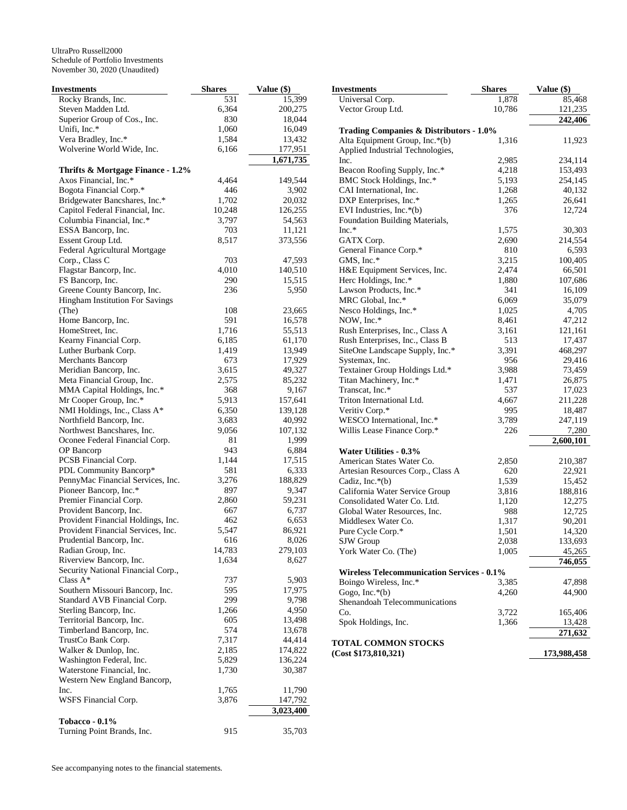| Investments                        | <b>Shares</b> | Value (\$) | <b>Investments</b>                                 | <b>Shares</b> | Value (\$)  |
|------------------------------------|---------------|------------|----------------------------------------------------|---------------|-------------|
| Rocky Brands, Inc.                 | 531           | 15,399     | Universal Corp.                                    | 1,878         | 85,468      |
| Steven Madden Ltd.                 | 6,364         | 200,275    | Vector Group Ltd.                                  | 10,786        | 121,235     |
| Superior Group of Cos., Inc.       | 830           | 18,044     |                                                    |               | 242,406     |
| Unifi, Inc.*                       | 1,060         | 16,049     | <b>Trading Companies &amp; Distributors - 1.0%</b> |               |             |
| Vera Bradley, Inc.*                | 1,584         | 13,432     | Alta Equipment Group, Inc.*(b)                     | 1,316         | 11,923      |
| Wolverine World Wide, Inc.         | 6,166         | 177,951    | Applied Industrial Technologies,                   |               |             |
|                                    |               | 1,671,735  | Inc.                                               | 2,985         | 234,114     |
| Thrifts & Mortgage Finance - 1.2%  |               |            | Beacon Roofing Supply, Inc.*                       | 4,218         | 153,493     |
| Axos Financial, Inc.*              | 4,464         | 149,544    | BMC Stock Holdings, Inc.*                          | 5,193         | 254,145     |
| Bogota Financial Corp.*            | 446           | 3,902      | CAI International, Inc.                            | 1,268         | 40,132      |
| Bridgewater Bancshares, Inc.*      | 1,702         | 20,032     | DXP Enterprises, Inc.*                             | 1,265         | 26,641      |
| Capitol Federal Financial, Inc.    | 10,248        | 126,255    | EVI Industries, Inc.*(b)                           | 376           | 12,724      |
| Columbia Financial, Inc.*          | 3,797         | 54,563     | Foundation Building Materials,                     |               |             |
| ESSA Bancorp, Inc.                 | 703           | 11,121     | $Inc.*$                                            | 1,575         | 30,303      |
| Essent Group Ltd.                  | 8,517         | 373,556    | GATX Corp.                                         | 2,690         | 214,554     |
| Federal Agricultural Mortgage      |               |            | General Finance Corp.*                             | 810           | 6,593       |
| Corp., Class C                     | 703           | 47,593     | GMS, Inc.*                                         | 3,215         | 100,405     |
| Flagstar Bancorp, Inc.             | 4,010         | 140,510    | H&E Equipment Services, Inc.                       | 2,474         | 66,501      |
| FS Bancorp, Inc.                   | 290           | 15,515     | Herc Holdings, Inc.*                               | 1,880         | 107,686     |
| Greene County Bancorp, Inc.        | 236           | 5,950      | Lawson Products, Inc.*                             | 341           | 16,109      |
|                                    |               |            |                                                    |               |             |
| Hingham Institution For Savings    |               |            | MRC Global, Inc.*                                  | 6,069         | 35,079      |
| (The)                              | 108           | 23,665     | Nesco Holdings, Inc.*                              | 1,025         | 4,705       |
| Home Bancorp, Inc.                 | 591           | 16,578     | NOW, Inc.*                                         | 8,461         | 47,212      |
| HomeStreet, Inc.                   | 1,716         | 55,513     | Rush Enterprises, Inc., Class A                    | 3,161         | 121,161     |
| Kearny Financial Corp.             | 6,185         | 61,170     | Rush Enterprises, Inc., Class B                    | 513           | 17,437      |
| Luther Burbank Corp.               | 1,419         | 13,949     | SiteOne Landscape Supply, Inc.*                    | 3,391         | 468,297     |
| Merchants Bancorp                  | 673           | 17,929     | Systemax, Inc.                                     | 956           | 29,416      |
| Meridian Bancorp, Inc.             | 3,615         | 49,327     | Textainer Group Holdings Ltd.*                     | 3,988         | 73,459      |
| Meta Financial Group, Inc.         | 2,575         | 85,232     | Titan Machinery, Inc.*                             | 1,471         | 26,875      |
| MMA Capital Holdings, Inc.*        | 368           | 9,167      | Transcat, Inc.*                                    | 537           | 17,023      |
| Mr Cooper Group, Inc.*             | 5,913         | 157,641    | Triton International Ltd.                          | 4,667         | 211,228     |
| NMI Holdings, Inc., Class A*       | 6,350         | 139,128    | Veritiv Corp.*                                     | 995           | 18,487      |
| Northfield Bancorp, Inc.           | 3,683         | 40,992     | WESCO International, Inc.*                         | 3,789         | 247,119     |
| Northwest Bancshares, Inc.         | 9,056         | 107,132    | Willis Lease Finance Corp.*                        | 226           | 7,280       |
| Oconee Federal Financial Corp.     | 81            | 1,999      |                                                    |               | 2,600,101   |
| OP Bancorp                         | 943           | 6,884      | Water Utilities - 0.3%                             |               |             |
| PCSB Financial Corp.               | 1,144         | 17,515     | American States Water Co.                          | 2,850         | 210,387     |
| PDL Community Bancorp*             | 581           | 6,333      | Artesian Resources Corp., Class A                  | 620           | 22,921      |
| PennyMac Financial Services, Inc.  | 3,276         | 188,829    | Cadiz, Inc. $*(b)$                                 | 1,539         | 15,452      |
| Pioneer Bancorp, Inc.*             | 897           | 9,347      | California Water Service Group                     | 3,816         | 188,816     |
| Premier Financial Corp.            | 2,860         | 59,231     | Consolidated Water Co. Ltd.                        | 1,120         | 12,275      |
| Provident Bancorp, Inc.            | 667           | 6,737      | Global Water Resources, Inc.                       | 988           | 12,725      |
| Provident Financial Holdings, Inc. | 462           | 6,653      | Middlesex Water Co.                                | 1,317         | 90,201      |
| Provident Financial Services, Inc. | 5,547         | 86,921     | Pure Cycle Corp.*                                  | 1,501         | 14,320      |
| Prudential Bancorp, Inc.           | 616           | 8,026      | SJW Group                                          | 2,038         | 133,693     |
| Radian Group, Inc.                 | 14,783        | 279,103    | York Water Co. (The)                               | 1,005         | 45,265      |
| Riverview Bancorp, Inc.            | 1,634         | 8,627      |                                                    |               | 746,055     |
| Security National Financial Corp., |               |            | <b>Wireless Telecommunication Services - 0.1%</b>  |               |             |
| Class $A^*$                        | 737           | 5,903      | Boingo Wireless, Inc.*                             | 3,385         | 47,898      |
| Southern Missouri Bancorp, Inc.    | 595           | 17,975     | Gogo, Inc. $*(b)$                                  | 4,260         | 44,900      |
| Standard AVB Financial Corp.       | 299           | 9,798      | Shenandoah Telecommunications                      |               |             |
| Sterling Bancorp, Inc.             | 1,266         | 4,950      | Co.                                                |               |             |
| Territorial Bancorp, Inc.          | 605           | 13,498     |                                                    | 3,722         | 165,406     |
| Timberland Bancorp, Inc.           | 574           | 13,678     | Spok Holdings, Inc.                                | 1,366         | 13,428      |
| TrustCo Bank Corp.                 | 7,317         | 44,414     |                                                    |               | 271,632     |
| Walker & Dunlop, Inc.              | 2,185         | 174,822    | <b>TOTAL COMMON STOCKS</b>                         |               |             |
| Washington Federal, Inc.           | 5,829         | 136,224    | (Cost \$173,810,321)                               |               | 173,988,458 |
| Waterstone Financial, Inc.         | 1,730         |            |                                                    |               |             |
| Western New England Bancorp,       |               | 30,387     |                                                    |               |             |
|                                    | 1,765         |            |                                                    |               |             |
| Inc.                               |               | 11,790     |                                                    |               |             |
| WSFS Financial Corp.               | 3,876         | 147,792    |                                                    |               |             |
|                                    |               | 3,023,400  |                                                    |               |             |
| <b>Tobacco - 0.1%</b>              |               |            |                                                    |               |             |
| Turning Point Brands, Inc.         | 915           | 35,703     |                                                    |               |             |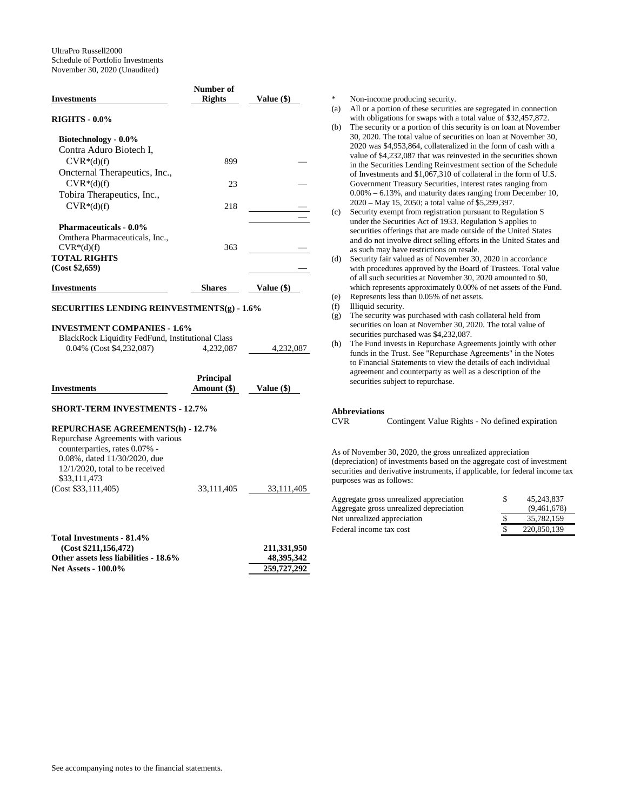|                                                                                       | Number of     |            |
|---------------------------------------------------------------------------------------|---------------|------------|
| <b>Investments</b>                                                                    | Rights        | Value (\$) |
| <b>RIGHTS - 0.0%</b>                                                                  |               |            |
| Biotechnology - 0.0%                                                                  |               |            |
| Contra Aduro Biotech I,                                                               |               |            |
| $CVR*(d)(f)$                                                                          | 899           |            |
| Oncternal Therapeutics, Inc.,                                                         |               |            |
| $CVR*(d)(f)$                                                                          | 23            |            |
| Tobira Therapeutics, Inc.,                                                            |               |            |
| $CVR*(d)(f)$                                                                          | 218           |            |
| <b>Pharmaceuticals - 0.0%</b>                                                         |               |            |
| Omthera Pharmaceuticals, Inc.,                                                        |               |            |
| $CVR*(d)(f)$                                                                          | 363           |            |
| <b>TOTAL RIGHTS</b>                                                                   |               |            |
| (Cost \$2,659)                                                                        |               |            |
| <b>Investments</b>                                                                    | <b>Shares</b> | Value (\$) |
| <b>SECURITIES LENDING REINVESTMENTS(g) - 1.6%</b>                                     |               |            |
| <b>INVESTMENT COMPANIES - 1.6%</b><br>RlackRock Liquidity FedEund Institutional Class |               |            |

| BlackRock Liquidity FedFund, Institutional Class |           |           |
|--------------------------------------------------|-----------|-----------|
| $0.04\%$ (Cost \$4,232,087)                      | 4.232.087 | 4.232.087 |

|                    | <b>Principal</b> |            |
|--------------------|------------------|------------|
| <b>Investments</b> | Amount (\$)      | Value (\$) |

**SHORT-TERM INVESTMENTS - 12.7%** 

## **REPURCHASE AGREEMENTS(h) - 12.7%**

Repurchase Agreements with various counterparties, rates 0.07% - 0.08%, dated 11/30/2020, due 12/1/2020, total to be received \$33,111,473 (Cost \$33,111,405) 33,111,405 33,111,405

| 211.331.950 |
|-------------|
| 48.395.342  |
| 259,727,292 |
|             |

Non-income producing security.

- (a) All or a portion of these securities are segregated in connection with obligations for swaps with a total value of \$32,457,872.
- (b) The security or a portion of this security is on loan at November 30, 2020. The total value of securities on loan at November 30, 2020 was \$4,953,864, collateralized in the form of cash with a value of \$4,232,087 that was reinvested in the securities shown in the Securities Lending Reinvestment section of the Schedule of Investments and \$1,067,310 of collateral in the form of U.S. Government Treasury Securities, interest rates ranging from 0.00% – 6.13%, and maturity dates ranging from December 10, 2020 – May 15, 2050; a total value of \$5,299,397.
- (c) Security exempt from registration pursuant to Regulation S under the Securities Act of 1933. Regulation S applies to securities offerings that are made outside of the United States and do not involve direct selling efforts in the United States and as such may have restrictions on resale.
- (d) Security fair valued as of November 30, 2020 in accordance with procedures approved by the Board of Trustees. Total value of all such securities at November 30, 2020 amounted to \$0, which represents approximately 0.00% of net assets of the Fund.
- (e) Represents less than 0.05% of net assets.
- (f) Illiquid security.
- (g) The security was purchased with cash collateral held from securities on loan at November 30, 2020. The total value of securities purchased was \$4,232,087.
- (h) The Fund invests in Repurchase Agreements jointly with other funds in the Trust. See "Repurchase Agreements" in the Notes to Financial Statements to view the details of each individual agreement and counterparty as well as a description of the securities subject to repurchase.

# **Abbreviations**

Contingent Value Rights - No defined expiration

As of November 30, 2020, the gross unrealized appreciation (depreciation) of investments based on the aggregate cost of investment securities and derivative instruments, if applicable, for federal income tax purposes was as follows:

| Aggregate gross unrealized appreciation | 45.243.837  |
|-----------------------------------------|-------------|
| Aggregate gross unrealized depreciation | (9,461,678) |
| Net unrealized appreciation             | 35,782,159  |
| Federal income tax cost                 | 220,850,139 |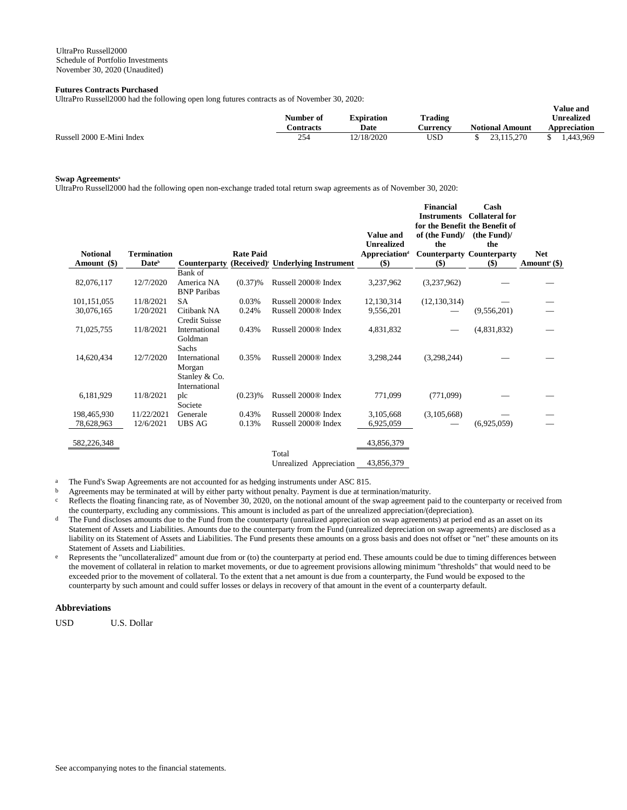# **Futures Contracts Purchased**

UltraPro Russell2000 had the following open long futures contracts as of November 30, 2020:

|                           | Number of        | Expiration  | <b>Trading</b>  |                        | v alue allu<br><b>Unrealized</b> |
|---------------------------|------------------|-------------|-----------------|------------------------|----------------------------------|
|                           | <b>Contracts</b> | <b>Date</b> | <b>Aurrency</b> | <b>Notional Amount</b> | Appreciation                     |
| Russell 2000 E-Mini Index | 254              | 12/18/2020  | USD             | 23.115.270             | 1.443.969                        |

**Value and** 

## **Swap Agreements<sup>a</sup>**

UltraPro Russell2000 had the following open non-exchange traded total return swap agreements as of November 30, 2020:

|                 |                          |                                                           |                  |                                               | <b>Value and</b><br><b>Unrealized</b> | <b>Financial</b><br><b>Instruments</b><br>for the Benefit the Benefit of<br>of (the Fund)/<br>the | Cash<br><b>Collateral for</b><br>(the Fund)<br>the |                          |
|-----------------|--------------------------|-----------------------------------------------------------|------------------|-----------------------------------------------|---------------------------------------|---------------------------------------------------------------------------------------------------|----------------------------------------------------|--------------------------|
| <b>Notional</b> | <b>Termination</b>       |                                                           | <b>Rate Paid</b> |                                               | <b>Appreciation</b> <sup>d</sup>      |                                                                                                   | <b>Counterparty Counterparty</b>                   | <b>Net</b>               |
| Amount (\$)     | <b>Date</b> <sup>b</sup> | <b>Counterparty</b>                                       |                  | (Received) <sup>c</sup> Underlying Instrument | $($)$                                 | $($)$                                                                                             | $($)$                                              | Amount <sup>e</sup> (\$) |
|                 |                          | Bank of                                                   |                  |                                               |                                       |                                                                                                   |                                                    |                          |
| 82,076,117      | 12/7/2020                | America NA<br><b>BNP</b> Paribas                          | $(0.37)$ %       | Russell 2000 <sup>®</sup> Index               | 3,237,962                             | (3,237,962)                                                                                       |                                                    |                          |
| 101,151,055     | 11/8/2021                | <b>SA</b>                                                 | 0.03%            | Russell 2000 <sup>®</sup> Index               | 12,130,314                            | (12, 130, 314)                                                                                    |                                                    |                          |
| 30,076,165      | 1/20/2021                | Citibank NA<br>Credit Suisse                              | 0.24%            | Russell 2000® Index                           | 9,556,201                             |                                                                                                   | (9,556,201)                                        |                          |
| 71,025,755      | 11/8/2021                | International<br>Goldman<br>Sachs                         | 0.43%            | Russell 2000 <sup>®</sup> Index               | 4,831,832                             |                                                                                                   | (4,831,832)                                        |                          |
| 14,620,434      | 12/7/2020                | International<br>Morgan<br>Stanley & Co.<br>International | 0.35%            | Russell 2000 <sup>®</sup> Index               | 3,298,244                             | (3,298,244)                                                                                       |                                                    |                          |
| 6,181,929       | 11/8/2021                | plc<br>Societe                                            | $(0.23)$ %       | Russell 2000 <sup>®</sup> Index               | 771,099                               | (771,099)                                                                                         |                                                    |                          |
| 198,465,930     | 11/22/2021               | Generale                                                  | 0.43%            | Russell 2000 <sup>®</sup> Index               | 3,105,668                             | (3,105,668)                                                                                       |                                                    |                          |
| 78,628,963      | 12/6/2021                | <b>UBS AG</b>                                             | 0.13%            | Russell 2000® Index                           | 6,925,059                             |                                                                                                   | (6,925,059)                                        |                          |
| 582,226,348     |                          |                                                           |                  | Total                                         | 43,856,379                            |                                                                                                   |                                                    |                          |

Unrealized Appreciation 43,856,379

a The Fund's Swap Agreements are not accounted for as hedging instruments under ASC 815.

<sup>b</sup> Agreements may be terminated at will by either party without penalty. Payment is due at termination/maturity.

 $c$  Reflects the floating financing rate, as of November 30, 2020, on the notional amount of the swap agreement paid to the counterparty or received from the counterparty, excluding any commissions. This amount is included as part of the unrealized appreciation/(depreciation).

- <sup>d</sup> The Fund discloses amounts due to the Fund from the counterparty (unrealized appreciation on swap agreements) at period end as an asset on its Statement of Assets and Liabilities. Amounts due to the counterparty from the Fund (unrealized depreciation on swap agreements) are disclosed as a liability on its Statement of Assets and Liabilities. The Fund presents these amounts on a gross basis and does not offset or "net" these amounts on its Statement of Assets and Liabilities.
- e Represents the "uncollateralized" amount due from or (to) the counterparty at period end. These amounts could be due to timing differences between the movement of collateral in relation to market movements, or due to agreement provisions allowing minimum "thresholds" that would need to be exceeded prior to the movement of collateral. To the extent that a net amount is due from a counterparty, the Fund would be exposed to the counterparty by such amount and could suffer losses or delays in recovery of that amount in the event of a counterparty default.

# **Abbreviations**

USD U.S. Dollar

See accompanying notes to the financial statements.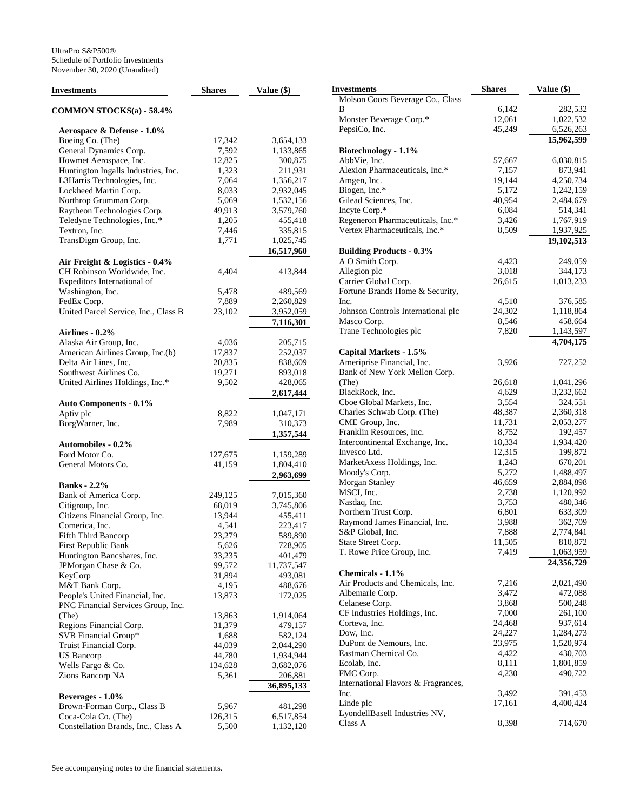| <b>Investments</b>                              | <b>Shares</b>     | Value (\$)           |
|-------------------------------------------------|-------------------|----------------------|
| <b>COMMON STOCKS(a) - 58.4%</b>                 |                   |                      |
| Aerospace & Defense - 1.0%                      |                   |                      |
| Boeing Co. (The)                                | 17,342            | 3,654,133            |
| General Dynamics Corp.                          | 7,592             | 1,133,865            |
| Howmet Aerospace, Inc.                          | 12,825            | 300,875              |
| Huntington Ingalls Industries, Inc.             | 1,323             | 211,931              |
| L3Harris Technologies, Inc.                     | 7,064             | 1,356,217            |
| Lockheed Martin Corp.                           | 8,033             | 2,932,045            |
| Northrop Grumman Corp.                          | 5,069             | 1,532,156            |
| Raytheon Technologies Corp.                     | 49,913            | 3,579,760            |
| Teledyne Technologies, Inc.*                    | 1,205             | 455,418              |
| Textron, Inc.                                   | 7,446             | 335,815              |
| TransDigm Group, Inc.                           | 1,771             | 1,025,745            |
|                                                 |                   | 16,517,960           |
| Air Freight & Logistics - 0.4%                  |                   |                      |
| CH Robinson Worldwide, Inc.                     | 4,404             | 413,844              |
| Expeditors International of                     |                   |                      |
| Washington, Inc.                                | 5,478             | 489,569              |
| FedEx Corp.                                     | 7,889             | 2,260,829            |
| United Parcel Service, Inc., Class B            | 23,102            | 3,952,059            |
|                                                 |                   | 7,116,301            |
| Airlines - 0.2%                                 |                   |                      |
|                                                 |                   |                      |
| Alaska Air Group, Inc.                          | 4,036             | 205,715              |
| American Airlines Group, Inc.(b)                | 17,837            | 252,037              |
| Delta Air Lines, Inc.<br>Southwest Airlines Co. | 20,835<br>19,271  | 838,609              |
|                                                 |                   | 893,018              |
| United Airlines Holdings, Inc.*                 | 9,502             | 428,065              |
|                                                 |                   | 2,617,444            |
| <b>Auto Components - 0.1%</b><br>Aptiv plc      |                   |                      |
|                                                 | 8,822             | 1,047,171            |
| BorgWarner, Inc.                                | 7,989             | 310,373<br>1,357,544 |
| <b>Automobiles - 0.2%</b>                       |                   |                      |
| Ford Motor Co.                                  |                   | 1,159,289            |
| General Motors Co.                              | 127,675<br>41,159 | 1,804,410            |
|                                                 |                   | 2,963,699            |
| <b>Banks</b> - 2.2%                             |                   |                      |
| Bank of America Corp.                           | 249,125           | 7,015,360            |
| Citigroup, Inc.                                 | 68,019            | 3,745,806            |
| Citizens Financial Group, Inc.                  | 13,944            | 455,411              |
| Comerica, Inc.                                  | 4,541             | 223,417              |
| Fifth Third Bancorp                             | 23,279            | 589,890              |
| First Republic Bank                             | 5,626             | 728,905              |
| Huntington Bancshares, Inc.                     | 33,235            | 401,479              |
| JPMorgan Chase & Co.                            | 99,572            | 11,737,547           |
| KeyCorp                                         | 31,894            | 493,081              |
| M&T Bank Corp.                                  | 4,195             | 488,676              |
| People's United Financial, Inc.                 | 13,873            | 172,025              |
| PNC Financial Services Group, Inc.              |                   |                      |
| (The)                                           | 13,863            | 1,914,064            |
| Regions Financial Corp.                         | 31,379            | 479,157              |
| SVB Financial Group*                            | 1,688             | 582,124              |
| Truist Financial Corp.                          | 44,039            | 2,044,290            |
| <b>US Bancorp</b>                               | 44,780            | 1,934,944            |
| Wells Fargo & Co.                               | 134,628           | 3,682,076            |
| Zions Bancorp NA                                | 5,361             | 206,881              |
|                                                 |                   | 36,895,133           |
| Beverages - 1.0%                                |                   |                      |
| Brown-Forman Corp., Class B                     | 5,967             | 481,298              |
| Coca-Cola Co. (The)                             | 126,315           | 6,517,854            |
| Constellation Brands, Inc., Class A             | 5,500             | 1,132,120            |
|                                                 |                   |                      |

| Investments                                                 | <b>Shares</b>   | Value (\$)           |
|-------------------------------------------------------------|-----------------|----------------------|
| Molson Coors Beverage Co., Class                            |                 |                      |
| В                                                           | 6,142           | 282,532              |
| Monster Beverage Corp.*                                     | 12,061          | 1,022,532            |
| PepsiCo, Inc.                                               | 45,249          | 6,526,263            |
|                                                             |                 | 15,962,599           |
| Biotechnology - 1.1%                                        |                 |                      |
| AbbVie, Inc.                                                | 57,667          | 6,030,815            |
| Alexion Pharmaceuticals, Inc.*                              | 7,157           | 873,941              |
| Amgen, Inc.                                                 | 19,144          | 4,250,734            |
| Biogen, Inc.*<br>Gilead Sciences, Inc.                      | 5,172           | 1,242,159            |
|                                                             | 40,954<br>6,084 | 2,484,679            |
| Incyte Corp.*<br>Regeneron Pharmaceuticals, Inc.*           | 3,426           | 514,341<br>1,767,919 |
| Vertex Pharmaceuticals, Inc.*                               | 8,509           | 1,937,925            |
|                                                             |                 | 19,102,513           |
| <b>Building Products - 0.3%</b>                             |                 |                      |
| A O Smith Corp.                                             | 4,423           | 249,059              |
| Allegion plc                                                | 3,018           | 344,173              |
| Carrier Global Corp.                                        | 26,615          | 1,013,233            |
| Fortune Brands Home & Security,                             |                 |                      |
| Inc.                                                        | 4,510           | 376,585              |
| Johnson Controls International plc                          | 24,302          | 1,118,864            |
| Masco Corp.                                                 | 8,546           | 458,664              |
| Trane Technologies plc                                      | 7,820           | 1,143,597            |
|                                                             |                 | 4,704,175            |
| Capital Markets - 1.5%                                      |                 |                      |
| Ameriprise Financial, Inc.                                  | 3,926           | 727,252              |
| Bank of New York Mellon Corp.                               |                 |                      |
| (The)                                                       | 26,618          | 1,041,296            |
| BlackRock, Inc.                                             | 4,629           | 3,232,662            |
| Cboe Global Markets, Inc.                                   | 3,554           | 324,551              |
| Charles Schwab Corp. (The)                                  | 48,387          | 2,360,318            |
| CME Group, Inc.                                             | 11,731          | 2,053,277            |
| Franklin Resources, Inc.<br>Intercontinental Exchange, Inc. | 8,752<br>18,334 | 192,457<br>1,934,420 |
| Invesco Ltd.                                                | 12,315          | 199,872              |
| MarketAxess Holdings, Inc.                                  | 1,243           | 670,201              |
| Moody's Corp.                                               | 5,272           | 1,488,497            |
| <b>Morgan Stanley</b>                                       | 46,659          | 2,884,898            |
| MSCI, Inc.                                                  | 2,738           | 1,120,992            |
| Nasdaq, Inc.                                                | 3,753           | 480,346              |
| Northern Trust Corp.                                        | 6,801           | 633,309              |
| Raymond James Financial, Inc.                               | 3,988           | 362,709              |
| S&P Global, Inc.                                            | 7,888           | 2,774,841            |
| State Street Corp.                                          | 11,505          | 810,872              |
| T. Rowe Price Group, Inc.                                   | 7,419           | 1,063,959            |
|                                                             |                 | 24,356,729           |
| Chemicals - 1.1%                                            |                 |                      |
| Air Products and Chemicals, Inc.                            | 7,216           | 2,021,490            |
| Albemarle Corp.                                             | 3,472           | 472,088              |
| Celanese Corp.                                              | 3,868           | 500,248              |
| CF Industries Holdings, Inc.                                | 7,000           | 261,100              |
| Corteva, Inc.                                               | 24,468          | 937,614              |
| Dow, Inc.                                                   | 24,227          | 1,284,273            |
| DuPont de Nemours, Inc.                                     | 23,975          | 1,520,974            |
| Eastman Chemical Co.<br>Ecolab, Inc.                        | 4,422           | 430,703              |
| FMC Corp.                                                   | 8,111<br>4,230  | 1,801,859<br>490,722 |
| International Flavors & Fragrances,                         |                 |                      |
| Inc.                                                        | 3,492           | 391,453              |
| Linde plc                                                   | 17,161          | 4,400,424            |
| LyondellBasell Industries NV,                               |                 |                      |
| Class A                                                     | 8,398           | 714,670              |
|                                                             |                 |                      |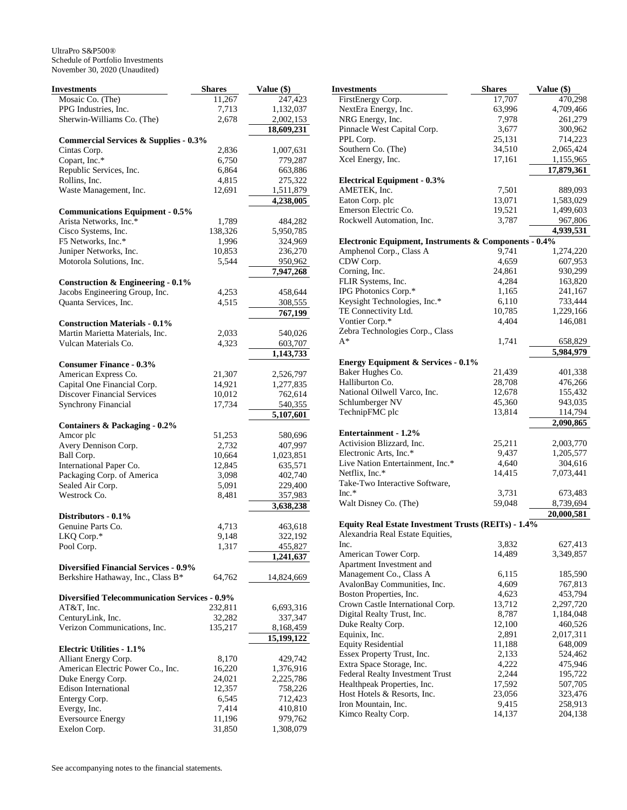| Investments                                          | <b>Shares</b> | Value (\$)             |
|------------------------------------------------------|---------------|------------------------|
| Mosaic Co. (The)                                     | 11,267        | 247,423                |
| PPG Industries, Inc.                                 | 7,713         | 1,132,037              |
| Sherwin-Williams Co. (The)                           | 2,678         | 2,002,153              |
|                                                      |               | 18,609,231             |
| <b>Commercial Services &amp; Supplies - 0.3%</b>     |               |                        |
| Cintas Corp.                                         | 2,836         | 1,007,631              |
| Copart, Inc.*                                        | 6,750         | 779,287                |
| Republic Services, Inc.                              | 6,864         | 663,886                |
| Rollins, Inc.                                        | 4,815         | 275,322                |
| Waste Management, Inc.                               | 12,691        | 1,511,879              |
|                                                      |               | 4,238,005              |
| <b>Communications Equipment - 0.5%</b>               |               |                        |
| Arista Networks, Inc.*                               | 1,789         | 484,282                |
| Cisco Systems, Inc.                                  | 138,326       | 5,950,785              |
| F5 Networks, Inc.*                                   | 1,996         | 324,969                |
| Juniper Networks, Inc.                               | 10,853        | 236,270                |
| Motorola Solutions, Inc.                             | 5,544         | 950,962                |
|                                                      |               | 7,947,268              |
| <b>Construction &amp; Engineering - 0.1%</b>         |               |                        |
| Jacobs Engineering Group, Inc.                       | 4,253         | 458,644                |
| Quanta Services, Inc.                                | 4,515         | 308,555                |
|                                                      |               | 767,199                |
| <b>Construction Materials - 0.1%</b>                 |               |                        |
| Martin Marietta Materials, Inc.                      | 2,033         | 540,026                |
| Vulcan Materials Co.                                 | 4,323         | 603,707                |
|                                                      |               | $\overline{1,}143,733$ |
| <b>Consumer Finance - 0.3%</b>                       |               |                        |
| American Express Co.                                 | 21,307        | 2,526,797              |
| Capital One Financial Corp.                          | 14,921        | 1,277,835              |
| <b>Discover Financial Services</b>                   | 10,012        | 762,614                |
| <b>Synchrony Financial</b>                           | 17,734        | 540,355                |
|                                                      |               | 5,107,601              |
| <b>Containers &amp; Packaging - 0.2%</b>             |               |                        |
| Amcor plc                                            | 51,253        | 580,696                |
| Avery Dennison Corp.                                 | 2,732         | 407,997                |
| Ball Corp.                                           | 10,664        | 1,023,851              |
| International Paper Co.                              | 12,845        | 635,571                |
| Packaging Corp. of America                           | 3,098         | 402,740                |
| Sealed Air Corp.                                     | 5,091         | 229,400                |
| Westrock Co.                                         | 8,481         | 357,983                |
|                                                      |               | 3,638,238              |
| Distributors - 0.1%                                  |               |                        |
| Genuine Parts Co.                                    | 4,713         | 463,618                |
| LKQ Corp.*                                           | 9,148         | 322,192                |
| Pool Corp.                                           | 1,317         | 455,827                |
|                                                      |               | 1,241,637              |
| <b>Diversified Financial Services - 0.9%</b>         |               |                        |
| Berkshire Hathaway, Inc., Class B*                   | 64,762        | 14,824,669             |
|                                                      |               |                        |
| <b>Diversified Telecommunication Services - 0.9%</b> |               |                        |
| $AT&T$ , Inc.                                        | 232,811       | 6,693,316              |
| CenturyLink, Inc.<br>Verizon Communications, Inc.    | 32,282        | 337,347                |
|                                                      | 135,217       | 8,168,459              |
|                                                      |               | 15,199,122             |
| <b>Electric Utilities - 1.1%</b>                     |               |                        |
| Alliant Energy Corp.                                 | 8,170         | 429,742                |
| American Electric Power Co., Inc.                    | 16,220        | 1,376,916              |
| Duke Energy Corp.                                    | 24,021        | 2,225,786              |
| <b>Edison International</b>                          | 12,357        | 758,226                |
| Entergy Corp.                                        | 6,545         | 712,423                |
| Evergy, Inc.                                         | 7,414         | 410,810                |
| <b>Eversource Energy</b>                             | 11,196        | 979,762                |
| Exelon Corp.                                         | 31,850        | 1,308,079              |

| Investments                                                | <b>Shares</b> | Value (\$) |
|------------------------------------------------------------|---------------|------------|
| FirstEnergy Corp.                                          | 17,707        | 470,298    |
| NextEra Energy, Inc.                                       | 63,996        | 4,709,466  |
| NRG Energy, Inc.                                           | 7,978         | 261,279    |
| Pinnacle West Capital Corp.                                | 3,677         | 300,962    |
| PPL Corp.                                                  | 25,131        | 714,223    |
| Southern Co. (The)                                         | 34,510        | 2,065,424  |
| Xcel Energy, Inc.                                          | 17,161        | 1,155,965  |
|                                                            |               | 17,879,361 |
| <b>Electrical Equipment - 0.3%</b>                         |               |            |
| AMETEK, Inc.                                               | 7,501         | 889,093    |
| Eaton Corp. plc                                            | 13,071        | 1,583,029  |
| Emerson Electric Co.                                       | 19,521        | 1,499,603  |
| Rockwell Automation, Inc.                                  | 3,787         | 967,806    |
|                                                            |               | 4,939,531  |
| Electronic Equipment, Instruments & Components - 0.4%      |               |            |
| Amphenol Corp., Class A                                    | 9,741         | 1,274,220  |
| CDW Corp.                                                  | 4,659         | 607,953    |
| Corning, Inc.                                              | 24,861        | 930,299    |
| FLIR Systems, Inc.                                         | 4,284         | 163,820    |
| IPG Photonics Corp.*                                       | 1,165         | 241,167    |
|                                                            | 6,110         |            |
| Keysight Technologies, Inc.*<br>TE Connectivity Ltd.       | 10,785        | 733,444    |
|                                                            |               | 1,229,166  |
| Vontier Corp.*                                             | 4,404         | 146,081    |
| Zebra Technologies Corp., Class                            |               |            |
| A*                                                         | 1,741         | 658,829    |
|                                                            |               | 5,984,979  |
| <b>Energy Equipment &amp; Services - 0.1%</b>              |               |            |
| Baker Hughes Co.                                           | 21,439        | 401,338    |
| Halliburton Co.                                            | 28,708        | 476,266    |
| National Oilwell Varco, Inc.                               | 12,678        | 155,432    |
| Schlumberger NV                                            | 45,360        | 943,035    |
| TechnipFMC plc                                             | 13,814        | 114,794    |
|                                                            |               | 2,090,865  |
| <b>Entertainment - 1.2%</b>                                |               |            |
| Activision Blizzard, Inc.                                  | 25,211        | 2,003,770  |
| Electronic Arts, Inc.*                                     | 9,437         | 1,205,577  |
| Live Nation Entertainment, Inc.*                           | 4,640         | 304,616    |
| Netflix, Inc.*                                             | 14,415        | 7,073,441  |
| Take-Two Interactive Software,                             |               |            |
| $Inc.*$                                                    | 3,731         | 673,483    |
| Walt Disney Co. (The)                                      | 59,048        | 8,739,694  |
|                                                            |               | 20,000,581 |
| <b>Equity Real Estate Investment Trusts (REITs) - 1.4%</b> |               |            |
| Alexandria Real Estate Equities,                           |               |            |
| Inc.                                                       | 3,832         | 627,413    |
| American Tower Corp.                                       | 14,489        | 3,349,857  |
| Apartment Investment and                                   |               |            |
| Management Co., Class A                                    | 6,115         | 185,590    |
| AvalonBay Communities, Inc.                                | 4,609         | 767,813    |
| Boston Properties, Inc.                                    | 4,623         | 453,794    |
| Crown Castle International Corp.                           | 13,712        | 2,297,720  |
| Digital Realty Trust, Inc.                                 | 8,787         | 1,184,048  |
| Duke Realty Corp.                                          | 12,100        | 460,526    |
| Equinix, Inc.                                              | 2,891         | 2,017,311  |
| <b>Equity Residential</b>                                  | 11,188        | 648,009    |
| Essex Property Trust, Inc.                                 | 2,133         | 524,462    |
| Extra Space Storage, Inc.                                  | 4,222         | 475,946    |
| Federal Realty Investment Trust                            | 2,244         | 195,722    |
| Healthpeak Properties, Inc.                                | 17,592        | 507,705    |
| Host Hotels & Resorts, Inc.                                | 23,056        | 323,476    |
| Iron Mountain, Inc.                                        | 9,415         | 258,913    |
| Kimco Realty Corp.                                         | 14,137        | 204,138    |
|                                                            |               |            |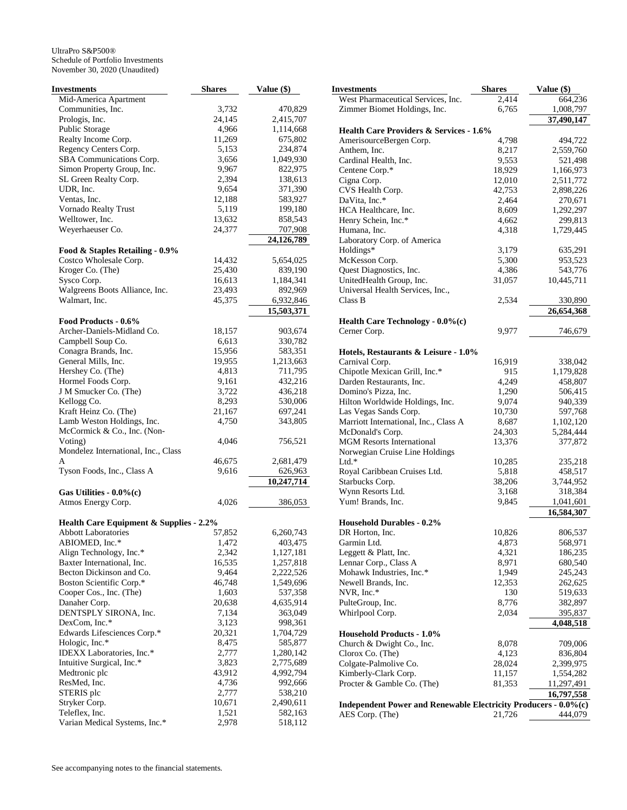| Investments                             | <b>Shares</b> | Value (\$)             |
|-----------------------------------------|---------------|------------------------|
| Mid-America Apartment                   |               |                        |
| Communities, Inc.                       | 3,732         | 470,829                |
| Prologis, Inc.                          | 24,145        | 2,415,707              |
| Public Storage                          | 4,966         | 1,114,668              |
| Realty Income Corp.                     | 11,269        | 675,802                |
| Regency Centers Corp.                   | 5,153         | 234,874                |
| SBA Communications Corp.                | 3,656         | 1,049,930              |
| Simon Property Group, Inc.              | 9,967         | 822,975                |
| SL Green Realty Corp.                   | 2,394         | 138,613                |
| UDR, Inc.                               | 9,654         | 371,390                |
| Ventas, Inc.                            | 12,188        | 583,927                |
| Vornado Realty Trust                    | 5,119         | 199,180                |
| Welltower, Inc.                         | 13,632        | 858,543                |
| Weyerhaeuser Co.                        | 24,377        | 707,908                |
|                                         |               | 24,126,789             |
| Food & Staples Retailing - 0.9%         |               |                        |
| Costco Wholesale Corp.                  | 14,432        | 5,654,025              |
| Kroger Co. (The)                        | 25,430        | 839,190                |
| Sysco Corp.                             | 16,613        | 1,184,341              |
| Walgreens Boots Alliance, Inc.          | 23,493        | 892,969                |
| Walmart, Inc.                           | 45,375        | 6,932,846              |
|                                         |               | 15,503,371             |
| Food Products - 0.6%                    |               |                        |
| Archer-Daniels-Midland Co.              | 18,157        | 903,674                |
| Campbell Soup Co.                       | 6,613         | 330,782                |
| Conagra Brands, Inc.                    | 15,956        | 583,351                |
| General Mills, Inc.                     | 19,955        | 1,213,663              |
| Hershey Co. (The)                       | 4,813         | 711,795                |
| Hormel Foods Corp.                      | 9,161         | 432,216                |
| J M Smucker Co. (The)                   | 3,722         | 436,218                |
| Kellogg Co.                             | 8,293         | 530,006                |
| Kraft Heinz Co. (The)                   | 21,167        | 697,241                |
| Lamb Weston Holdings, Inc.              | 4,750         | 343,805                |
| McCormick & Co., Inc. (Non-             |               |                        |
| Voting)                                 | 4,046         | 756,521                |
| Mondelez International, Inc., Class     |               |                        |
| A                                       | 46,675        | 2,681,479              |
| Tyson Foods, Inc., Class A              | 9,616         | 626,963                |
|                                         |               | 10,247,714             |
| Gas Utilities - $0.0\%$ (c)             |               |                        |
| Atmos Energy Corp.                      | 4,026         | 386,053                |
|                                         |               |                        |
| Health Care Equipment & Supplies - 2.2% |               |                        |
| <b>Abbott Laboratories</b>              | 57,852        | 6,260,743              |
| ABIOMED, Inc.*                          | 1,472         | 403,475                |
|                                         | 2,342         |                        |
| Align Technology, Inc.*                 |               | 1,127,181              |
| Baxter International, Inc.              | 16,535        | 1,257,818<br>2,222,526 |
| Becton Dickinson and Co.                | 9,464         |                        |
| Boston Scientific Corp.*                | 46,748        | 1,549,696              |
| Cooper Cos., Inc. (The)                 | 1,603         | 537,358                |
| Danaher Corp.                           | 20,638        | 4,635,914              |
| DENTSPLY SIRONA, Inc.                   | 7,134         | 363,049                |
| DexCom, Inc.*                           | 3,123         | 998,361                |
| Edwards Lifesciences Corp.*             | 20,321        | 1,704,729              |
| Hologic, Inc.*                          | 8,475         | 585,877                |
| IDEXX Laboratories, Inc.*               | 2,777         | 1,280,142              |
| Intuitive Surgical, Inc.*               | 3,823         | 2,775,689              |
| Medtronic plc                           | 43,912        | 4,992,794              |
| ResMed, Inc.                            | 4,736         | 992,666                |
| STERIS plc                              | 2,777         | 538,210                |
| Stryker Corp.                           | 10,671        | 2,490,611              |
| Teleflex, Inc.                          | 1,521         | 582,163                |
| Varian Medical Systems, Inc.*           | 2,978         | 518,112                |

| Investments                                                     | <b>Shares</b>   | Value (\$)         |
|-----------------------------------------------------------------|-----------------|--------------------|
| West Pharmaceutical Services, Inc.                              | 2.414           | 664,236            |
| Zimmer Biomet Holdings, Inc.                                    | 6,765           | 1,008,797          |
|                                                                 |                 | 37,490,147         |
| Health Care Providers & Services - 1.6%                         |                 |                    |
| AmerisourceBergen Corp.                                         | 4,798           | 494,722            |
| Anthem, Inc.                                                    | 8,217           | 2,559,760          |
| Cardinal Health, Inc.                                           | 9,553           | 521,498            |
| Centene Corp.*                                                  | 18,929          | 1,166,973          |
| Cigna Corp.                                                     | 12,010          | 2,511,772          |
| CVS Health Corp.                                                | 42,753          | 2,898,226          |
| DaVita, Inc.*                                                   | 2,464           | 270,671            |
| HCA Healthcare, Inc.                                            | 8,609           | 1,292,297          |
| Henry Schein, Inc.*<br>Humana, Inc.                             | 4,662           | 299,813            |
| Laboratory Corp. of America                                     | 4,318           | 1,729,445          |
| Holdings*                                                       | 3,179           | 635,291            |
| McKesson Corp.                                                  | 5,300           | 953,523            |
| Quest Diagnostics, Inc.                                         | 4,386           | 543,776            |
| UnitedHealth Group, Inc.                                        | 31,057          | 10,445,711         |
| Universal Health Services, Inc.,                                |                 |                    |
| Class B                                                         | 2,534           | 330,890            |
|                                                                 |                 | 26,654,368         |
| Health Care Technology - 0.0%(c)                                |                 |                    |
| Cerner Corp.                                                    | 9,977           | 746,679            |
|                                                                 |                 |                    |
| Hotels, Restaurants & Leisure - 1.0%                            |                 |                    |
| Carnival Corp.                                                  | 16,919          | 338,042            |
| Chipotle Mexican Grill, Inc.*                                   | 915             | 1,179,828          |
| Darden Restaurants, Inc.                                        | 4,249           | 458,807            |
| Domino's Pizza, Inc.                                            | 1,290           | 506,415            |
| Hilton Worldwide Holdings, Inc.                                 | 9,074           | 940,339            |
| Las Vegas Sands Corp.                                           | 10,730          | 597,768            |
| Marriott International, Inc., Class A                           | 8,687           | 1,102,120          |
| McDonald's Corp.                                                | 24,303          | 5,284,444          |
| <b>MGM Resorts International</b>                                | 13,376          | 377,872            |
| Norwegian Cruise Line Holdings                                  |                 |                    |
| $Ltd.*$                                                         | 10,285          | 235,218            |
| Royal Caribbean Cruises Ltd.                                    | 5,818           | 458,517            |
| Starbucks Corp.                                                 | 38,206          | 3,744,952          |
| Wynn Resorts Ltd.                                               | 3,168           | 318,384            |
| Yum! Brands, Inc.                                               | 9,845           | 1,041,601          |
|                                                                 |                 | 16,584,307         |
| <b>Household Durables - 0.2%</b>                                |                 |                    |
| DR Horton, Inc.                                                 | 10,826          | 806,537            |
| Garmin Ltd.                                                     | 4,873           | 568,971            |
| Leggett & Platt, Inc.                                           | 4,321           | 186,235            |
| Lennar Corp., Class A                                           | 8,971           | 680,540            |
| Mohawk Industries, Inc.*                                        | 1,949<br>12,353 | 245,243            |
| Newell Brands, Inc.<br>NVR, Inc.*                               | 130             | 262,625<br>519,633 |
| PulteGroup, Inc.                                                | 8,776           | 382,897            |
| Whirlpool Corp.                                                 | 2,034           | 395,837            |
|                                                                 |                 | 4,048,518          |
| <b>Household Products - 1.0%</b>                                |                 |                    |
| Church & Dwight Co., Inc.                                       | 8,078           | 709,006            |
| Clorox Co. (The)                                                | 4,123           | 836,804            |
| Colgate-Palmolive Co.                                           | 28,024          | 2,399,975          |
| Kimberly-Clark Corp.                                            | 11,157          | 1,554,282          |
| Procter & Gamble Co. (The)                                      | 81,353          | 11,297,491         |
|                                                                 |                 | 16,797,558         |
| Independent Power and Renewable Electricity Producers - 0.0%(c) |                 |                    |
| AES Corp. (The)                                                 | 21,726          | 444,079            |
|                                                                 |                 |                    |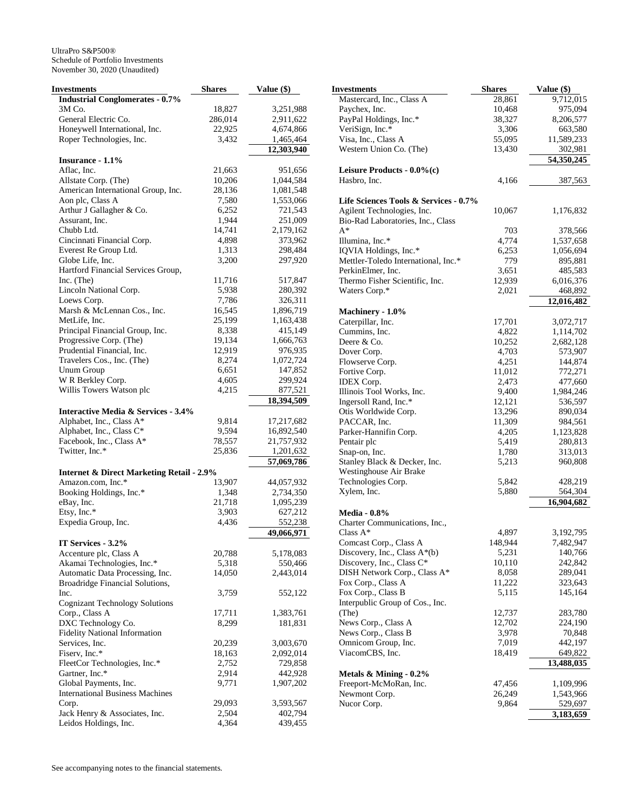| Investments                                                   | <b>Shares</b> | Value (\$)              |
|---------------------------------------------------------------|---------------|-------------------------|
| <b>Industrial Conglomerates - 0.7%</b>                        |               |                         |
| 3M Co.                                                        | 18,827        | 3,251,988               |
| General Electric Co.                                          | 286,014       | 2,911,622               |
| Honeywell International, Inc.                                 | 22,925        | 4,674,866               |
| Roper Technologies, Inc.                                      | 3,432         | 1,465,464               |
| Insurance - 1.1%                                              |               | 12,303,940              |
| Aflac, Inc.                                                   | 21,663        | 951,656                 |
| Allstate Corp. (The)                                          | 10,206        | 1,044,584               |
| American International Group, Inc.                            | 28,136        | 1,081,548               |
| Aon plc, Class A                                              | 7,580         | 1,553,066               |
| Arthur J Gallagher & Co.                                      | 6,252         | 721,543                 |
| Assurant, Inc.                                                | 1,944         | 251,009                 |
| Chubb Ltd.                                                    | 14,741        | 2,179,162               |
| Cincinnati Financial Corp.                                    | 4,898         | 373,962                 |
| Everest Re Group Ltd.                                         | 1,313         | 298,484                 |
| Globe Life, Inc.                                              | 3,200         | 297,920                 |
| Hartford Financial Services Group,                            |               |                         |
| Inc. (The)                                                    | 11,716        | 517,847                 |
| Lincoln National Corp.                                        | 5,938         | 280,392                 |
| Loews Corp.                                                   | 7,786         | 326,311                 |
| Marsh & McLennan Cos., Inc.                                   | 16,545        | 1,896,719               |
| MetLife, Inc.                                                 | 25,199        | 1,163,438               |
| Principal Financial Group, Inc.                               | 8,338         | 415,149                 |
| Progressive Corp. (The)                                       | 19,134        | 1,666,763               |
| Prudential Financial, Inc.                                    | 12,919        | 976,935                 |
| Travelers Cos., Inc. (The)                                    | 8,274         | 1,072,724               |
| <b>Unum Group</b>                                             | 6,651         | 147,852                 |
| W R Berkley Corp.                                             | 4,605         | 299,924                 |
| Willis Towers Watson plc                                      | 4,215         | 877,521                 |
|                                                               |               | 18,394,509              |
| <b>Interactive Media &amp; Services - 3.4%</b>                |               |                         |
| Alphabet, Inc., Class A*                                      | 9,814         | 17,217,682              |
| Alphabet, Inc., Class C*                                      | 9,594         | 16,892,540              |
| Facebook, Inc., Class A*                                      | 78,557        | 21,757,932              |
| Twitter, Inc.*                                                | 25,836        | 1,201,632<br>57,069,786 |
| <b>Internet &amp; Direct Marketing Retail - 2.9%</b>          |               |                         |
| Amazon.com, Inc.*                                             | 13,907        | 44,057,932              |
| Booking Holdings, Inc.*                                       | 1,348         | 2,734,350               |
| eBay, Inc.                                                    | 21,718        | 1,095,239               |
| Etsy, Inc.*                                                   | 3,903         | 627,212                 |
| Expedia Group, Inc.                                           | 4,436         | 552,238                 |
|                                                               |               | 49,066,971              |
| IT Services - 3.2%                                            |               |                         |
| Accenture plc, Class A                                        | 20,788        | 5,178,083               |
| Akamai Technologies, Inc.*<br>Automatic Data Processing, Inc. | 5,318         | 550,466<br>2,443,014    |
| Broadridge Financial Solutions,                               | 14,050        |                         |
| Inc.                                                          | 3,759         | 552,122                 |
| <b>Cognizant Technology Solutions</b>                         |               |                         |
| Corp., Class A                                                | 17,711        | 1,383,761               |
| DXC Technology Co.                                            | 8,299         | 181,831                 |
| <b>Fidelity National Information</b>                          |               |                         |
| Services, Inc.                                                | 20,239        | 3,003,670               |
| Fiserv, Inc.*                                                 | 18,163        | 2,092,014               |
| FleetCor Technologies, Inc.*                                  | 2,752         | 729,858                 |
| Gartner, Inc.*                                                | 2,914         | 442,928                 |
| Global Payments, Inc.                                         | 9,771         | 1,907,202               |
| <b>International Business Machines</b>                        |               |                         |
| Corp.                                                         | 29,093        | 3,593,567               |
| Jack Henry & Associates, Inc.                                 | 2,504         | 402,794                 |
| Leidos Holdings, Inc.                                         | 4,364         | 439,455                 |

| Investments                                            | Shares  | Value (\$) |
|--------------------------------------------------------|---------|------------|
| Mastercard, Inc., Class A                              | 28,861  | 9,712,015  |
| Paychex, Inc.                                          | 10,468  | 975,094    |
| PayPal Holdings, Inc.*                                 | 38,327  | 8,206,577  |
| VeriSign, Inc.*                                        | 3,306   | 663,580    |
| Visa, Inc., Class A                                    | 55,095  | 11,589,233 |
| Western Union Co. (The)                                | 13,430  | 302,981    |
|                                                        |         | 54,350,245 |
| Leisure Products - 0.0%(c)                             |         |            |
| Hasbro, Inc.                                           | 4,166   | 387,563    |
| Life Sciences Tools & Services - 0.7%                  |         |            |
| Agilent Technologies, Inc.                             | 10,067  | 1,176,832  |
| Bio-Rad Laboratories, Inc., Class                      |         |            |
| $A^*$                                                  | 703     | 378,566    |
| Illumina, Inc.*                                        | 4,774   | 1,537,658  |
| IQVIA Holdings, Inc.*                                  | 6,253   | 1,056,694  |
| Mettler-Toledo International, Inc.*                    | 779     | 895,881    |
| PerkinElmer, Inc.                                      | 3,651   | 485,583    |
| Thermo Fisher Scientific, Inc.                         | 12,939  | 6,016,376  |
| Waters Corp.*                                          | 2,021   | 468,892    |
|                                                        |         | 12,016,482 |
| Machinery - 1.0%                                       |         |            |
| Caterpillar, Inc.                                      | 17,701  | 3,072,717  |
| Cummins, Inc.                                          | 4,822   | 1,114,702  |
| Deere & Co.                                            | 10,252  | 2,682,128  |
| Dover Corp.                                            | 4,703   | 573,907    |
| Flowserve Corp.                                        | 4,251   | 144,874    |
| Fortive Corp.                                          | 11,012  | 772,271    |
| IDEX Corp.                                             | 2,473   | 477,660    |
| Illinois Tool Works, Inc.                              | 9,400   | 1,984,246  |
| Ingersoll Rand, Inc.*                                  | 12,121  | 536,597    |
| Otis Worldwide Corp.                                   | 13,296  | 890,034    |
| PACCAR, Inc.                                           | 11,309  | 984,561    |
| Parker-Hannifin Corp.                                  | 4,205   | 1,123,828  |
| Pentair plc                                            | 5,419   | 280,813    |
| Snap-on, Inc.                                          | 1,780   | 313,013    |
| Stanley Black & Decker, Inc.<br>Westinghouse Air Brake | 5,213   | 960,808    |
| Technologies Corp.                                     | 5,842   | 428,219    |
| Xylem, Inc.                                            | 5,880   | 564,304    |
|                                                        |         | 16,904,682 |
| <b>Media - 0.8%</b>                                    |         |            |
| Charter Communications, Inc.,<br>Class $A^*$           |         |            |
|                                                        | 4,897   | 3,192,795  |
| Comcast Corp., Class A                                 | 148,944 | 7,482,947  |
| Discovery, Inc., Class $A^*(b)$                        | 5,231   | 140,766    |
| Discovery, Inc., Class C*                              | 10,110  | 242,842    |
| DISH Network Corp., Class A*                           | 8,058   | 289,041    |
| Fox Corp., Class A                                     | 11,222  | 323,643    |
| Fox Corp., Class B                                     | 5,115   | 145,164    |
| Interpublic Group of Cos., Inc.<br>(The)               | 12,737  | 283,780    |
| News Corp., Class A                                    | 12,702  | 224,190    |
| News Corp., Class B                                    | 3,978   | 70,848     |
| Omnicom Group, Inc.                                    | 7,019   | 442,197    |
| ViacomCBS, Inc.                                        | 18,419  | 649,822    |
|                                                        |         | 13,488,035 |
| Metals & Mining - 0.2%                                 |         |            |
| Freeport-McMoRan, Inc.                                 | 47,456  | 1,109,996  |
| Newmont Corp.                                          | 26,249  | 1,543,966  |
| Nucor Corp.                                            | 9,864   | 529,697    |
|                                                        |         | 3,183,659  |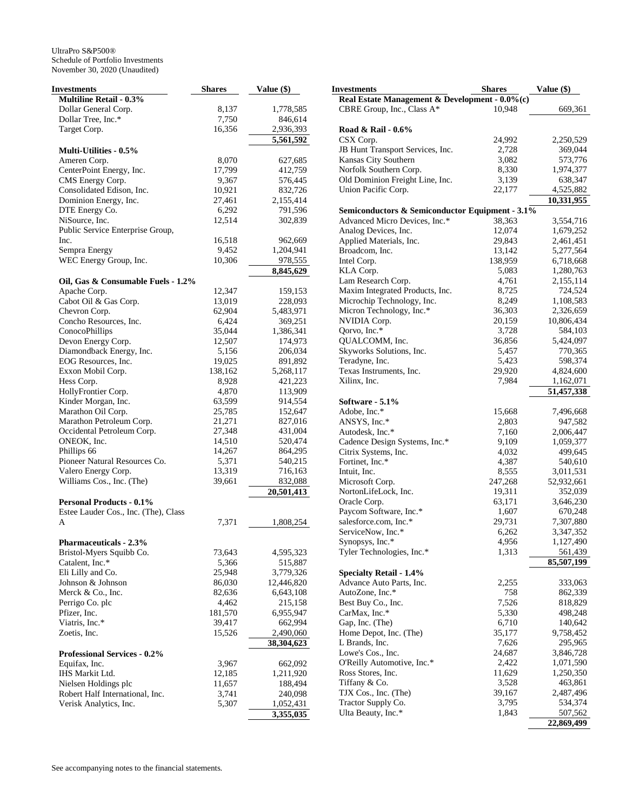| Investments                                        | <b>Shares</b>    | Value (\$)           |
|----------------------------------------------------|------------------|----------------------|
| <b>Multiline Retail - 0.3%</b>                     |                  |                      |
| Dollar General Corp.                               | 8,137            | 1,778,585            |
| Dollar Tree, Inc.*                                 | 7,750            | 846,614              |
| Target Corp.                                       | 16,356           | 2,936,393            |
|                                                    |                  | 5,561,592            |
| <b>Multi-Utilities - 0.5%</b>                      |                  |                      |
| Ameren Corp.                                       | 8,070            | 627,685              |
| CenterPoint Energy, Inc.                           | 17,799           | 412,759              |
| CMS Energy Corp.                                   | 9,367            | 576,445              |
| Consolidated Edison, Inc.                          | 10,921           | 832,726              |
| Dominion Energy, Inc.                              | 27,461           | 2,155,414            |
| DTE Energy Co.                                     | 6,292            | 791,596              |
| NiSource, Inc.                                     | 12,514           | 302,839              |
| Public Service Enterprise Group,                   |                  |                      |
| Inc.                                               | 16,518           | 962,669              |
| Sempra Energy                                      | 9,452            | 1,204,941            |
| WEC Energy Group, Inc.                             | 10,306           | 978,555              |
|                                                    |                  | 8,845,629            |
| Oil, Gas & Consumable Fuels - 1.2%                 |                  |                      |
| Apache Corp.                                       | 12,347           | 159,153              |
| Cabot Oil & Gas Corp.                              | 13,019           | 228,093              |
| Chevron Corp.                                      | 62,904           | 5,483,971            |
| Concho Resources, Inc.                             | 6,424            | 369,251              |
| ConocoPhillips                                     | 35,044           | 1,386,341            |
| Devon Energy Corp.                                 | 12,507           | 174,973              |
| Diamondback Energy, Inc.                           | 5,156            | 206,034              |
| EOG Resources, Inc.                                | 19,025           | 891,892              |
| Exxon Mobil Corp.                                  | 138,162          | 5,268,117            |
| Hess Corp.                                         | 8,928            | 421,223              |
| HollyFrontier Corp.                                | 4,870            | 113,909              |
| Kinder Morgan, Inc.                                | 63,599           | 914,554              |
| Marathon Oil Corp.                                 | 25,785           | 152,647              |
| Marathon Petroleum Corp.                           | 21,271           | 827,016              |
| Occidental Petroleum Corp.                         | 27,348           | 431,004              |
| ONEOK, Inc.                                        | 14,510           | 520,474              |
| Phillips 66                                        | 14,267           | 864,295              |
| Pioneer Natural Resources Co.                      | 5,371            | 540,215              |
| Valero Energy Corp.                                | 13,319           | 716,163              |
| Williams Cos., Inc. (The)                          | 39,661           | 832,088              |
|                                                    |                  | 20,501,413           |
| <b>Personal Products - 0.1%</b>                    |                  |                      |
| Estee Lauder Cos., Inc. (The), Class               |                  |                      |
| A                                                  |                  |                      |
|                                                    | 7,371            | 1,808,254            |
|                                                    |                  |                      |
| Pharmaceuticals - 2.3%<br>Bristol-Myers Squibb Co. | 73,643           | 4,595,323            |
| Catalent, Inc.*                                    |                  |                      |
|                                                    | 5,366            | 515,887              |
| Eli Lilly and Co.<br>Johnson & Johnson             | 25,948           | 3,779,326            |
|                                                    | 86,030           | 12,446,820           |
| Merck & Co., Inc.                                  | 82,636           | 6,643,108            |
| Perrigo Co. plc                                    | 4,462            | 215,158              |
| Pfizer, Inc.<br>Viatris, Inc.*                     | 181,570          | 6,955,947            |
| Zoetis, Inc.                                       | 39,417<br>15,526 | 662,994<br>2,490,060 |
|                                                    |                  |                      |
|                                                    |                  | 38,304,623           |
| <b>Professional Services - 0.2%</b>                |                  |                      |
| Equifax, Inc.                                      | 3,967            | 662,092              |
| IHS Markit Ltd.                                    | 12,185           | 1,211,920            |
| Nielsen Holdings plc                               | 11,657           | 188,494              |
| Robert Half International, Inc.                    | 3,741            | 240,098              |
| Verisk Analytics, Inc.                             | 5,307            | 1,052,431            |
|                                                    |                  | 3,355,035            |

| <b>Investments</b>                                 | <b>Shares</b> | Value (\$) |
|----------------------------------------------------|---------------|------------|
| Real Estate Management & Development - 0.0%(c)     |               |            |
| CBRE Group, Inc., Class A*                         | 10,948        | 669,361    |
|                                                    |               |            |
| Road & Rail - 0.6%                                 |               |            |
| CSX Corp.                                          | 24,992        | 2,250,529  |
| JB Hunt Transport Services, Inc.                   | 2,728         | 369,044    |
| Kansas City Southern                               | 3,082         | 573,776    |
| Norfolk Southern Corp.                             | 8,330         | 1,974,377  |
| Old Dominion Freight Line, Inc.                    | 3,139         | 638,347    |
| Union Pacific Corp.                                | 22,177        | 4,525,882  |
|                                                    |               | 10,331,955 |
| Semiconductors & Semiconductor Equipment - $3.1\%$ |               |            |
| Advanced Micro Devices, Inc.*                      | 38,363        | 3,554,716  |
| Analog Devices, Inc.                               | 12,074        | 1,679,252  |
| Applied Materials, Inc.                            | 29,843        | 2,461,451  |
| Broadcom, Inc.                                     | 13,142        | 5,277,564  |
| Intel Corp.                                        | 138,959       | 6,718,668  |
| KLA Corp.                                          | 5,083         | 1,280,763  |
| Lam Research Corp.                                 | 4,761         | 2,155,114  |
| Maxim Integrated Products, Inc.                    | 8,725         | 724,524    |
| Microchip Technology, Inc.                         | 8,249         | 1,108,583  |
| Micron Technology, Inc.*                           | 36,303        | 2,326,659  |
| NVIDIA Corp.                                       | 20,159        | 10,806,434 |
| Qorvo, Inc.*                                       | 3,728         | 584,103    |
| QUALCOMM, Inc.                                     | 36,856        | 5,424,097  |
| Skyworks Solutions, Inc.                           | 5,457         |            |
| Teradyne, Inc.                                     |               | 770,365    |
| Texas Instruments, Inc.                            | 5,423         | 598,374    |
|                                                    | 29,920        | 4,824,600  |
| Xilinx, Inc.                                       | 7,984         | 1,162,071  |
|                                                    |               | 51,457,338 |
| Software - 5.1%                                    |               |            |
| Adobe, Inc.*                                       | 15,668        | 7,496,668  |
| ANSYS, Inc.*                                       | 2,803         | 947,582    |
| Autodesk, Inc.*                                    | 7,160         | 2,006,447  |
| Cadence Design Systems, Inc.*                      | 9,109         | 1,059,377  |
| Citrix Systems, Inc.                               | 4,032         | 499,645    |
| Fortinet, Inc.*                                    | 4,387         | 540,610    |
| Intuit, Inc.                                       | 8,555         | 3,011,531  |
| Microsoft Corp.                                    | 247,268       | 52,932,661 |
| NortonLifeLock, Inc.                               | 19,311        | 352,039    |
| Oracle Corp.                                       | 63,171        | 3,646,230  |
| Paycom Software, Inc.*                             | 1,607         | 670,248    |
| salesforce.com, Inc.*                              | 29,731        | 7,307,880  |
| ServiceNow, Inc.*                                  | 6,262         | 3,347,352  |
| Synopsys, Inc.*                                    | 4,956         | 1,127,490  |
| Tyler Technologies, Inc.*                          | 1,313         | 561,439    |
|                                                    |               | 85,507,199 |
| <b>Specialty Retail - 1.4%</b>                     |               |            |
| Advance Auto Parts, Inc.                           | 2,255         | 333,063    |
| AutoZone, Inc.*                                    | 758           | 862,339    |
| Best Buy Co., Inc.                                 | 7,526         | 818,829    |
| CarMax, Inc.*                                      | 5,330         | 498,248    |
| Gap, Inc. (The)                                    | 6,710         | 140,642    |
| Home Depot, Inc. (The)                             | 35,177        | 9,758,452  |
| L Brands, Inc.                                     | 7,626         | 295,965    |
| Lowe's Cos., Inc.                                  | 24,687        | 3,846,728  |
| O'Reilly Automotive, Inc.*                         | 2,422         | 1,071,590  |
| Ross Stores, Inc.                                  | 11,629        | 1,250,350  |
| Tiffany & Co.                                      | 3,528         | 463,861    |
| TJX Cos., Inc. (The)                               | 39,167        | 2,487,496  |
| Tractor Supply Co.                                 | 3,795         | 534,374    |
| Ulta Beauty, Inc.*                                 | 1,843         | 507,562    |
|                                                    |               | 22,869,499 |
|                                                    |               |            |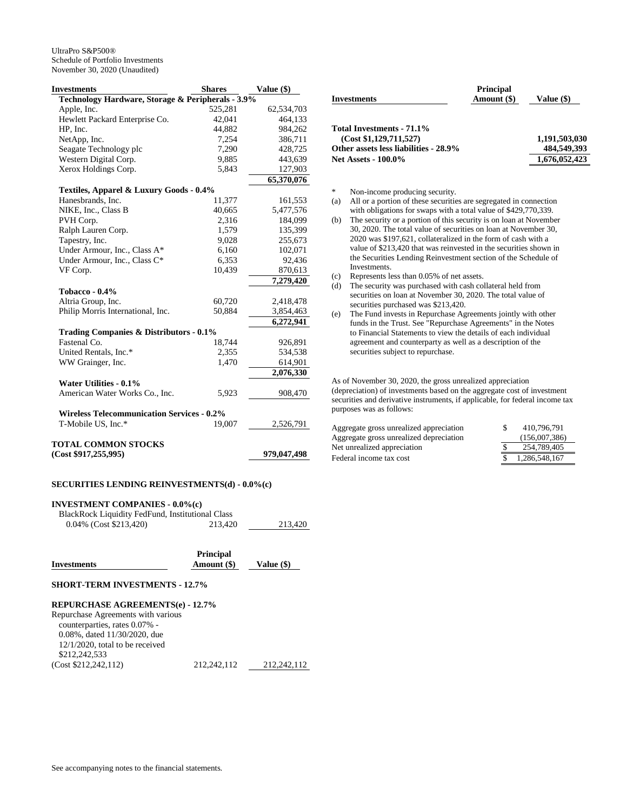| <b>Investments</b>                                | <b>Shares</b> | Value (\$)  |
|---------------------------------------------------|---------------|-------------|
| Technology Hardware, Storage & Peripherals - 3.9% |               |             |
| Apple, Inc.                                       | 525,281       | 62,534,703  |
| Hewlett Packard Enterprise Co.                    | 42,041        | 464,133     |
| HP, Inc.                                          | 44,882        | 984,262     |
| NetApp, Inc.                                      | 7,254         | 386,711     |
| Seagate Technology plc                            | 7,290         | 428,725     |
| Western Digital Corp.                             | 9,885         | 443,639     |
| Xerox Holdings Corp.                              | 5,843         | 127,903     |
|                                                   |               | 65,370,076  |
| Textiles, Apparel & Luxury Goods - 0.4%           |               |             |
| Hanesbrands, Inc.                                 | 11,377        | 161,553     |
| NIKE, Inc., Class B                               | 40,665        | 5,477,576   |
| PVH Corp.                                         | 2,316         | 184,099     |
| Ralph Lauren Corp.                                | 1,579         | 135,399     |
| Tapestry, Inc.                                    | 9,028         | 255,673     |
| Under Armour, Inc., Class A*                      | 6,160         | 102,071     |
| Under Armour, Inc., Class C*                      | 6,353         | 92,436      |
| VF Corp.                                          | 10,439        | 870,613     |
|                                                   |               | 7,279,420   |
| Tobacco - 0.4%                                    |               |             |
| Altria Group, Inc.                                | 60,720        | 2,418,478   |
| Philip Morris International, Inc.                 | 50,884        | 3,854,463   |
|                                                   |               | 6,272,941   |
| Trading Companies & Distributors - 0.1%           |               |             |
| Fastenal Co.                                      | 18,744        | 926,891     |
| United Rentals, Inc.*                             | 2,355         | 534,538     |
| WW Grainger, Inc.                                 | 1,470         | 614,901     |
|                                                   |               | 2,076,330   |
| <b>Water Utilities - 0.1%</b>                     |               |             |
| American Water Works Co., Inc.                    | 5,923         | 908,470     |
|                                                   |               |             |
| <b>Wireless Telecommunication Services - 0.2%</b> |               |             |
| T-Mobile US, Inc.*                                | 19,007        | 2,526,791   |
|                                                   |               |             |
| <b>TOTAL COMMON STOCKS</b>                        |               |             |
| (Cost \$917,255,995)                              |               | 979,047,498 |

#### **SECURITIES LENDING REINVESTMENTS(d) - 0.0%(c)**

## **INVESTMENT COMPANIES - 0.0%(c)**

BlackRock Liquidity FedFund, Institutional Class

| 213.420<br>$0.04\%$ (Cost \$213,420)<br>213,420 |
|-------------------------------------------------|
|-------------------------------------------------|

|                    | <b>Principal</b> |              |
|--------------------|------------------|--------------|
| <b>Investments</b> | Amount (\$)      | Value $(\$)$ |

#### **SHORT-TERM INVESTMENTS - 12.7%**

#### **REPURCHASE AGREEMENTS(e) - 12.7%**

| Repurchase Agreements with various  |             |             |
|-------------------------------------|-------------|-------------|
| counterparties, rates 0.07% -       |             |             |
| $0.08\%$ , dated $11/30/2020$ , due |             |             |
| $12/1/2020$ , total to be received  |             |             |
| \$212,242,533                       |             |             |
| (Cost \$212,242,112)                | 212.242.112 | 212.242.112 |

| <b>Investments</b>                    | <b>Principal</b><br>Amount (\$) | Value (\$)    |
|---------------------------------------|---------------------------------|---------------|
| Total Investments - 71.1%             |                                 |               |
| (Cost \$1,129,711,527)                |                                 | 1,191,503,030 |
| Other assets less liabilities - 28.9% |                                 | 484,549,393   |
| <b>Net Assets - 100.0%</b>            |                                 | 1,676,052,423 |

\* Non-income producing security.

- (a) All or a portion of these securities are segregated in connection with obligations for swaps with a total value of \$429,770,339.
- (b) The security or a portion of this security is on loan at November 30, 2020. The total value of securities on loan at November 30, 2020 was \$197,621, collateralized in the form of cash with a value of \$213,420 that was reinvested in the securities shown in the Securities Lending Reinvestment section of the Schedule of Investments.
- (c) Represents less than 0.05% of net assets.
- (d) The security was purchased with cash collateral held from securities on loan at November 30, 2020. The total value of securities purchased was \$213,420.
- (e) The Fund invests in Repurchase Agreements jointly with other funds in the Trust. See "Repurchase Agreements" in the Notes to Financial Statements to view the details of each individual agreement and counterparty as well as a description of the securities subject to repurchase.

As of November 30, 2020, the gross unrealized appreciation (depreciation) of investments based on the aggregate cost of investment securities and derivative instruments, if applicable, for federal income tax purposes was as follows:

| Aggregate gross unrealized appreciation | 410.796.791   |
|-----------------------------------------|---------------|
| Aggregate gross unrealized depreciation | (156,007,386) |
| Net unrealized appreciation             | 254,789,405   |
| Federal income tax cost                 | 1.286.548.167 |